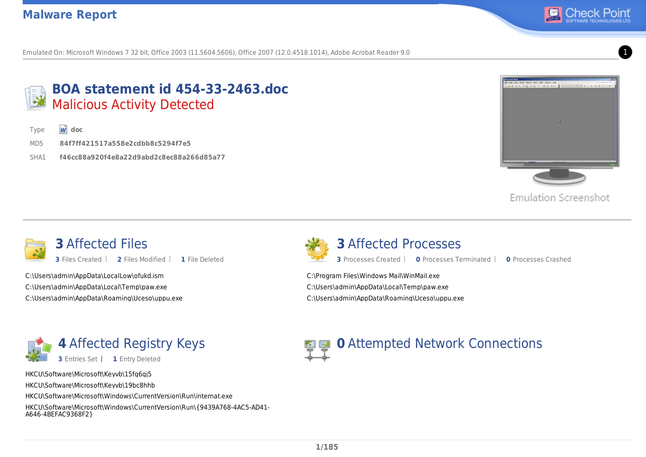

Emulated On: Microsoft Windows 7 32 bit, Office 2003 (11.5604.5606), Office 2007 (12.0.4518.1014), Adobe Acrobat Reader 9.0 1



#### **BOA statement id 454-33-2463.doc** Malicious Activity Detected

Type **w** doc

- MD5 **84f7ff421517a558e2cdbb8c5294f7e5**
- SHA1 **f46cc88a920f4e8a22d9abd2c8ec88a266d85a77**



**Emulation Screenshot** 



C:\Users\admin\AppData\LocalLow\ofukd.ism C:\Users\admin\AppData\Local\Temp\paw.exe C:\Users\admin\AppData\Roaming\Uceso\uppu.exe



**3** Affected Processes

**3** Processes Created **0** Processes Terminated **0** Processes Crashed

C:\Program Files\Windows Mail\WinMail.exe C:\Users\admin\AppData\Local\Temp\paw.exe C:\Users\admin\AppData\Roaming\Uceso\uppu.exe



HKCU\Software\Microsoft\Keyvb\15fg6gj5

HKCU\Software\Microsoft\Keyvb\19bc8hhb

HKCU\Software\Microsoft\Windows\CurrentVersion\Run\internat.exe

HKCU\Software\Microsoft\Windows\CurrentVersion\Run\{9439A768-4AC5-AD41- A646-4BEFAC9368F2}

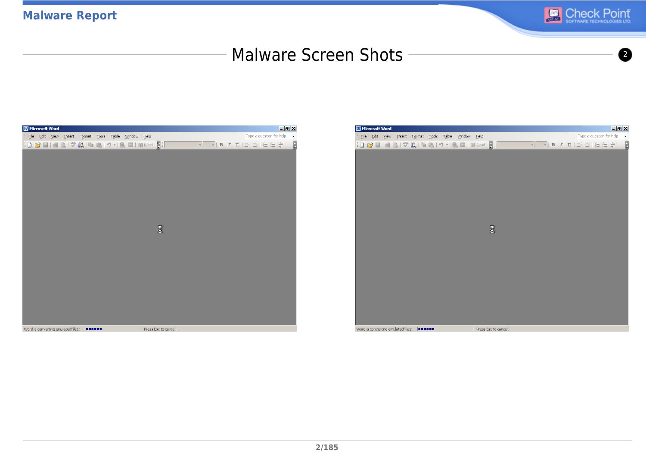

#### Malware Screen Shots <sup>2</sup>



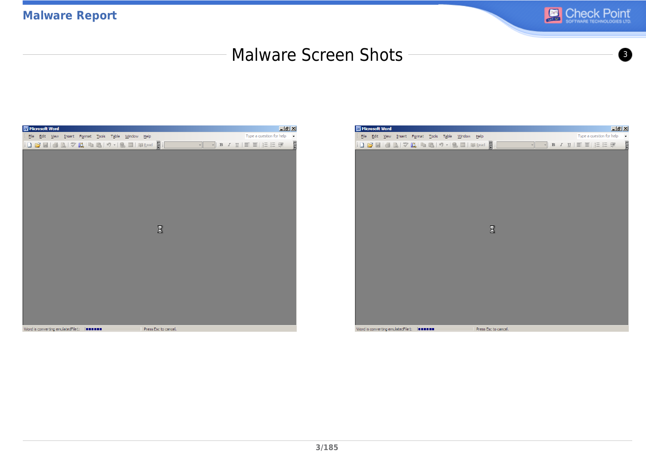

#### Malware Screen Shots <sup>3</sup>



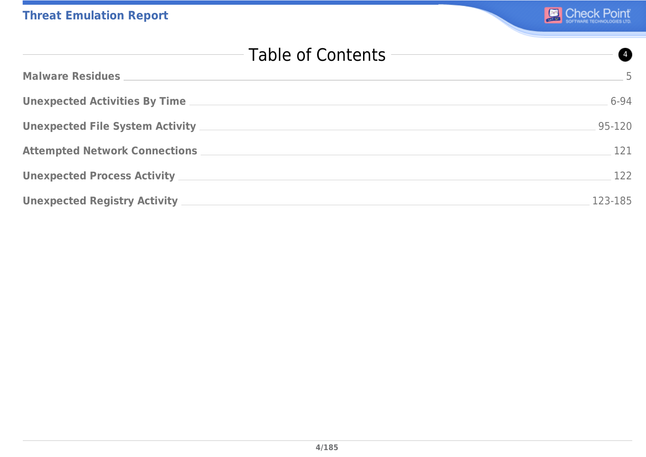| Table of Contents<br>Ø                   |          |  |
|------------------------------------------|----------|--|
| <b>Malware Residues</b>                  | $-5$     |  |
|                                          | $6 - 94$ |  |
|                                          | 95-120   |  |
| Attempted Network Connections __________ | 121      |  |
|                                          | 122      |  |
| Unexpected Registry Activity ________    | 123-185  |  |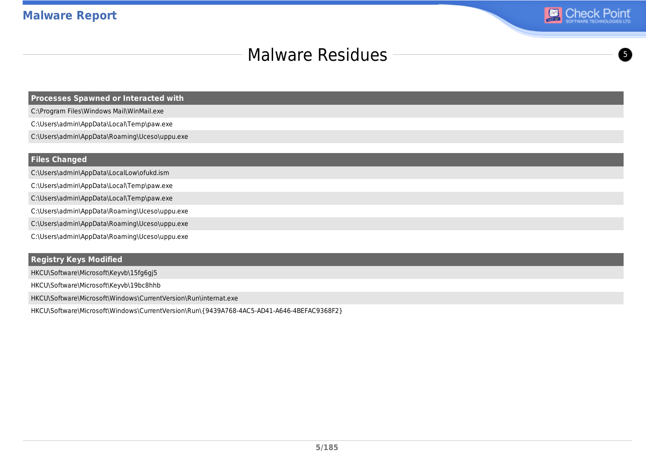

#### Malware Residues **6 and 19 and 19 and 19 and 19 and 19 and 19 and 19 and 19 and 19 and 19 and 19 and 19 and 19 and 19 and 19 and 19 and 19 and 19 and 19 and 19 and 19 and 19 and 19 and 19 and 19 and 19 and 19 and 19 and 19**

**Processes Spawned or Interacted with**

C:\Program Files\Windows Mail\WinMail.exe

C:\Users\admin\AppData\Local\Temp\paw.exe

C:\Users\admin\AppData\Roaming\Uceso\uppu.exe

#### **Files Changed**

C:\Users\admin\AppData\LocalLow\ofukd.ism

C:\Users\admin\AppData\Local\Temp\paw.exe

- C:\Users\admin\AppData\Local\Temp\paw.exe
- C:\Users\admin\AppData\Roaming\Uceso\uppu.exe
- C:\Users\admin\AppData\Roaming\Uceso\uppu.exe

C:\Users\admin\AppData\Roaming\Uceso\uppu.exe

#### **Registry Keys Modified**

HKCU\Software\Microsoft\Keyvb\15fg6gj5

HKCU\Software\Microsoft\Keyvb\19bc8hhb

HKCU\Software\Microsoft\Windows\CurrentVersion\Run\internat.exe

HKCU\Software\Microsoft\Windows\CurrentVersion\Run\{9439A768-4AC5-AD41-A646-4BEFAC9368F2}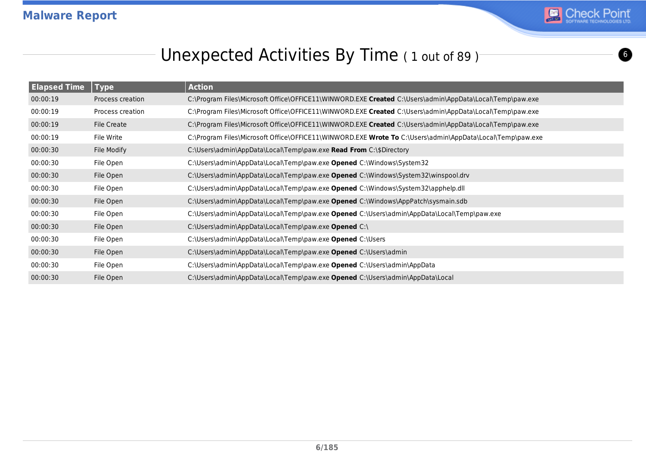

# Unexpected Activities By Time (1 out of 89)

| <b>Elapsed Time</b> | <b>Type</b>      | <b>Action</b>                                                                                             |
|---------------------|------------------|-----------------------------------------------------------------------------------------------------------|
| 00:00:19            | Process creation | C:\Program Files\Microsoft Office\OFFICE11\WINWORD.EXE Created C:\Users\admin\AppData\Local\Temp\paw.exe  |
| 00:00:19            | Process creation | C:\Program Files\Microsoft Office\OFFICE11\WINWORD.EXE Created C:\Users\admin\AppData\Local\Temp\paw.exe  |
| 00:00:19            | File Create      | C:\Program Files\Microsoft Office\OFFICE11\WINWORD.EXE Created C:\Users\admin\AppData\Local\Temp\paw.exe  |
| 00:00:19            | File Write       | C:\Program Files\Microsoft Office\OFFICE11\WINWORD.EXE Wrote To C:\Users\admin\AppData\Local\Temp\paw.exe |
| 00:00:30            | File Modify      | C:\Users\admin\AppData\Local\Temp\paw.exe Read From C:\\$Directory                                        |
| 00:00:30            | File Open        | C:\Users\admin\AppData\Local\Temp\paw.exe Opened C:\Windows\System32                                      |
| 00:00:30            | File Open        | C:\Users\admin\AppData\Local\Temp\paw.exe Opened C:\Windows\System32\winspool.drv                         |
| 00:00:30            | File Open        | C:\Users\admin\AppData\Local\Temp\paw.exe Opened C:\Windows\System32\apphelp.dll                          |
| 00:00:30            | File Open        | C:\Users\admin\AppData\Local\Temp\paw.exe Opened C:\Windows\AppPatch\sysmain.sdb                          |
| 00:00:30            | File Open        | C:\Users\admin\AppData\Local\Temp\paw.exe Opened C:\Users\admin\AppData\Local\Temp\paw.exe                |
| 00:00:30            | File Open        | C:\Users\admin\AppData\Local\Temp\paw.exe Opened C:\                                                      |
| 00:00:30            | File Open        | C:\Users\admin\AppData\Local\Temp\paw.exe Opened C:\Users                                                 |
| 00:00:30            | File Open        | C:\Users\admin\AppData\Local\Temp\paw.exe Opened C:\Users\admin                                           |
| 00:00:30            | File Open        | C:\Users\admin\AppData\Local\Temp\paw.exe Opened C:\Users\admin\AppData                                   |
| 00:00:30            | File Open        | C:\Users\admin\AppData\Local\Temp\paw.exe Opened C:\Users\admin\AppData\Local                             |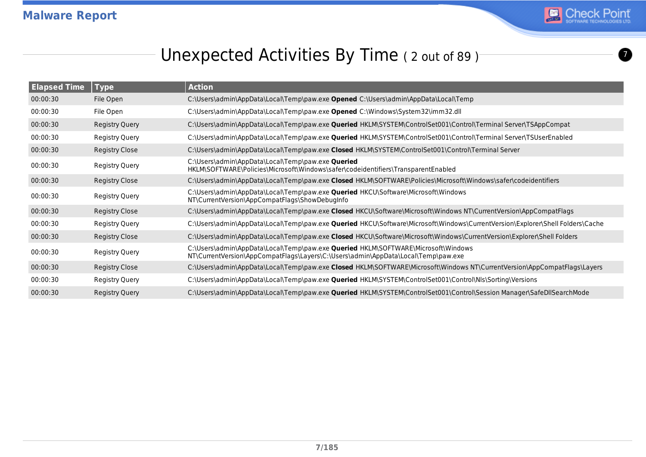

# Unexpected Activities By Time (2 out of 89)

| <b>Elapsed Time</b> | <b>Type</b>           | <b>Action</b>                                                                                                                                                          |
|---------------------|-----------------------|------------------------------------------------------------------------------------------------------------------------------------------------------------------------|
| 00:00:30            | File Open             | C:\Users\admin\AppData\Local\Temp\paw.exe Opened C:\Users\admin\AppData\Local\Temp                                                                                     |
| 00:00:30            | File Open             | C:\Users\admin\AppData\Local\Temp\paw.exe Opened C:\Windows\System32\imm32.dll                                                                                         |
| 00:00:30            | Registry Query        | C:\Users\admin\AppData\Local\Temp\paw.exe Queried HKLM\SYSTEM\ControlSet001\Control\Terminal Server\TSAppCompat                                                        |
| 00:00:30            | Registry Query        | C:\Users\admin\AppData\Local\Temp\paw.exe <b>Queried</b> HKLM\SYSTEM\ControlSet001\Control\Terminal Server\TSUserEnabled                                               |
| 00:00:30            | <b>Registry Close</b> | C:\Users\admin\AppData\Local\Temp\paw.exe Closed HKLM\SYSTEM\ControlSet001\Control\Terminal Server                                                                     |
| 00:00:30            | Registry Query        | C:\Users\admin\AppData\Local\Temp\paw.exe Queried<br>HKLM\SOFTWARE\Policies\Microsoft\Windows\safer\codeidentifiers\TransparentEnabled                                 |
| 00:00:30            | Registry Close        | C:\Users\admin\AppData\Local\Temp\paw.exe Closed HKLM\SOFTWARE\Policies\Microsoft\Windows\safer\codeidentifiers                                                        |
| 00:00:30            | Registry Query        | C:\Users\admin\AppData\Local\Temp\paw.exe Queried HKCU\Software\Microsoft\Windows<br>NT\CurrentVersion\AppCompatFlags\ShowDebugInfo                                    |
| 00:00:30            | Registry Close        | C:\Users\admin\AppData\Local\Temp\paw.exe Closed HKCU\Software\Microsoft\Windows NT\CurrentVersion\AppCompatFlags                                                      |
| 00:00:30            | <b>Registry Query</b> | C:\Users\admin\AppData\Local\Temp\paw.exe <b>Queried</b> HKCU\Software\Microsoft\Windows\CurrentVersion\Explorer\Shell Folders\Cache                                   |
| 00:00:30            | <b>Registry Close</b> | C:\Users\admin\AppData\Local\Temp\paw.exe Closed HKCU\Software\Microsoft\Windows\CurrentVersion\Explorer\Shell Folders                                                 |
| 00:00:30            | Registry Query        | C:\Users\admin\AppData\Local\Temp\paw.exe Queried HKLM\SOFTWARE\Microsoft\Windows<br>NT\CurrentVersion\AppCompatFlags\Layers\C:\Users\admin\AppData\Local\Temp\paw.exe |
| 00:00:30            | Registry Close        | C:\Users\admin\AppData\Local\Temp\paw.exe Closed HKLM\SOFTWARE\Microsoft\Windows NT\CurrentVersion\AppCompatFlags\Layers                                               |
| 00:00:30            | Registry Query        | C:\Users\admin\AppData\Local\Temp\paw.exe Queried HKLM\SYSTEM\ControlSet001\Control\Nls\Sorting\Versions                                                               |
| 00:00:30            | Registry Query        | C:\Users\admin\AppData\Local\Temp\paw.exe Queried HKLM\SYSTEM\ControlSet001\Control\Session Manager\SafeDllSearchMode                                                  |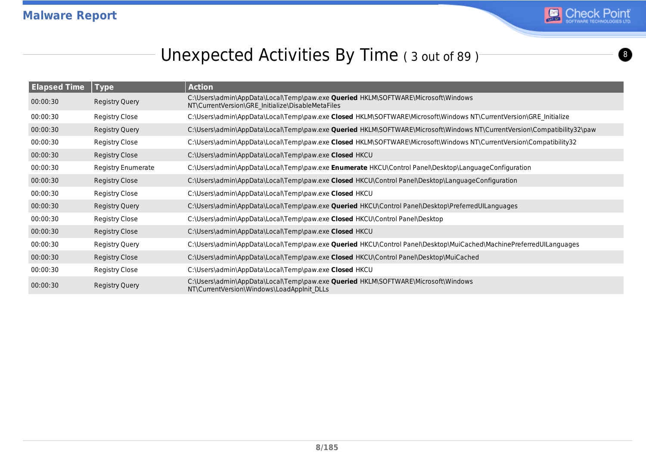

# Unexpected Activities By Time ( 3 out of 89 )

| <b>Elapsed Time</b> |                           |                                                                                                                                               |
|---------------------|---------------------------|-----------------------------------------------------------------------------------------------------------------------------------------------|
|                     | Type                      | <b>Action</b>                                                                                                                                 |
| 00:00:30            | Registry Query            | C:\Users\admin\AppData\Local\Temp\paw.exe <b>Queried</b> HKLM\SOFTWARE\Microsoft\Windows<br>NT\CurrentVersion\GRE_Initialize\DisableMetaFiles |
| 00:00:30            | Registry Close            | C:\Users\admin\AppData\Local\Temp\paw.exe Closed HKLM\SOFTWARE\Microsoft\Windows NT\CurrentVersion\GRE Initialize                             |
| 00:00:30            | <b>Registry Query</b>     | C:\Users\admin\AppData\Local\Temp\paw.exe Queried HKLM\SOFTWARE\Microsoft\Windows NT\CurrentVersion\Compatibility32\paw                       |
| 00:00:30            | Registry Close            | C:\Users\admin\AppData\Local\Temp\paw.exe Closed HKLM\SOFTWARE\Microsoft\Windows NT\CurrentVersion\Compatibility32                            |
| 00:00:30            | Registry Close            | C:\Users\admin\AppData\Local\Temp\paw.exe Closed HKCU                                                                                         |
| 00:00:30            | <b>Registry Enumerate</b> | C:\Users\admin\AppData\Local\Temp\paw.exe <b>Enumerate</b> HKCU\Control Panel\Desktop\LanguageConfiguration                                   |
| 00:00:30            | Registry Close            | C:\Users\admin\AppData\Local\Temp\paw.exe Closed HKCU\Control Panel\Desktop\LanguageConfiguration                                             |
| 00:00:30            | Registry Close            | C:\Users\admin\AppData\Local\Temp\paw.exe Closed HKCU                                                                                         |
| 00:00:30            | Registry Query            | C:\Users\admin\AppData\Local\Temp\paw.exe <b>Queried</b> HKCU\Control Panel\Desktop\PreferredUILanguages                                      |
| 00:00:30            | Registry Close            | C:\Users\admin\AppData\Local\Temp\paw.exe Closed HKCU\Control Panel\Desktop                                                                   |
| 00:00:30            | Registry Close            | C:\Users\admin\AppData\Local\Temp\paw.exe Closed HKCU                                                                                         |
| 00:00:30            | Registry Query            | C:\Users\admin\AppData\Local\Temp\paw.exe Queried HKCU\Control Panel\Desktop\MuiCached\MachinePreferredUILanguages                            |
| 00:00:30            | Registry Close            | C:\Users\admin\AppData\Local\Temp\paw.exe Closed HKCU\Control Panel\Desktop\MuiCached                                                         |
| 00:00:30            | Registry Close            | C:\Users\admin\AppData\Local\Temp\paw.exe Closed HKCU                                                                                         |
| 00:00:30            | Registry Query            | C:\Users\admin\AppData\Local\Temp\paw.exe <b>Queried</b> HKLM\SOFTWARE\Microsoft\Windows<br>NT\CurrentVersion\Windows\LoadAppInit DLLs        |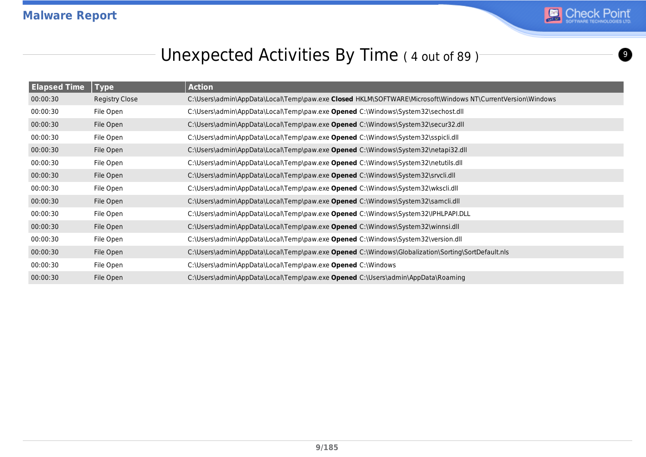

# Unexpected Activities By Time ( 4 out of 89 )

| <b>Elapsed Time</b> | <b>Type</b>    | <b>Action</b>                                                                                              |
|---------------------|----------------|------------------------------------------------------------------------------------------------------------|
| 00:00:30            | Registry Close | C:\Users\admin\AppData\Local\Temp\paw.exe Closed HKLM\SOFTWARE\Microsoft\Windows NT\CurrentVersion\Windows |
| 00:00:30            | File Open      | C:\Users\admin\AppData\Local\Temp\paw.exe Opened C:\Windows\System32\sechost.dll                           |
| 00:00:30            | File Open      | C:\Users\admin\AppData\Local\Temp\paw.exe Opened C:\Windows\System32\secur32.dll                           |
| 00:00:30            | File Open      | C:\Users\admin\AppData\Local\Temp\paw.exe Opened C:\Windows\System32\sspicli.dll                           |
| 00:00:30            | File Open      | C:\Users\admin\AppData\Local\Temp\paw.exe Opened C:\Windows\System32\netapi32.dll                          |
| 00:00:30            | File Open      | C:\Users\admin\AppData\Local\Temp\paw.exe Opened C:\Windows\System32\netutils.dll                          |
| 00:00:30            | File Open      | C:\Users\admin\AppData\Local\Temp\paw.exe Opened C:\Windows\System32\srvcli.dll                            |
| 00:00:30            | File Open      | C:\Users\admin\AppData\Local\Temp\paw.exe Opened C:\Windows\System32\wkscli.dll                            |
| 00:00:30            | File Open      | C:\Users\admin\AppData\Local\Temp\paw.exe Opened C:\Windows\System32\samcli.dll                            |
| 00:00:30            | File Open      | C:\Users\admin\AppData\Local\Temp\paw.exe Opened C:\Windows\System32\IPHLPAPI.DLL                          |
| 00:00:30            | File Open      | C:\Users\admin\AppData\Local\Temp\paw.exe Opened C:\Windows\System32\winnsi.dll                            |
| 00:00:30            | File Open      | C:\Users\admin\AppData\Local\Temp\paw.exe Opened C:\Windows\System32\version.dll                           |
| 00:00:30            | File Open      | C:\Users\admin\AppData\Local\Temp\paw.exe Opened C:\Windows\Globalization\Sorting\SortDefault.nls          |
| 00:00:30            | File Open      | C:\Users\admin\AppData\Local\Temp\paw.exe Opened C:\Windows                                                |
| 00:00:30            | File Open      | C:\Users\admin\AppData\Local\Temp\paw.exe Opened C:\Users\admin\AppData\Roaming                            |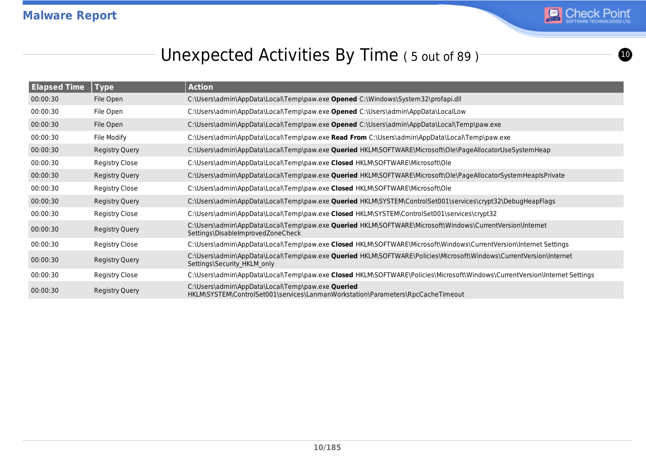

 $\boldsymbol{\omega}$ 

# Unexpected Activities By Time (5 out of 89)

| <b>Elapsed Time</b> | <b>Type</b>           | <b>Action</b>                                                                                                                                            |
|---------------------|-----------------------|----------------------------------------------------------------------------------------------------------------------------------------------------------|
| 00:00:30            | File Open             | C:\Users\admin\AppData\Local\Temp\paw.exe Opened C:\Windows\System32\profapi.dll                                                                         |
| 00:00:30            | File Open             | C:\Users\admin\AppData\Local\Temp\paw.exe Opened C:\Users\admin\AppData\LocalLow                                                                         |
| 00:00:30            | File Open             | C:\Users\admin\AppData\Local\Temp\paw.exe Opened C:\Users\admin\AppData\Local\Temp\paw.exe                                                               |
| 00:00:30            | File Modify           | C:\Users\admin\AppData\Local\Temp\paw.exe Read From C:\Users\admin\AppData\Local\Temp\paw.exe                                                            |
| 00:00:30            | <b>Registry Query</b> | C:\Users\admin\AppData\Local\Temp\paw.exe <b>Queried</b> HKLM\SOFTWARE\Microsoft\Ole\PageAllocatorUseSystemHeap                                          |
| 00:00:30            | <b>Registry Close</b> | C:\Users\admin\AppData\Local\Temp\paw.exe Closed HKLM\SOFTWARE\Microsoft\Ole                                                                             |
| 00:00:30            | Registry Query        | C:\Users\admin\AppData\Local\Temp\paw.exe <b>Queried</b> HKLM\SOFTWARE\Microsoft\Ole\PageAllocatorSystemHeapIsPrivate                                    |
| 00:00:30            | <b>Registry Close</b> | C:\Users\admin\AppData\Local\Temp\paw.exe Closed HKLM\SOFTWARE\Microsoft\Ole                                                                             |
| 00:00:30            | Registry Query        | C:\Users\admin\AppData\Local\Temp\paw.exe Queried HKLM\SYSTEM\ControlSet001\services\crypt32\DebugHeapFlags                                              |
| 00:00:30            | <b>Registry Close</b> | C:\Users\admin\AppData\Local\Temp\paw.exe Closed HKLM\SYSTEM\ControlSet001\services\crypt32                                                              |
| 00:00:30            | Registry Query        | C:\Users\admin\AppData\Local\Temp\paw.exe Queried HKLM\SOFTWARE\Microsoft\Windows\CurrentVersion\Internet<br>Settings\DisableImprovedZoneCheck           |
| 00:00:30            | <b>Registry Close</b> | C:\Users\admin\AppData\Local\Temp\paw.exe Closed HKLM\SOFTWARE\Microsoft\Windows\CurrentVersion\Internet Settings                                        |
| 00:00:30            | Registry Query        | C:\Users\admin\AppData\Local\Temp\paw.exe <b>Queried</b> HKLM\SOFTWARE\Policies\Microsoft\Windows\CurrentVersion\Internet<br>Settings\Security HKLM only |
| 00:00:30            | Registry Close        | C:\Users\admin\AppData\Local\Temp\paw.exe Closed HKLM\SOFTWARE\Policies\Microsoft\Windows\CurrentVersion\Internet Settings                               |
| 00:00:30            | Registry Query        | C:\Users\admin\AppData\Local\Temp\paw.exe Queried<br>HKLM\SYSTEM\ControlSet001\services\LanmanWorkstation\Parameters\RpcCacheTimeout                     |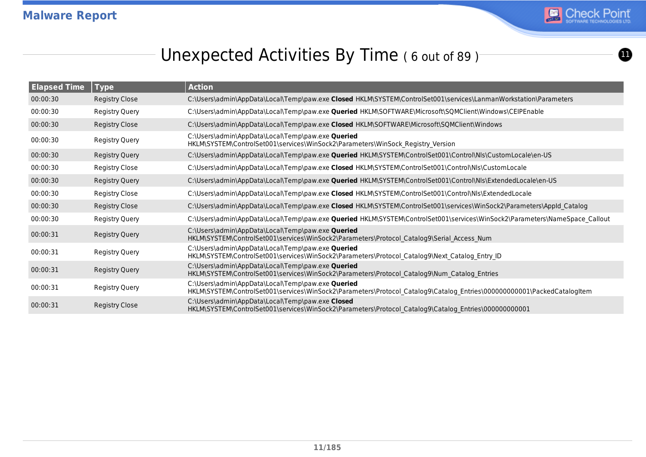

 $\bf{0}$ 

# Unexpected Activities By Time (6 out of 89)

| <b>Elapsed Time</b> | <b>Type</b>           | <b>Action</b>                                                                                                                                                                |
|---------------------|-----------------------|------------------------------------------------------------------------------------------------------------------------------------------------------------------------------|
| 00:00:30            | <b>Registry Close</b> | C:\Users\admin\AppData\Local\Temp\paw.exe Closed HKLM\SYSTEM\ControlSet001\services\LanmanWorkstation\Parameters                                                             |
| 00:00:30            | <b>Registry Query</b> | C:\Users\admin\AppData\Local\Temp\paw.exe Queried HKLM\SOFTWARE\Microsoft\SQMClient\Windows\CEIPEnable                                                                       |
| 00:00:30            | <b>Registry Close</b> | C:\Users\admin\AppData\Local\Temp\paw.exe Closed HKLM\SOFTWARE\Microsoft\SQMClient\Windows                                                                                   |
| 00:00:30            | Registry Query        | C:\Users\admin\AppData\Local\Temp\paw.exe Queried<br>HKLM\SYSTEM\ControlSet001\services\WinSock2\Parameters\WinSock Registry Version                                         |
| 00:00:30            | <b>Registry Query</b> | C:\Users\admin\AppData\Local\Temp\paw.exe <b>Queried</b> HKLM\SYSTEM\ControlSet001\Control\Nls\CustomLocale\en-US                                                            |
| 00:00:30            | Registry Close        | C:\Users\admin\AppData\Local\Temp\paw.exe Closed HKLM\SYSTEM\ControlSet001\Control\Nls\CustomLocale                                                                          |
| 00:00:30            | <b>Registry Query</b> | C:\Users\admin\AppData\Local\Temp\paw.exe <b>Queried</b> HKLM\SYSTEM\ControlSet001\Control\Nls\ExtendedLocale\en-US                                                          |
| 00:00:30            | Registry Close        | C:\Users\admin\AppData\Local\Temp\paw.exe Closed HKLM\SYSTEM\ControlSet001\Control\Nls\ExtendedLocale                                                                        |
| 00:00:30            | <b>Registry Close</b> | C:\Users\admin\AppData\Local\Temp\paw.exe Closed HKLM\SYSTEM\ControlSet001\services\WinSock2\Parameters\AppId Catalog                                                        |
| 00:00:30            | <b>Registry Query</b> | C:\Users\admin\AppData\Local\Temp\paw.exe Queried HKLM\SYSTEM\ControlSet001\services\WinSock2\Parameters\NameSpace_Callout                                                   |
| 00:00:31            | <b>Registry Query</b> | C:\Users\admin\AppData\Local\Temp\paw.exe Queried<br>HKLM\SYSTEM\ControlSet001\services\WinSock2\Parameters\Protocol Catalog9\Serial Access Num                              |
| 00:00:31            | Registry Query        | C:\Users\admin\AppData\Local\Temp\paw.exe Queried<br>HKLM\SYSTEM\ControlSet001\services\WinSock2\Parameters\Protocol_Catalog9\Next_Catalog_Entry_ID                          |
| 00:00:31            | Registry Query        | C:\Users\admin\AppData\Local\Temp\paw.exe Queried<br>HKLM\SYSTEM\ControlSet001\services\WinSock2\Parameters\Protocol Catalog9\Num Catalog Entries                            |
| 00:00:31            | Registry Query        | C:\Users\admin\AppData\Local\Temp\paw.exe Queried<br>HKLM\SYSTEM\ControlSet001\services\WinSock2\Parameters\Protocol_Catalog9\Catalog_Entries\000000000001\PackedCatalogItem |
| 00:00:31            | Registry Close        | C:\Users\admin\AppData\Local\Temp\paw.exe Closed<br>HKLM\SYSTEM\ControlSet001\services\WinSock2\Parameters\Protocol Catalog9\Catalog Entries\00000000001                     |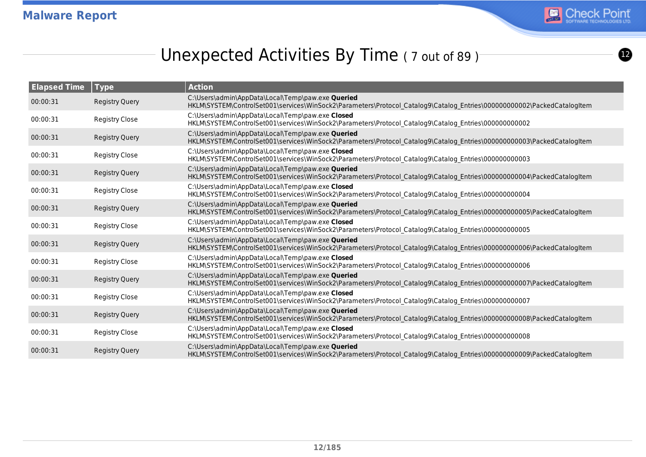

 $\boldsymbol{\Omega}$ 

# Unexpected Activities By Time (7 out of 89)

| <b>Elapsed Time</b> | Type                  | <b>Action</b>                                                                                                                                                                |
|---------------------|-----------------------|------------------------------------------------------------------------------------------------------------------------------------------------------------------------------|
| 00:00:31            | <b>Registry Query</b> | C:\Users\admin\AppData\Local\Temp\paw.exe Queried<br>HKLM\SYSTEM\ControlSet001\services\WinSock2\Parameters\Protocol Catalog9\Catalog Entries\000000000002\PackedCatalogItem |
| 00:00:31            | Registry Close        | C:\Users\admin\AppData\Local\Temp\paw.exe Closed<br>HKLM\SYSTEM\ControlSet001\services\WinSock2\Parameters\Protocol Catalog9\Catalog Entries\00000000002                     |
| 00:00:31            | <b>Registry Query</b> | C:\Users\admin\AppData\Local\Temp\paw.exe Queried<br>HKLM\SYSTEM\ControlSet001\services\WinSock2\Parameters\Protocol Catalog9\Catalog Entries\000000000003\PackedCatalogItem |
| 00:00:31            | <b>Registry Close</b> | C:\Users\admin\AppData\Local\Temp\paw.exe Closed<br>HKLM\SYSTEM\ControlSet001\services\WinSock2\Parameters\Protocol_Catalog9\Catalog_Entries\00000000003                     |
| 00:00:31            | <b>Registry Query</b> | C:\Users\admin\AppData\Local\Temp\paw.exe Queried<br>HKLM\SYSTEM\ControlSet001\services\WinSock2\Parameters\Protocol Catalog9\Catalog Entries\000000000004\PackedCatalogItem |
| 00:00:31            | <b>Registry Close</b> | C:\Users\admin\AppData\Local\Temp\paw.exe Closed<br>HKLM\SYSTEM\ControlSet001\services\WinSock2\Parameters\Protocol Catalog9\Catalog Entries\00000000004                     |
| 00:00:31            | <b>Registry Query</b> | C:\Users\admin\AppData\Local\Temp\paw.exe Queried<br>HKLM\SYSTEM\ControlSet001\services\WinSock2\Parameters\Protocol Catalog9\Catalog Entries\000000000005\PackedCatalogItem |
| 00:00:31            | <b>Registry Close</b> | C:\Users\admin\AppData\Local\Temp\paw.exe Closed<br>HKLM\SYSTEM\ControlSet001\services\WinSock2\Parameters\Protocol Catalog9\Catalog Entries\00000000005                     |
| 00:00:31            | <b>Registry Query</b> | C:\Users\admin\AppData\Local\Temp\paw.exe Queried<br>HKLM\SYSTEM\ControlSet001\services\WinSock2\Parameters\Protocol Catalog9\Catalog Entries\000000000006\PackedCatalogItem |
| 00:00:31            | Registry Close        | C:\Users\admin\AppData\Local\Temp\paw.exe Closed<br>HKLM\SYSTEM\ControlSet001\services\WinSock2\Parameters\Protocol Catalog9\Catalog Entries\00000000006                     |
| 00:00:31            | <b>Registry Query</b> | C:\Users\admin\AppData\Local\Temp\paw.exe Queried<br>HKLM\SYSTEM\ControlSet001\services\WinSock2\Parameters\Protocol Catalog9\Catalog Entries\000000000007\PackedCatalogItem |
| 00:00:31            | <b>Registry Close</b> | C:\Users\admin\AppData\Local\Temp\paw.exe Closed<br>HKLM\SYSTEM\ControlSet001\services\WinSock2\Parameters\Protocol_Catalog9\Catalog_Entries\00000000007                     |
| 00:00:31            | <b>Registry Query</b> | C:\Users\admin\AppData\Local\Temp\paw.exe Queried<br>HKLM\SYSTEM\ControlSet001\services\WinSock2\Parameters\Protocol Catalog9\Catalog Entries\000000000008\PackedCatalogItem |
| 00:00:31            | <b>Registry Close</b> | C:\Users\admin\AppData\Local\Temp\paw.exe Closed<br>HKLM\SYSTEM\ControlSet001\services\WinSock2\Parameters\Protocol_Catalog9\Catalog_Entries\00000000008                     |
| 00:00:31            | <b>Registry Query</b> | C:\Users\admin\AppData\Local\Temp\paw.exe Queried<br>HKLM\SYSTEM\ControlSet001\services\WinSock2\Parameters\Protocol Catalog9\Catalog Entries\000000000009\PackedCatalogItem |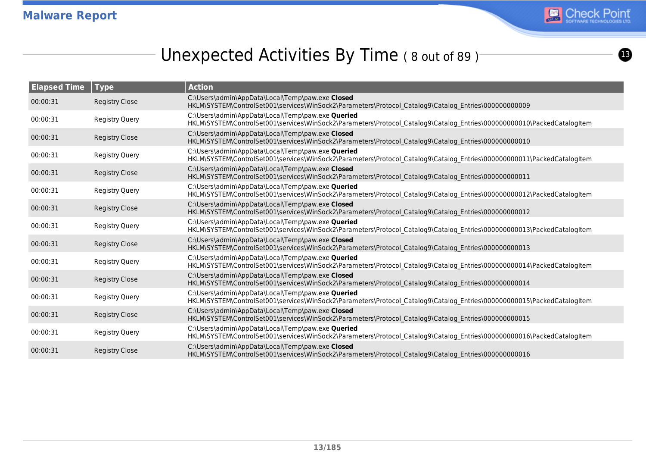

# Unexpected Activities By Time (8 out of 89)

| <b>Elapsed Time</b> | Type                  | <b>Action</b>                                                                                                                                                                |
|---------------------|-----------------------|------------------------------------------------------------------------------------------------------------------------------------------------------------------------------|
| 00:00:31            | <b>Registry Close</b> | C:\Users\admin\AppData\Local\Temp\paw.exe Closed<br>HKLM\SYSTEM\ControlSet001\services\WinSock2\Parameters\Protocol Catalog9\Catalog Entries\00000000009                     |
| 00:00:31            | Registry Query        | C:\Users\admin\AppData\Local\Temp\paw.exe Queried<br>HKLM\SYSTEM\ControlSet001\services\WinSock2\Parameters\Protocol Catalog9\Catalog Entries\000000000010\PackedCatalogItem |
| 00:00:31            | <b>Registry Close</b> | C:\Users\admin\AppData\Local\Temp\paw.exe Closed<br>HKLM\SYSTEM\ControlSet001\services\WinSock2\Parameters\Protocol Catalog9\Catalog Entries\000000000010                    |
| 00:00:31            | <b>Registry Query</b> | C:\Users\admin\AppData\Local\Temp\paw.exe Queried<br>HKLM\SYSTEM\ControlSet001\services\WinSock2\Parameters\Protocol Catalog9\Catalog Entries\000000000011\PackedCatalogItem |
| 00:00:31            | <b>Registry Close</b> | C:\Users\admin\AppData\Local\Temp\paw.exe Closed<br>HKLM\SYSTEM\ControlSet001\services\WinSock2\Parameters\Protocol Catalog9\Catalog Entries\00000000011                     |
| 00:00:31            | Registry Query        | C:\Users\admin\AppData\Local\Temp\paw.exe Queried<br>HKLM\SYSTEM\ControlSet001\services\WinSock2\Parameters\Protocol_Catalog9\Catalog_Entries\000000000012\PackedCatalogItem |
| 00:00:31            | <b>Registry Close</b> | C:\Users\admin\AppData\Local\Temp\paw.exe Closed<br>HKLM\SYSTEM\ControlSet001\services\WinSock2\Parameters\Protocol Catalog9\Catalog Entries\00000000012                     |
| 00:00:31            | <b>Registry Query</b> | C:\Users\admin\AppData\Local\Temp\paw.exe Queried<br>HKLM\SYSTEM\ControlSet001\services\WinSock2\Parameters\Protocol Catalog9\Catalog Entries\000000000013\PackedCatalogItem |
| 00:00:31            | <b>Registry Close</b> | C:\Users\admin\AppData\Local\Temp\paw.exe Closed<br>HKLM\SYSTEM\ControlSet001\services\WinSock2\Parameters\Protocol Catalog9\Catalog Entries\00000000013                     |
| 00:00:31            | Registry Query        | C:\Users\admin\AppData\Local\Temp\paw.exe Queried<br>HKLM\SYSTEM\ControlSet001\services\WinSock2\Parameters\Protocol Catalog9\Catalog Entries\000000000014\PackedCatalogItem |
| 00:00:31            | <b>Registry Close</b> | C:\Users\admin\AppData\Local\Temp\paw.exe Closed<br>HKLM\SYSTEM\ControlSet001\services\WinSock2\Parameters\Protocol Catalog9\Catalog Entries\000000000014                    |
| 00:00:31            | Registry Query        | C:\Users\admin\AppData\Local\Temp\paw.exe Queried<br>HKLM\SYSTEM\ControlSet001\services\WinSock2\Parameters\Protocol_Catalog9\Catalog_Entries\000000000015\PackedCatalogItem |
| 00:00:31            | <b>Registry Close</b> | C:\Users\admin\AppData\Local\Temp\paw.exe Closed<br>HKLM\SYSTEM\ControlSet001\services\WinSock2\Parameters\Protocol Catalog9\Catalog Entries\000000000015                    |
| 00:00:31            | <b>Registry Query</b> | C:\Users\admin\AppData\Local\Temp\paw.exe Queried<br>HKLM\SYSTEM\ControlSet001\services\WinSock2\Parameters\Protocol Catalog9\Catalog Entries\000000000016\PackedCatalogItem |
| 00:00:31            | <b>Registry Close</b> | C:\Users\admin\AppData\Local\Temp\paw.exe Closed<br>HKLM\SYSTEM\ControlSet001\services\WinSock2\Parameters\Protocol Catalog9\Catalog Entries\00000000016                     |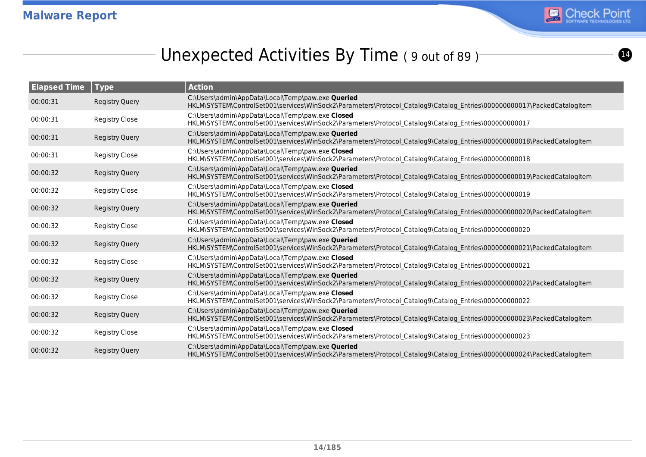

# Unexpected Activities By Time (9 out of 89)

| <b>Elapsed Time</b> | Type                  | <b>Action</b>                                                                                                                                                                |
|---------------------|-----------------------|------------------------------------------------------------------------------------------------------------------------------------------------------------------------------|
| 00:00:31            | <b>Registry Query</b> | C:\Users\admin\AppData\Local\Temp\paw.exe Queried<br>HKLM\SYSTEM\ControlSet001\services\WinSock2\Parameters\Protocol Catalog9\Catalog Entries\000000000017\PackedCatalogItem |
| 00:00:31            | <b>Registry Close</b> | C:\Users\admin\AppData\Local\Temp\paw.exe Closed<br>HKLM\SYSTEM\ControlSet001\services\WinSock2\Parameters\Protocol Catalog9\Catalog Entries\000000000017                    |
| 00:00:31            | <b>Registry Query</b> | C:\Users\admin\AppData\Local\Temp\paw.exe Queried<br>HKLM\SYSTEM\ControlSet001\services\WinSock2\Parameters\Protocol Catalog9\Catalog Entries\000000000018\PackedCatalogItem |
| 00:00:31            | <b>Registry Close</b> | C:\Users\admin\AppData\Local\Temp\paw.exe Closed<br>HKLM\SYSTEM\ControlSet001\services\WinSock2\Parameters\Protocol_Catalog9\Catalog_Entries\000000000018                    |
| 00:00:32            | <b>Registry Query</b> | C:\Users\admin\AppData\Local\Temp\paw.exe Queried<br>HKLM\SYSTEM\ControlSet001\services\WinSock2\Parameters\Protocol Catalog9\Catalog Entries\000000000019\PackedCatalogItem |
| 00:00:32            | <b>Registry Close</b> | C:\Users\admin\AppData\Local\Temp\paw.exe Closed<br>HKLM\SYSTEM\ControlSet001\services\WinSock2\Parameters\Protocol Catalog9\Catalog Entries\000000000019                    |
| 00:00:32            | <b>Registry Query</b> | C:\Users\admin\AppData\Local\Temp\paw.exe Queried<br>HKLM\SYSTEM\ControlSet001\services\WinSock2\Parameters\Protocol Catalog9\Catalog Entries\000000000020\PackedCatalogItem |
| 00:00:32            | <b>Registry Close</b> | C:\Users\admin\AppData\Local\Temp\paw.exe Closed<br>HKLM\SYSTEM\ControlSet001\services\WinSock2\Parameters\Protocol Catalog9\Catalog Entries\00000000020                     |
| 00:00:32            | <b>Registry Query</b> | C:\Users\admin\AppData\Local\Temp\paw.exe Queried<br>HKLM\SYSTEM\ControlSet001\services\WinSock2\Parameters\Protocol Catalog9\Catalog Entries\000000000021\PackedCatalogItem |
| 00:00:32            | <b>Registry Close</b> | C:\Users\admin\AppData\Local\Temp\paw.exe Closed<br>HKLM\SYSTEM\ControlSet001\services\WinSock2\Parameters\Protocol Catalog9\Catalog Entries\00000000021                     |
| 00:00:32            | <b>Registry Query</b> | C:\Users\admin\AppData\Local\Temp\paw.exe Queried<br>HKLM\SYSTEM\ControlSet001\services\WinSock2\Parameters\Protocol Catalog9\Catalog Entries\000000000022\PackedCatalogItem |
| 00:00:32            | <b>Registry Close</b> | C:\Users\admin\AppData\Local\Temp\paw.exe Closed<br>HKLM\SYSTEM\ControlSet001\services\WinSock2\Parameters\Protocol Catalog9\Catalog Entries\00000000022                     |
| 00:00:32            | <b>Registry Query</b> | C:\Users\admin\AppData\Local\Temp\paw.exe Queried<br>HKLM\SYSTEM\ControlSet001\services\WinSock2\Parameters\Protocol Catalog9\Catalog Entries\000000000023\PackedCatalogItem |
| 00:00:32            | Registry Close        | C:\Users\admin\AppData\Local\Temp\paw.exe Closed<br>HKLM\SYSTEM\ControlSet001\services\WinSock2\Parameters\Protocol_Catalog9\Catalog_Entries\00000000023                     |
| 00:00:32            | <b>Registry Query</b> | C:\Users\admin\AppData\Local\Temp\paw.exe Queried<br>HKLM\SYSTEM\ControlSet001\services\WinSock2\Parameters\Protocol Catalog9\Catalog Entries\000000000024\PackedCatalogItem |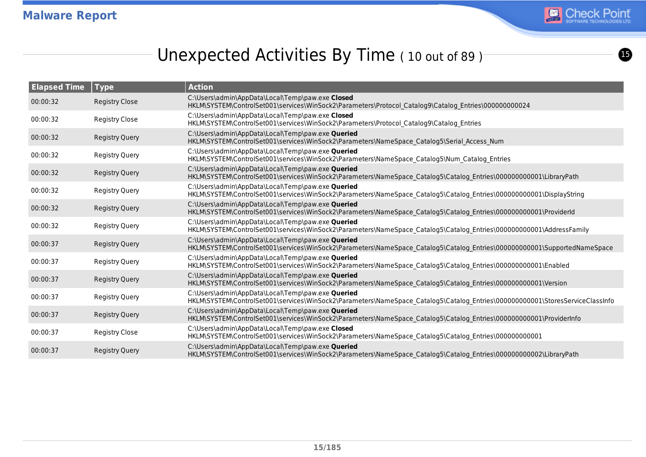

 $\bf{6}$ 

# Unexpected Activities By Time (10 out of 89)

| <b>Elapsed Time</b> | Type                  | <b>Action</b>                                                                                                                                                                      |
|---------------------|-----------------------|------------------------------------------------------------------------------------------------------------------------------------------------------------------------------------|
| 00:00:32            | <b>Registry Close</b> | C:\Users\admin\AppData\Local\Temp\paw.exe Closed<br>HKLM\SYSTEM\ControlSet001\services\WinSock2\Parameters\Protocol Catalog9\Catalog Entries\00000000024                           |
| 00:00:32            | <b>Registry Close</b> | C:\Users\admin\AppData\Local\Temp\paw.exe Closed<br>HKLM\SYSTEM\ControlSet001\services\WinSock2\Parameters\Protocol Catalog9\Catalog Entries                                       |
| 00:00:32            | <b>Registry Query</b> | C:\Users\admin\AppData\Local\Temp\paw.exe Queried<br>HKLM\SYSTEM\ControlSet001\services\WinSock2\Parameters\NameSpace Catalog5\Serial Access Num                                   |
| 00:00:32            | <b>Registry Query</b> | C:\Users\admin\AppData\Local\Temp\paw.exe Queried<br>HKLM\SYSTEM\ControlSet001\services\WinSock2\Parameters\NameSpace_Catalog5\Num_Catalog_Entries                                 |
| 00:00:32            | <b>Registry Query</b> | C:\Users\admin\AppData\Local\Temp\paw.exe Queried<br>HKLM\SYSTEM\ControlSet001\services\WinSock2\Parameters\NameSpace Catalog5\Catalog Entries\000000000001\LibraryPath            |
| 00:00:32            | <b>Registry Query</b> | C:\Users\admin\AppData\Local\Temp\paw.exe Queried<br>HKLM\SYSTEM\ControlSet001\services\WinSock2\Parameters\NameSpace Catalog5\Catalog Entries\000000000001\DisplayString          |
| 00:00:32            | <b>Registry Query</b> | C:\Users\admin\AppData\Local\Temp\paw.exe Queried<br>HKLM\SYSTEM\ControlSet001\services\WinSock2\Parameters\NameSpace Catalog5\Catalog Entries\000000000001\ProviderId             |
| 00:00:32            | <b>Registry Query</b> | C:\Users\admin\AppData\Local\Temp\paw.exe Queried<br>HKLM\SYSTEM\ControlSet001\services\WinSock2\Parameters\NameSpace Catalog5\Catalog Entries\000000000001\AddressFamily          |
| 00:00:37            | <b>Registry Query</b> | C:\Users\admin\AppData\Local\Temp\paw.exe Queried<br>HKLM\SYSTEM\ControlSet001\services\WinSock2\Parameters\NameSpace Catalog5\Catalog Entries\000000000001\SupportedNameSpace     |
| 00:00:37            | <b>Registry Query</b> | C:\Users\admin\AppData\Local\Temp\paw.exe Queried<br>HKLM\SYSTEM\ControlSet001\services\WinSock2\Parameters\NameSpace Catalog5\Catalog Entries\000000000001\Enabled                |
| 00:00:37            | <b>Registry Query</b> | C:\Users\admin\AppData\Local\Temp\paw.exe Queried<br>HKLM\SYSTEM\ControlSet001\services\WinSock2\Parameters\NameSpace_Catalog5\Catalog_Entries\000000000001\Version                |
| 00:00:37            | <b>Registry Query</b> | C:\Users\admin\AppData\Local\Temp\paw.exe Queried<br>HKLM\SYSTEM\ControlSet001\services\WinSock2\Parameters\NameSpace Catalog5\Catalog Entries\000000000001\StoresServiceClassInfo |
| 00:00:37            | <b>Registry Query</b> | C:\Users\admin\AppData\Local\Temp\paw.exe Queried<br>HKLM\SYSTEM\ControlSet001\services\WinSock2\Parameters\NameSpace Catalog5\Catalog Entries\000000000001\ProviderInfo           |
| 00:00:37            | <b>Registry Close</b> | C:\Users\admin\AppData\Local\Temp\paw.exe Closed<br>HKLM\SYSTEM\ControlSet001\services\WinSock2\Parameters\NameSpace Catalog5\Catalog Entries\000000000001                         |
| 00:00:37            | <b>Registry Query</b> | C:\Users\admin\AppData\Local\Temp\paw.exe Queried<br>HKLM\SYSTEM\ControlSet001\services\WinSock2\Parameters\NameSpace Catalog5\Catalog Entries\000000000002\LibraryPath            |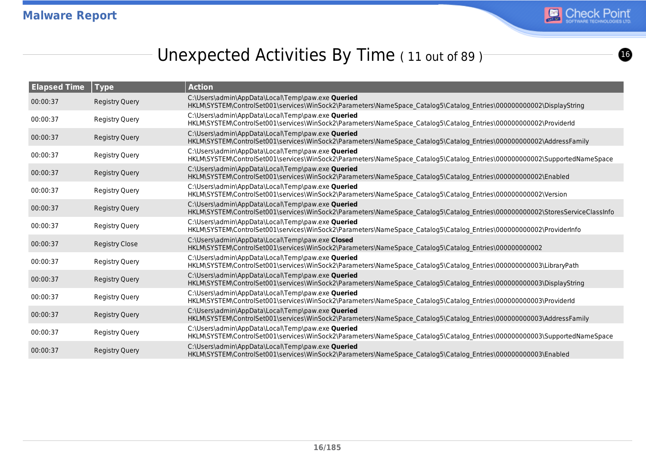

# Unexpected Activities By Time (11 out of 89)

| <b>Elapsed Time</b> | <b>Type</b>           | <b>Action</b>                                                                                                                                                                      |
|---------------------|-----------------------|------------------------------------------------------------------------------------------------------------------------------------------------------------------------------------|
| 00:00:37            | <b>Registry Query</b> | C:\Users\admin\AppData\Local\Temp\paw.exe Queried<br>HKLM\SYSTEM\ControlSet001\services\WinSock2\Parameters\NameSpace Catalog5\Catalog Entries\000000000002\DisplayString          |
| 00:00:37            | <b>Registry Query</b> | C:\Users\admin\AppData\Local\Temp\paw.exe Queried<br>HKLM\SYSTEM\ControlSet001\services\WinSock2\Parameters\NameSpace_Catalog5\Catalog_Entries\000000000002\ProviderId             |
| 00:00:37            | <b>Registry Query</b> | C:\Users\admin\AppData\Local\Temp\paw.exe Queried<br>HKLM\SYSTEM\ControlSet001\services\WinSock2\Parameters\NameSpace Catalog5\Catalog Entries\000000000002\AddressFamily          |
| 00:00:37            | Registry Query        | C:\Users\admin\AppData\Local\Temp\paw.exe Queried<br>HKLM\SYSTEM\ControlSet001\services\WinSock2\Parameters\NameSpace Catalog5\Catalog Entries\000000000002\SupportedNameSpace     |
| 00:00:37            | <b>Registry Query</b> | C:\Users\admin\AppData\Local\Temp\paw.exe Queried<br>HKLM\SYSTEM\ControlSet001\services\WinSock2\Parameters\NameSpace Catalog5\Catalog Entries\00000000002\Enabled                 |
| 00:00:37            | <b>Registry Query</b> | C:\Users\admin\AppData\Local\Temp\paw.exe Queried<br>HKLM\SYSTEM\ControlSet001\services\WinSock2\Parameters\NameSpace Catalog5\Catalog Entries\000000000002\Version                |
| 00:00:37            | <b>Registry Query</b> | C:\Users\admin\AppData\Local\Temp\paw.exe Queried<br>HKLM\SYSTEM\ControlSet001\services\WinSock2\Parameters\NameSpace_Catalog5\Catalog_Entries\000000000002\StoresServiceClassInfo |
| 00:00:37            | Registry Query        | C:\Users\admin\AppData\Local\Temp\paw.exe Queried<br>HKLM\SYSTEM\ControlSet001\services\WinSock2\Parameters\NameSpace Catalog5\Catalog Entries\000000000002\ProviderInfo           |
| 00:00:37            | <b>Registry Close</b> | C:\Users\admin\AppData\Local\Temp\paw.exe Closed<br>HKLM\SYSTEM\ControlSet001\services\WinSock2\Parameters\NameSpace Catalog5\Catalog Entries\00000000002                          |
| 00:00:37            | Registry Query        | C:\Users\admin\AppData\Local\Temp\paw.exe Queried<br>HKLM\SYSTEM\ControlSet001\services\WinSock2\Parameters\NameSpace Catalog5\Catalog Entries\000000000003\LibraryPath            |
| 00:00:37            | <b>Registry Query</b> | C:\Users\admin\AppData\Local\Temp\paw.exe Queried<br>HKLM\SYSTEM\ControlSet001\services\WinSock2\Parameters\NameSpace Catalog5\Catalog Entries\00000000003\DisplayString           |
| 00:00:37            | <b>Registry Query</b> | C:\Users\admin\AppData\Local\Temp\paw.exe Queried<br>HKLM\SYSTEM\ControlSet001\services\WinSock2\Parameters\NameSpace_Catalog5\Catalog_Entries\00000000003\ProviderId              |
| 00:00:37            | <b>Registry Query</b> | C:\Users\admin\AppData\Local\Temp\paw.exe Queried<br>HKLM\SYSTEM\ControlSet001\services\WinSock2\Parameters\NameSpace Catalog5\Catalog Entries\000000000003\AddressFamily          |
| 00:00:37            | <b>Registry Query</b> | C:\Users\admin\AppData\Local\Temp\paw.exe Queried<br>HKLM\SYSTEM\ControlSet001\services\WinSock2\Parameters\NameSpace_Catalog5\Catalog_Entries\000000000003\SupportedNameSpace     |
| 00:00:37            | <b>Registry Query</b> | C:\Users\admin\AppData\Local\Temp\paw.exe Queried<br>HKLM\SYSTEM\ControlSet001\services\WinSock2\Parameters\NameSpace Catalog5\Catalog Entries\00000000003\Enabled                 |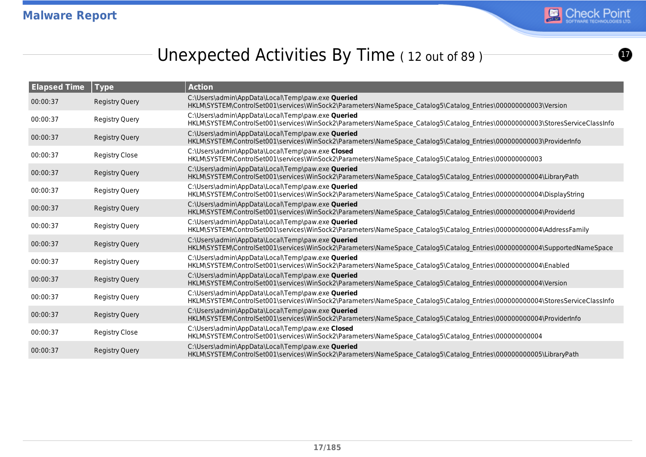

 $\boldsymbol{\Omega}$ 

# Unexpected Activities By Time (12 out of 89)

| <b>Elapsed Time</b> | Type                  | <b>Action</b>                                                                                                                                                                     |
|---------------------|-----------------------|-----------------------------------------------------------------------------------------------------------------------------------------------------------------------------------|
| 00:00:37            | <b>Registry Query</b> | C:\Users\admin\AppData\Local\Temp\paw.exe Queried<br>HKLM\SYSTEM\ControlSet001\services\WinSock2\Parameters\NameSpace Catalog5\Catalog Entries\00000000003\Version                |
| 00:00:37            | <b>Registry Query</b> | C:\Users\admin\AppData\Local\Temp\paw.exe Queried<br>HKLM\SYSTEM\ControlSet001\services\WinSock2\Parameters\NameSpace Catalog5\Catalog Entries\00000000003\StoresServiceClassInfo |
| 00:00:37            | <b>Registry Query</b> | C:\Users\admin\AppData\Local\Temp\paw.exe Queried<br>HKLM\SYSTEM\ControlSet001\services\WinSock2\Parameters\NameSpace Catalog5\Catalog Entries\000000000003\ProviderInfo          |
| 00:00:37            | <b>Registry Close</b> | C:\Users\admin\AppData\Local\Temp\paw.exe Closed<br>HKLM\SYSTEM\ControlSet001\services\WinSock2\Parameters\NameSpace_Catalog5\Catalog_Entries\00000000003                         |
| 00:00:37            | <b>Registry Query</b> | C:\Users\admin\AppData\Local\Temp\paw.exe Queried<br>HKLM\SYSTEM\ControlSet001\services\WinSock2\Parameters\NameSpace Catalog5\Catalog Entries\000000000004\LibraryPath           |
| 00:00:37            | <b>Registry Query</b> | C:\Users\admin\AppData\Local\Temp\paw.exe Queried<br>HKLM\SYSTEM\ControlSet001\services\WinSock2\Parameters\NameSpace_Catalog5\Catalog_Entries\000000000004\DisplayString         |
| 00:00:37            | <b>Registry Query</b> | C:\Users\admin\AppData\Local\Temp\paw.exe Queried<br>HKLM\SYSTEM\ControlSet001\services\WinSock2\Parameters\NameSpace Catalog5\Catalog Entries\00000000004\ProviderId             |
| 00:00:37            | <b>Registry Query</b> | C:\Users\admin\AppData\Local\Temp\paw.exe Queried<br>HKLM\SYSTEM\ControlSet001\services\WinSock2\Parameters\NameSpace Catalog5\Catalog Entries\000000000004\AddressFamily         |
| 00:00:37            | <b>Registry Query</b> | C:\Users\admin\AppData\Local\Temp\paw.exe Queried<br>HKLM\SYSTEM\ControlSet001\services\WinSock2\Parameters\NameSpace Catalog5\Catalog Entries\000000000004\SupportedNameSpace    |
| 00:00:37            | <b>Registry Query</b> | C:\Users\admin\AppData\Local\Temp\paw.exe Queried<br>HKLM\SYSTEM\ControlSet001\services\WinSock2\Parameters\NameSpace Catalog5\Catalog Entries\00000000004\Enabled                |
| 00:00:37            | <b>Registry Query</b> | C:\Users\admin\AppData\Local\Temp\paw.exe Queried<br>HKLM\SYSTEM\ControlSet001\services\WinSock2\Parameters\NameSpace Catalog5\Catalog Entries\00000000004\Version                |
| 00:00:37            | <b>Registry Query</b> | C:\Users\admin\AppData\Local\Temp\paw.exe Queried<br>HKLM\SYSTEM\ControlSet001\services\WinSock2\Parameters\NameSpace Catalog5\Catalog Entries\00000000004\StoresServiceClassInfo |
| 00:00:37            | <b>Registry Query</b> | C:\Users\admin\AppData\Local\Temp\paw.exe Queried<br>HKLM\SYSTEM\ControlSet001\services\WinSock2\Parameters\NameSpace_Catalog5\Catalog_Entries\000000000004\ProviderInfo          |
| 00:00:37            | <b>Registry Close</b> | C:\Users\admin\AppData\Local\Temp\paw.exe Closed<br>HKLM\SYSTEM\ControlSet001\services\WinSock2\Parameters\NameSpace_Catalog5\Catalog_Entries\00000000004                         |
| 00:00:37            | <b>Registry Query</b> | C:\Users\admin\AppData\Local\Temp\paw.exe Queried<br>HKLM\SYSTEM\ControlSet001\services\WinSock2\Parameters\NameSpace Catalog5\Catalog Entries\000000000005\LibraryPath           |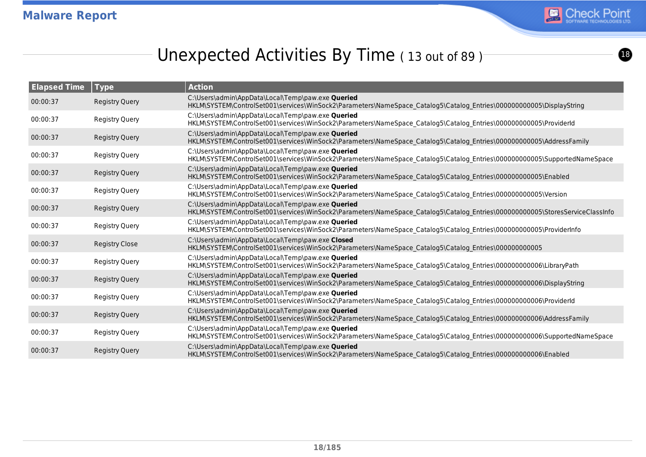

# Unexpected Activities By Time (13 out of 89)

| <b>Elapsed Time</b> | <b>Type</b>           | <b>Action</b>                                                                                                                                                                      |
|---------------------|-----------------------|------------------------------------------------------------------------------------------------------------------------------------------------------------------------------------|
| 00:00:37            | <b>Registry Query</b> | C:\Users\admin\AppData\Local\Temp\paw.exe Queried<br>HKLM\SYSTEM\ControlSet001\services\WinSock2\Parameters\NameSpace Catalog5\Catalog Entries\00000000005\DisplayString           |
| 00:00:37            | <b>Registry Query</b> | C:\Users\admin\AppData\Local\Temp\paw.exe Queried<br>HKLM\SYSTEM\ControlSet001\services\WinSock2\Parameters\NameSpace_Catalog5\Catalog_Entries\00000000005\ProviderId              |
| 00:00:37            | <b>Registry Query</b> | C:\Users\admin\AppData\Local\Temp\paw.exe Queried<br>HKLM\SYSTEM\ControlSet001\services\WinSock2\Parameters\NameSpace Catalog5\Catalog Entries\000000000005\AddressFamily          |
| 00:00:37            | Registry Query        | C:\Users\admin\AppData\Local\Temp\paw.exe Queried<br>HKLM\SYSTEM\ControlSet001\services\WinSock2\Parameters\NameSpace Catalog5\Catalog Entries\000000000005\SupportedNameSpace     |
| 00:00:37            | <b>Registry Query</b> | C:\Users\admin\AppData\Local\Temp\paw.exe Queried<br>HKLM\SYSTEM\ControlSet001\services\WinSock2\Parameters\NameSpace Catalog5\Catalog Entries\00000000005\Enabled                 |
| 00:00:37            | <b>Registry Query</b> | C:\Users\admin\AppData\Local\Temp\paw.exe Queried<br>HKLM\SYSTEM\ControlSet001\services\WinSock2\Parameters\NameSpace_Catalog5\Catalog_Entries\00000000005\Version                 |
| 00:00:37            | <b>Registry Query</b> | C:\Users\admin\AppData\Local\Temp\paw.exe Queried<br>HKLM\SYSTEM\ControlSet001\services\WinSock2\Parameters\NameSpace Catalog5\Catalog Entries\000000000005\StoresServiceClassInfo |
| 00:00:37            | Registry Query        | C:\Users\admin\AppData\Local\Temp\paw.exe Queried<br>HKLM\SYSTEM\ControlSet001\services\WinSock2\Parameters\NameSpace_Catalog5\Catalog_Entries\000000000005\ProviderInfo           |
| 00:00:37            | <b>Registry Close</b> | C:\Users\admin\AppData\Local\Temp\paw.exe Closed<br>HKLM\SYSTEM\ControlSet001\services\WinSock2\Parameters\NameSpace_Catalog5\Catalog_Entries\00000000005                          |
| 00:00:37            | Registry Query        | C:\Users\admin\AppData\Local\Temp\paw.exe Queried<br>HKLM\SYSTEM\ControlSet001\services\WinSock2\Parameters\NameSpace Catalog5\Catalog Entries\000000000006\LibraryPath            |
| 00:00:37            | <b>Registry Query</b> | C:\Users\admin\AppData\Local\Temp\paw.exe Queried<br>HKLM\SYSTEM\ControlSet001\services\WinSock2\Parameters\NameSpace Catalog5\Catalog Entries\00000000006\DisplayString           |
| 00:00:37            | <b>Registry Query</b> | C:\Users\admin\AppData\Local\Temp\paw.exe Queried<br>HKLM\SYSTEM\ControlSet001\services\WinSock2\Parameters\NameSpace_Catalog5\Catalog_Entries\000000000006\ProviderId             |
| 00:00:37            | <b>Registry Query</b> | C:\Users\admin\AppData\Local\Temp\paw.exe Queried<br>HKLM\SYSTEM\ControlSet001\services\WinSock2\Parameters\NameSpace Catalog5\Catalog Entries\000000000006\AddressFamily          |
| 00:00:37            | <b>Registry Query</b> | C:\Users\admin\AppData\Local\Temp\paw.exe Queried<br>HKLM\SYSTEM\ControlSet001\services\WinSock2\Parameters\NameSpace_Catalog5\Catalog_Entries\000000000006\SupportedNameSpace     |
| 00:00:37            | <b>Registry Query</b> | C:\Users\admin\AppData\Local\Temp\paw.exe Queried<br>HKLM\SYSTEM\ControlSet001\services\WinSock2\Parameters\NameSpace Catalog5\Catalog Entries\00000000006\Enabled                 |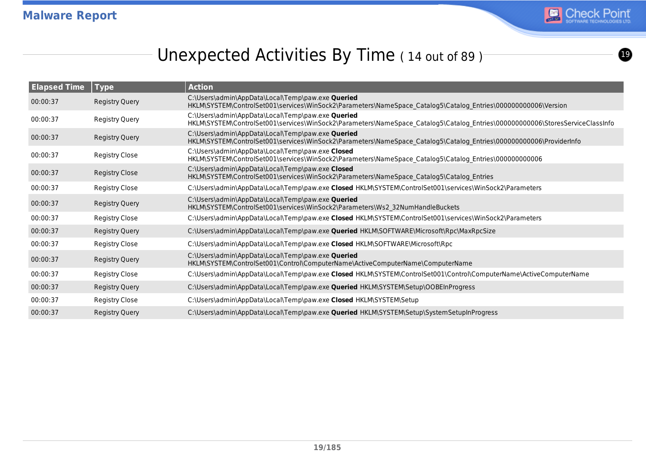

<u>ල</u>

# Unexpected Activities By Time (14 out of 89)

| <b>Elapsed Time</b> | $\blacksquare$ Type   | <b>Action</b>                                                                                                                                                                      |
|---------------------|-----------------------|------------------------------------------------------------------------------------------------------------------------------------------------------------------------------------|
| 00:00:37            | <b>Registry Query</b> | C:\Users\admin\AppData\Local\Temp\paw.exe Queried<br>HKLM\SYSTEM\ControlSet001\services\WinSock2\Parameters\NameSpace Catalog5\Catalog Entries\000000000006\Version                |
| 00:00:37            | <b>Registry Query</b> | C:\Users\admin\AppData\Local\Temp\paw.exe Queried<br>HKLM\SYSTEM\ControlSet001\services\WinSock2\Parameters\NameSpace Catalog5\Catalog Entries\000000000006\StoresServiceClassInfo |
| 00:00:37            | Registry Query        | C:\Users\admin\AppData\Local\Temp\paw.exe Queried<br>HKLM\SYSTEM\ControlSet001\services\WinSock2\Parameters\NameSpace Catalog5\Catalog Entries\000000000006\ProviderInfo           |
| 00:00:37            | Registry Close        | C:\Users\admin\AppData\Local\Temp\paw.exe Closed<br>HKLM\SYSTEM\ControlSet001\services\WinSock2\Parameters\NameSpace_Catalog5\Catalog_Entries\00000000006                          |
| 00:00:37            | <b>Registry Close</b> | C:\Users\admin\AppData\Local\Temp\paw.exe Closed<br>HKLM\SYSTEM\ControlSet001\services\WinSock2\Parameters\NameSpace Catalog5\Catalog Entries                                      |
| 00:00:37            | <b>Registry Close</b> | C:\Users\admin\AppData\Local\Temp\paw.exe Closed HKLM\SYSTEM\ControlSet001\services\WinSock2\Parameters                                                                            |
| 00:00:37            | Registry Query        | C:\Users\admin\AppData\Local\Temp\paw.exe Queried<br>HKLM\SYSTEM\ControlSet001\services\WinSock2\Parameters\Ws2 32NumHandleBuckets                                                 |
| 00:00:37            | Registry Close        | C:\Users\admin\AppData\Local\Temp\paw.exe Closed HKLM\SYSTEM\ControlSet001\services\WinSock2\Parameters                                                                            |
| 00:00:37            | <b>Registry Query</b> | C:\Users\admin\AppData\Local\Temp\paw.exe <b>Queried</b> HKLM\SOFTWARE\Microsoft\Rpc\MaxRpcSize                                                                                    |
| 00:00:37            | Registry Close        | C:\Users\admin\AppData\Local\Temp\paw.exe Closed HKLM\SOFTWARE\Microsoft\Rpc                                                                                                       |
| 00:00:37            | Registry Query        | C:\Users\admin\AppData\Local\Temp\paw.exe Queried<br>HKLM\SYSTEM\ControlSet001\Control\ComputerName\ActiveComputerName\ComputerName                                                |
| 00:00:37            | Registry Close        | C:\Users\admin\AppData\Local\Temp\paw.exe Closed HKLM\SYSTEM\ControlSet001\Control\ComputerName\ActiveComputerName                                                                 |
| 00:00:37            | <b>Registry Query</b> | C:\Users\admin\AppData\Local\Temp\paw.exe <b>Queried</b> HKLM\SYSTEM\Setup\OOBEInProgress                                                                                          |
| 00:00:37            | Registry Close        | C:\Users\admin\AppData\Local\Temp\paw.exe Closed HKLM\SYSTEM\Setup                                                                                                                 |
| 00:00:37            | Registry Query        | C:\Users\admin\AppData\Local\Temp\paw.exe Queried HKLM\SYSTEM\Setup\SystemSetupInProgress                                                                                          |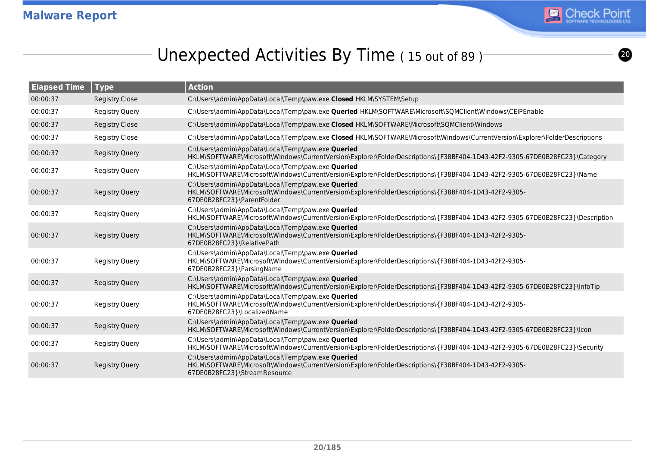

# Unexpected Activities By Time (15 out of 89)

| <b>Elapsed Time</b> | <b>Type</b>           | <b>Action</b>                                                                                                                                                                             |
|---------------------|-----------------------|-------------------------------------------------------------------------------------------------------------------------------------------------------------------------------------------|
| 00:00:37            | <b>Registry Close</b> | C:\Users\admin\AppData\Local\Temp\paw.exe Closed HKLM\SYSTEM\Setup                                                                                                                        |
| 00:00:37            | <b>Registry Query</b> | C:\Users\admin\AppData\Local\Temp\paw.exe Queried HKLM\SOFTWARE\Microsoft\SQMClient\Windows\CEIPEnable                                                                                    |
| 00:00:37            | <b>Registry Close</b> | C:\Users\admin\AppData\Local\Temp\paw.exe Closed HKLM\SOFTWARE\Microsoft\SQMClient\Windows                                                                                                |
| 00:00:37            | <b>Registry Close</b> | C:\Users\admin\AppData\Local\Temp\paw.exe Closed HKLM\SOFTWARE\Microsoft\Windows\CurrentVersion\Explorer\FolderDescriptions                                                               |
| 00:00:37            | <b>Registry Query</b> | C:\Users\admin\AppData\Local\Temp\paw.exe Queried<br>HKLM\SOFTWARE\Microsoft\Windows\CurrentVersion\Explorer\FolderDescriptions\{F38BF404-1D43-42F2-9305-67DE0B28FC23}\Category           |
| 00:00:37            | <b>Registry Query</b> | C:\Users\admin\AppData\Local\Temp\paw.exe Queried<br>HKLM\SOFTWARE\Microsoft\Windows\CurrentVersion\Explorer\FolderDescriptions\{F38BF404-1D43-42F2-9305-67DE0B28FC23}\Name               |
| 00:00:37            | <b>Registry Query</b> | C:\Users\admin\AppData\Local\Temp\paw.exe Queried<br>HKLM\SOFTWARE\Microsoft\Windows\CurrentVersion\Explorer\FolderDescriptions\{F38BF404-1D43-42F2-9305-<br>67DE0B28FC23}\ParentFolder   |
| 00:00:37            | <b>Registry Query</b> | C:\Users\admin\AppData\Local\Temp\paw.exe Queried<br>HKLM\SOFTWARE\Microsoft\Windows\CurrentVersion\Explorer\FolderDescriptions\{F38BF404-1D43-42F2-9305-67DE0B28FC23}\Description        |
| 00:00:37            | <b>Registry Query</b> | C:\Users\admin\AppData\Local\Temp\paw.exe Queried<br>HKLM\SOFTWARE\Microsoft\Windows\CurrentVersion\Explorer\FolderDescriptions\{F38BF404-1D43-42F2-9305-<br>67DE0B28FC23}\RelativePath   |
| 00:00:37            | <b>Registry Query</b> | C:\Users\admin\AppData\Local\Temp\paw.exe Queried<br>HKLM\SOFTWARE\Microsoft\Windows\CurrentVersion\Explorer\FolderDescriptions\{F38BF404-1D43-42F2-9305-<br>67DE0B28FC23}\ParsingName    |
| 00:00:37            | <b>Registry Query</b> | C:\Users\admin\AppData\Local\Temp\paw.exe Queried<br>HKLM\SOFTWARE\Microsoft\Windows\CurrentVersion\Explorer\FolderDescriptions\{F38BF404-1D43-42F2-9305-67DE0B28FC23}\InfoTip            |
| 00:00:37            | <b>Registry Query</b> | C:\Users\admin\AppData\Local\Temp\paw.exe Queried<br>HKLM\SOFTWARE\Microsoft\Windows\CurrentVersion\Explorer\FolderDescriptions\{F38BF404-1D43-42F2-9305-<br>67DE0B28FC23}\LocalizedName  |
| 00:00:37            | <b>Registry Query</b> | C:\Users\admin\AppData\Local\Temp\paw.exe Queried<br>HKLM\SOFTWARE\Microsoft\Windows\CurrentVersion\Explorer\FolderDescriptions\{F38BF404-1D43-42F2-9305-67DE0B28FC23}\lcon               |
| 00:00:37            | <b>Registry Query</b> | C:\Users\admin\AppData\Local\Temp\paw.exe Queried<br>HKLM\SOFTWARE\Microsoft\Windows\CurrentVersion\Explorer\FolderDescriptions\{F38BF404-1D43-42F2-9305-67DE0B28FC23}\Security           |
| 00:00:37            | <b>Registry Query</b> | C:\Users\admin\AppData\Local\Temp\paw.exe Queried<br>HKLM\SOFTWARE\Microsoft\Windows\CurrentVersion\Explorer\FolderDescriptions\{F38BF404-1D43-42F2-9305-<br>67DE0B28FC23}\StreamResource |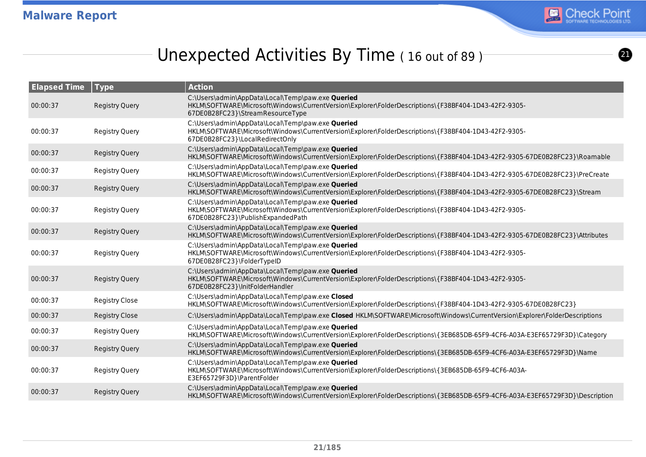

 $\boldsymbol{0}$ 

# Unexpected Activities By Time (16 out of 89)

| <b>Elapsed Time</b> | <b>Type</b>           | <b>Action</b>                                                                                                                                                                                  |
|---------------------|-----------------------|------------------------------------------------------------------------------------------------------------------------------------------------------------------------------------------------|
| 00:00:37            | <b>Registry Query</b> | C:\Users\admin\AppData\Local\Temp\paw.exe Queried<br>HKLM\SOFTWARE\Microsoft\Windows\CurrentVersion\Explorer\FolderDescriptions\{F38BF404-1D43-42F2-9305-<br>67DE0B28FC23}\StreamResourceType  |
| 00:00:37            | <b>Registry Query</b> | C:\Users\admin\AppData\Local\Temp\paw.exe Queried<br>HKLM\SOFTWARE\Microsoft\Windows\CurrentVersion\Explorer\FolderDescriptions\{F38BF404-1D43-42F2-9305-<br>67DE0B28FC23}\LocalRedirectOnly   |
| 00:00:37            | <b>Registry Query</b> | C:\Users\admin\AppData\Local\Temp\paw.exe Queried<br>HKLM\SOFTWARE\Microsoft\Windows\CurrentVersion\Explorer\FolderDescriptions\{F38BF404-1D43-42F2-9305-67DE0B28FC23}\Roamable                |
| 00:00:37            | Registry Query        | C:\Users\admin\AppData\Local\Temp\paw.exe Queried<br>HKLM\SOFTWARE\Microsoft\Windows\CurrentVersion\Explorer\FolderDescriptions\{F38BF404-1D43-42F2-9305-67DE0B28FC23}\PreCreate               |
| 00:00:37            | <b>Registry Query</b> | C:\Users\admin\AppData\Local\Temp\paw.exe Queried<br>HKLM\SOFTWARE\Microsoft\Windows\CurrentVersion\Explorer\FolderDescriptions\{F38BF404-1D43-42F2-9305-67DE0B28FC23}\Stream                  |
| 00:00:37            | <b>Registry Query</b> | C:\Users\admin\AppData\Local\Temp\paw.exe Queried<br>HKLM\SOFTWARE\Microsoft\Windows\CurrentVersion\Explorer\FolderDescriptions\{F38BF404-1D43-42F2-9305-<br>67DE0B28FC23}\PublishExpandedPath |
| 00:00:37            | <b>Registry Query</b> | C:\Users\admin\AppData\Local\Temp\paw.exe Queried<br>HKLM\SOFTWARE\Microsoft\Windows\CurrentVersion\Explorer\FolderDescriptions\{F38BF404-1D43-42F2-9305-67DE0B28FC23}\Attributes              |
| 00:00:37            | <b>Registry Query</b> | C:\Users\admin\AppData\Local\Temp\paw.exe Queried<br>HKLM\SOFTWARE\Microsoft\Windows\CurrentVersion\Explorer\FolderDescriptions\{F38BF404-1D43-42F2-9305-<br>67DE0B28FC23}\FolderTypeID        |
| 00:00:37            | <b>Registry Query</b> | C:\Users\admin\AppData\Local\Temp\paw.exe Queried<br>HKLM\SOFTWARE\Microsoft\Windows\CurrentVersion\Explorer\FolderDescriptions\{F38BF404-1D43-42F2-9305-<br>67DE0B28FC23}\InitFolderHandler   |
| 00:00:37            | <b>Registry Close</b> | C:\Users\admin\AppData\Local\Temp\paw.exe Closed<br>HKLM\SOFTWARE\Microsoft\Windows\CurrentVersion\Explorer\FolderDescriptions\{F38BF404-1D43-42F2-9305-67DE0B28FC23}                          |
| 00:00:37            | <b>Registry Close</b> | C:\Users\admin\AppData\Local\Temp\paw.exe Closed HKLM\SOFTWARE\Microsoft\Windows\CurrentVersion\Explorer\FolderDescriptions                                                                    |
| 00:00:37            | Registry Query        | C:\Users\admin\AppData\Local\Temp\paw.exe Queried<br>HKLM\SOFTWARE\Microsoft\Windows\CurrentVersion\Explorer\FolderDescriptions\{3EB685DB-65F9-4CF6-A03A-E3EF65729F3D}\Category                |
| 00:00:37            | <b>Registry Query</b> | C:\Users\admin\AppData\Local\Temp\paw.exe Queried<br>HKLM\SOFTWARE\Microsoft\Windows\CurrentVersion\Explorer\FolderDescriptions\{3EB685DB-65F9-4CF6-A03A-E3EF65729F3D}\Name                    |
| 00:00:37            | <b>Registry Query</b> | C:\Users\admin\AppData\Local\Temp\paw.exe Queried<br>HKLM\SOFTWARE\Microsoft\Windows\CurrentVersion\Explorer\FolderDescriptions\{3EB685DB-65F9-4CF6-A03A-<br>E3EF65729F3D}\ParentFolder        |
| 00:00:37            | <b>Registry Query</b> | C:\Users\admin\AppData\Local\Temp\paw.exe Queried<br>HKLM\SOFTWARE\Microsoft\Windows\CurrentVersion\Explorer\FolderDescriptions\{3EB685DB-65F9-4CF6-A03A-E3EF65729F3D}\Description             |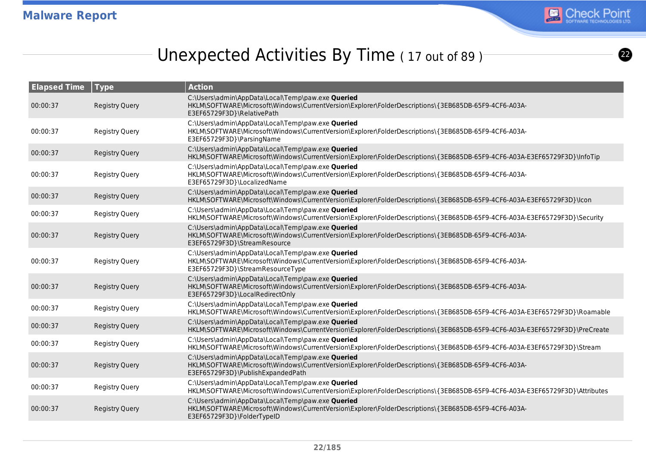

# Unexpected Activities By Time (17 out of 89)

| <b>Elapsed Time</b> | <b>Type</b>           | <b>Action</b>                                                                                                                                                                                  |
|---------------------|-----------------------|------------------------------------------------------------------------------------------------------------------------------------------------------------------------------------------------|
| 00:00:37            | <b>Registry Query</b> | C:\Users\admin\AppData\Local\Temp\paw.exe Queried<br>HKLM\SOFTWARE\Microsoft\Windows\CurrentVersion\Explorer\FolderDescriptions\{3EB685DB-65F9-4CF6-A03A-<br>E3EF65729F3D}\RelativePath        |
| 00:00:37            | <b>Registry Query</b> | C:\Users\admin\AppData\Local\Temp\paw.exe Queried<br>HKLM\SOFTWARE\Microsoft\Windows\CurrentVersion\Explorer\FolderDescriptions\{3EB685DB-65F9-4CF6-A03A-<br>E3EF65729F3D}\ParsingName         |
| 00:00:37            | <b>Registry Query</b> | C:\Users\admin\AppData\Local\Temp\paw.exe Queried<br>HKLM\SOFTWARE\Microsoft\Windows\CurrentVersion\Explorer\FolderDescriptions\{3EB685DB-65F9-4CF6-A03A-E3EF65729F3D}\InfoTip                 |
| 00:00:37            | <b>Registry Query</b> | C:\Users\admin\AppData\Local\Temp\paw.exe Queried<br>HKLM\SOFTWARE\Microsoft\Windows\CurrentVersion\Explorer\FolderDescriptions\{3EB685DB-65F9-4CF6-A03A-<br>E3EF65729F3D}\LocalizedName       |
| 00:00:37            | <b>Registry Query</b> | C:\Users\admin\AppData\Local\Temp\paw.exe Queried<br>HKLM\SOFTWARE\Microsoft\Windows\CurrentVersion\Explorer\FolderDescriptions\{3EB685DB-65F9-4CF6-A03A-E3EF65729F3D}\lcon                    |
| 00:00:37            | <b>Registry Query</b> | C:\Users\admin\AppData\Local\Temp\paw.exe Queried<br>HKLM\SOFTWARE\Microsoft\Windows\CurrentVersion\Explorer\FolderDescriptions\{3EB685DB-65F9-4CF6-A03A-E3EF65729F3D}\Security                |
| 00:00:37            | <b>Registry Query</b> | C:\Users\admin\AppData\Local\Temp\paw.exe Queried<br>HKLM\SOFTWARE\Microsoft\Windows\CurrentVersion\Explorer\FolderDescriptions\{3EB685DB-65F9-4CF6-A03A-<br>E3EF65729F3D}\StreamResource      |
| 00:00:37            | <b>Registry Query</b> | C:\Users\admin\AppData\Local\Temp\paw.exe Queried<br>HKLM\SOFTWARE\Microsoft\Windows\CurrentVersion\Explorer\FolderDescriptions\{3EB685DB-65F9-4CF6-A03A-<br>E3EF65729F3D}\StreamResourceType  |
| 00:00:37            | <b>Registry Query</b> | C:\Users\admin\AppData\Local\Temp\paw.exe Queried<br>HKLM\SOFTWARE\Microsoft\Windows\CurrentVersion\Explorer\FolderDescriptions\{3EB685DB-65F9-4CF6-A03A-<br>E3EF65729F3D}\LocalRedirectOnly   |
| 00:00:37            | <b>Registry Query</b> | C:\Users\admin\AppData\Local\Temp\paw.exe Queried<br>HKLM\SOFTWARE\Microsoft\Windows\CurrentVersion\Explorer\FolderDescriptions\{3EB685DB-65F9-4CF6-A03A-E3EF65729F3D}\Roamable                |
| 00:00:37            | <b>Registry Query</b> | C:\Users\admin\AppData\Local\Temp\paw.exe Queried<br>HKLM\SOFTWARE\Microsoft\Windows\CurrentVersion\Explorer\FolderDescriptions\{3EB685DB-65F9-4CF6-A03A-E3EF65729F3D}\PreCreate               |
| 00:00:37            | <b>Registry Query</b> | C:\Users\admin\AppData\Local\Temp\paw.exe Queried<br>HKLM\SOFTWARE\Microsoft\Windows\CurrentVersion\Explorer\FolderDescriptions\{3EB685DB-65F9-4CF6-A03A-E3EF65729F3D}\Stream                  |
| 00:00:37            | <b>Registry Query</b> | C:\Users\admin\AppData\Local\Temp\paw.exe Queried<br>HKLM\SOFTWARE\Microsoft\Windows\CurrentVersion\Explorer\FolderDescriptions\{3EB685DB-65F9-4CF6-A03A-<br>E3EF65729F3D}\PublishExpandedPath |
| 00:00:37            | <b>Registry Query</b> | C:\Users\admin\AppData\Local\Temp\paw.exe Queried<br>HKLM\SOFTWARE\Microsoft\Windows\CurrentVersion\Explorer\FolderDescriptions\{3EB685DB-65F9-4CF6-A03A-E3EF65729F3D}\Attributes              |
| 00:00:37            | <b>Registry Query</b> | C:\Users\admin\AppData\Local\Temp\paw.exe Queried<br>HKLM\SOFTWARE\Microsoft\Windows\CurrentVersion\Explorer\FolderDescriptions\{3EB685DB-65F9-4CF6-A03A-<br>E3EF65729F3D}\FolderTypeID        |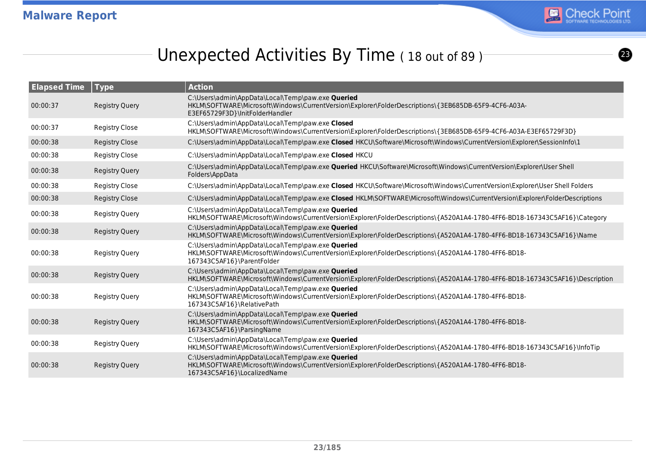

# Unexpected Activities By Time (18 out of 89)

| <b>Elapsed Time</b> | <b>Type</b>           | <b>Action</b>                                                                                                                                                                                |
|---------------------|-----------------------|----------------------------------------------------------------------------------------------------------------------------------------------------------------------------------------------|
| 00:00:37            | <b>Registry Query</b> | C:\Users\admin\AppData\Local\Temp\paw.exe Queried<br>HKLM\SOFTWARE\Microsoft\Windows\CurrentVersion\Explorer\FolderDescriptions\{3EB685DB-65F9-4CF6-A03A-<br>E3EF65729F3D}\InitFolderHandler |
| 00:00:37            | <b>Registry Close</b> | C:\Users\admin\AppData\Local\Temp\paw.exe Closed<br>HKLM\SOFTWARE\Microsoft\Windows\CurrentVersion\Explorer\FolderDescriptions\{3EB685DB-65F9-4CF6-A03A-E3EF65729F3D}                        |
| 00:00:38            | <b>Registry Close</b> | C:\Users\admin\AppData\Local\Temp\paw.exe Closed HKCU\Software\Microsoft\Windows\CurrentVersion\Explorer\SessionInfo\1                                                                       |
| 00:00:38            | <b>Registry Close</b> | C:\Users\admin\AppData\Local\Temp\paw.exe Closed HKCU                                                                                                                                        |
| 00:00:38            | <b>Registry Query</b> | C:\Users\admin\AppData\Local\Temp\paw.exe Queried HKCU\Software\Microsoft\Windows\CurrentVersion\Explorer\User Shell<br>Folders\AppData                                                      |
| 00:00:38            | <b>Registry Close</b> | C:\Users\admin\AppData\Local\Temp\paw.exe Closed HKCU\Software\Microsoft\Windows\CurrentVersion\Explorer\User Shell Folders                                                                  |
| 00:00:38            | <b>Registry Close</b> | C:\Users\admin\AppData\Local\Temp\paw.exe Closed HKLM\SOFTWARE\Microsoft\Windows\CurrentVersion\Explorer\FolderDescriptions                                                                  |
| 00:00:38            | <b>Registry Query</b> | C:\Users\admin\AppData\Local\Temp\paw.exe Queried<br>HKLM\SOFTWARE\Microsoft\Windows\CurrentVersion\Explorer\FolderDescriptions\{A520A1A4-1780-4FF6-BD18-167343C5AF16}\Category              |
| 00:00:38            | <b>Registry Query</b> | C:\Users\admin\AppData\Local\Temp\paw.exe Queried<br>HKLM\SOFTWARE\Microsoft\Windows\CurrentVersion\Explorer\FolderDescriptions\{A520A1A4-1780-4FF6-BD18-167343C5AF16}\Name                  |
| 00:00:38            | <b>Registry Query</b> | C:\Users\admin\AppData\Local\Temp\paw.exe Queried<br>HKLM\SOFTWARE\Microsoft\Windows\CurrentVersion\Explorer\FolderDescriptions\{A520A1A4-1780-4FF6-BD18-<br>167343C5AF16}\ParentFolder      |
| 00:00:38            | <b>Registry Query</b> | C:\Users\admin\AppData\Local\Temp\paw.exe Queried<br>HKLM\SOFTWARE\Microsoft\Windows\CurrentVersion\Explorer\FolderDescriptions\{A520A1A4-1780-4FF6-BD18-167343C5AF16}\Description           |
| 00:00:38            | <b>Registry Query</b> | C:\Users\admin\AppData\Local\Temp\paw.exe Queried<br>HKLM\SOFTWARE\Microsoft\Windows\CurrentVersion\Explorer\FolderDescriptions\{A520A1A4-1780-4FF6-BD18-<br>167343C5AF16}\RelativePath      |
| 00:00:38            | <b>Registry Query</b> | C:\Users\admin\AppData\Local\Temp\paw.exe Queried<br>HKLM\SOFTWARE\Microsoft\Windows\CurrentVersion\Explorer\FolderDescriptions\{A520A1A4-1780-4FF6-BD18-<br>167343C5AF16}\ParsingName       |
| 00:00:38            | <b>Registry Query</b> | C:\Users\admin\AppData\Local\Temp\paw.exe Queried<br>HKLM\SOFTWARE\Microsoft\Windows\CurrentVersion\Explorer\FolderDescriptions\{A520A1A4-1780-4FF6-BD18-167343C5AF16}\InfoTip               |
| 00:00:38            | <b>Registry Query</b> | C:\Users\admin\AppData\Local\Temp\paw.exe Queried<br>HKLM\SOFTWARE\Microsoft\Windows\CurrentVersion\Explorer\FolderDescriptions\{A520A1A4-1780-4FF6-BD18-<br>167343C5AF16}\LocalizedName     |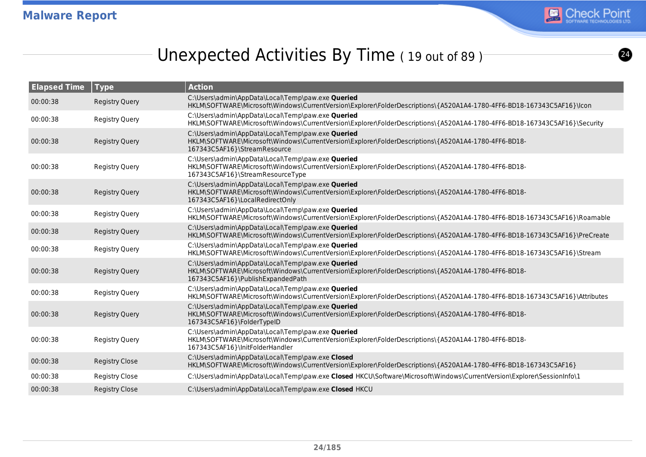

# Unexpected Activities By Time (19 out of 89)

| <b>Elapsed Time</b> | $\vert$ Type          | <b>Action</b>                                                                                                                                                                                  |
|---------------------|-----------------------|------------------------------------------------------------------------------------------------------------------------------------------------------------------------------------------------|
| 00:00:38            | <b>Registry Query</b> | C:\Users\admin\AppData\Local\Temp\paw.exe Queried<br>HKLM\SOFTWARE\Microsoft\Windows\CurrentVersion\Explorer\FolderDescriptions\{A520A1A4-1780-4FF6-BD18-167343C5AF16}\lcon                    |
| 00:00:38            | <b>Registry Query</b> | C:\Users\admin\AppData\Local\Temp\paw.exe Queried<br>HKLM\SOFTWARE\Microsoft\Windows\CurrentVersion\Explorer\FolderDescriptions\{A520A1A4-1780-4FF6-BD18-167343C5AF16}\Security                |
| 00:00:38            | <b>Registry Query</b> | C:\Users\admin\AppData\Local\Temp\paw.exe Queried<br>HKLM\SOFTWARE\Microsoft\Windows\CurrentVersion\Explorer\FolderDescriptions\{A520A1A4-1780-4FF6-BD18-<br>167343C5AF16}\StreamResource      |
| 00:00:38            | <b>Registry Query</b> | C:\Users\admin\AppData\Local\Temp\paw.exe Queried<br>HKLM\SOFTWARE\Microsoft\Windows\CurrentVersion\Explorer\FolderDescriptions\{A520A1A4-1780-4FF6-BD18-<br>167343C5AF16}\StreamResourceType  |
| 00:00:38            | <b>Registry Query</b> | C:\Users\admin\AppData\Local\Temp\paw.exe Queried<br>HKLM\SOFTWARE\Microsoft\Windows\CurrentVersion\Explorer\FolderDescriptions\{A520A1A4-1780-4FF6-BD18-<br>167343C5AF16}\LocalRedirectOnly   |
| 00:00:38            | <b>Registry Query</b> | C:\Users\admin\AppData\Local\Temp\paw.exe Queried<br>HKLM\SOFTWARE\Microsoft\Windows\CurrentVersion\Explorer\FolderDescriptions\{A520A1A4-1780-4FF6-BD18-167343C5AF16}\Roamable                |
| 00:00:38            | <b>Registry Query</b> | C:\Users\admin\AppData\Local\Temp\paw.exe Queried<br>HKLM\SOFTWARE\Microsoft\Windows\CurrentVersion\Explorer\FolderDescriptions\{A520A1A4-1780-4FF6-BD18-167343C5AF16}\PreCreate               |
| 00:00:38            | <b>Registry Query</b> | C:\Users\admin\AppData\Local\Temp\paw.exe Queried<br>HKLM\SOFTWARE\Microsoft\Windows\CurrentVersion\Explorer\FolderDescriptions\{A520A1A4-1780-4FF6-BD18-167343C5AF16}\Stream                  |
| 00:00:38            | <b>Registry Query</b> | C:\Users\admin\AppData\Local\Temp\paw.exe Queried<br>HKLM\SOFTWARE\Microsoft\Windows\CurrentVersion\Explorer\FolderDescriptions\{A520A1A4-1780-4FF6-BD18-<br>167343C5AF16}\PublishExpandedPath |
| 00:00:38            | Registry Query        | C:\Users\admin\AppData\Local\Temp\paw.exe Queried<br>HKLM\SOFTWARE\Microsoft\Windows\CurrentVersion\Explorer\FolderDescriptions\{A520A1A4-1780-4FF6-BD18-167343C5AF16}\Attributes              |
| 00:00:38            | <b>Registry Query</b> | C:\Users\admin\AppData\Local\Temp\paw.exe Queried<br>HKLM\SOFTWARE\Microsoft\Windows\CurrentVersion\Explorer\FolderDescriptions\{A520A1A4-1780-4FF6-BD18-<br>167343C5AF16}\FolderTypeID        |
| 00:00:38            | <b>Registry Query</b> | C:\Users\admin\AppData\Local\Temp\paw.exe Queried<br>HKLM\SOFTWARE\Microsoft\Windows\CurrentVersion\Explorer\FolderDescriptions\{A520A1A4-1780-4FF6-BD18-<br>167343C5AF16}\InitFolderHandler   |
| 00:00:38            | <b>Registry Close</b> | C:\Users\admin\AppData\Local\Temp\paw.exe Closed<br>HKLM\SOFTWARE\Microsoft\Windows\CurrentVersion\Explorer\FolderDescriptions\{A520A1A4-1780-4FF6-BD18-167343C5AF16}                          |
| 00:00:38            | <b>Registry Close</b> | C:\Users\admin\AppData\Local\Temp\paw.exe Closed HKCU\Software\Microsoft\Windows\CurrentVersion\Explorer\SessionInfo\1                                                                         |
| 00:00:38            | <b>Registry Close</b> | C:\Users\admin\AppData\Local\Temp\paw.exe Closed HKCU                                                                                                                                          |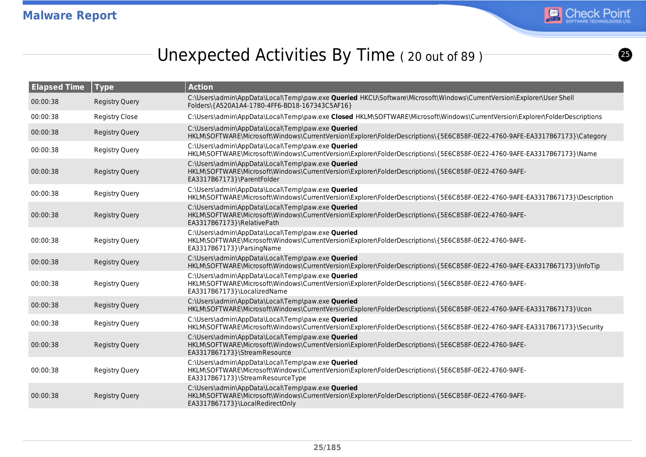

 $\bigcirc$ 

# Unexpected Activities By Time (20 out of 89)<sup>-</sup>

| <b>Elapsed Time</b> | Type                  | <b>Action</b>                                                                                                                                                                                 |
|---------------------|-----------------------|-----------------------------------------------------------------------------------------------------------------------------------------------------------------------------------------------|
| 00:00:38            | <b>Registry Query</b> | C:\Users\admin\AppData\Local\Temp\paw.exe <b>Queried</b> HKCU\Software\Microsoft\Windows\CurrentVersion\Explorer\User Shell<br>Folders\{A520A1A4-1780-4FF6-BD18-167343C5AF16}                 |
| 00:00:38            | <b>Registry Close</b> | C:\Users\admin\AppData\Local\Temp\paw.exe Closed HKLM\SOFTWARE\Microsoft\Windows\CurrentVersion\Explorer\FolderDescriptions                                                                   |
| 00:00:38            | <b>Registry Query</b> | C:\Users\admin\AppData\Local\Temp\paw.exe Queried<br>HKLM\SOFTWARE\Microsoft\Windows\CurrentVersion\Explorer\FolderDescriptions\{5E6C858F-0E22-4760-9AFE-EA3317B67173}\Category               |
| 00:00:38            | <b>Registry Query</b> | C:\Users\admin\AppData\Local\Temp\paw.exe Queried<br>HKLM\SOFTWARE\Microsoft\Windows\CurrentVersion\Explorer\FolderDescriptions\{5E6C858F-0E22-4760-9AFE-EA3317B67173}\Name                   |
| 00:00:38            | <b>Registry Query</b> | C:\Users\admin\AppData\Local\Temp\paw.exe Queried<br>HKLM\SOFTWARE\Microsoft\Windows\CurrentVersion\Explorer\FolderDescriptions\{5E6C858F-0E22-4760-9AFE-<br>EA3317B67173}\ParentFolder       |
| 00:00:38            | Registry Query        | C:\Users\admin\AppData\Local\Temp\paw.exe Queried<br>HKLM\SOFTWARE\Microsoft\Windows\CurrentVersion\Explorer\FolderDescriptions\{5E6C858F-0E22-4760-9AFE-EA3317B67173}\Description            |
| 00:00:38            | <b>Registry Query</b> | C:\Users\admin\AppData\Local\Temp\paw.exe Queried<br>HKLM\SOFTWARE\Microsoft\Windows\CurrentVersion\Explorer\FolderDescriptions\{5E6C858F-0E22-4760-9AFE-<br>EA3317B67173}\RelativePath       |
| 00:00:38            | <b>Registry Query</b> | C:\Users\admin\AppData\Local\Temp\paw.exe Queried<br>HKLM\SOFTWARE\Microsoft\Windows\CurrentVersion\Explorer\FolderDescriptions\{5E6C858F-0E22-4760-9AFE-<br>EA3317B67173}\ParsingName        |
| 00:00:38            | <b>Registry Query</b> | C:\Users\admin\AppData\Local\Temp\paw.exe Queried<br>HKLM\SOFTWARE\Microsoft\Windows\CurrentVersion\Explorer\FolderDescriptions\{5E6C858F-0E22-4760-9AFE-EA3317B67173}\InfoTip                |
| 00:00:38            | <b>Registry Query</b> | C:\Users\admin\AppData\Local\Temp\paw.exe Queried<br>HKLM\SOFTWARE\Microsoft\Windows\CurrentVersion\Explorer\FolderDescriptions\{5E6C858F-0E22-4760-9AFE-<br>EA3317B67173}\LocalizedName      |
| 00:00:38            | <b>Registry Query</b> | C:\Users\admin\AppData\Local\Temp\paw.exe Queried<br>HKLM\SOFTWARE\Microsoft\Windows\CurrentVersion\Explorer\FolderDescriptions\{5E6C858F-0E22-4760-9AFE-EA3317B67173}\lcon                   |
| 00:00:38            | <b>Registry Query</b> | C:\Users\admin\AppData\Local\Temp\paw.exe Queried<br>HKLM\SOFTWARE\Microsoft\Windows\CurrentVersion\Explorer\FolderDescriptions\{5E6C858F-0E22-4760-9AFE-EA3317B67173}\Security               |
| 00:00:38            | <b>Registry Query</b> | C:\Users\admin\AppData\Local\Temp\paw.exe Queried<br>HKLM\SOFTWARE\Microsoft\Windows\CurrentVersion\Explorer\FolderDescriptions\{5E6C858F-0E22-4760-9AFE-<br>EA3317B67173}\StreamResource     |
| 00:00:38            | <b>Registry Query</b> | C:\Users\admin\AppData\Local\Temp\paw.exe Queried<br>HKLM\SOFTWARE\Microsoft\Windows\CurrentVersion\Explorer\FolderDescriptions\{5E6C858F-0E22-4760-9AFE-<br>EA3317B67173}\StreamResourceType |
| 00:00:38            | <b>Registry Query</b> | C:\Users\admin\AppData\Local\Temp\paw.exe Queried<br>HKLM\SOFTWARE\Microsoft\Windows\CurrentVersion\Explorer\FolderDescriptions\{5E6C858F-0E22-4760-9AFE-<br>EA3317B67173}\LocalRedirectOnly  |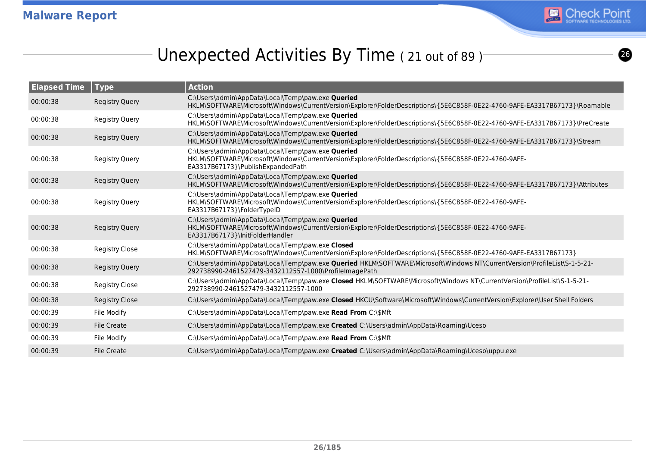

# Unexpected Activities By Time (21 out of 89)

| <b>Elapsed Time</b> | <b>Type</b>           | <b>Action</b>                                                                                                                                                                                  |
|---------------------|-----------------------|------------------------------------------------------------------------------------------------------------------------------------------------------------------------------------------------|
| 00:00:38            | <b>Registry Query</b> | C:\Users\admin\AppData\Local\Temp\paw.exe Queried<br>HKLM\SOFTWARE\Microsoft\Windows\CurrentVersion\Explorer\FolderDescriptions\{5E6C858F-0E22-4760-9AFE-EA3317B67173}\Roamable                |
| 00:00:38            | Registry Query        | C:\Users\admin\AppData\Local\Temp\paw.exe Queried<br>HKLM\SOFTWARE\Microsoft\Windows\CurrentVersion\Explorer\FolderDescriptions\{5E6C858F-0E22-4760-9AFE-EA3317B67173}\PreCreate               |
| 00:00:38            | <b>Registry Query</b> | C:\Users\admin\AppData\Local\Temp\paw.exe Queried<br>HKLM\SOFTWARE\Microsoft\Windows\CurrentVersion\Explorer\FolderDescriptions\{5E6C858F-0E22-4760-9AFE-EA3317B67173}\Stream                  |
| 00:00:38            | Registry Query        | C:\Users\admin\AppData\Local\Temp\paw.exe Queried<br>HKLM\SOFTWARE\Microsoft\Windows\CurrentVersion\Explorer\FolderDescriptions\{5E6C858F-0E22-4760-9AFE-<br>EA3317B67173}\PublishExpandedPath |
| 00:00:38            | Registry Query        | C:\Users\admin\AppData\Local\Temp\paw.exe Queried<br>HKLM\SOFTWARE\Microsoft\Windows\CurrentVersion\Explorer\FolderDescriptions\{5E6C858F-0E22-4760-9AFE-EA3317B67173}\Attributes              |
| 00:00:38            | Registry Query        | C:\Users\admin\AppData\Local\Temp\paw.exe Queried<br>HKLM\SOFTWARE\Microsoft\Windows\CurrentVersion\Explorer\FolderDescriptions\{5E6C858F-0E22-4760-9AFE-<br>EA3317B67173}\FolderTypeID        |
| 00:00:38            | <b>Registry Query</b> | C:\Users\admin\AppData\Local\Temp\paw.exe Queried<br>HKLM\SOFTWARE\Microsoft\Windows\CurrentVersion\Explorer\FolderDescriptions\{5E6C858F-0E22-4760-9AFE-<br>EA3317B67173}\InitFolderHandler   |
| 00:00:38            | <b>Registry Close</b> | C:\Users\admin\AppData\Local\Temp\paw.exe Closed<br>HKLM\SOFTWARE\Microsoft\Windows\CurrentVersion\Explorer\FolderDescriptions\{5E6C858F-0E22-4760-9AFE-EA3317B67173}                          |
| 00:00:38            | Registry Query        | C:\Users\admin\AppData\Local\Temp\paw.exe Queried HKLM\SOFTWARE\Microsoft\Windows NT\CurrentVersion\ProfileList\S-1-5-21-<br>292738990-2461527479-3432112557-1000\ProfileImagePath             |
| 00:00:38            | <b>Registry Close</b> | C:\Users\admin\AppData\Local\Temp\paw.exe Closed HKLM\SOFTWARE\Microsoft\Windows NT\CurrentVersion\ProfileList\S-1-5-21-<br>292738990-2461527479-3432112557-1000                               |
| 00:00:38            | <b>Registry Close</b> | C:\Users\admin\AppData\Local\Temp\paw.exe Closed HKCU\Software\Microsoft\Windows\CurrentVersion\Explorer\User Shell Folders                                                                    |
| 00:00:39            | File Modify           | C:\Users\admin\AppData\Local\Temp\paw.exe Read From C:\\$Mft                                                                                                                                   |
| 00:00:39            | <b>File Create</b>    | C:\Users\admin\AppData\Local\Temp\paw.exe Created C:\Users\admin\AppData\Roaming\Uceso                                                                                                         |
| 00:00:39            | File Modify           | C:\Users\admin\AppData\Local\Temp\paw.exe Read From C:\\$Mft                                                                                                                                   |
| 00:00:39            | <b>File Create</b>    | C:\Users\admin\AppData\Local\Temp\paw.exe Created C:\Users\admin\AppData\Roaming\Uceso\uppu.exe                                                                                                |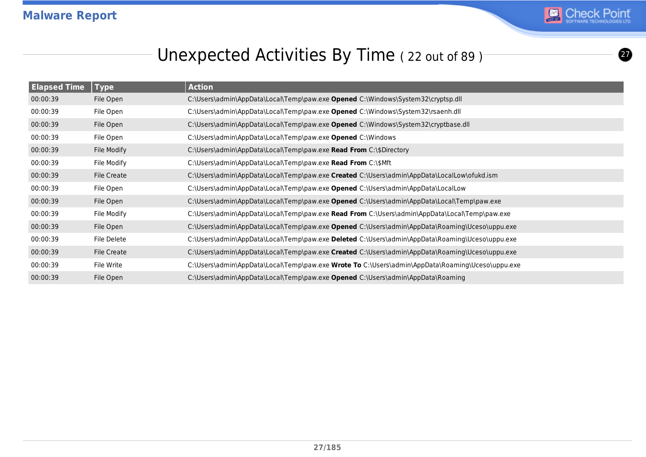

 $\boldsymbol{z}$ 

# Unexpected Activities By Time (22 out of 89)<sup>-</sup>

| <b>Elapsed Time</b> | <b>Type</b> | <b>Action</b>                                                                                    |
|---------------------|-------------|--------------------------------------------------------------------------------------------------|
| 00:00:39            | File Open   | C:\Users\admin\AppData\Local\Temp\paw.exe Opened C:\Windows\System32\cryptsp.dll                 |
| 00:00:39            | File Open   | C:\Users\admin\AppData\Local\Temp\paw.exe Opened C:\Windows\System32\rsaenh.dll                  |
| 00:00:39            | File Open   | C:\Users\admin\AppData\Local\Temp\paw.exe Opened C:\Windows\System32\cryptbase.dll               |
| 00:00:39            | File Open   | C:\Users\admin\AppData\Local\Temp\paw.exe Opened C:\Windows                                      |
| 00:00:39            | File Modify | C:\Users\admin\AppData\Local\Temp\paw.exe Read From C:\\$Directory                               |
| 00:00:39            | File Modify | C:\Users\admin\AppData\Local\Temp\paw.exe Read From C:\\$Mft                                     |
| 00:00:39            | File Create | C:\Users\admin\AppData\Local\Temp\paw.exe Created C:\Users\admin\AppData\LocalLow\ofukd.ism      |
| 00:00:39            | File Open   | C:\Users\admin\AppData\Local\Temp\paw.exe Opened C:\Users\admin\AppData\LocalLow                 |
| 00:00:39            | File Open   | C:\Users\admin\AppData\Local\Temp\paw.exe Opened C:\Users\admin\AppData\Local\Temp\paw.exe       |
| 00:00:39            | File Modify | C:\Users\admin\AppData\Local\Temp\paw.exe Read From C:\Users\admin\AppData\Local\Temp\paw.exe    |
| 00:00:39            | File Open   | C:\Users\admin\AppData\Local\Temp\paw.exe Opened C:\Users\admin\AppData\Roaming\Uceso\uppu.exe   |
| 00:00:39            | File Delete | C:\Users\admin\AppData\Local\Temp\paw.exe Deleted C:\Users\admin\AppData\Roaming\Uceso\uppu.exe  |
| 00:00:39            | File Create | C:\Users\admin\AppData\Local\Temp\paw.exe Created C:\Users\admin\AppData\Roaming\Uceso\uppu.exe  |
| 00:00:39            | File Write  | C:\Users\admin\AppData\Local\Temp\paw.exe Wrote To C:\Users\admin\AppData\Roaming\Uceso\uppu.exe |
| 00:00:39            | File Open   | C:\Users\admin\AppData\Local\Temp\paw.exe Opened C:\Users\admin\AppData\Roaming                  |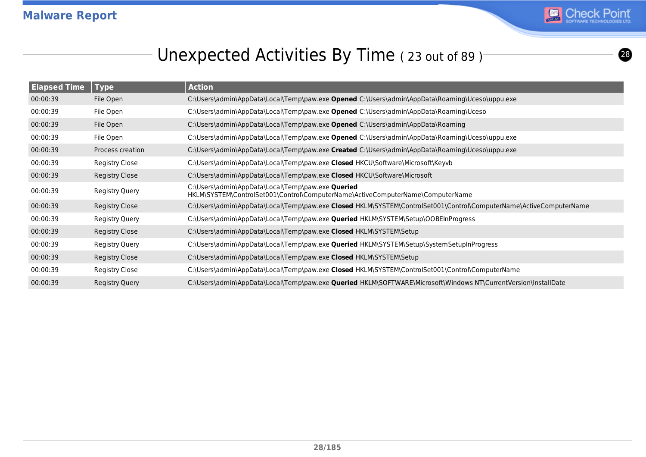

# Unexpected Activities By Time (23 out of 89)<sup>-</sup>

| <b>Elapsed Time</b> | Type             | <b>Action</b>                                                                                                                              |
|---------------------|------------------|--------------------------------------------------------------------------------------------------------------------------------------------|
| 00:00:39            | File Open        | C:\Users\admin\AppData\Local\Temp\paw.exe <b>Opened</b> C:\Users\admin\AppData\Roaming\Uceso\uppu.exe                                      |
| 00:00:39            | File Open        | C:\Users\admin\AppData\Local\Temp\paw.exe Opened C:\Users\admin\AppData\Roaming\Uceso                                                      |
| 00:00:39            | File Open        | C:\Users\admin\AppData\Local\Temp\paw.exe <b>Opened</b> C:\Users\admin\AppData\Roaming                                                     |
| 00:00:39            | File Open        | C:\Users\admin\AppData\Local\Temp\paw.exe Opened C:\Users\admin\AppData\Roaming\Uceso\uppu.exe                                             |
| 00:00:39            | Process creation | C:\Users\admin\AppData\Local\Temp\paw.exe Created C:\Users\admin\AppData\Roaming\Uceso\uppu.exe                                            |
| 00:00:39            | Registry Close   | C:\Users\admin\AppData\Local\Temp\paw.exe Closed HKCU\Software\Microsoft\Keyvb                                                             |
| 00:00:39            | Registry Close   | C:\Users\admin\AppData\Local\Temp\paw.exe Closed HKCU\Software\Microsoft                                                                   |
| 00:00:39            | Registry Query   | C:\Users\admin\AppData\Local\Temp\paw.exe <b>Queried</b><br>HKLM\SYSTEM\ControlSet001\Control\ComputerName\ActiveComputerName\ComputerName |
| 00:00:39            | Registry Close   | C:\Users\admin\AppData\Local\Temp\paw.exe Closed HKLM\SYSTEM\ControlSet001\Control\ComputerName\ActiveComputerName                         |
| 00:00:39            | Registry Query   | C:\Users\admin\AppData\Local\Temp\paw.exe <b>Queried</b> HKLM\SYSTEM\Setup\OOBEInProgress                                                  |
| 00:00:39            | Registry Close   | C:\Users\admin\AppData\Local\Temp\paw.exe Closed HKLM\SYSTEM\Setup                                                                         |
| 00:00:39            | Registry Query   | C:\Users\admin\AppData\Local\Temp\paw.exe <b>Queried</b> HKLM\SYSTEM\Setup\SystemSetupInProgress                                           |
| 00:00:39            | Registry Close   | C:\Users\admin\AppData\Local\Temp\paw.exe Closed HKLM\SYSTEM\Setup                                                                         |
| 00:00:39            | Registry Close   | C:\Users\admin\AppData\Local\Temp\paw.exe Closed HKLM\SYSTEM\ControlSet001\Control\ComputerName                                            |
| 00:00:39            | Registry Query   | C:\Users\admin\AppData\Local\Temp\paw.exe <b>Queried</b> HKLM\SOFTWARE\Microsoft\Windows NT\CurrentVersion\InstallDate                     |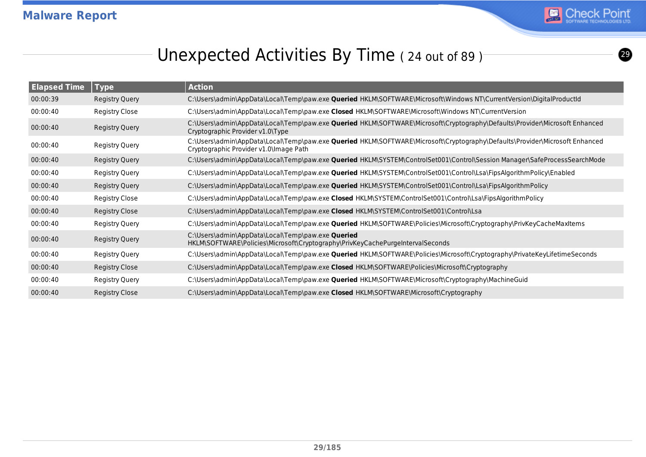

# Unexpected Activities By Time (24 out of 89)

| <b>Elapsed Time</b> | <b>Type</b>           | <b>Action</b>                                                                                                                                                          |
|---------------------|-----------------------|------------------------------------------------------------------------------------------------------------------------------------------------------------------------|
| 00:00:39            | Registry Query        | C:\Users\admin\AppData\Local\Temp\paw.exe <b>Queried</b> HKLM\SOFTWARE\Microsoft\Windows NT\CurrentVersion\DigitalProductId                                            |
| 00:00:40            | <b>Registry Close</b> | C:\Users\admin\AppData\Local\Temp\paw.exe Closed HKLM\SOFTWARE\Microsoft\Windows NT\CurrentVersion                                                                     |
| 00:00:40            | <b>Registry Query</b> | C:\Users\admin\AppData\Local\Temp\paw.exe <b>Queried</b> HKLM\SOFTWARE\Microsoft\Cryptography\Defaults\Provider\Microsoft Enhanced<br>Cryptographic Provider v1.0\Type |
| 00:00:40            | Registry Query        | C:\Users\admin\AppData\Local\Temp\paw.exe Queried HKLM\SOFTWARE\Microsoft\Cryptography\Defaults\Provider\Microsoft Enhanced<br>Cryptographic Provider v1.0\Image Path  |
| 00:00:40            | Registry Query        | C:\Users\admin\AppData\Local\Temp\paw.exe <b>Queried</b> HKLM\SYSTEM\ControlSet001\Control\Session Manager\SafeProcessSearchMode                                       |
| 00:00:40            | <b>Registry Query</b> | C:\Users\admin\AppData\Local\Temp\paw.exe <b>Queried</b> HKLM\SYSTEM\ControlSet001\Control\Lsa\FipsAlgorithmPolicy\Enabled                                             |
| 00:00:40            | Registry Query        | C:\Users\admin\AppData\Local\Temp\paw.exe <b>Queried</b> HKLM\SYSTEM\ControlSet001\Control\Lsa\FipsAlgorithmPolicy                                                     |
| 00:00:40            | <b>Registry Close</b> | C:\Users\admin\AppData\Local\Temp\paw.exe Closed HKLM\SYSTEM\ControlSet001\Control\Lsa\FipsAlgorithmPolicy                                                             |
| 00:00:40            | <b>Registry Close</b> | C:\Users\admin\AppData\Local\Temp\paw.exe Closed HKLM\SYSTEM\ControlSet001\Control\Lsa                                                                                 |
| 00:00:40            | Registry Query        | C:\Users\admin\AppData\Local\Temp\paw.exe <b>Queried</b> HKLM\SOFTWARE\Policies\Microsoft\Cryptography\PrivKeyCacheMaxItems                                            |
| 00:00:40            | Registry Query        | C:\Users\admin\AppData\Local\Temp\paw.exe Queried<br>HKLM\SOFTWARE\Policies\Microsoft\Cryptography\PrivKeyCachePurgeIntervalSeconds                                    |
| 00:00:40            | <b>Registry Query</b> | C:\Users\admin\AppData\Local\Temp\paw.exe <b>Queried</b> HKLM\SOFTWARE\Policies\Microsoft\Cryptography\PrivateKeyLifetimeSeconds                                       |
| 00:00:40            | <b>Registry Close</b> | C:\Users\admin\AppData\Local\Temp\paw.exe Closed HKLM\SOFTWARE\Policies\Microsoft\Cryptography                                                                         |
| 00:00:40            | Registry Query        | C:\Users\admin\AppData\Local\Temp\paw.exe Queried HKLM\SOFTWARE\Microsoft\Cryptography\MachineGuid                                                                     |
| 00:00:40            | <b>Registry Close</b> | C:\Users\admin\AppData\Local\Temp\paw.exe Closed HKLM\SOFTWARE\Microsoft\Cryptography                                                                                  |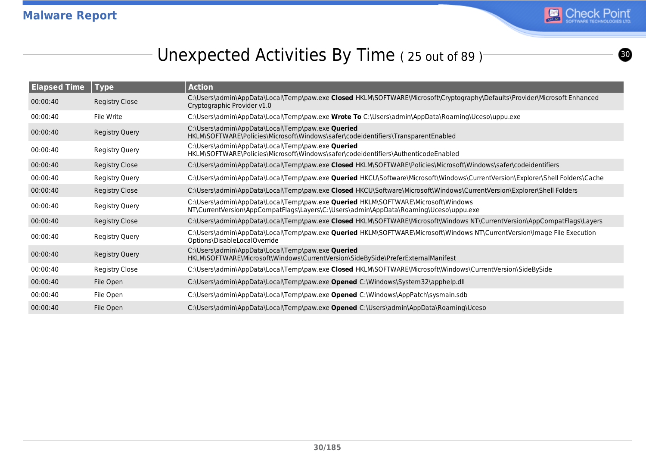

<u>ග</u>

# Unexpected Activities By Time (25 out of 89)

| <b>Elapsed Time</b> | Type                  | <b>Action</b>                                                                                                                                                              |
|---------------------|-----------------------|----------------------------------------------------------------------------------------------------------------------------------------------------------------------------|
| 00:00:40            | Registry Close        | C:\Users\admin\AppData\Local\Temp\paw.exe Closed HKLM\SOFTWARE\Microsoft\Cryptography\Defaults\Provider\Microsoft Enhanced<br>Cryptographic Provider v1.0                  |
| 00:00:40            | File Write            | C:\Users\admin\AppData\Local\Temp\paw.exe Wrote To C:\Users\admin\AppData\Roaming\Uceso\uppu.exe                                                                           |
| 00:00:40            | Registry Query        | C:\Users\admin\AppData\Local\Temp\paw.exe Queried<br>HKLM\SOFTWARE\Policies\Microsoft\Windows\safer\codeidentifiers\TransparentEnabled                                     |
| 00:00:40            | Registry Query        | C:\Users\admin\AppData\Local\Temp\paw.exe Queried<br>HKLM\SOFTWARE\Policies\Microsoft\Windows\safer\codeidentifiers\AuthenticodeEnabled                                    |
| 00:00:40            | Registry Close        | C:\Users\admin\AppData\Local\Temp\paw.exe Closed HKLM\SOFTWARE\Policies\Microsoft\Windows\safer\codeidentifiers                                                            |
| 00:00:40            | Registry Query        | C:\Users\admin\AppData\Local\Temp\paw.exe Queried HKCU\Software\Microsoft\Windows\CurrentVersion\Explorer\Shell Folders\Cache                                              |
| 00:00:40            | Registry Close        | C:\Users\admin\AppData\Local\Temp\paw.exe Closed HKCU\Software\Microsoft\Windows\CurrentVersion\Explorer\Shell Folders                                                     |
| 00:00:40            | Registry Query        | C:\Users\admin\AppData\Local\Temp\paw.exe Queried HKLM\SOFTWARE\Microsoft\Windows<br>NT\CurrentVersion\AppCompatFlags\Layers\C:\Users\admin\AppData\Roaming\Uceso\uppu.exe |
| 00:00:40            | Registry Close        | C:\Users\admin\AppData\Local\Temp\paw.exe Closed HKLM\SOFTWARE\Microsoft\Windows NT\CurrentVersion\AppCompatFlags\Layers                                                   |
| 00:00:40            | Registry Query        | C:\Users\admin\AppData\Local\Temp\paw.exe Queried HKLM\SOFTWARE\Microsoft\Windows NT\CurrentVersion\Image File Execution<br>Options\DisableLocalOverride                   |
| 00:00:40            | <b>Registry Query</b> | C:\Users\admin\AppData\Local\Temp\paw.exe Queried<br>HKLM\SOFTWARE\Microsoft\Windows\CurrentVersion\SideBySide\PreferExternalManifest                                      |
| 00:00:40            | Registry Close        | C:\Users\admin\AppData\Local\Temp\paw.exe Closed HKLM\SOFTWARE\Microsoft\Windows\CurrentVersion\SideBySide                                                                 |
| 00:00:40            | File Open             | C:\Users\admin\AppData\Local\Temp\paw.exe Opened C:\Windows\System32\apphelp.dll                                                                                           |
| 00:00:40            | File Open             | C:\Users\admin\AppData\Local\Temp\paw.exe Opened C:\Windows\AppPatch\sysmain.sdb                                                                                           |
| 00:00:40            | File Open             | C:\Users\admin\AppData\Local\Temp\paw.exe Opened C:\Users\admin\AppData\Roaming\Uceso                                                                                      |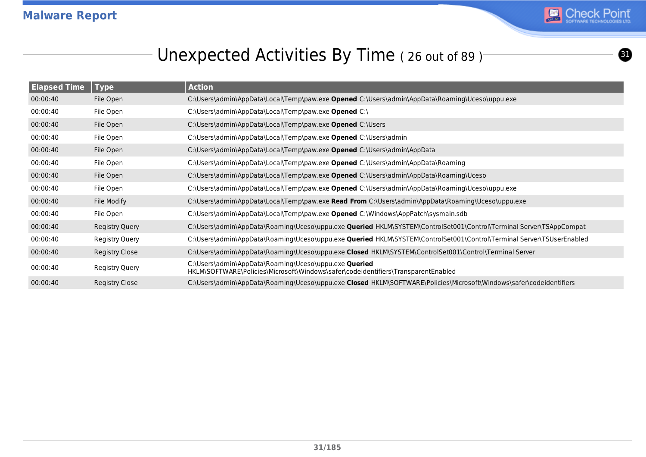

 $\boldsymbol{\Omega}$ 

# Unexpected Activities By Time (26 out of 89)

| <b>Elapsed Time</b> | <b>Type</b>           | <b>Action</b>                                                                                                                                     |
|---------------------|-----------------------|---------------------------------------------------------------------------------------------------------------------------------------------------|
| 00:00:40            | File Open             | C:\Users\admin\AppData\Local\Temp\paw.exe Opened C:\Users\admin\AppData\Roaming\Uceso\uppu.exe                                                    |
| 00:00:40            | File Open             | C:\Users\admin\AppData\Local\Temp\paw.exe Opened C:\                                                                                              |
| 00:00:40            | File Open             | C:\Users\admin\AppData\Local\Temp\paw.exe Opened C:\Users                                                                                         |
| 00:00:40            | File Open             | C:\Users\admin\AppData\Local\Temp\paw.exe Opened C:\Users\admin                                                                                   |
| 00:00:40            | File Open             | C:\Users\admin\AppData\Local\Temp\paw.exe Opened C:\Users\admin\AppData                                                                           |
| 00:00:40            | File Open             | C:\Users\admin\AppData\Local\Temp\paw.exe Opened C:\Users\admin\AppData\Roaming                                                                   |
| 00:00:40            | File Open             | C:\Users\admin\AppData\Local\Temp\paw.exe Opened C:\Users\admin\AppData\Roaming\Uceso                                                             |
| 00:00:40            | File Open             | C:\Users\admin\AppData\Local\Temp\paw.exe Opened C:\Users\admin\AppData\Roaming\Uceso\uppu.exe                                                    |
| 00:00:40            | File Modify           | C:\Users\admin\AppData\Local\Temp\paw.exe Read From C:\Users\admin\AppData\Roaming\Uceso\uppu.exe                                                 |
| 00:00:40            | File Open             | C:\Users\admin\AppData\Local\Temp\paw.exe Opened C:\Windows\AppPatch\sysmain.sdb                                                                  |
| 00:00:40            | Registry Query        | C:\Users\admin\AppData\Roaminq\Uceso\uppu.exe <b>Queried</b> HKLM\SYSTEM\ControlSet001\Control\Terminal Server\TSAppCompat                        |
| 00:00:40            | Registry Query        | C:\Users\admin\AppData\Roaming\Uceso\uppu.exe <b>Queried</b> HKLM\SYSTEM\ControlSet001\Control\Terminal Server\TSUserEnabled                      |
| 00:00:40            | Registry Close        | C:\Users\admin\AppData\Roaming\Uceso\uppu.exe Closed HKLM\SYSTEM\ControlSet001\Control\Terminal Server                                            |
| 00:00:40            | Registry Query        | C:\Users\admin\AppData\Roaming\Uceso\uppu.exe <b>Queried</b><br>HKLM\SOFTWARE\Policies\Microsoft\Windows\safer\codeidentifiers\TransparentEnabled |
| 00:00:40            | <b>Registry Close</b> | C:\Users\admin\AppData\Roaming\Uceso\uppu.exe Closed HKLM\SOFTWARE\Policies\Microsoft\Windows\safer\codeidentifiers                               |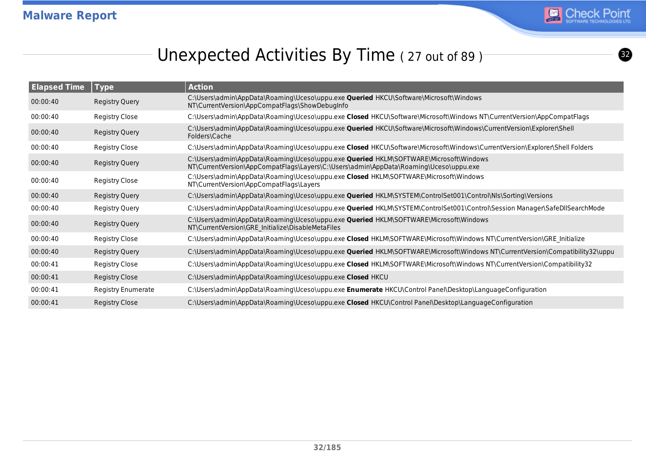

# Unexpected Activities By Time (27 out of 89)

| <b>Elapsed Time</b> | <b>Type</b>               | <b>Action</b>                                                                                                                                                                         |
|---------------------|---------------------------|---------------------------------------------------------------------------------------------------------------------------------------------------------------------------------------|
| 00:00:40            | <b>Registry Query</b>     | C:\Users\admin\AppData\Roaming\Uceso\uppu.exe <b>Queried</b> HKCU\Software\Microsoft\Windows<br>NT\CurrentVersion\AppCompatFlags\ShowDebugInfo                                        |
| 00:00:40            | Registry Close            | C:\Users\admin\AppData\Roaming\Uceso\uppu.exe Closed HKCU\Software\Microsoft\Windows NT\CurrentVersion\AppCompatFlags                                                                 |
| 00:00:40            | <b>Registry Query</b>     | C:\Users\admin\AppData\Roaming\Uceso\uppu.exe <b>Queried</b> HKCU\Software\Microsoft\Windows\CurrentVersion\Explorer\Shell<br>Folders\Cache                                           |
| 00:00:40            | Registry Close            | C:\Users\admin\AppData\Roaming\Uceso\uppu.exe Closed HKCU\Software\Microsoft\Windows\CurrentVersion\Explorer\Shell Folders                                                            |
| 00:00:40            | Registry Query            | C:\Users\admin\AppData\Roaming\Uceso\uppu.exe <b>Queried</b> HKLM\SOFTWARE\Microsoft\Windows<br>NT\CurrentVersion\AppCompatFlags\Layers\C:\Users\admin\AppData\Roaming\Uceso\uppu.exe |
| 00:00:40            | Registry Close            | C:\Users\admin\AppData\Roaming\Uceso\uppu.exe Closed HKLM\SOFTWARE\Microsoft\Windows<br>NT\CurrentVersion\AppCompatFlags\Layers                                                       |
| 00:00:40            | Registry Query            | C:\Users\admin\AppData\Roaming\Uceso\uppu.exe <b>Queried</b> HKLM\SYSTEM\ControlSet001\Control\Nls\Sorting\Versions                                                                   |
| 00:00:40            | <b>Registry Query</b>     | C:\Users\admin\AppData\Roaming\Uceso\uppu.exe <b>Queried</b> HKLM\SYSTEM\ControlSet001\Control\Session Manager\SafeDllSearchMode                                                      |
| 00:00:40            | Registry Query            | C:\Users\admin\AppData\Roaming\Uceso\uppu.exe Queried HKLM\SOFTWARE\Microsoft\Windows<br>NT\CurrentVersion\GRE Initialize\DisableMetaFiles                                            |
| 00:00:40            | Registry Close            | C:\Users\admin\AppData\Roaming\Uceso\uppu.exe Closed HKLM\SOFTWARE\Microsoft\Windows NT\CurrentVersion\GRE Initialize                                                                 |
| 00:00:40            | <b>Registry Query</b>     | C:\Users\admin\AppData\Roaming\Uceso\uppu.exe <b>Queried</b> HKLM\SOFTWARE\Microsoft\Windows NT\CurrentVersion\Compatibility32\uppu                                                   |
| 00:00:41            | Registry Close            | C:\Users\admin\AppData\Roaming\Uceso\uppu.exe Closed HKLM\SOFTWARE\Microsoft\Windows NT\CurrentVersion\Compatibility32                                                                |
| 00:00:41            | Registry Close            | C:\Users\admin\AppData\Roaming\Uceso\uppu.exe Closed HKCU                                                                                                                             |
| 00:00:41            | <b>Registry Enumerate</b> | C:\Users\admin\AppData\Roaming\Uceso\uppu.exe <b>Enumerate</b> HKCU\Control Panel\Desktop\LanguageConfiguration                                                                       |
| 00:00:41            | <b>Registry Close</b>     | C:\Users\admin\AppData\Roaming\Uceso\uppu.exe Closed HKCU\Control Panel\Desktop\LanguageConfiguration                                                                                 |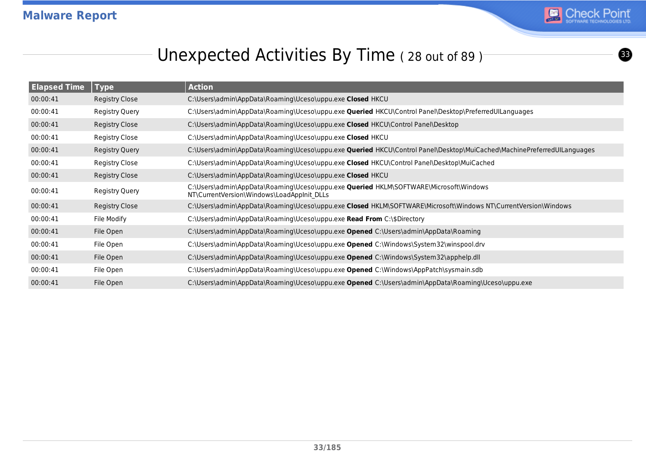

# Unexpected Activities By Time (28 out of 89)<sup>-</sup>

| <b>Elapsed Time</b> | <b>Type</b>           | <b>Action</b>                                                                                                                              |
|---------------------|-----------------------|--------------------------------------------------------------------------------------------------------------------------------------------|
| 00:00:41            | Registry Close        | C:\Users\admin\AppData\Roaming\Uceso\uppu.exe Closed HKCU                                                                                  |
| 00:00:41            | <b>Registry Query</b> | C:\Users\admin\AppData\Roaming\Uceso\uppu.exe <b>Queried</b> HKCU\Control Panel\Desktop\PreferredUILanguages                               |
| 00:00:41            | <b>Registry Close</b> | C:\Users\admin\AppData\Roaming\Uceso\uppu.exe Closed HKCU\Control Panel\Desktop                                                            |
| 00:00:41            | Registry Close        | C:\Users\admin\AppData\Roaming\Uceso\uppu.exe Closed HKCU                                                                                  |
| 00:00:41            | Registry Query        | C:\Users\admin\AppData\Roaming\Uceso\uppu.exe Queried HKCU\Control Panel\Desktop\MuiCached\MachinePreferredUILanguages                     |
| 00:00:41            | Registry Close        | C:\Users\admin\AppData\Roaming\Uceso\uppu.exe Closed HKCU\Control Panel\Desktop\MuiCached                                                  |
| 00:00:41            | Registry Close        | C:\Users\admin\AppData\Roaming\Uceso\uppu.exe Closed HKCU                                                                                  |
| 00:00:41            | Registry Query        | C:\Users\admin\AppData\Roaming\Uceso\uppu.exe <b>Queried</b> HKLM\SOFTWARE\Microsoft\Windows<br>NT\CurrentVersion\Windows\LoadAppInit DLLs |
| 00:00:41            | <b>Registry Close</b> | C:\Users\admin\AppData\Roaming\Uceso\uppu.exe Closed HKLM\SOFTWARE\Microsoft\Windows NT\CurrentVersion\Windows                             |
| 00:00:41            | File Modify           | C:\Users\admin\AppData\Roaming\Uceso\uppu.exe Read From C:\\$Directory                                                                     |
| 00:00:41            | File Open             | C:\Users\admin\AppData\Roaming\Uceso\uppu.exe <b>Opened</b> C:\Users\admin\AppData\Roaming                                                 |
| 00:00:41            | File Open             | C:\Users\admin\AppData\Roaming\Uceso\uppu.exe Opened C:\Windows\System32\winspool.drv                                                      |
| 00:00:41            | File Open             | C:\Users\admin\AppData\Roaming\Uceso\uppu.exe Opened C:\Windows\System32\apphelp.dll                                                       |
| 00:00:41            | File Open             | C:\Users\admin\AppData\Roaming\Uceso\uppu.exe Opened C:\Windows\AppPatch\sysmain.sdb                                                       |
| 00:00:41            | File Open             | C:\Users\admin\AppData\Roaming\Uceso\uppu.exe Opened C:\Users\admin\AppData\Roaming\Uceso\uppu.exe                                         |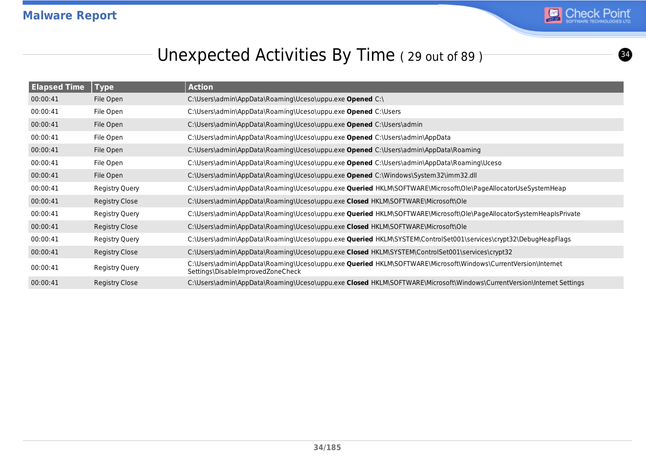

# Unexpected Activities By Time (29 out of 89)

| <b>Elapsed Time</b> | <b>Type</b>           | <b>Action</b>                                                                                                                                      |
|---------------------|-----------------------|----------------------------------------------------------------------------------------------------------------------------------------------------|
| 00:00:41            | File Open             | C:\Users\admin\AppData\Roaming\Uceso\uppu.exe Opened C:\                                                                                           |
| 00:00:41            | File Open             | C:\Users\admin\AppData\Roaming\Uceso\uppu.exe Opened C:\Users                                                                                      |
| 00:00:41            | File Open             | C:\Users\admin\AppData\Roaming\Uceso\uppu.exe Opened C:\Users\admin                                                                                |
| 00:00:41            | File Open             | C:\Users\admin\AppData\Roaming\Uceso\uppu.exe Opened C:\Users\admin\AppData                                                                        |
| 00:00:41            | File Open             | C:\Users\admin\AppData\Roaming\Uceso\uppu.exe <b>Opened</b> C:\Users\admin\AppData\Roaming                                                         |
| 00:00:41            | File Open             | C:\Users\admin\AppData\Roaming\Uceso\uppu.exe Opened C:\Users\admin\AppData\Roaming\Uceso                                                          |
| 00:00:41            | File Open             | C:\Users\admin\AppData\Roaming\Uceso\uppu.exe Opened C:\Windows\System32\imm32.dll                                                                 |
| 00:00:41            | <b>Registry Query</b> | C:\Users\admin\AppData\Roaming\Uceso\uppu.exe <b>Queried</b> HKLM\SOFTWARE\Microsoft\Ole\PageAllocatorUseSystemHeap                                |
| 00:00:41            | Registry Close        | C:\Users\admin\AppData\Roaming\Uceso\uppu.exe Closed HKLM\SOFTWARE\Microsoft\Ole                                                                   |
| 00:00:41            | <b>Registry Query</b> | C:\Users\admin\AppData\Roaming\Uceso\uppu.exe <b>Queried</b> HKLM\SOFTWARE\Microsoft\Ole\PageAllocatorSystemHeapIsPrivate                          |
| 00:00:41            | <b>Registry Close</b> | C:\Users\admin\AppData\Roaming\Uceso\uppu.exe Closed HKLM\SOFTWARE\Microsoft\Ole                                                                   |
| 00:00:41            | Registry Query        | C:\Users\admin\AppData\Roaming\Uceso\uppu.exe <b>Queried</b> HKLM\SYSTEM\ControlSet001\services\crypt32\DebugHeapFlags                             |
| 00:00:41            | <b>Registry Close</b> | C:\Users\admin\AppData\Roaming\Uceso\uppu.exe Closed HKLM\SYSTEM\ControlSet001\services\crypt32                                                    |
| 00:00:41            | Registry Query        | C:\Users\admin\AppData\Roaming\Uceso\uppu.exe Queried HKLM\SOFTWARE\Microsoft\Windows\CurrentVersion\Internet<br>Settings\DisableImprovedZoneCheck |
| 00:00:41            | <b>Registry Close</b> | C:\Users\admin\AppData\Roaming\Uceso\uppu.exe Closed HKLM\SOFTWARE\Microsoft\Windows\CurrentVersion\Internet Settings                              |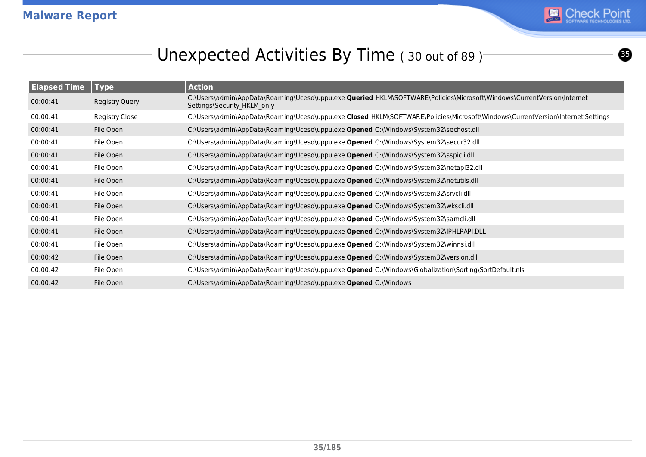

 $\boldsymbol{\Theta}$ 

# Unexpected Activities By Time (30 out of 89)<sup>-</sup>

| <b>Elapsed Time</b> | <b>Type</b>           | <b>Action</b>                                                                                                                                                |
|---------------------|-----------------------|--------------------------------------------------------------------------------------------------------------------------------------------------------------|
| 00:00:41            | Registry Query        | C:\Users\admin\AppData\Roaming\Uceso\uppu.exe <b>Queried</b> HKLM\SOFTWARE\Policies\Microsoft\Windows\CurrentVersion\Internet<br>Settings\Security HKLM only |
| 00:00:41            | <b>Registry Close</b> | C:\Users\admin\AppData\Roaming\Uceso\uppu.exe Closed HKLM\SOFTWARE\Policies\Microsoft\Windows\CurrentVersion\Internet Settings                               |
| 00:00:41            | File Open             | C:\Users\admin\AppData\Roaming\Uceso\uppu.exe Opened C:\Windows\System32\sechost.dll                                                                         |
| 00:00:41            | File Open             | C:\Users\admin\AppData\Roaming\Uceso\uppu.exe Opened C:\Windows\System32\secur32.dll                                                                         |
| 00:00:41            | File Open             | C:\Users\admin\AppData\Roaming\Uceso\uppu.exe Opened C:\Windows\System32\sspicli.dll                                                                         |
| 00:00:41            | File Open             | C:\Users\admin\AppData\Roaming\Uceso\uppu.exe Opened C:\Windows\System32\netapi32.dll                                                                        |
| 00:00:41            | File Open             | C:\Users\admin\AppData\Roaming\Uceso\uppu.exe Opened C:\Windows\System32\netutils.dll                                                                        |
| 00:00:41            | File Open             | C:\Users\admin\AppData\Roaming\Uceso\uppu.exe Opened C:\Windows\System32\srvcli.dll                                                                          |
| 00:00:41            | File Open             | C:\Users\admin\AppData\Roaming\Uceso\uppu.exe Opened C:\Windows\System32\wkscli.dll                                                                          |
| 00:00:41            | File Open             | C:\Users\admin\AppData\Roaming\Uceso\uppu.exe Opened C:\Windows\System32\samcli.dll                                                                          |
| 00:00:41            | File Open             | C:\Users\admin\AppData\Roaming\Uceso\uppu.exe Opened C:\Windows\System32\IPHLPAPI.DLL                                                                        |
| 00:00:41            | File Open             | C:\Users\admin\AppData\Roaming\Uceso\uppu.exe Opened C:\Windows\System32\winnsi.dll                                                                          |
| 00:00:42            | File Open             | C:\Users\admin\AppData\Roaming\Uceso\uppu.exe Opened C:\Windows\System32\version.dll                                                                         |
| 00:00:42            | File Open             | C:\Users\admin\AppData\Roaming\Uceso\uppu.exe Opened C:\Windows\Globalization\Sorting\SortDefault.nls                                                        |
| 00:00:42            | File Open             | C:\Users\admin\AppData\Roaming\Uceso\uppu.exe Opened C:\Windows                                                                                              |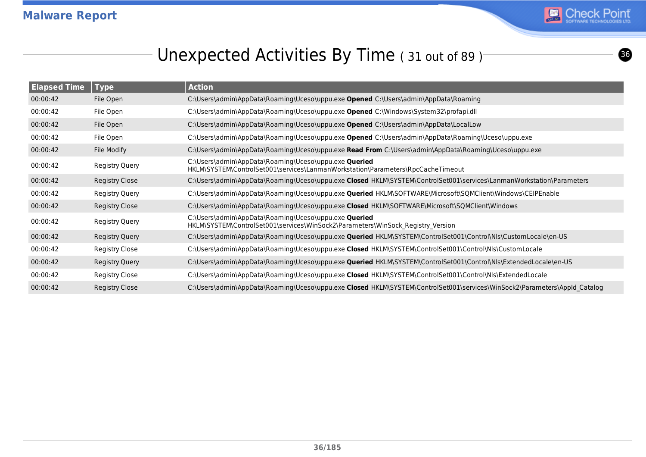

# Unexpected Activities By Time (31 out of 89)

| <b>Elapsed Time</b> | <b>Type</b>           | <b>Action</b>                                                                                                                            |
|---------------------|-----------------------|------------------------------------------------------------------------------------------------------------------------------------------|
| 00:00:42            | File Open             | C:\Users\admin\AppData\Roaming\Uceso\uppu.exe Opened C:\Users\admin\AppData\Roaming                                                      |
| 00:00:42            | File Open             | C:\Users\admin\AppData\Roaming\Uceso\uppu.exe Opened C:\Windows\System32\profapi.dll                                                     |
| 00:00:42            | File Open             | C:\Users\admin\AppData\Roaming\Uceso\uppu.exe <b>Opened</b> C:\Users\admin\AppData\LocalLow                                              |
| 00:00:42            | File Open             | C:\Users\admin\AppData\Roaming\Uceso\uppu.exe Opened C:\Users\admin\AppData\Roaming\Uceso\uppu.exe                                       |
| 00:00:42            | File Modify           | C:\Users\admin\AppData\Roaming\Uceso\uppu.exe Read From C:\Users\admin\AppData\Roaming\Uceso\uppu.exe                                    |
| 00:00:42            | Registry Query        | C:\Users\admin\AppData\Roaming\Uceso\uppu.exe Queried<br>HKLM\SYSTEM\ControlSet001\services\LanmanWorkstation\Parameters\RpcCacheTimeout |
| 00:00:42            | Registry Close        | C:\Users\admin\AppData\Roaming\Uceso\uppu.exe Closed HKLM\SYSTEM\ControlSet001\services\LanmanWorkstation\Parameters                     |
| 00:00:42            | <b>Registry Query</b> | C:\Users\admin\AppData\Roaming\Uceso\uppu.exe <b>Queried</b> HKLM\SOFTWARE\Microsoft\SQMClient\Windows\CEIPEnable                        |
| 00:00:42            | Registry Close        | C:\Users\admin\AppData\Roaming\Uceso\uppu.exe Closed HKLM\SOFTWARE\Microsoft\SQMClient\Windows                                           |
| 00:00:42            | Registry Query        | C:\Users\admin\AppData\Roaming\Uceso\uppu.exe Queried<br>HKLM\SYSTEM\ControlSet001\services\WinSock2\Parameters\WinSock_Registry_Version |
| 00:00:42            | <b>Registry Query</b> | C:\Users\admin\AppData\Roaming\Uceso\uppu.exe <b>Queried</b> HKLM\SYSTEM\ControlSet001\Control\Nls\CustomLocale\en-US                    |
| 00:00:42            | Registry Close        | C:\Users\admin\AppData\Roaming\Uceso\uppu.exe Closed HKLM\SYSTEM\ControlSet001\Control\Nls\CustomLocale                                  |
| 00:00:42            | <b>Registry Query</b> | C:\Users\admin\AppData\Roaming\Uceso\uppu.exe <b>Queried</b> HKLM\SYSTEM\ControlSet001\Control\Nls\ExtendedLocale\en-US                  |
| 00:00:42            | Registry Close        | C:\Users\admin\AppData\Roaming\Uceso\uppu.exe Closed HKLM\SYSTEM\ControlSet001\Control\Nls\ExtendedLocale                                |
| 00:00:42            | Registry Close        | C:\Users\admin\AppData\Roaming\Uceso\uppu.exe Closed HKLM\SYSTEM\ControlSet001\services\WinSock2\Parameters\AppId Catalog                |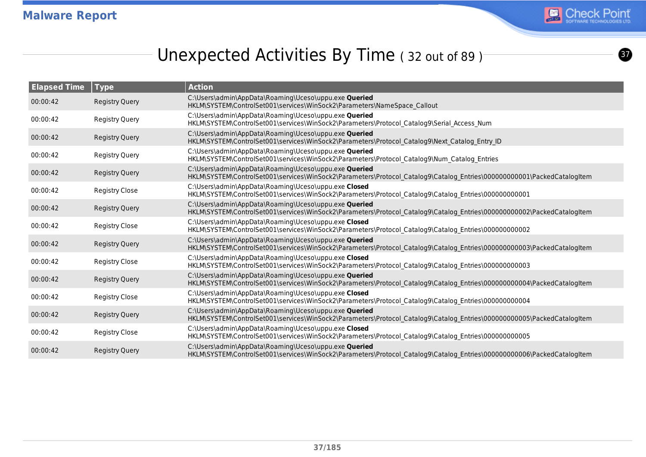

 $\boldsymbol{\Omega}$ 

# Unexpected Activities By Time (32 out of 89)

| <b>Elapsed Time</b> | <b>Type</b>           | <b>Action</b>                                                                                                                                                                    |
|---------------------|-----------------------|----------------------------------------------------------------------------------------------------------------------------------------------------------------------------------|
| 00:00:42            | <b>Registry Query</b> | C:\Users\admin\AppData\Roaming\Uceso\uppu.exe Queried<br>HKLM\SYSTEM\ControlSet001\services\WinSock2\Parameters\NameSpace Callout                                                |
| 00:00:42            | Registry Query        | C:\Users\admin\AppData\Roaming\Uceso\uppu.exe Queried<br>HKLM\SYSTEM\ControlSet001\services\WinSock2\Parameters\Protocol Catalog9\Serial Access Num                              |
| 00:00:42            | <b>Registry Query</b> | C:\Users\admin\AppData\Roaming\Uceso\uppu.exe Queried<br>HKLM\SYSTEM\ControlSet001\services\WinSock2\Parameters\Protocol_Catalog9\Next_Catalog_Entry_ID                          |
| 00:00:42            | <b>Registry Query</b> | C:\Users\admin\AppData\Roaming\Uceso\uppu.exe Queried<br>HKLM\SYSTEM\ControlSet001\services\WinSock2\Parameters\Protocol_Catalog9\Num_Catalog_Entries                            |
| 00:00:42            | Registry Query        | C:\Users\admin\AppData\Roaming\Uceso\uppu.exe Queried<br>HKLM\SYSTEM\ControlSet001\services\WinSock2\Parameters\Protocol Catalog9\Catalog Entries\000000000001\PackedCatalogItem |
| 00:00:42            | <b>Registry Close</b> | C:\Users\admin\AppData\Roaming\Uceso\uppu.exe Closed<br>HKLM\SYSTEM\ControlSet001\services\WinSock2\Parameters\Protocol_Catalog9\Catalog_Entries\000000000001                    |
| 00:00:42            | <b>Registry Query</b> | C:\Users\admin\AppData\Roaming\Uceso\uppu.exe Queried<br>HKLM\SYSTEM\ControlSet001\services\WinSock2\Parameters\Protocol Catalog9\Catalog Entries\000000000002\PackedCatalogItem |
| 00:00:42            | <b>Registry Close</b> | C:\Users\admin\AppData\Roaming\Uceso\uppu.exe Closed<br>HKLM\SYSTEM\ControlSet001\services\WinSock2\Parameters\Protocol Catalog9\Catalog Entries\00000000002                     |
| 00:00:42            | <b>Registry Query</b> | C:\Users\admin\AppData\Roaming\Uceso\uppu.exe Queried<br>HKLM\SYSTEM\ControlSet001\services\WinSock2\Parameters\Protocol Catalog9\Catalog Entries\000000000003\PackedCatalogItem |
| 00:00:42            | <b>Registry Close</b> | C:\Users\admin\AppData\Roaming\Uceso\uppu.exe Closed<br>HKLM\SYSTEM\ControlSet001\services\WinSock2\Parameters\Protocol Catalog9\Catalog Entries\00000000003                     |
| 00:00:42            | <b>Registry Query</b> | C:\Users\admin\AppData\Roaming\Uceso\uppu.exe Queried<br>HKLM\SYSTEM\ControlSet001\services\WinSock2\Parameters\Protocol Catalog9\Catalog Entries\000000000004\PackedCatalogItem |
| 00:00:42            | <b>Registry Close</b> | C:\Users\admin\AppData\Roaming\Uceso\uppu.exe Closed<br>HKLM\SYSTEM\ControlSet001\services\WinSock2\Parameters\Protocol_Catalog9\Catalog_Entries\00000000004                     |
| 00:00:42            | Registry Query        | C:\Users\admin\AppData\Roaming\Uceso\uppu.exe Queried<br>HKLM\SYSTEM\ControlSet001\services\WinSock2\Parameters\Protocol Catalog9\Catalog Entries\000000000005\PackedCatalogItem |
| 00:00:42            | Registry Close        | C:\Users\admin\AppData\Roaming\Uceso\uppu.exe Closed<br>HKLM\SYSTEM\ControlSet001\services\WinSock2\Parameters\Protocol_Catalog9\Catalog_Entries\00000000005                     |
| 00:00:42            | <b>Registry Query</b> | C:\Users\admin\AppData\Roaming\Uceso\uppu.exe Queried<br>HKLM\SYSTEM\ControlSet001\services\WinSock2\Parameters\Protocol Catalog9\Catalog Entries\000000000006\PackedCatalogItem |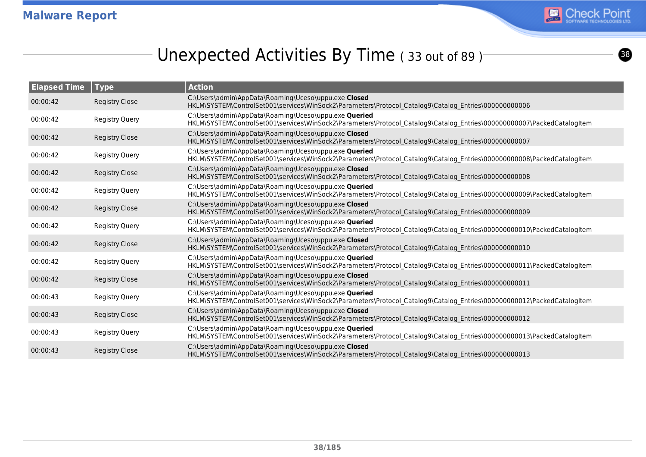

# Unexpected Activities By Time (33 out of 89)

| <b>Elapsed Time</b> | Type                  | <b>Action</b>                                                                                                                                                                     |
|---------------------|-----------------------|-----------------------------------------------------------------------------------------------------------------------------------------------------------------------------------|
| 00:00:42            | <b>Registry Close</b> | C:\Users\admin\AppData\Roaming\Uceso\uppu.exe Closed<br>HKLM\SYSTEM\ControlSet001\services\WinSock2\Parameters\Protocol Catalog9\Catalog Entries\000000000066                     |
| 00:00:42            | <b>Registry Query</b> | C:\Users\admin\AppData\Roaming\Uceso\uppu.exe Queried<br>HKLM\SYSTEM\ControlSet001\services\WinSock2\Parameters\Protocol_Catalog9\Catalog_Entries\000000000007\PackedCatalogItem  |
| 00:00:42            | <b>Registry Close</b> | C:\Users\admin\AppData\Roaming\Uceso\uppu.exe Closed<br>HKLM\SYSTEM\ControlSet001\services\WinSock2\Parameters\Protocol Catalog9\Catalog Entries\00000000007                      |
| 00:00:42            | <b>Registry Query</b> | C:\Users\admin\AppData\Roaming\Uceso\uppu.exe Queried<br>HKLM\SYSTEM\ControlSet001\services\WinSock2\Parameters\Protocol Catalog9\Catalog Entries\0000000000008\PackedCatalogItem |
| 00:00:42            | <b>Registry Close</b> | C:\Users\admin\AppData\Roaming\Uceso\uppu.exe Closed<br>HKLM\SYSTEM\ControlSet001\services\WinSock2\Parameters\Protocol Catalog9\Catalog Entries\00000000008                      |
| 00:00:42            | <b>Registry Query</b> | C:\Users\admin\AppData\Roaming\Uceso\uppu.exe Queried<br>HKLM\SYSTEM\ControlSet001\services\WinSock2\Parameters\Protocol Catalog9\Catalog Entries\000000000009\PackedCatalogItem  |
| 00:00:42            | <b>Registry Close</b> | C:\Users\admin\AppData\Roaming\Uceso\uppu.exe Closed<br>HKLM\SYSTEM\ControlSet001\services\WinSock2\Parameters\Protocol Catalog9\Catalog Entries\00000000009                      |
| 00:00:42            | <b>Registry Query</b> | C:\Users\admin\AppData\Roaming\Uceso\uppu.exe Queried<br>HKLM\SYSTEM\ControlSet001\services\WinSock2\Parameters\Protocol Catalog9\Catalog Entries\0000000000010\PackedCatalogItem |
| 00:00:42            | <b>Registry Close</b> | C:\Users\admin\AppData\Roaming\Uceso\uppu.exe Closed<br>HKLM\SYSTEM\ControlSet001\services\WinSock2\Parameters\Protocol_Catalog9\Catalog_Entries\00000000010                      |
| 00:00:42            | <b>Registry Query</b> | C:\Users\admin\AppData\Roaming\Uceso\uppu.exe Queried<br>HKLM\SYSTEM\ControlSet001\services\WinSock2\Parameters\Protocol_Catalog9\Catalog_Entries\000000000011\PackedCatalogItem  |
| 00:00:42            | <b>Registry Close</b> | C:\Users\admin\AppData\Roaming\Uceso\uppu.exe Closed<br>HKLM\SYSTEM\ControlSet001\services\WinSock2\Parameters\Protocol Catalog9\Catalog Entries\00000000011                      |
| 00:00:43            | <b>Registry Query</b> | C:\Users\admin\AppData\Roaming\Uceso\uppu.exe Queried<br>HKLM\SYSTEM\ControlSet001\services\WinSock2\Parameters\Protocol_Catalog9\Catalog_Entries\000000000012\PackedCatalogItem  |
| 00:00:43            | <b>Registry Close</b> | C:\Users\admin\AppData\Roaming\Uceso\uppu.exe Closed<br>HKLM\SYSTEM\ControlSet001\services\WinSock2\Parameters\Protocol Catalog9\Catalog Entries\00000000012                      |
| 00:00:43            | <b>Registry Query</b> | C:\Users\admin\AppData\Roaming\Uceso\uppu.exe Queried<br>HKLM\SYSTEM\ControlSet001\services\WinSock2\Parameters\Protocol_Catalog9\Catalog_Entries\000000000013\PackedCatalogItem  |
| 00:00:43            | <b>Registry Close</b> | C:\Users\admin\AppData\Roaming\Uceso\uppu.exe Closed<br>HKLM\SYSTEM\ControlSet001\services\WinSock2\Parameters\Protocol Catalog9\Catalog Entries\000000000013                     |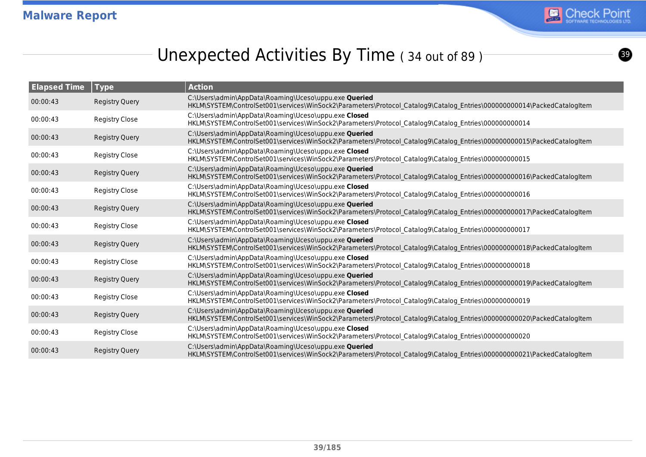

<u>ය</u>

# Unexpected Activities By Time (34 out of 89)

| <b>Elapsed Time</b> | <b>Type</b>           | <b>Action</b>                                                                                                                                                                     |
|---------------------|-----------------------|-----------------------------------------------------------------------------------------------------------------------------------------------------------------------------------|
| 00:00:43            | <b>Registry Query</b> | C:\Users\admin\AppData\Roaming\Uceso\uppu.exe Queried<br>HKLM\SYSTEM\ControlSet001\services\WinSock2\Parameters\Protocol Catalog9\Catalog Entries\000000000014\PackedCatalogItem  |
| 00:00:43            | <b>Registry Close</b> | C:\Users\admin\AppData\Roaming\Uceso\uppu.exe Closed<br>HKLM\SYSTEM\ControlSet001\services\WinSock2\Parameters\Protocol_Catalog9\Catalog_Entries\000000000014                     |
| 00:00:43            | Registry Query        | C:\Users\admin\AppData\Roaming\Uceso\uppu.exe Queried<br>HKLM\SYSTEM\ControlSet001\services\WinSock2\Parameters\Protocol Catalog9\Catalog Entries\000000000015\PackedCatalogItem  |
| 00:00:43            | <b>Registry Close</b> | C:\Users\admin\AppData\Roaming\Uceso\uppu.exe Closed<br>HKLM\SYSTEM\ControlSet001\services\WinSock2\Parameters\Protocol_Catalog9\Catalog_Entries\00000000015                      |
| 00:00:43            | <b>Registry Query</b> | C:\Users\admin\AppData\Roaming\Uceso\uppu.exe Queried<br>HKLM\SYSTEM\ControlSet001\services\WinSock2\Parameters\Protocol Catalog9\Catalog Entries\000000000016\PackedCatalogItem  |
| 00:00:43            | <b>Registry Close</b> | C:\Users\admin\AppData\Roaming\Uceso\uppu.exe Closed<br>HKLM\SYSTEM\ControlSet001\services\WinSock2\Parameters\Protocol Catalog9\Catalog Entries\000000000016                     |
| 00:00:43            | <b>Registry Query</b> | C:\Users\admin\AppData\Roaming\Uceso\uppu.exe Queried<br>HKLM\SYSTEM\ControlSet001\services\WinSock2\Parameters\Protocol_Catalog9\Catalog_Entries\000000000017\PackedCatalogItem  |
| 00:00:43            | <b>Registry Close</b> | C:\Users\admin\AppData\Roaming\Uceso\uppu.exe Closed<br>HKLM\SYSTEM\ControlSet001\services\WinSock2\Parameters\Protocol_Catalog9\Catalog_Entries\000000000017                     |
| 00:00:43            | <b>Registry Query</b> | C:\Users\admin\AppData\Roaming\Uceso\uppu.exe Queried<br>HKLM\SYSTEM\ControlSet001\services\WinSock2\Parameters\Protocol Catalog9\Catalog Entries\000000000018\PackedCatalogItem  |
| 00:00:43            | <b>Registry Close</b> | C:\Users\admin\AppData\Roaming\Uceso\uppu.exe Closed<br>HKLM\SYSTEM\ControlSet001\services\WinSock2\Parameters\Protocol_Catalog9\Catalog_Entries\00000000018                      |
| 00:00:43            | Registry Query        | C:\Users\admin\AppData\Roaming\Uceso\uppu.exe Queried<br>HKLM\SYSTEM\ControlSet001\services\WinSock2\Parameters\Protocol Catalog9\Catalog Entries\000000000019\PackedCatalogItem  |
| 00:00:43            | <b>Registry Close</b> | C:\Users\admin\AppData\Roaming\Uceso\uppu.exe Closed<br>HKLM\SYSTEM\ControlSet001\services\WinSock2\Parameters\Protocol_Catalog9\Catalog_Entries\000000000019                     |
| 00:00:43            | <b>Registry Query</b> | C:\Users\admin\AppData\Roaming\Uceso\uppu.exe Queried<br>HKLM\SYSTEM\ControlSet001\services\WinSock2\Parameters\Protocol Catalog9\Catalog Entries\0000000000020\PackedCatalogItem |
| 00:00:43            | <b>Registry Close</b> | C:\Users\admin\AppData\Roaming\Uceso\uppu.exe Closed<br>HKLM\SYSTEM\ControlSet001\services\WinSock2\Parameters\Protocol_Catalog9\Catalog_Entries\00000000020                      |
| 00:00:43            | Registry Query        | C:\Users\admin\AppData\Roaming\Uceso\uppu.exe Queried<br>HKLM\SYSTEM\ControlSet001\services\WinSock2\Parameters\Protocol_Catalog9\Catalog_Entries\000000000021\PackedCatalogItem  |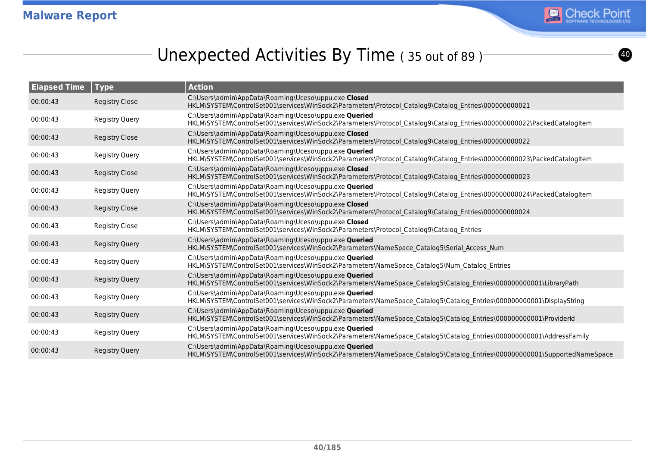

# Unexpected Activities By Time (35 out of 89)

| <b>Elapsed Time</b> | Type                  | <b>Action</b>                                                                                                                                                                      |
|---------------------|-----------------------|------------------------------------------------------------------------------------------------------------------------------------------------------------------------------------|
| 00:00:43            | <b>Registry Close</b> | C:\Users\admin\AppData\Roaming\Uceso\uppu.exe Closed<br>HKLM\SYSTEM\ControlSet001\services\WinSock2\Parameters\Protocol Catalog9\Catalog Entries\00000000021                       |
| 00:00:43            | <b>Registry Query</b> | C:\Users\admin\AppData\Roaming\Uceso\uppu.exe Queried<br>HKLM\SYSTEM\ControlSet001\services\WinSock2\Parameters\Protocol_Catalog9\Catalog_Entries\000000000022\PackedCatalogItem   |
| 00:00:43            | <b>Registry Close</b> | C:\Users\admin\AppData\Roaming\Uceso\uppu.exe Closed<br>HKLM\SYSTEM\ControlSet001\services\WinSock2\Parameters\Protocol Catalog9\Catalog Entries\00000000022                       |
| 00:00:43            | <b>Registry Query</b> | C:\Users\admin\AppData\Roaming\Uceso\uppu.exe Queried<br>HKLM\SYSTEM\ControlSet001\services\WinSock2\Parameters\Protocol_Catalog9\Catalog_Entries\000000000023\PackedCatalogItem   |
| 00:00:43            | <b>Registry Close</b> | C:\Users\admin\AppData\Roaming\Uceso\uppu.exe Closed<br>HKLM\SYSTEM\ControlSet001\services\WinSock2\Parameters\Protocol Catalog9\Catalog Entries\00000000023                       |
| 00:00:43            | Registry Query        | C:\Users\admin\AppData\Roaming\Uceso\uppu.exe Queried<br>HKLM\SYSTEM\ControlSet001\services\WinSock2\Parameters\Protocol Catalog9\Catalog Entries\000000000024\PackedCatalogItem   |
| 00:00:43            | <b>Registry Close</b> | C:\Users\admin\AppData\Roaming\Uceso\uppu.exe Closed<br>HKLM\SYSTEM\ControlSet001\services\WinSock2\Parameters\Protocol Catalog9\Catalog Entries\00000000024                       |
| 00:00:43            | <b>Registry Close</b> | C:\Users\admin\AppData\Roaming\Uceso\uppu.exe Closed<br>HKLM\SYSTEM\ControlSet001\services\WinSock2\Parameters\Protocol Catalog9\Catalog Entries                                   |
| 00:00:43            | <b>Registry Query</b> | C:\Users\admin\AppData\Roaming\Uceso\uppu.exe Queried<br>HKLM\SYSTEM\ControlSet001\services\WinSock2\Parameters\NameSpace_Catalog5\Serial_Access_Num                               |
| 00:00:43            | Registry Query        | C:\Users\admin\AppData\Roaming\Uceso\uppu.exe Queried<br>HKLM\SYSTEM\ControlSet001\services\WinSock2\Parameters\NameSpace Catalog5\Num Catalog Entries                             |
| 00:00:43            | <b>Registry Query</b> | C:\Users\admin\AppData\Roaming\Uceso\uppu.exe Queried<br>HKLM\SYSTEM\ControlSet001\services\WinSock2\Parameters\NameSpace Catalog5\Catalog Entries\000000000001\LibraryPath        |
| 00:00:43            | Registry Query        | C:\Users\admin\AppData\Roaming\Uceso\uppu.exe Queried<br>HKLM\SYSTEM\ControlSet001\services\WinSock2\Parameters\NameSpace Catalog5\Catalog Entries\000000000001\DisplayString      |
| 00:00:43            | <b>Registry Query</b> | C:\Users\admin\AppData\Roaming\Uceso\uppu.exe Queried<br>HKLM\SYSTEM\ControlSet001\services\WinSock2\Parameters\NameSpace Catalog5\Catalog Entries\000000000001\ProviderId         |
| 00:00:43            | Registry Query        | C:\Users\admin\AppData\Roaming\Uceso\uppu.exe Queried<br>HKLM\SYSTEM\ControlSet001\services\WinSock2\Parameters\NameSpace_Catalog5\Catalog_Entries\000000000001\AddressFamily      |
| 00:00:43            | <b>Registry Query</b> | C:\Users\admin\AppData\Roaming\Uceso\uppu.exe Queried<br>HKLM\SYSTEM\ControlSet001\services\WinSock2\Parameters\NameSpace Catalog5\Catalog Entries\000000000001\SupportedNameSpace |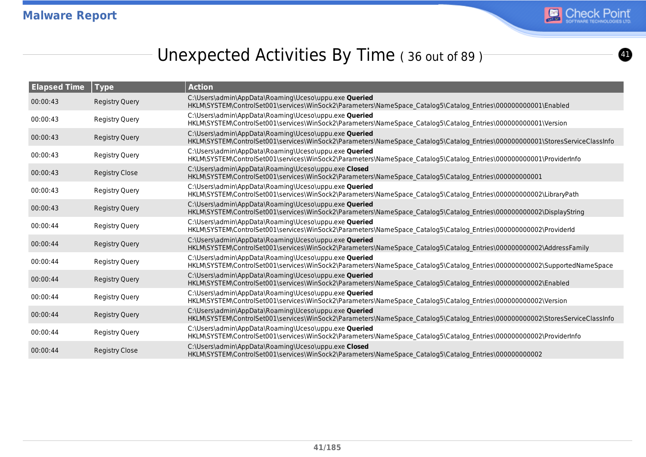

 $\bf{O}$ 

# Unexpected Activities By Time (36 out of 89)<sup>-</sup>

| <b>Elapsed Time</b> | <b>Type</b>           | <b>Action</b>                                                                                                                                                                          |
|---------------------|-----------------------|----------------------------------------------------------------------------------------------------------------------------------------------------------------------------------------|
| 00:00:43            | <b>Registry Query</b> | C:\Users\admin\AppData\Roaming\Uceso\uppu.exe Queried<br>HKLM\SYSTEM\ControlSet001\services\WinSock2\Parameters\NameSpace Catalog5\Catalog Entries\000000000001\Enabled                |
| 00:00:43            | <b>Registry Query</b> | C:\Users\admin\AppData\Roaming\Uceso\uppu.exe Queried<br>HKLM\SYSTEM\ControlSet001\services\WinSock2\Parameters\NameSpace_Catalog5\Catalog_Entries\000000000001\Version                |
| 00:00:43            | <b>Registry Query</b> | C:\Users\admin\AppData\Roaming\Uceso\uppu.exe Queried<br>HKLM\SYSTEM\ControlSet001\services\WinSock2\Parameters\NameSpace Catalog5\Catalog Entries\000000000001\StoresServiceClassInfo |
| 00:00:43            | <b>Registry Query</b> | C:\Users\admin\AppData\Roaming\Uceso\uppu.exe Queried<br>HKLM\SYSTEM\ControlSet001\services\WinSock2\Parameters\NameSpace_Catalog5\Catalog_Entries\000000000001\ProviderInfo           |
| 00:00:43            | <b>Registry Close</b> | C:\Users\admin\AppData\Roaming\Uceso\uppu.exe Closed<br>HKLM\SYSTEM\ControlSet001\services\WinSock2\Parameters\NameSpace_Catalog5\Catalog_Entries\000000000001                         |
| 00:00:43            | <b>Registry Query</b> | C:\Users\admin\AppData\Roaming\Uceso\uppu.exe Queried<br>HKLM\SYSTEM\ControlSet001\services\WinSock2\Parameters\NameSpace Catalog5\Catalog Entries\000000000002\LibraryPath            |
| 00:00:43            | <b>Registry Query</b> | C:\Users\admin\AppData\Roaming\Uceso\uppu.exe Queried<br>HKLM\SYSTEM\ControlSet001\services\WinSock2\Parameters\NameSpace Catalog5\Catalog Entries\000000000002\DisplayString          |
| 00:00:44            | <b>Registry Query</b> | C:\Users\admin\AppData\Roaming\Uceso\uppu.exe Queried<br>HKLM\SYSTEM\ControlSet001\services\WinSock2\Parameters\NameSpace Catalog5\Catalog Entries\000000000002\ProviderId             |
| 00:00:44            | <b>Registry Query</b> | C:\Users\admin\AppData\Roaming\Uceso\uppu.exe Queried<br>HKLM\SYSTEM\ControlSet001\services\WinSock2\Parameters\NameSpace Catalog5\Catalog Entries\000000000002\AddressFamily          |
| 00:00:44            | <b>Registry Query</b> | C:\Users\admin\AppData\Roaming\Uceso\uppu.exe Queried<br>HKLM\SYSTEM\ControlSet001\services\WinSock2\Parameters\NameSpace Catalog5\Catalog Entries\000000000002\SupportedNameSpace     |
| 00:00:44            | <b>Registry Query</b> | C:\Users\admin\AppData\Roaming\Uceso\uppu.exe Queried<br>HKLM\SYSTEM\ControlSet001\services\WinSock2\Parameters\NameSpace Catalog5\Catalog Entries\000000000002\Enabled                |
| 00:00:44            | <b>Registry Query</b> | C:\Users\admin\AppData\Roaming\Uceso\uppu.exe Queried<br>HKLM\SYSTEM\ControlSet001\services\WinSock2\Parameters\NameSpace_Catalog5\Catalog_Entries\000000000002\Version                |
| 00:00:44            | <b>Registry Query</b> | C:\Users\admin\AppData\Roaming\Uceso\uppu.exe Queried<br>HKLM\SYSTEM\ControlSet001\services\WinSock2\Parameters\NameSpace Catalog5\Catalog Entries\000000000002\StoresServiceClassInfo |
| 00:00:44            | <b>Registry Query</b> | C:\Users\admin\AppData\Roaming\Uceso\uppu.exe Queried<br>HKLM\SYSTEM\ControlSet001\services\WinSock2\Parameters\NameSpace_Catalog5\Catalog_Entries\000000000002\ProviderInfo           |
| 00:00:44            | <b>Registry Close</b> | C:\Users\admin\AppData\Roaming\Uceso\uppu.exe Closed<br>HKLM\SYSTEM\ControlSet001\services\WinSock2\Parameters\NameSpace Catalog5\Catalog Entries\00000000002                          |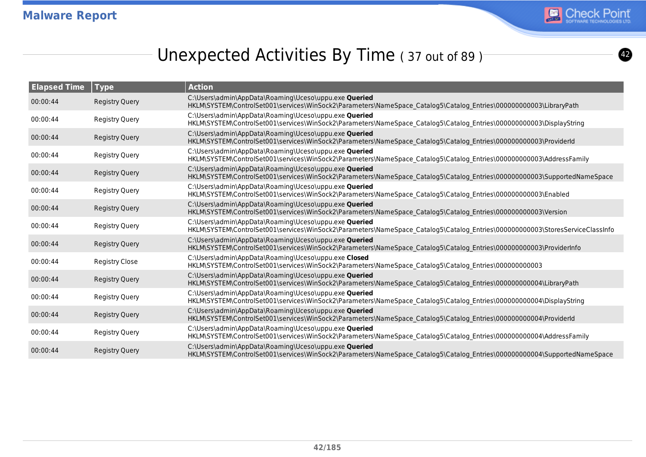

# Unexpected Activities By Time (37 out of 89)

| <b>Elapsed Time</b> | <b>Type</b>           | <b>Action</b>                                                                                                                                                                         |
|---------------------|-----------------------|---------------------------------------------------------------------------------------------------------------------------------------------------------------------------------------|
| 00:00:44            | <b>Registry Query</b> | C:\Users\admin\AppData\Roaming\Uceso\uppu.exe Queried<br>HKLM\SYSTEM\ControlSet001\services\WinSock2\Parameters\NameSpace Catalog5\Catalog Entries\000000000003\LibraryPath           |
| 00:00:44            | <b>Registry Query</b> | C:\Users\admin\AppData\Roaming\Uceso\uppu.exe Queried<br>HKLM\SYSTEM\ControlSet001\services\WinSock2\Parameters\NameSpace_Catalog5\Catalog_Entries\00000000003\DisplayString          |
| 00:00:44            | <b>Registry Query</b> | C:\Users\admin\AppData\Roaming\Uceso\uppu.exe Queried<br>HKLM\SYSTEM\ControlSet001\services\WinSock2\Parameters\NameSpace Catalog5\Catalog Entries\00000000003\ProviderId             |
| 00:00:44            | <b>Registry Query</b> | C:\Users\admin\AppData\Roaming\Uceso\uppu.exe Queried<br>HKLM\SYSTEM\ControlSet001\services\WinSock2\Parameters\NameSpace_Catalog5\Catalog_Entries\000000000003\AddressFamily         |
| 00:00:44            | <b>Registry Query</b> | C:\Users\admin\AppData\Roaming\Uceso\uppu.exe Queried<br>HKLM\SYSTEM\ControlSet001\services\WinSock2\Parameters\NameSpace Catalog5\Catalog Entries\000000000003\SupportedNameSpace    |
| 00:00:44            | <b>Registry Query</b> | C:\Users\admin\AppData\Roaming\Uceso\uppu.exe Queried<br>HKLM\SYSTEM\ControlSet001\services\WinSock2\Parameters\NameSpace Catalog5\Catalog Entries\00000000003\Enabled                |
| 00:00:44            | <b>Registry Query</b> | C:\Users\admin\AppData\Roaming\Uceso\uppu.exe Queried<br>HKLM\SYSTEM\ControlSet001\services\WinSock2\Parameters\NameSpace Catalog5\Catalog Entries\00000000003\Version                |
| 00:00:44            | <b>Registry Query</b> | C:\Users\admin\AppData\Roaming\Uceso\uppu.exe Queried<br>HKLM\SYSTEM\ControlSet001\services\WinSock2\Parameters\NameSpace Catalog5\Catalog Entries\00000000003\StoresServiceClassInfo |
| 00:00:44            | <b>Registry Query</b> | C:\Users\admin\AppData\Roaming\Uceso\uppu.exe Queried<br>HKLM\SYSTEM\ControlSet001\services\WinSock2\Parameters\NameSpace Catalog5\Catalog Entries\000000000003\ProviderInfo          |
| 00:00:44            | <b>Registry Close</b> | C:\Users\admin\AppData\Roaming\Uceso\uppu.exe Closed<br>HKLM\SYSTEM\ControlSet001\services\WinSock2\Parameters\NameSpace Catalog5\Catalog Entries\00000000003                         |
| 00:00:44            | <b>Registry Query</b> | C:\Users\admin\AppData\Roaming\Uceso\uppu.exe Queried<br>HKLM\SYSTEM\ControlSet001\services\WinSock2\Parameters\NameSpace_Catalog5\Catalog_Entries\00000000004\LibraryPath            |
| 00:00:44            | <b>Registry Query</b> | C:\Users\admin\AppData\Roaming\Uceso\uppu.exe Queried<br>HKLM\SYSTEM\ControlSet001\services\WinSock2\Parameters\NameSpace_Catalog5\Catalog_Entries\00000000004\DisplayString          |
| 00:00:44            | <b>Registry Query</b> | C:\Users\admin\AppData\Roaming\Uceso\uppu.exe Queried<br>HKLM\SYSTEM\ControlSet001\services\WinSock2\Parameters\NameSpace Catalog5\Catalog Entries\00000000004\ProviderId             |
| 00:00:44            | <b>Registry Query</b> | C:\Users\admin\AppData\Roaming\Uceso\uppu.exe Queried<br>HKLM\SYSTEM\ControlSet001\services\WinSock2\Parameters\NameSpace_Catalog5\Catalog_Entries\000000000004\AddressFamily         |
| 00:00:44            | <b>Registry Query</b> | C:\Users\admin\AppData\Roaming\Uceso\uppu.exe Queried<br>HKLM\SYSTEM\ControlSet001\services\WinSock2\Parameters\NameSpace Catalog5\Catalog Entries\000000000004\SupportedNameSpace    |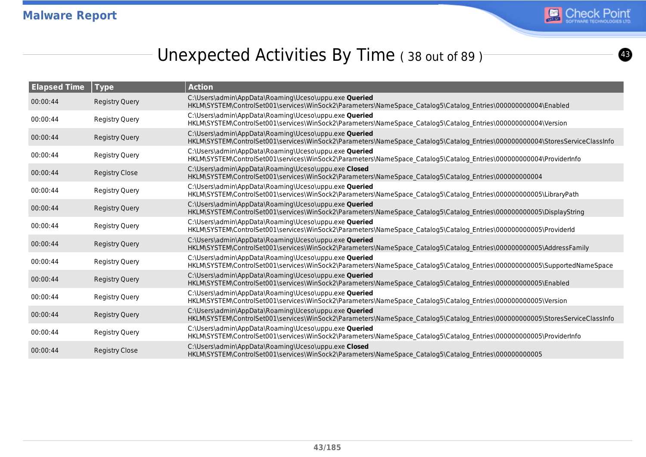

# Unexpected Activities By Time (38 out of 89)<sup>-</sup>

| <b>Elapsed Time</b> | Type                  | <b>Action</b>                                                                                                                                                                          |
|---------------------|-----------------------|----------------------------------------------------------------------------------------------------------------------------------------------------------------------------------------|
| 00:00:44            | <b>Registry Query</b> | C:\Users\admin\AppData\Roaming\Uceso\uppu.exe Queried<br>HKLM\SYSTEM\ControlSet001\services\WinSock2\Parameters\NameSpace Catalog5\Catalog Entries\00000000004\Enabled                 |
| 00:00:44            | <b>Registry Query</b> | C:\Users\admin\AppData\Roaming\Uceso\uppu.exe Queried<br>HKLM\SYSTEM\ControlSet001\services\WinSock2\Parameters\NameSpace_Catalog5\Catalog_Entries\00000000004\Version                 |
| 00:00:44            | <b>Registry Query</b> | C:\Users\admin\AppData\Roaming\Uceso\uppu.exe Queried<br>HKLM\SYSTEM\ControlSet001\services\WinSock2\Parameters\NameSpace Catalog5\Catalog Entries\00000000004\StoresServiceClassInfo  |
| 00:00:44            | <b>Registry Query</b> | C:\Users\admin\AppData\Roaming\Uceso\uppu.exe Queried<br>HKLM\SYSTEM\ControlSet001\services\WinSock2\Parameters\NameSpace_Catalog5\Catalog_Entries\00000000004\ProviderInfo            |
| 00:00:44            | <b>Registry Close</b> | C:\Users\admin\AppData\Roaming\Uceso\uppu.exe Closed<br>HKLM\SYSTEM\ControlSet001\services\WinSock2\Parameters\NameSpace Catalog5\Catalog Entries\00000000004                          |
| 00:00:44            | <b>Registry Query</b> | C:\Users\admin\AppData\Roaming\Uceso\uppu.exe Queried<br>HKLM\SYSTEM\ControlSet001\services\WinSock2\Parameters\NameSpace Catalog5\Catalog Entries\000000000005\LibraryPath            |
| 00:00:44            | <b>Registry Query</b> | C:\Users\admin\AppData\Roaming\Uceso\uppu.exe Queried<br>HKLM\SYSTEM\ControlSet001\services\WinSock2\Parameters\NameSpace Catalog5\Catalog Entries\00000000005\DisplayString           |
| 00:00:44            | <b>Registry Query</b> | C:\Users\admin\AppData\Roaming\Uceso\uppu.exe Queried<br>HKLM\SYSTEM\ControlSet001\services\WinSock2\Parameters\NameSpace Catalog5\Catalog Entries\00000000005\ProviderId              |
| 00:00:44            | <b>Registry Query</b> | C:\Users\admin\AppData\Roaming\Uceso\uppu.exe Queried<br>HKLM\SYSTEM\ControlSet001\services\WinSock2\Parameters\NameSpace_Catalog5\Catalog_Entries\000000000005\AddressFamily          |
| 00:00:44            | <b>Registry Query</b> | C:\Users\admin\AppData\Roaming\Uceso\uppu.exe Queried<br>HKLM\SYSTEM\ControlSet001\services\WinSock2\Parameters\NameSpace Catalog5\Catalog Entries\000000000005\SupportedNameSpace     |
| 00:00:44            | <b>Registry Query</b> | C:\Users\admin\AppData\Roaming\Uceso\uppu.exe Queried<br>HKLM\SYSTEM\ControlSet001\services\WinSock2\Parameters\NameSpace Catalog5\Catalog Entries\000000000005\Enabled                |
| 00:00:44            | <b>Registry Query</b> | C:\Users\admin\AppData\Roaming\Uceso\uppu.exe Queried<br>HKLM\SYSTEM\ControlSet001\services\WinSock2\Parameters\NameSpace_Catalog5\Catalog_Entries\000000000005\Version                |
| 00:00:44            | <b>Registry Query</b> | C:\Users\admin\AppData\Roaming\Uceso\uppu.exe Queried<br>HKLM\SYSTEM\ControlSet001\services\WinSock2\Parameters\NameSpace Catalog5\Catalog Entries\000000000005\StoresServiceClassInfo |
| 00:00:44            | <b>Registry Query</b> | C:\Users\admin\AppData\Roaming\Uceso\uppu.exe Queried<br>HKLM\SYSTEM\ControlSet001\services\WinSock2\Parameters\NameSpace_Catalog5\Catalog_Entries\000000000005\ProviderInfo           |
| 00:00:44            | <b>Registry Close</b> | C:\Users\admin\AppData\Roaming\Uceso\uppu.exe Closed<br>HKLM\SYSTEM\ControlSet001\services\WinSock2\Parameters\NameSpace Catalog5\Catalog Entries\00000000005                          |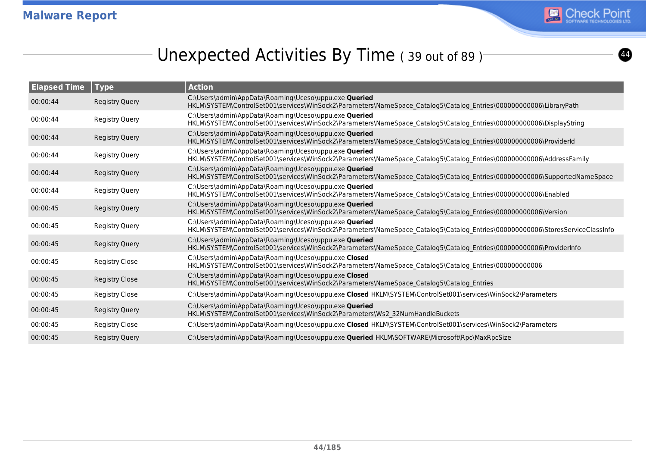

# Unexpected Activities By Time (39 out of 89)

| <b>Elapsed Time</b> | Type                  | <b>Action</b>                                                                                                                                                                          |
|---------------------|-----------------------|----------------------------------------------------------------------------------------------------------------------------------------------------------------------------------------|
| 00:00:44            | <b>Registry Query</b> | C:\Users\admin\AppData\Roaming\Uceso\uppu.exe Queried<br>HKLM\SYSTEM\ControlSet001\services\WinSock2\Parameters\NameSpace Catalog5\Catalog Entries\000000000006\LibraryPath            |
| 00:00:44            | <b>Registry Query</b> | C:\Users\admin\AppData\Roaming\Uceso\uppu.exe Queried<br>HKLM\SYSTEM\ControlSet001\services\WinSock2\Parameters\NameSpace Catalog5\Catalog Entries\00000000006\DisplayString           |
| 00:00:44            | <b>Registry Query</b> | C:\Users\admin\AppData\Roaming\Uceso\uppu.exe Queried<br>HKLM\SYSTEM\ControlSet001\services\WinSock2\Parameters\NameSpace_Catalog5\Catalog_Entries\00000000006\ProviderId              |
| 00:00:44            | Registry Query        | C:\Users\admin\AppData\Roaming\Uceso\uppu.exe Queried<br>HKLM\SYSTEM\ControlSet001\services\WinSock2\Parameters\NameSpace_Catalog5\Catalog_Entries\000000000006\AddressFamily          |
| 00:00:44            | <b>Registry Query</b> | C:\Users\admin\AppData\Roaming\Uceso\uppu.exe Queried<br>HKLM\SYSTEM\ControlSet001\services\WinSock2\Parameters\NameSpace_Catalog5\Catalog_Entries\00000000006\SupportedNameSpace      |
| 00:00:44            | Registry Query        | C:\Users\admin\AppData\Roaming\Uceso\uppu.exe Queried<br>HKLM\SYSTEM\ControlSet001\services\WinSock2\Parameters\NameSpace Catalog5\Catalog Entries\000000000006\Enabled                |
| 00:00:45            | <b>Registry Query</b> | C:\Users\admin\AppData\Roaming\Uceso\uppu.exe Queried<br>HKLM\SYSTEM\ControlSet001\services\WinSock2\Parameters\NameSpace Catalog5\Catalog Entries\000000000006\Version                |
| 00:00:45            | <b>Registry Query</b> | C:\Users\admin\AppData\Roaming\Uceso\uppu.exe Queried<br>HKLM\SYSTEM\ControlSet001\services\WinSock2\Parameters\NameSpace_Catalog5\Catalog_Entries\000000000006\StoresServiceClassInfo |
| 00:00:45            | <b>Registry Query</b> | C:\Users\admin\AppData\Roaming\Uceso\uppu.exe Queried<br>HKLM\SYSTEM\ControlSet001\services\WinSock2\Parameters\NameSpace Catalog5\Catalog Entries\000000000006\ProviderInfo           |
| 00:00:45            | Registry Close        | C:\Users\admin\AppData\Roaming\Uceso\uppu.exe Closed<br>HKLM\SYSTEM\ControlSet001\services\WinSock2\Parameters\NameSpace_Catalog5\Catalog_Entries\00000000006                          |
| 00:00:45            | Registry Close        | C:\Users\admin\AppData\Roaming\Uceso\uppu.exe Closed<br>HKLM\SYSTEM\ControlSet001\services\WinSock2\Parameters\NameSpace Catalog5\Catalog Entries                                      |
| 00:00:45            | <b>Registry Close</b> | C:\Users\admin\AppData\Roaming\Uceso\uppu.exe Closed HKLM\SYSTEM\ControlSet001\services\WinSock2\Parameters                                                                            |
| 00:00:45            | <b>Registry Query</b> | C:\Users\admin\AppData\Roaming\Uceso\uppu.exe Queried<br>HKLM\SYSTEM\ControlSet001\services\WinSock2\Parameters\Ws2 32NumHandleBuckets                                                 |
| 00:00:45            | Registry Close        | C:\Users\admin\AppData\Roaming\Uceso\uppu.exe Closed HKLM\SYSTEM\ControlSet001\services\WinSock2\Parameters                                                                            |
| 00:00:45            | <b>Registry Query</b> | C:\Users\admin\AppData\Roaming\Uceso\uppu.exe Queried HKLM\SOFTWARE\Microsoft\Rpc\MaxRpcSize                                                                                           |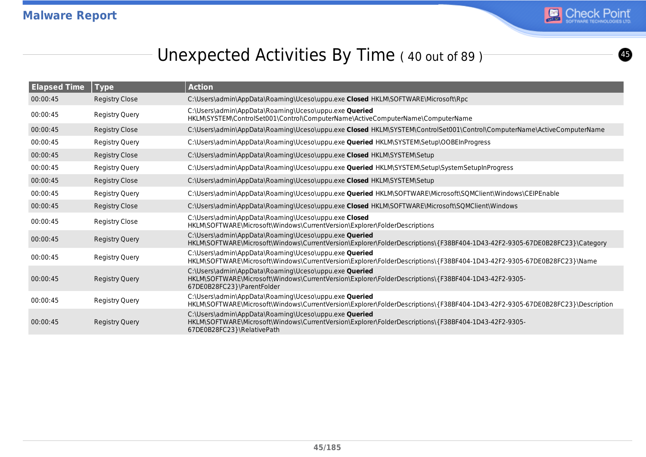

# Unexpected Activities By Time (40 out of 89)

| <b>Elapsed Time</b> | <b>Type</b>           | <b>Action</b>                                                                                                                                                                               |
|---------------------|-----------------------|---------------------------------------------------------------------------------------------------------------------------------------------------------------------------------------------|
| 00:00:45            | <b>Registry Close</b> | C:\Users\admin\AppData\Roaming\Uceso\uppu.exe Closed HKLM\SOFTWARE\Microsoft\Rpc                                                                                                            |
| 00:00:45            | <b>Registry Query</b> | C:\Users\admin\AppData\Roaming\Uceso\uppu.exe Queried<br>HKLM\SYSTEM\ControlSet001\Control\ComputerName\ActiveComputerName\ComputerName                                                     |
| 00:00:45            | <b>Registry Close</b> | C:\Users\admin\AppData\Roaming\Uceso\uppu.exe Closed HKLM\SYSTEM\ControlSet001\Control\ComputerName\ActiveComputerName                                                                      |
| 00:00:45            | <b>Registry Query</b> | C:\Users\admin\AppData\Roaming\Uceso\uppu.exe <b>Queried</b> HKLM\SYSTEM\Setup\OOBEInProgress                                                                                               |
| 00:00:45            | <b>Registry Close</b> | C:\Users\admin\AppData\Roaming\Uceso\uppu.exe Closed HKLM\SYSTEM\Setup                                                                                                                      |
| 00:00:45            | <b>Registry Query</b> | C:\Users\admin\AppData\Roaming\Uceso\uppu.exe Queried HKLM\SYSTEM\Setup\SystemSetupInProgress                                                                                               |
| 00:00:45            | <b>Registry Close</b> | C:\Users\admin\AppData\Roaming\Uceso\uppu.exe Closed HKLM\SYSTEM\Setup                                                                                                                      |
| 00:00:45            | <b>Registry Query</b> | C:\Users\admin\AppData\Roaming\Uceso\uppu.exe Queried HKLM\SOFTWARE\Microsoft\SQMClient\Windows\CEIPEnable                                                                                  |
| 00:00:45            | <b>Registry Close</b> | C:\Users\admin\AppData\Roaming\Uceso\uppu.exe Closed HKLM\SOFTWARE\Microsoft\SQMClient\Windows                                                                                              |
| 00:00:45            | <b>Registry Close</b> | C:\Users\admin\AppData\Roaming\Uceso\uppu.exe Closed<br>HKLM\SOFTWARE\Microsoft\Windows\CurrentVersion\Explorer\FolderDescriptions                                                          |
| 00:00:45            | <b>Registry Query</b> | C:\Users\admin\AppData\Roaming\Uceso\uppu.exe Queried<br>HKLM\SOFTWARE\Microsoft\Windows\CurrentVersion\Explorer\FolderDescriptions\{F38BF404-1D43-42F2-9305-67DE0B28FC23}\Category         |
| 00:00:45            | <b>Registry Query</b> | C:\Users\admin\AppData\Roaming\Uceso\uppu.exe Queried<br>HKLM\SOFTWARE\Microsoft\Windows\CurrentVersion\Explorer\FolderDescriptions\{F38BF404-1D43-42F2-9305-67DE0B28FC23}\Name             |
| 00:00:45            | <b>Registry Query</b> | C:\Users\admin\AppData\Roaming\Uceso\uppu.exe Queried<br>HKLM\SOFTWARE\Microsoft\Windows\CurrentVersion\Explorer\FolderDescriptions\{F38BF404-1D43-42F2-9305-<br>67DE0B28FC23}\ParentFolder |
| 00:00:45            | <b>Registry Query</b> | C:\Users\admin\AppData\Roaming\Uceso\uppu.exe Queried<br>HKLM\SOFTWARE\Microsoft\Windows\CurrentVersion\Explorer\FolderDescriptions\{F38BF404-1D43-42F2-9305-67DE0B28FC23}\Description      |
| 00:00:45            | <b>Registry Query</b> | C:\Users\admin\AppData\Roaming\Uceso\uppu.exe Queried<br>HKLM\SOFTWARE\Microsoft\Windows\CurrentVersion\Explorer\FolderDescriptions\{F38BF404-1D43-42F2-9305-<br>67DE0B28FC23}\RelativePath |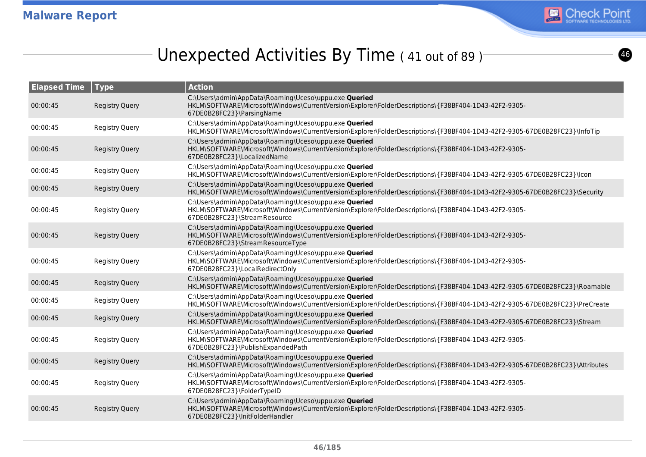

# Unexpected Activities By Time (41 out of 89)

| <b>Elapsed Time</b> | <b>Type</b>           | <b>Action</b>                                                                                                                                                                                      |
|---------------------|-----------------------|----------------------------------------------------------------------------------------------------------------------------------------------------------------------------------------------------|
| 00:00:45            | <b>Registry Query</b> | C:\Users\admin\AppData\Roaming\Uceso\uppu.exe Queried<br>HKLM\SOFTWARE\Microsoft\Windows\CurrentVersion\Explorer\FolderDescriptions\{F38BF404-1D43-42F2-9305-<br>67DE0B28FC23}\ParsingName         |
| 00:00:45            | <b>Registry Query</b> | C:\Users\admin\AppData\Roaming\Uceso\uppu.exe Queried<br>HKLM\SOFTWARE\Microsoft\Windows\CurrentVersion\Explorer\FolderDescriptions\{F38BF404-1D43-42F2-9305-67DE0B28FC23}\InfoTip                 |
| 00:00:45            | <b>Registry Query</b> | C:\Users\admin\AppData\Roaming\Uceso\uppu.exe Queried<br>HKLM\SOFTWARE\Microsoft\Windows\CurrentVersion\Explorer\FolderDescriptions\{F38BF404-1D43-42F2-9305-<br>67DE0B28FC23}\LocalizedName       |
| 00:00:45            | <b>Registry Query</b> | C:\Users\admin\AppData\Roaming\Uceso\uppu.exe Queried<br>HKLM\SOFTWARE\Microsoft\Windows\CurrentVersion\Explorer\FolderDescriptions\{F38BF404-1D43-42F2-9305-67DE0B28FC23}\lcon                    |
| 00:00:45            | <b>Registry Query</b> | C:\Users\admin\AppData\Roaming\Uceso\uppu.exe Queried<br>HKLM\SOFTWARE\Microsoft\Windows\CurrentVersion\Explorer\FolderDescriptions\{F38BF404-1D43-42F2-9305-67DE0B28FC23}\Security                |
| 00:00:45            | <b>Registry Query</b> | C:\Users\admin\AppData\Roaming\Uceso\uppu.exe Queried<br>HKLM\SOFTWARE\Microsoft\Windows\CurrentVersion\Explorer\FolderDescriptions\{F38BF404-1D43-42F2-9305-<br>67DE0B28FC23}\StreamResource      |
| 00:00:45            | <b>Registry Query</b> | C:\Users\admin\AppData\Roaming\Uceso\uppu.exe Queried<br>HKLM\SOFTWARE\Microsoft\Windows\CurrentVersion\Explorer\FolderDescriptions\{F38BF404-1D43-42F2-9305-<br>67DE0B28FC23}\StreamResourceType  |
| 00:00:45            | <b>Registry Query</b> | C:\Users\admin\AppData\Roaming\Uceso\uppu.exe Queried<br>HKLM\SOFTWARE\Microsoft\Windows\CurrentVersion\Explorer\FolderDescriptions\{F38BF404-1D43-42F2-9305-<br>67DE0B28FC23}\LocalRedirectOnly   |
| 00:00:45            | <b>Registry Query</b> | C:\Users\admin\AppData\Roaming\Uceso\uppu.exe Queried<br>HKLM\SOFTWARE\Microsoft\Windows\CurrentVersion\Explorer\FolderDescriptions\{F38BF404-1D43-42F2-9305-67DE0B28FC23}\Roamable                |
| 00:00:45            | <b>Registry Query</b> | C:\Users\admin\AppData\Roaming\Uceso\uppu.exe Queried<br>HKLM\SOFTWARE\Microsoft\Windows\CurrentVersion\Explorer\FolderDescriptions\{F38BF404-1D43-42F2-9305-67DE0B28FC23}\PreCreate               |
| 00:00:45            | <b>Registry Query</b> | C:\Users\admin\AppData\Roaming\Uceso\uppu.exe Queried<br>HKLM\SOFTWARE\Microsoft\Windows\CurrentVersion\Explorer\FolderDescriptions\{F38BF404-1D43-42F2-9305-67DE0B28FC23}\Stream                  |
| 00:00:45            | <b>Registry Query</b> | C:\Users\admin\AppData\Roaming\Uceso\uppu.exe Queried<br>HKLM\SOFTWARE\Microsoft\Windows\CurrentVersion\Explorer\FolderDescriptions\{F38BF404-1D43-42F2-9305-<br>67DE0B28FC23}\PublishExpandedPath |
| 00:00:45            | <b>Registry Query</b> | C:\Users\admin\AppData\Roaming\Uceso\uppu.exe Queried<br>HKLM\SOFTWARE\Microsoft\Windows\CurrentVersion\Explorer\FolderDescriptions\{F38BF404-1D43-42F2-9305-67DE0B28FC23}\Attributes              |
| 00:00:45            | <b>Registry Query</b> | C:\Users\admin\AppData\Roaming\Uceso\uppu.exe Queried<br>HKLM\SOFTWARE\Microsoft\Windows\CurrentVersion\Explorer\FolderDescriptions\{F38BF404-1D43-42F2-9305-<br>67DE0B28FC23}\FolderTypeID        |
| 00:00:45            | <b>Registry Query</b> | C:\Users\admin\AppData\Roaming\Uceso\uppu.exe Queried<br>HKLM\SOFTWARE\Microsoft\Windows\CurrentVersion\Explorer\FolderDescriptions\{F38BF404-1D43-42F2-9305-<br>67DE0B28FC23}\InitFolderHandler   |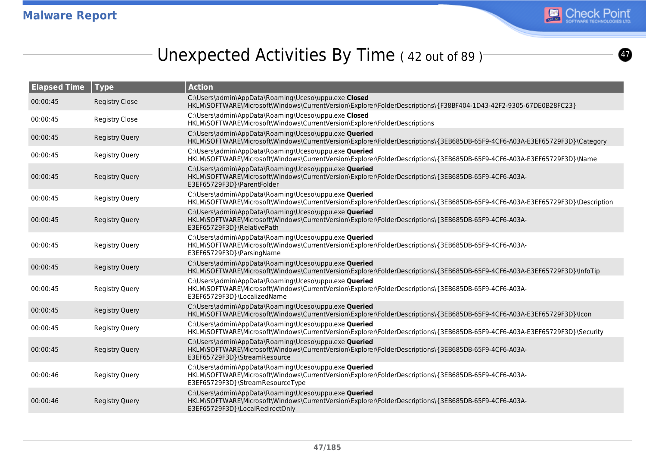

 $\boldsymbol{\sigma}$ 

# Unexpected Activities By Time (42 out of 89)

| <b>Elapsed Time</b> | <b>Type</b>           | <b>Action</b>                                                                                                                                                                                     |
|---------------------|-----------------------|---------------------------------------------------------------------------------------------------------------------------------------------------------------------------------------------------|
| 00:00:45            | <b>Registry Close</b> | C:\Users\admin\AppData\Roaming\Uceso\uppu.exe Closed<br>HKLM\SOFTWARE\Microsoft\Windows\CurrentVersion\Explorer\FolderDescriptions\{F38BF404-1D43-42F2-9305-67DE0B28FC23}                         |
| 00:00:45            | <b>Registry Close</b> | C:\Users\admin\AppData\Roaming\Uceso\uppu.exe Closed<br>HKLM\SOFTWARE\Microsoft\Windows\CurrentVersion\Explorer\FolderDescriptions                                                                |
| 00:00:45            | <b>Registry Query</b> | C:\Users\admin\AppData\Roaming\Uceso\uppu.exe Queried<br>HKLM\SOFTWARE\Microsoft\Windows\CurrentVersion\Explorer\FolderDescriptions\{3EB685DB-65F9-4CF6-A03A-E3EF65729F3D}\Category               |
| 00:00:45            | <b>Registry Query</b> | C:\Users\admin\AppData\Roaming\Uceso\uppu.exe Queried<br>HKLM\SOFTWARE\Microsoft\Windows\CurrentVersion\Explorer\FolderDescriptions\{3EB685DB-65F9-4CF6-A03A-E3EF65729F3D}\Name                   |
| 00:00:45            | <b>Registry Query</b> | C:\Users\admin\AppData\Roaming\Uceso\uppu.exe Queried<br>HKLM\SOFTWARE\Microsoft\Windows\CurrentVersion\Explorer\FolderDescriptions\{3EB685DB-65F9-4CF6-A03A-<br>E3EF65729F3D}\ParentFolder       |
| 00:00:45            | <b>Registry Query</b> | C:\Users\admin\AppData\Roaming\Uceso\uppu.exe Queried<br>HKLM\SOFTWARE\Microsoft\Windows\CurrentVersion\Explorer\FolderDescriptions\{3EB685DB-65F9-4CF6-A03A-E3EF65729F3D}\Description            |
| 00:00:45            | <b>Registry Query</b> | C:\Users\admin\AppData\Roaming\Uceso\uppu.exe Queried<br>HKLM\SOFTWARE\Microsoft\Windows\CurrentVersion\Explorer\FolderDescriptions\{3EB685DB-65F9-4CF6-A03A-<br>E3EF65729F3D}\RelativePath       |
| 00:00:45            | Registry Query        | C:\Users\admin\AppData\Roaming\Uceso\uppu.exe Queried<br>HKLM\SOFTWARE\Microsoft\Windows\CurrentVersion\Explorer\FolderDescriptions\{3EB685DB-65F9-4CF6-A03A-<br>E3EF65729F3D}\ParsingName        |
| 00:00:45            | <b>Registry Query</b> | C:\Users\admin\AppData\Roaming\Uceso\uppu.exe Queried<br>HKLM\SOFTWARE\Microsoft\Windows\CurrentVersion\Explorer\FolderDescriptions\{3EB685DB-65F9-4CF6-A03A-E3EF65729F3D}\InfoTip                |
| 00:00:45            | <b>Registry Query</b> | C:\Users\admin\AppData\Roaming\Uceso\uppu.exe Queried<br>HKLM\SOFTWARE\Microsoft\Windows\CurrentVersion\Explorer\FolderDescriptions\{3EB685DB-65F9-4CF6-A03A-<br>E3EF65729F3D}\LocalizedName      |
| 00:00:45            | <b>Registry Query</b> | C:\Users\admin\AppData\Roaming\Uceso\uppu.exe Queried<br>HKLM\SOFTWARE\Microsoft\Windows\CurrentVersion\Explorer\FolderDescriptions\{3EB685DB-65F9-4CF6-A03A-E3EF65729F3D}\Icon                   |
| 00:00:45            | <b>Registry Query</b> | C:\Users\admin\AppData\Roaming\Uceso\uppu.exe Queried<br>HKLM\SOFTWARE\Microsoft\Windows\CurrentVersion\Explorer\FolderDescriptions\{3EB685DB-65F9-4CF6-A03A-E3EF65729F3D}\Security               |
| 00:00:45            | <b>Registry Query</b> | C:\Users\admin\AppData\Roaming\Uceso\uppu.exe Queried<br>HKLM\SOFTWARE\Microsoft\Windows\CurrentVersion\Explorer\FolderDescriptions\{3EB685DB-65F9-4CF6-A03A-<br>E3EF65729F3D}\StreamResource     |
| 00:00:46            | <b>Registry Query</b> | C:\Users\admin\AppData\Roaming\Uceso\uppu.exe Queried<br>HKLM\SOFTWARE\Microsoft\Windows\CurrentVersion\Explorer\FolderDescriptions\{3EB685DB-65F9-4CF6-A03A-<br>E3EF65729F3D}\StreamResourceType |
| 00:00:46            | <b>Registry Query</b> | C:\Users\admin\AppData\Roaming\Uceso\uppu.exe Queried<br>HKLM\SOFTWARE\Microsoft\Windows\CurrentVersion\Explorer\FolderDescriptions\{3EB685DB-65F9-4CF6-A03A-<br>E3EF65729F3D}\LocalRedirectOnly  |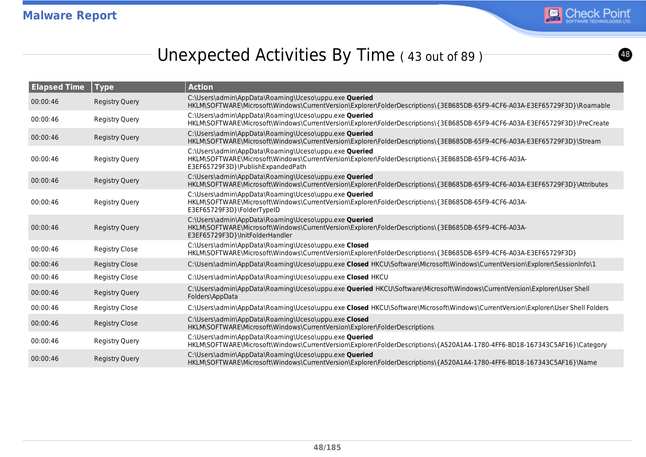

# Unexpected Activities By Time (43 out of 89)

| <b>Elapsed Time</b> | <b>Type</b>           | <b>Action</b>                                                                                                                                                                                      |
|---------------------|-----------------------|----------------------------------------------------------------------------------------------------------------------------------------------------------------------------------------------------|
| 00:00:46            | <b>Registry Query</b> | C:\Users\admin\AppData\Roaming\Uceso\uppu.exe Queried<br>HKLM\SOFTWARE\Microsoft\Windows\CurrentVersion\Explorer\FolderDescriptions\{3EB685DB-65F9-4CF6-A03A-E3EF65729F3D}\Roamable                |
| 00:00:46            | <b>Registry Query</b> | C:\Users\admin\AppData\Roaming\Uceso\uppu.exe Queried<br>HKLM\SOFTWARE\Microsoft\Windows\CurrentVersion\Explorer\FolderDescriptions\{3EB685DB-65F9-4CF6-A03A-E3EF65729F3D}\PreCreate               |
| 00:00:46            | <b>Registry Query</b> | C:\Users\admin\AppData\Roaming\Uceso\uppu.exe Queried<br>HKLM\SOFTWARE\Microsoft\Windows\CurrentVersion\Explorer\FolderDescriptions\{3EB685DB-65F9-4CF6-A03A-E3EF65729F3D}\Stream                  |
| 00:00:46            | <b>Registry Query</b> | C:\Users\admin\AppData\Roaming\Uceso\uppu.exe Queried<br>HKLM\SOFTWARE\Microsoft\Windows\CurrentVersion\Explorer\FolderDescriptions\{3EB685DB-65F9-4CF6-A03A-<br>E3EF65729F3D}\PublishExpandedPath |
| 00:00:46            | <b>Registry Query</b> | C:\Users\admin\AppData\Roaming\Uceso\uppu.exe Queried<br>HKLM\SOFTWARE\Microsoft\Windows\CurrentVersion\Explorer\FolderDescriptions\{3EB685DB-65F9-4CF6-A03A-E3EF65729F3D}\Attributes              |
| 00:00:46            | Registry Query        | C:\Users\admin\AppData\Roaming\Uceso\uppu.exe Queried<br>HKLM\SOFTWARE\Microsoft\Windows\CurrentVersion\Explorer\FolderDescriptions\{3EB685DB-65F9-4CF6-A03A-<br>E3EF65729F3D}\FolderTypeID        |
| 00:00:46            | <b>Registry Query</b> | C:\Users\admin\AppData\Roaming\Uceso\uppu.exe Queried<br>HKLM\SOFTWARE\Microsoft\Windows\CurrentVersion\Explorer\FolderDescriptions\{3EB685DB-65F9-4CF6-A03A-<br>E3EF65729F3D}\InitFolderHandler   |
| 00:00:46            | <b>Registry Close</b> | C:\Users\admin\AppData\Roaming\Uceso\uppu.exe Closed<br>HKLM\SOFTWARE\Microsoft\Windows\CurrentVersion\Explorer\FolderDescriptions\{3EB685DB-65F9-4CF6-A03A-E3EF65729F3D}                          |
| 00:00:46            | <b>Registry Close</b> | C:\Users\admin\AppData\Roaming\Uceso\uppu.exe Closed HKCU\Software\Microsoft\Windows\CurrentVersion\Explorer\SessionInfo\1                                                                         |
| 00:00:46            | <b>Registry Close</b> | C:\Users\admin\AppData\Roaming\Uceso\uppu.exe Closed HKCU                                                                                                                                          |
| 00:00:46            | <b>Registry Query</b> | C:\Users\admin\AppData\Roaming\Uceso\uppu.exe <b>Queried</b> HKCU\Software\Microsoft\Windows\CurrentVersion\Explorer\User Shell<br>Folders\AppData                                                 |
| 00:00:46            | <b>Registry Close</b> | C:\Users\admin\AppData\Roaming\Uceso\uppu.exe Closed HKCU\Software\Microsoft\Windows\CurrentVersion\Explorer\User Shell Folders                                                                    |
| 00:00:46            | <b>Registry Close</b> | C:\Users\admin\AppData\Roaming\Uceso\uppu.exe Closed<br>HKLM\SOFTWARE\Microsoft\Windows\CurrentVersion\Explorer\FolderDescriptions                                                                 |
| 00:00:46            | <b>Registry Query</b> | C:\Users\admin\AppData\Roaming\Uceso\uppu.exe Queried<br>HKLM\SOFTWARE\Microsoft\Windows\CurrentVersion\Explorer\FolderDescriptions\{A520A1A4-1780-4FF6-BD18-167343C5AF16}\Category                |
| 00:00:46            | <b>Registry Query</b> | C:\Users\admin\AppData\Roaming\Uceso\uppu.exe Queried<br>HKLM\SOFTWARE\Microsoft\Windows\CurrentVersion\Explorer\FolderDescriptions\{A520A1A4-1780-4FF6-BD18-167343C5AF16}\Name                    |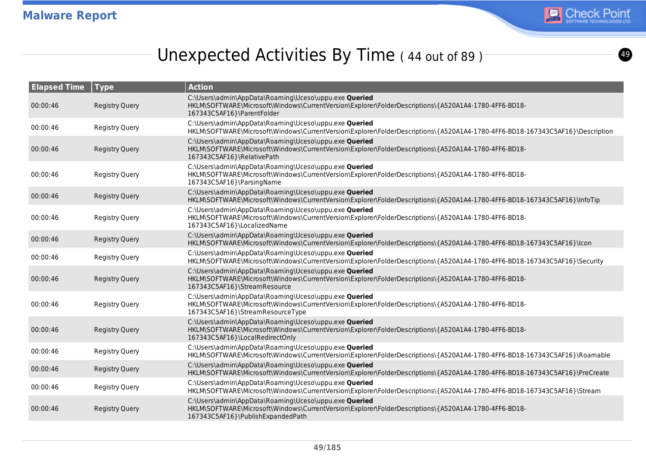

# Unexpected Activities By Time (44 out of 89)

| <b>Elapsed Time</b> | Type                  | <b>Action</b>                                                                                                                                                                                      |
|---------------------|-----------------------|----------------------------------------------------------------------------------------------------------------------------------------------------------------------------------------------------|
| 00:00:46            | <b>Registry Query</b> | C:\Users\admin\AppData\Roaming\Uceso\uppu.exe Queried<br>HKLM\SOFTWARE\Microsoft\Windows\CurrentVersion\Explorer\FolderDescriptions\{A520A1A4-1780-4FF6-BD18-<br>167343C5AF16}\ParentFolder        |
| 00:00:46            | Registry Query        | C:\Users\admin\AppData\Roaming\Uceso\uppu.exe Queried<br>HKLM\SOFTWARE\Microsoft\Windows\CurrentVersion\Explorer\FolderDescriptions\{A520A1A4-1780-4FF6-BD18-167343C5AF16}\Description             |
| 00:00:46            | <b>Registry Query</b> | C:\Users\admin\AppData\Roaming\Uceso\uppu.exe Queried<br>HKLM\SOFTWARE\Microsoft\Windows\CurrentVersion\Explorer\FolderDescriptions\{A520A1A4-1780-4FF6-BD18-<br>167343C5AF16}\RelativePath        |
| 00:00:46            | <b>Registry Query</b> | C:\Users\admin\AppData\Roaming\Uceso\uppu.exe Queried<br>HKLM\SOFTWARE\Microsoft\Windows\CurrentVersion\Explorer\FolderDescriptions\{A520A1A4-1780-4FF6-BD18-<br>167343C5AF16}\ParsingName         |
| 00:00:46            | <b>Registry Query</b> | C:\Users\admin\AppData\Roaming\Uceso\uppu.exe Queried<br>HKLM\SOFTWARE\Microsoft\Windows\CurrentVersion\Explorer\FolderDescriptions\{A520A1A4-1780-4FF6-BD18-167343C5AF16}\InfoTip                 |
| 00:00:46            | <b>Registry Query</b> | C:\Users\admin\AppData\Roaming\Uceso\uppu.exe Queried<br>HKLM\SOFTWARE\Microsoft\Windows\CurrentVersion\Explorer\FolderDescriptions\{A520A1A4-1780-4FF6-BD18-<br>167343C5AF16}\LocalizedName       |
| 00:00:46            | <b>Registry Query</b> | C:\Users\admin\AppData\Roaming\Uceso\uppu.exe Queried<br>HKLM\SOFTWARE\Microsoft\Windows\CurrentVersion\Explorer\FolderDescriptions\{A520A1A4-1780-4FF6-BD18-167343C5AF16}\lcon                    |
| 00:00:46            | <b>Registry Query</b> | C:\Users\admin\AppData\Roaming\Uceso\uppu.exe Queried<br>HKLM\SOFTWARE\Microsoft\Windows\CurrentVersion\Explorer\FolderDescriptions\{A520A1A4-1780-4FF6-BD18-167343C5AF16}\Security                |
| 00:00:46            | <b>Registry Query</b> | C:\Users\admin\AppData\Roaming\Uceso\uppu.exe Queried<br>HKLM\SOFTWARE\Microsoft\Windows\CurrentVersion\Explorer\FolderDescriptions\{A520A1A4-1780-4FF6-BD18-<br>167343C5AF16}\StreamResource      |
| 00:00:46            | <b>Registry Query</b> | C:\Users\admin\AppData\Roaming\Uceso\uppu.exe Queried<br>HKLM\SOFTWARE\Microsoft\Windows\CurrentVersion\Explorer\FolderDescriptions\{A520A1A4-1780-4FF6-BD18-<br>167343C5AF16}\StreamResourceType  |
| 00:00:46            | <b>Registry Query</b> | C:\Users\admin\AppData\Roaming\Uceso\uppu.exe Queried<br>HKLM\SOFTWARE\Microsoft\Windows\CurrentVersion\Explorer\FolderDescriptions\{A520A1A4-1780-4FF6-BD18-<br>167343C5AF16}\LocalRedirectOnly   |
| 00:00:46            | <b>Registry Query</b> | C:\Users\admin\AppData\Roaming\Uceso\uppu.exe Queried<br>HKLM\SOFTWARE\Microsoft\Windows\CurrentVersion\Explorer\FolderDescriptions\{A520A1A4-1780-4FF6-BD18-167343C5AF16}\Roamable                |
| 00:00:46            | <b>Registry Query</b> | C:\Users\admin\AppData\Roaming\Uceso\uppu.exe Queried<br>HKLM\SOFTWARE\Microsoft\Windows\CurrentVersion\Explorer\FolderDescriptions\{A520A1A4-1780-4FF6-BD18-167343C5AF16}\PreCreate               |
| 00:00:46            | <b>Registry Query</b> | C:\Users\admin\AppData\Roaming\Uceso\uppu.exe Queried<br>HKLM\SOFTWARE\Microsoft\Windows\CurrentVersion\Explorer\FolderDescriptions\{A520A1A4-1780-4FF6-BD18-167343C5AF16}\Stream                  |
| 00:00:46            | <b>Registry Query</b> | C:\Users\admin\AppData\Roaming\Uceso\uppu.exe Queried<br>HKLM\SOFTWARE\Microsoft\Windows\CurrentVersion\Explorer\FolderDescriptions\{A520A1A4-1780-4FF6-BD18-<br>167343C5AF16}\PublishExpandedPath |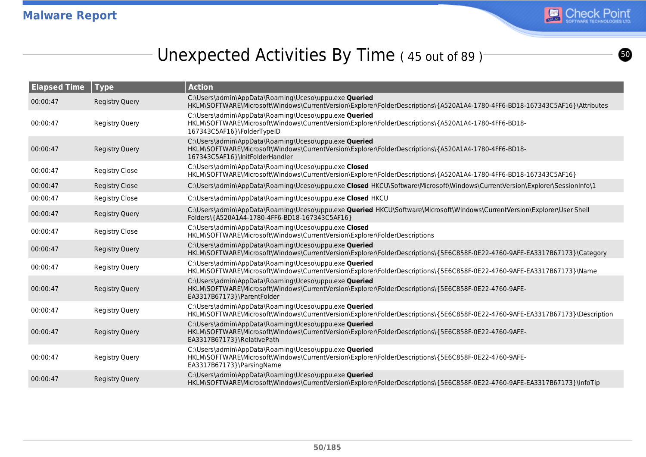

# Unexpected Activities By Time (45 out of 89)

| <b>Elapsed Time</b> | <b>Type</b>           | <b>Action</b>                                                                                                                                                                                    |
|---------------------|-----------------------|--------------------------------------------------------------------------------------------------------------------------------------------------------------------------------------------------|
| 00:00:47            | <b>Registry Query</b> | C:\Users\admin\AppData\Roaming\Uceso\uppu.exe Queried<br>HKLM\SOFTWARE\Microsoft\Windows\CurrentVersion\Explorer\FolderDescriptions\{A520A1A4-1780-4FF6-BD18-167343C5AF16}\Attributes            |
| 00:00:47            | <b>Registry Query</b> | C:\Users\admin\AppData\Roaming\Uceso\uppu.exe Queried<br>HKLM\SOFTWARE\Microsoft\Windows\CurrentVersion\Explorer\FolderDescriptions\{A520A1A4-1780-4FF6-BD18-<br>167343C5AF16}\FolderTypeID      |
| 00:00:47            | <b>Registry Query</b> | C:\Users\admin\AppData\Roaming\Uceso\uppu.exe Queried<br>HKLM\SOFTWARE\Microsoft\Windows\CurrentVersion\Explorer\FolderDescriptions\{A520A1A4-1780-4FF6-BD18-<br>167343C5AF16}\InitFolderHandler |
| 00:00:47            | <b>Registry Close</b> | C:\Users\admin\AppData\Roaming\Uceso\uppu.exe Closed<br>HKLM\SOFTWARE\Microsoft\Windows\CurrentVersion\Explorer\FolderDescriptions\{A520A1A4-1780-4FF6-BD18-167343C5AF16}                        |
| 00:00:47            | <b>Registry Close</b> | C:\Users\admin\AppData\Roaming\Uceso\uppu.exe Closed HKCU\Software\Microsoft\Windows\CurrentVersion\Explorer\SessionInfo\1                                                                       |
| 00:00:47            | <b>Registry Close</b> | C:\Users\admin\AppData\Roaming\Uceso\uppu.exe Closed HKCU                                                                                                                                        |
| 00:00:47            | <b>Registry Query</b> | C:\Users\admin\AppData\Roaming\Uceso\uppu.exe <b>Queried</b> HKCU\Software\Microsoft\Windows\CurrentVersion\Explorer\User Shell<br>Folders\{A520A1A4-1780-4FF6-BD18-167343C5AF16}                |
| 00:00:47            | <b>Registry Close</b> | C:\Users\admin\AppData\Roaming\Uceso\uppu.exe Closed<br>HKLM\SOFTWARE\Microsoft\Windows\CurrentVersion\Explorer\FolderDescriptions                                                               |
| 00:00:47            | <b>Registry Query</b> | C:\Users\admin\AppData\Roaming\Uceso\uppu.exe Queried<br>HKLM\SOFTWARE\Microsoft\Windows\CurrentVersion\Explorer\FolderDescriptions\{5E6C858F-0E22-4760-9AFE-EA3317B67173}\Category              |
| 00:00:47            | <b>Registry Query</b> | C:\Users\admin\AppData\Roaming\Uceso\uppu.exe Queried<br>HKLM\SOFTWARE\Microsoft\Windows\CurrentVersion\Explorer\FolderDescriptions\{5E6C858F-0E22-4760-9AFE-EA3317B67173}\Name                  |
| 00:00:47            | <b>Registry Query</b> | C:\Users\admin\AppData\Roaming\Uceso\uppu.exe Queried<br>HKLM\SOFTWARE\Microsoft\Windows\CurrentVersion\Explorer\FolderDescriptions\{5E6C858F-0E22-4760-9AFE-<br>EA3317B67173}\ParentFolder      |
| 00:00:47            | <b>Registry Query</b> | C:\Users\admin\AppData\Roaming\Uceso\uppu.exe Queried<br>HKLM\SOFTWARE\Microsoft\Windows\CurrentVersion\Explorer\FolderDescriptions\{5E6C858F-0E22-4760-9AFE-EA3317B67173}\Description           |
| 00:00:47            | <b>Registry Query</b> | C:\Users\admin\AppData\Roaming\Uceso\uppu.exe Queried<br>HKLM\SOFTWARE\Microsoft\Windows\CurrentVersion\Explorer\FolderDescriptions\{5E6C858F-0E22-4760-9AFE-<br>EA3317B67173}\RelativePath      |
| 00:00:47            | <b>Registry Query</b> | C:\Users\admin\AppData\Roaming\Uceso\uppu.exe Queried<br>HKLM\SOFTWARE\Microsoft\Windows\CurrentVersion\Explorer\FolderDescriptions\{5E6C858F-0E22-4760-9AFE-<br>EA3317B67173}\ParsingName       |
| 00:00:47            | <b>Registry Query</b> | C:\Users\admin\AppData\Roaming\Uceso\uppu.exe Queried<br>HKLM\SOFTWARE\Microsoft\Windows\CurrentVersion\Explorer\FolderDescriptions\{5E6C858F-0E22-4760-9AFE-EA3317B67173}\InfoTip               |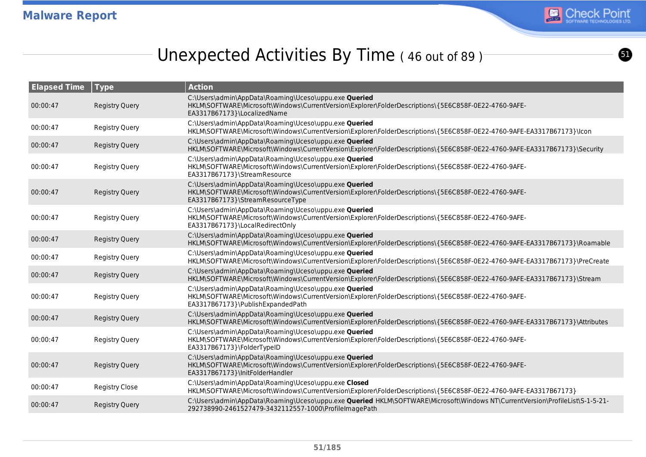

 $\boldsymbol{\Theta}$ 

# Unexpected Activities By Time (46 out of 89)

| <b>Elapsed Time</b> | Type                  | <b>Action</b>                                                                                                                                                                                      |
|---------------------|-----------------------|----------------------------------------------------------------------------------------------------------------------------------------------------------------------------------------------------|
| 00:00:47            | <b>Registry Query</b> | C:\Users\admin\AppData\Roaming\Uceso\uppu.exe Queried<br>HKLM\SOFTWARE\Microsoft\Windows\CurrentVersion\Explorer\FolderDescriptions\{5E6C858F-0E22-4760-9AFE-<br>EA3317B67173}\LocalizedName       |
| 00:00:47            | <b>Registry Query</b> | C:\Users\admin\AppData\Roaming\Uceso\uppu.exe Queried<br>HKLM\SOFTWARE\Microsoft\Windows\CurrentVersion\Explorer\FolderDescriptions\{5E6C858F-0E22-4760-9AFE-EA3317B67173}\lcon                    |
| 00:00:47            | <b>Registry Query</b> | C:\Users\admin\AppData\Roaming\Uceso\uppu.exe Queried<br>HKLM\SOFTWARE\Microsoft\Windows\CurrentVersion\Explorer\FolderDescriptions\{5E6C858F-0E22-4760-9AFE-EA3317B67173}\Security                |
| 00:00:47            | <b>Registry Query</b> | C:\Users\admin\AppData\Roaming\Uceso\uppu.exe Queried<br>HKLM\SOFTWARE\Microsoft\Windows\CurrentVersion\Explorer\FolderDescriptions\{5E6C858F-0E22-4760-9AFE-<br>EA3317B67173}\StreamResource      |
| 00:00:47            | <b>Registry Query</b> | C:\Users\admin\AppData\Roaming\Uceso\uppu.exe Queried<br>HKLM\SOFTWARE\Microsoft\Windows\CurrentVersion\Explorer\FolderDescriptions\{5E6C858F-0E22-4760-9AFE-<br>EA3317B67173}\StreamResourceType  |
| 00:00:47            | <b>Registry Query</b> | C:\Users\admin\AppData\Roaming\Uceso\uppu.exe Queried<br>HKLM\SOFTWARE\Microsoft\Windows\CurrentVersion\Explorer\FolderDescriptions\{5E6C858F-0E22-4760-9AFE-<br>EA3317B67173}\LocalRedirectOnly   |
| 00:00:47            | <b>Registry Query</b> | C:\Users\admin\AppData\Roaming\Uceso\uppu.exe Queried<br>HKLM\SOFTWARE\Microsoft\Windows\CurrentVersion\Explorer\FolderDescriptions\{5E6C858F-0E22-4760-9AFE-EA3317B67173}\Roamable                |
| 00:00:47            | Registry Query        | C:\Users\admin\AppData\Roaming\Uceso\uppu.exe Queried<br>HKLM\SOFTWARE\Microsoft\Windows\CurrentVersion\Explorer\FolderDescriptions\{5E6C858F-0E22-4760-9AFE-EA3317B67173}\PreCreate               |
| 00:00:47            | <b>Registry Query</b> | C:\Users\admin\AppData\Roaming\Uceso\uppu.exe Queried<br>HKLM\SOFTWARE\Microsoft\Windows\CurrentVersion\Explorer\FolderDescriptions\{5E6C858F-0E22-4760-9AFE-EA3317B67173}\Stream                  |
| 00:00:47            | <b>Registry Query</b> | C:\Users\admin\AppData\Roaming\Uceso\uppu.exe Queried<br>HKLM\SOFTWARE\Microsoft\Windows\CurrentVersion\Explorer\FolderDescriptions\{5E6C858F-0E22-4760-9AFE-<br>EA3317B67173}\PublishExpandedPath |
| 00:00:47            | <b>Registry Query</b> | C:\Users\admin\AppData\Roaming\Uceso\uppu.exe Queried<br>HKLM\SOFTWARE\Microsoft\Windows\CurrentVersion\Explorer\FolderDescriptions\{5E6C858F-0E22-4760-9AFE-EA3317B67173}\Attributes              |
| 00:00:47            | <b>Registry Query</b> | C:\Users\admin\AppData\Roaming\Uceso\uppu.exe Queried<br>HKLM\SOFTWARE\Microsoft\Windows\CurrentVersion\Explorer\FolderDescriptions\{5E6C858F-0E22-4760-9AFE-<br>EA3317B67173}\FolderTypeID        |
| 00:00:47            | <b>Registry Query</b> | C:\Users\admin\AppData\Roaming\Uceso\uppu.exe Queried<br>HKLM\SOFTWARE\Microsoft\Windows\CurrentVersion\Explorer\FolderDescriptions\{5E6C858F-0E22-4760-9AFE-<br>EA3317B67173}\InitFolderHandler   |
| 00:00:47            | <b>Registry Close</b> | C:\Users\admin\AppData\Roaming\Uceso\uppu.exe Closed<br>HKLM\SOFTWARE\Microsoft\Windows\CurrentVersion\Explorer\FolderDescriptions\{5E6C858F-0E22-4760-9AFE-EA3317B67173}                          |
| 00:00:47            | <b>Registry Query</b> | C:\Users\admin\AppData\Roaming\Uceso\uppu.exe Queried HKLM\SOFTWARE\Microsoft\Windows NT\CurrentVersion\ProfileList\S-1-5-21-<br>292738990-2461527479-3432112557-1000\ProfileImagePath             |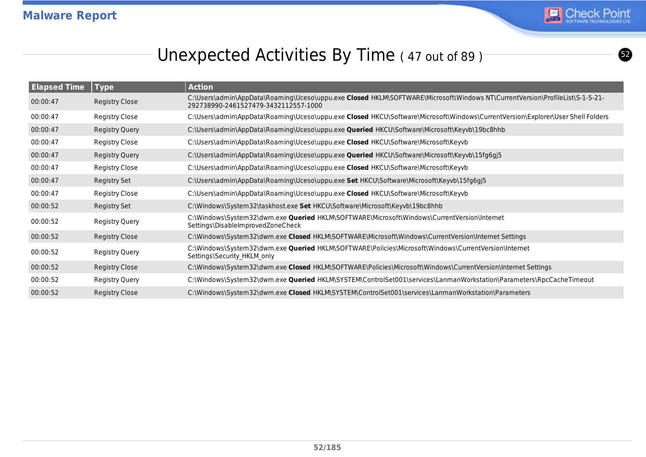

 $\boldsymbol{\Omega}$ 

# Unexpected Activities By Time (47 out of 89)

| <b>Elapsed Time</b> | Type                  | <b>Action</b>                                                                                                                                                        |
|---------------------|-----------------------|----------------------------------------------------------------------------------------------------------------------------------------------------------------------|
| 00:00:47            | Registry Close        | C:\Users\admin\AppData\Roaming\Uceso\uppu.exe Closed HKLM\SOFTWARE\Microsoft\Windows NT\CurrentVersion\ProfileList\S-1-5-21-<br>292738990-2461527479-3432112557-1000 |
| 00:00:47            | Registry Close        | C:\Users\admin\AppData\Roaming\Uceso\uppu.exe Closed HKCU\Software\Microsoft\Windows\CurrentVersion\Explorer\User Shell Folders                                      |
| 00:00:47            | <b>Registry Query</b> | C:\Users\admin\AppData\Roaming\Uceso\uppu.exe Queried HKCU\Software\Microsoft\Keyvb\19bc8hhb                                                                         |
| 00:00:47            | Registry Close        | C:\Users\admin\AppData\Roaming\Uceso\uppu.exe Closed HKCU\Software\Microsoft\Keyvb                                                                                   |
| 00:00:47            | <b>Registry Query</b> | C:\Users\admin\AppData\Roaming\Uceso\uppu.exe Queried HKCU\Software\Microsoft\Keyvb\15fg6gj5                                                                         |
| 00:00:47            | Registry Close        | C:\Users\admin\AppData\Roaming\Uceso\uppu.exe Closed HKCU\Software\Microsoft\Keyvb                                                                                   |
| 00:00:47            | Registry Set          | C:\Users\admin\AppData\Roaming\Uceso\uppu.exe Set HKCU\Software\Microsoft\Keyvb\15fg6gj5                                                                             |
| 00:00:47            | Registry Close        | C:\Users\admin\AppData\Roaming\Uceso\uppu.exe Closed HKCU\Software\Microsoft\Keyvb                                                                                   |
| 00:00:52            | Registry Set          | C:\Windows\System32\taskhost.exe Set HKCU\Software\Microsoft\Keyvb\19bc8hhb                                                                                          |
| 00:00:52            | Registry Query        | C:\Windows\System32\dwm.exe Queried HKLM\SOFTWARE\Microsoft\Windows\CurrentVersion\Internet<br>Settings\DisableImprovedZoneCheck                                     |
| 00:00:52            | Registry Close        | C:\Windows\System32\dwm.exe Closed HKLM\SOFTWARE\Microsoft\Windows\CurrentVersion\Internet Settings                                                                  |
| 00:00:52            | Registry Query        | C:\Windows\System32\dwm.exe <b>Queried</b> HKLM\SOFTWARE\Policies\Microsoft\Windows\CurrentVersion\Internet<br>Settings\Security HKLM only                           |
| 00:00:52            | <b>Registry Close</b> | C:\Windows\System32\dwm.exe Closed HKLM\SOFTWARE\Policies\Microsoft\Windows\CurrentVersion\Internet Settings                                                         |
| 00:00:52            | Registry Query        | C:\Windows\System32\dwm.exe Queried HKLM\SYSTEM\ControlSet001\services\LanmanWorkstation\Parameters\RpcCacheTimeout                                                  |
| 00:00:52            | Registry Close        | C:\Windows\System32\dwm.exe Closed HKLM\SYSTEM\ControlSet001\services\LanmanWorkstation\Parameters                                                                   |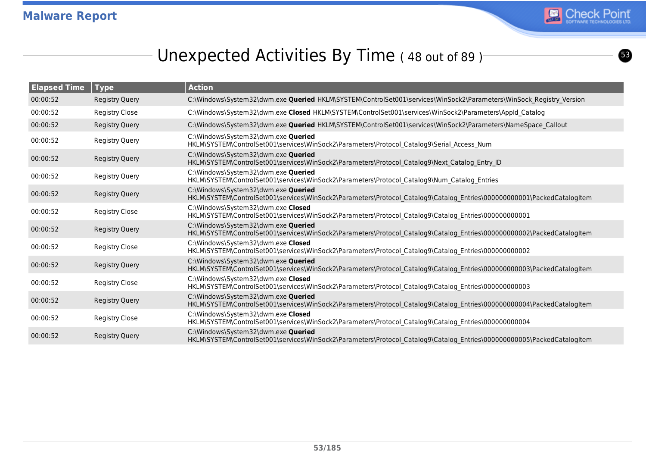

 $\bullet$ 

## Unexpected Activities By Time (48 out of 89)<sup>-</sup>

| <b>Elapsed Time</b> | $\sqrt{ }$ Type       | <b>Action</b>                                                                                                                                                  |
|---------------------|-----------------------|----------------------------------------------------------------------------------------------------------------------------------------------------------------|
| 00:00:52            | <b>Registry Query</b> | C:\Windows\System32\dwm.exe Queried HKLM\SYSTEM\ControlSet001\services\WinSock2\Parameters\WinSock Registry Version                                            |
| 00:00:52            | <b>Registry Close</b> | C:\Windows\System32\dwm.exe Closed HKLM\SYSTEM\ControlSet001\services\WinSock2\Parameters\Appld Catalog                                                        |
| 00:00:52            | <b>Registry Query</b> | C:\Windows\System32\dwm.exe Queried HKLM\SYSTEM\ControlSet001\services\WinSock2\Parameters\NameSpace Callout                                                   |
| 00:00:52            | Registry Query        | C:\Windows\System32\dwm.exe Queried<br>HKLM\SYSTEM\ControlSet001\services\WinSock2\Parameters\Protocol Catalog9\Serial Access Num                              |
| 00:00:52            | <b>Registry Query</b> | C:\Windows\System32\dwm.exe Queried<br>HKLM\SYSTEM\ControlSet001\services\WinSock2\Parameters\Protocol Catalog9\Next Catalog Entry ID                          |
| 00:00:52            | Registry Query        | C:\Windows\System32\dwm.exe Queried<br>HKLM\SYSTEM\ControlSet001\services\WinSock2\Parameters\Protocol Catalog9\Num Catalog Entries                            |
| 00:00:52            | <b>Registry Query</b> | C:\Windows\System32\dwm.exe Queried<br>HKLM\SYSTEM\ControlSet001\services\WinSock2\Parameters\Protocol_Catalog9\Catalog_Entries\000000000001\PackedCatalogItem |
| 00:00:52            | <b>Registry Close</b> | C:\Windows\System32\dwm.exe Closed<br>HKLM\SYSTEM\ControlSet001\services\WinSock2\Parameters\Protocol_Catalog9\Catalog_Entries\000000000001                    |
| 00:00:52            | <b>Registry Query</b> | C:\Windows\System32\dwm.exe Queried<br>HKLM\SYSTEM\ControlSet001\services\WinSock2\Parameters\Protocol Catalog9\Catalog Entries\000000000002\PackedCatalogItem |
| 00:00:52            | <b>Registry Close</b> | C:\Windows\System32\dwm.exe Closed<br>HKLM\SYSTEM\ControlSet001\services\WinSock2\Parameters\Protocol Catalog9\Catalog Entries\00000000002                     |
| 00:00:52            | <b>Registry Query</b> | C:\Windows\System32\dwm.exe Queried<br>HKLM\SYSTEM\ControlSet001\services\WinSock2\Parameters\Protocol Catalog9\Catalog Entries\000000000003\PackedCatalogItem |
| 00:00:52            | <b>Registry Close</b> | C:\Windows\System32\dwm.exe Closed<br>HKLM\SYSTEM\ControlSet001\services\WinSock2\Parameters\Protocol Catalog9\Catalog Entries\00000000003                     |
| 00:00:52            | Registry Query        | C:\Windows\System32\dwm.exe Queried<br>HKLM\SYSTEM\ControlSet001\services\WinSock2\Parameters\Protocol Catalog9\Catalog Entries\000000000004\PackedCatalogItem |
| 00:00:52            | <b>Registry Close</b> | C:\Windows\System32\dwm.exe Closed<br>HKLM\SYSTEM\ControlSet001\services\WinSock2\Parameters\Protocol Catalog9\Catalog Entries\00000000004                     |
| 00:00:52            | <b>Registry Query</b> | C:\Windows\System32\dwm.exe Queried<br>HKLM\SYSTEM\ControlSet001\services\WinSock2\Parameters\Protocol Catalog9\Catalog Entries\000000000005\PackedCatalogItem |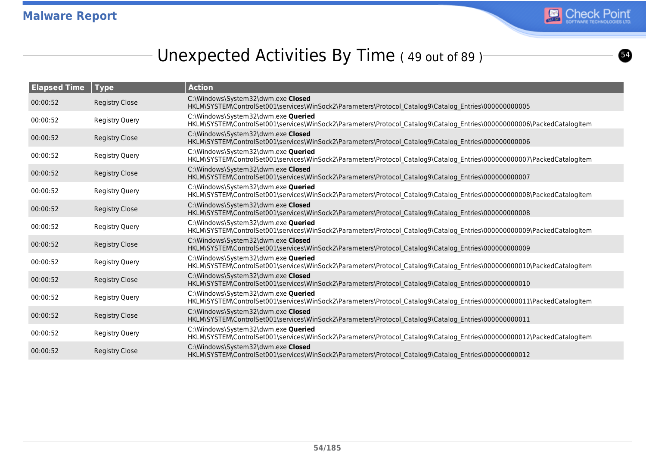

 $\boldsymbol{\Omega}$ 

# Unexpected Activities By Time (49 out of 89)

| <b>Elapsed Time</b> | Type                  | <b>Action</b>                                                                                                                                                  |
|---------------------|-----------------------|----------------------------------------------------------------------------------------------------------------------------------------------------------------|
| 00:00:52            | <b>Registry Close</b> | C:\Windows\System32\dwm.exe Closed<br>HKLM\SYSTEM\ControlSet001\services\WinSock2\Parameters\Protocol Catalog9\Catalog Entries\00000000005                     |
| 00:00:52            | <b>Registry Query</b> | C:\Windows\System32\dwm.exe Queried<br>HKLM\SYSTEM\ControlSet001\services\WinSock2\Parameters\Protocol Catalog9\Catalog Entries\000000000006\PackedCatalogItem |
| 00:00:52            | <b>Registry Close</b> | C:\Windows\System32\dwm.exe Closed<br>HKLM\SYSTEM\ControlSet001\services\WinSock2\Parameters\Protocol Catalog9\Catalog Entries\00000000006                     |
| 00:00:52            | <b>Registry Query</b> | C:\Windows\System32\dwm.exe Queried<br>HKLM\SYSTEM\ControlSet001\services\WinSock2\Parameters\Protocol Catalog9\Catalog Entries\000000000007\PackedCatalogItem |
| 00:00:52            | <b>Registry Close</b> | C:\Windows\System32\dwm.exe Closed<br>HKLM\SYSTEM\ControlSet001\services\WinSock2\Parameters\Protocol Catalog9\Catalog Entries\00000000007                     |
| 00:00:52            | <b>Registry Query</b> | C:\Windows\System32\dwm.exe Queried<br>HKLM\SYSTEM\ControlSet001\services\WinSock2\Parameters\Protocol_Catalog9\Catalog_Entries\000000000008\PackedCatalogItem |
| 00:00:52            | <b>Registry Close</b> | C:\Windows\System32\dwm.exe Closed<br>HKLM\SYSTEM\ControlSet001\services\WinSock2\Parameters\Protocol Catalog9\Catalog Entries\00000000008                     |
| 00:00:52            | <b>Registry Query</b> | C:\Windows\System32\dwm.exe Queried<br>HKLM\SYSTEM\ControlSet001\services\WinSock2\Parameters\Protocol Catalog9\Catalog Entries\000000000009\PackedCatalogItem |
| 00:00:52            | <b>Registry Close</b> | C:\Windows\System32\dwm.exe Closed<br>HKLM\SYSTEM\ControlSet001\services\WinSock2\Parameters\Protocol Catalog9\Catalog Entries\00000000009                     |
| 00:00:52            | Registry Query        | C:\Windows\System32\dwm.exe Queried<br>HKLM\SYSTEM\ControlSet001\services\WinSock2\Parameters\Protocol Catalog9\Catalog Entries\000000000010\PackedCatalogItem |
| 00:00:52            | <b>Registry Close</b> | C:\Windows\System32\dwm.exe Closed<br>HKLM\SYSTEM\ControlSet001\services\WinSock2\Parameters\Protocol Catalog9\Catalog Entries\000000000010                    |
| 00:00:52            | <b>Registry Query</b> | C:\Windows\System32\dwm.exe Queried<br>HKLM\SYSTEM\ControlSet001\services\WinSock2\Parameters\Protocol_Catalog9\Catalog_Entries\000000000011\PackedCatalogItem |
| 00:00:52            | <b>Registry Close</b> | C:\Windows\System32\dwm.exe Closed<br>HKLM\SYSTEM\ControlSet001\services\WinSock2\Parameters\Protocol Catalog9\Catalog Entries\00000000011                     |
| 00:00:52            | <b>Registry Query</b> | C:\Windows\System32\dwm.exe Queried<br>HKLM\SYSTEM\ControlSet001\services\WinSock2\Parameters\Protocol Catalog9\Catalog Entries\000000000012\PackedCatalogItem |
| 00:00:52            | <b>Registry Close</b> | C:\Windows\System32\dwm.exe Closed<br>HKLM\SYSTEM\ControlSet001\services\WinSock2\Parameters\Protocol Catalog9\Catalog Entries\00000000012                     |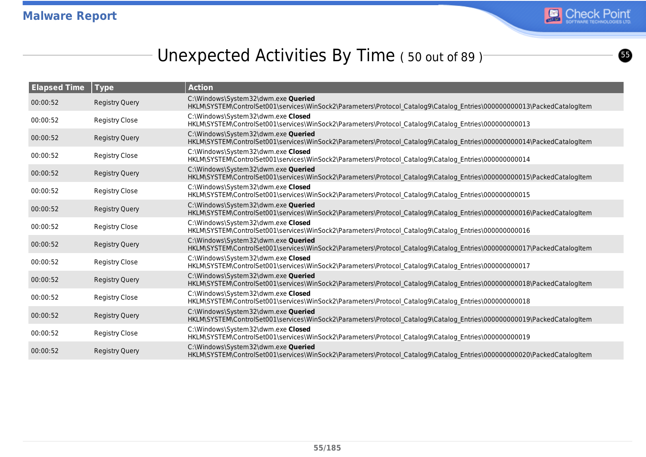

 $\bullet$ 

## Unexpected Activities By Time (50 out of 89)

| <b>Elapsed Time</b> | Type                  | <b>Action</b>                                                                                                                                                  |
|---------------------|-----------------------|----------------------------------------------------------------------------------------------------------------------------------------------------------------|
| 00:00:52            | <b>Registry Query</b> | C:\Windows\System32\dwm.exe Queried<br>HKLM\SYSTEM\ControlSet001\services\WinSock2\Parameters\Protocol Catalog9\Catalog Entries\000000000013\PackedCatalogItem |
| 00:00:52            | <b>Registry Close</b> | C:\Windows\System32\dwm.exe Closed<br>HKLM\SYSTEM\ControlSet001\services\WinSock2\Parameters\Protocol_Catalog9\Catalog_Entries\00000000013                     |
| 00:00:52            | <b>Registry Query</b> | C:\Windows\System32\dwm.exe Queried<br>HKLM\SYSTEM\ControlSet001\services\WinSock2\Parameters\Protocol Catalog9\Catalog Entries\000000000014\PackedCatalogItem |
| 00:00:52            | <b>Registry Close</b> | C:\Windows\System32\dwm.exe Closed<br>HKLM\SYSTEM\ControlSet001\services\WinSock2\Parameters\Protocol_Catalog9\Catalog_Entries\000000000014                    |
| 00:00:52            | <b>Registry Query</b> | C:\Windows\System32\dwm.exe Queried<br>HKLM\SYSTEM\ControlSet001\services\WinSock2\Parameters\Protocol Catalog9\Catalog Entries\000000000015\PackedCatalogItem |
| 00:00:52            | Registry Close        | C:\Windows\System32\dwm.exe Closed<br>HKLM\SYSTEM\ControlSet001\services\WinSock2\Parameters\Protocol Catalog9\Catalog Entries\000000000015                    |
| 00:00:52            | <b>Registry Query</b> | C:\Windows\System32\dwm.exe Queried<br>HKLM\SYSTEM\ControlSet001\services\WinSock2\Parameters\Protocol Catalog9\Catalog Entries\000000000016\PackedCatalogItem |
| 00:00:52            | Registry Close        | C:\Windows\System32\dwm.exe Closed<br>HKLM\SYSTEM\ControlSet001\services\WinSock2\Parameters\Protocol Catalog9\Catalog Entries\000000000016                    |
| 00:00:52            | <b>Registry Query</b> | C:\Windows\System32\dwm.exe Queried<br>HKLM\SYSTEM\ControlSet001\services\WinSock2\Parameters\Protocol Catalog9\Catalog Entries\000000000017\PackedCatalogItem |
| 00:00:52            | Registry Close        | C:\Windows\System32\dwm.exe Closed<br>HKLM\SYSTEM\ControlSet001\services\WinSock2\Parameters\Protocol Catalog9\Catalog Entries\000000000017                    |
| 00:00:52            | <b>Registry Query</b> | C:\Windows\System32\dwm.exe Queried<br>HKLM\SYSTEM\ControlSet001\services\WinSock2\Parameters\Protocol Catalog9\Catalog Entries\000000000018\PackedCatalogItem |
| 00:00:52            | <b>Registry Close</b> | C:\Windows\System32\dwm.exe Closed<br>HKLM\SYSTEM\ControlSet001\services\WinSock2\Parameters\Protocol Catalog9\Catalog Entries\000000000018                    |
| 00:00:52            | <b>Registry Query</b> | C:\Windows\System32\dwm.exe Queried<br>HKLM\SYSTEM\ControlSet001\services\WinSock2\Parameters\Protocol Catalog9\Catalog Entries\000000000019\PackedCatalogItem |
| 00:00:52            | <b>Registry Close</b> | C:\Windows\System32\dwm.exe Closed<br>HKLM\SYSTEM\ControlSet001\services\WinSock2\Parameters\Protocol Catalog9\Catalog Entries\000000000019                    |
| 00:00:52            | <b>Registry Query</b> | C:\Windows\System32\dwm.exe Queried<br>HKLM\SYSTEM\ControlSet001\services\WinSock2\Parameters\Protocol Catalog9\Catalog Entries\000000000020\PackedCatalogItem |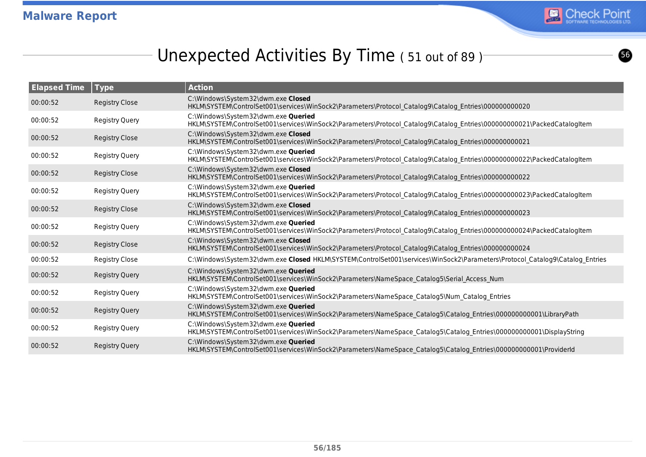

# Unexpected Activities By Time (51 out of 89)

| <b>Elapsed Time</b> | $ $ Type              | <b>Action</b>                                                                                                                                                  |
|---------------------|-----------------------|----------------------------------------------------------------------------------------------------------------------------------------------------------------|
| 00:00:52            | <b>Registry Close</b> | C:\Windows\System32\dwm.exe Closed<br>HKLM\SYSTEM\ControlSet001\services\WinSock2\Parameters\Protocol Catalog9\Catalog Entries\00000000020                     |
| 00:00:52            | Registry Query        | C:\Windows\System32\dwm.exe Queried<br>HKLM\SYSTEM\ControlSet001\services\WinSock2\Parameters\Protocol Catalog9\Catalog Entries\000000000021\PackedCatalogItem |
| 00:00:52            | <b>Registry Close</b> | C:\Windows\System32\dwm.exe Closed<br>HKLM\SYSTEM\ControlSet001\services\WinSock2\Parameters\Protocol Catalog9\Catalog Entries\00000000021                     |
| 00:00:52            | Registry Query        | C:\Windows\System32\dwm.exe Queried<br>HKLM\SYSTEM\ControlSet001\services\WinSock2\Parameters\Protocol Catalog9\Catalog Entries\000000000022\PackedCatalogItem |
| 00:00:52            | <b>Registry Close</b> | C:\Windows\System32\dwm.exe Closed<br>HKLM\SYSTEM\ControlSet001\services\WinSock2\Parameters\Protocol Catalog9\Catalog Entries\00000000022                     |
| 00:00:52            | <b>Registry Query</b> | C:\Windows\System32\dwm.exe Queried<br>HKLM\SYSTEM\ControlSet001\services\WinSock2\Parameters\Protocol Catalog9\Catalog Entries\000000000023\PackedCatalogItem |
| 00:00:52            | <b>Registry Close</b> | C:\Windows\System32\dwm.exe Closed<br>HKLM\SYSTEM\ControlSet001\services\WinSock2\Parameters\Protocol Catalog9\Catalog Entries\00000000023                     |
| 00:00:52            | <b>Registry Query</b> | C:\Windows\System32\dwm.exe Queried<br>HKLM\SYSTEM\ControlSet001\services\WinSock2\Parameters\Protocol_Catalog9\Catalog_Entries\000000000024\PackedCatalogItem |
| 00:00:52            | <b>Registry Close</b> | C:\Windows\System32\dwm.exe Closed<br>HKLM\SYSTEM\ControlSet001\services\WinSock2\Parameters\Protocol Catalog9\Catalog Entries\00000000024                     |
| 00:00:52            | <b>Registry Close</b> | C:\Windows\System32\dwm.exe Closed HKLM\SYSTEM\ControlSet001\services\WinSock2\Parameters\Protocol Catalog9\Catalog Entries                                    |
| 00:00:52            | <b>Registry Query</b> | C:\Windows\System32\dwm.exe Queried<br>HKLM\SYSTEM\ControlSet001\services\WinSock2\Parameters\NameSpace Catalog5\Serial Access Num                             |
| 00:00:52            | <b>Registry Query</b> | C:\Windows\System32\dwm.exe Queried<br>HKLM\SYSTEM\ControlSet001\services\WinSock2\Parameters\NameSpace Catalog5\Num Catalog Entries                           |
| 00:00:52            | <b>Registry Query</b> | C:\Windows\System32\dwm.exe Queried<br>HKLM\SYSTEM\ControlSet001\services\WinSock2\Parameters\NameSpace Catalog5\Catalog Entries\000000000001\LibraryPath      |
| 00:00:52            | Registry Query        | C:\Windows\System32\dwm.exe Queried<br>HKLM\SYSTEM\ControlSet001\services\WinSock2\Parameters\NameSpace_Catalog5\Catalog_Entries\000000000001\DisplayString    |
| 00:00:52            | <b>Registry Query</b> | C:\Windows\System32\dwm.exe Queried<br>HKLM\SYSTEM\ControlSet001\services\WinSock2\Parameters\NameSpace Catalog5\Catalog Entries\000000000001\ProviderId       |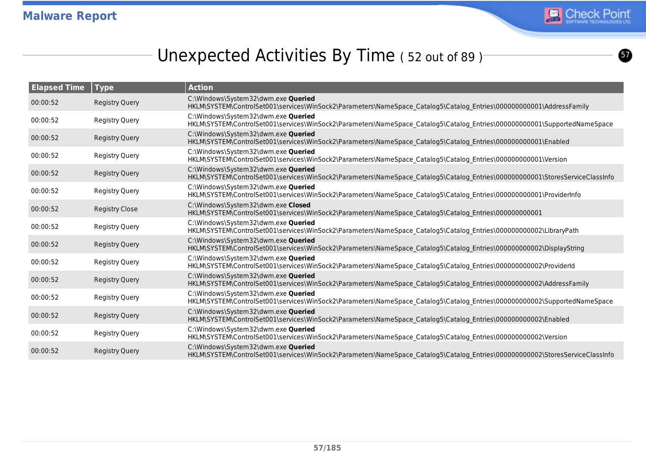

 $\boldsymbol{\bm{\omega}}$ 

# Unexpected Activities By Time (52 out of 89)

| <b>Elapsed Time</b> | Type                  | <b>Action</b>                                                                                                                                                        |
|---------------------|-----------------------|----------------------------------------------------------------------------------------------------------------------------------------------------------------------|
| 00:00:52            | <b>Registry Query</b> | C:\Windows\System32\dwm.exe Queried<br>HKLM\SYSTEM\ControlSet001\services\WinSock2\Parameters\NameSpace Catalog5\Catalog Entries\000000000001\AddressFamily          |
| 00:00:52            | <b>Registry Query</b> | C:\Windows\System32\dwm.exe Oueried<br>HKLM\SYSTEM\ControlSet001\services\WinSock2\Parameters\NameSpace_Catalog5\Catalog_Entries\0000000000001\SupportedNameSpace    |
| 00:00:52            | <b>Registry Query</b> | C:\Windows\System32\dwm.exe Queried<br>HKLM\SYSTEM\ControlSet001\services\WinSock2\Parameters\NameSpace Catalog5\Catalog Entries\000000000001\Enabled                |
| 00:00:52            | <b>Registry Query</b> | C:\Windows\System32\dwm.exe Queried<br>HKLM\SYSTEM\ControlSet001\services\WinSock2\Parameters\NameSpace_Catalog5\Catalog_Entries\000000000001\Version                |
| 00:00:52            | <b>Registry Query</b> | C:\Windows\System32\dwm.exe Queried<br>HKLM\SYSTEM\ControlSet001\services\WinSock2\Parameters\NameSpace Catalog5\Catalog Entries\000000000001\StoresServiceClassInfo |
| 00:00:52            | <b>Registry Query</b> | C:\Windows\System32\dwm.exe Queried<br>HKLM\SYSTEM\ControlSet001\services\WinSock2\Parameters\NameSpace Catalog5\Catalog Entries\000000000001\ProviderInfo           |
| 00:00:52            | <b>Registry Close</b> | C:\Windows\System32\dwm.exe Closed<br>HKLM\SYSTEM\ControlSet001\services\WinSock2\Parameters\NameSpace Catalog5\Catalog Entries\00000000001                          |
| 00:00:52            | <b>Registry Query</b> | C:\Windows\System32\dwm.exe Queried<br>HKLM\SYSTEM\ControlSet001\services\WinSock2\Parameters\NameSpace Catalog5\Catalog Entries\000000000002\LibraryPath            |
| 00:00:52            | <b>Registry Query</b> | C:\Windows\System32\dwm.exe Queried<br>HKLM\SYSTEM\ControlSet001\services\WinSock2\Parameters\NameSpace Catalog5\Catalog Entries\000000000002\DisplayString          |
| 00:00:52            | <b>Registry Query</b> | C:\Windows\System32\dwm.exe Queried<br>HKLM\SYSTEM\ControlSet001\services\WinSock2\Parameters\NameSpace Catalog5\Catalog Entries\000000000002\ProviderId             |
| 00:00:52            | <b>Registry Query</b> | C:\Windows\System32\dwm.exe Queried<br>HKLM\SYSTEM\ControlSet001\services\WinSock2\Parameters\NameSpace_Catalog5\Catalog_Entries\000000000002\AddressFamily          |
| 00:00:52            | <b>Registry Query</b> | C:\Windows\System32\dwm.exe Queried<br>HKLM\SYSTEM\ControlSet001\services\WinSock2\Parameters\NameSpace Catalog5\Catalog Entries\000000000002\SupportedNameSpace     |
| 00:00:52            | <b>Registry Query</b> | C:\Windows\System32\dwm.exe Queried<br>HKLM\SYSTEM\ControlSet001\services\WinSock2\Parameters\NameSpace Catalog5\Catalog Entries\000000000002\Enabled                |
| 00:00:52            | <b>Registry Query</b> | C:\Windows\System32\dwm.exe Queried<br>HKLM\SYSTEM\ControlSet001\services\WinSock2\Parameters\NameSpace Catalog5\Catalog Entries\000000000002\Version                |
| 00:00:52            | <b>Registry Query</b> | C:\Windows\System32\dwm.exe Queried<br>HKLM\SYSTEM\ControlSet001\services\WinSock2\Parameters\NameSpace Catalog5\Catalog Entries\000000000002\StoresServiceClassInfo |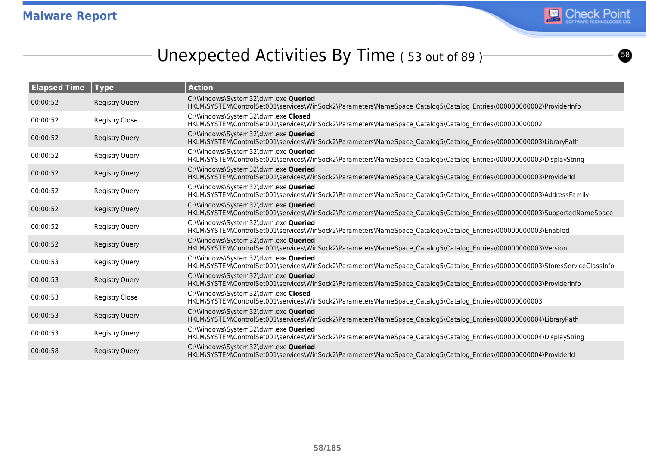

 $\bullet$ 

# Unexpected Activities By Time (53 out of 89)<sup>-</sup>

| <b>Elapsed Time</b> | Type                  | <b>Action</b>                                                                                                                                                       |
|---------------------|-----------------------|---------------------------------------------------------------------------------------------------------------------------------------------------------------------|
| 00:00:52            | <b>Registry Query</b> | C:\Windows\System32\dwm.exe Queried<br>HKLM\SYSTEM\ControlSet001\services\WinSock2\Parameters\NameSpace Catalog5\Catalog Entries\000000000002\ProviderInfo          |
| 00:00:52            | <b>Registry Close</b> | C:\Windows\System32\dwm.exe Closed<br>HKLM\SYSTEM\ControlSet001\services\WinSock2\Parameters\NameSpace_Catalog5\Catalog_Entries\00000000002                         |
| 00:00:52            | <b>Registry Query</b> | C:\Windows\System32\dwm.exe Queried<br>HKLM\SYSTEM\ControlSet001\services\WinSock2\Parameters\NameSpace Catalog5\Catalog Entries\000000000003\LibraryPath           |
| 00:00:52            | <b>Registry Query</b> | C:\Windows\System32\dwm.exe Queried<br>HKLM\SYSTEM\ControlSet001\services\WinSock2\Parameters\NameSpace_Catalog5\Catalog_Entries\00000000003\DisplayString          |
| 00:00:52            | <b>Registry Query</b> | C:\Windows\System32\dwm.exe Queried<br>HKLM\SYSTEM\ControlSet001\services\WinSock2\Parameters\NameSpace Catalog5\Catalog Entries\00000000003\ProviderId             |
| 00:00:52            | <b>Registry Query</b> | C:\Windows\System32\dwm.exe Queried<br>HKLM\SYSTEM\ControlSet001\services\WinSock2\Parameters\NameSpace Catalog5\Catalog Entries\000000000003\AddressFamily         |
| 00:00:52            | <b>Registry Query</b> | C:\Windows\System32\dwm.exe Queried<br>HKLM\SYSTEM\ControlSet001\services\WinSock2\Parameters\NameSpace_Catalog5\Catalog_Entries\000000000003\SupportedNameSpace    |
| 00:00:52            | Registry Query        | C:\Windows\System32\dwm.exe Queried<br>HKLM\SYSTEM\ControlSet001\services\WinSock2\Parameters\NameSpace Catalog5\Catalog Entries\00000000003\Enabled                |
| 00:00:52            | <b>Registry Query</b> | C:\Windows\System32\dwm.exe Queried<br>HKLM\SYSTEM\ControlSet001\services\WinSock2\Parameters\NameSpace Catalog5\Catalog Entries\00000000003\Version                |
| 00:00:53            | <b>Registry Query</b> | C:\Windows\System32\dwm.exe Queried<br>HKLM\SYSTEM\ControlSet001\services\WinSock2\Parameters\NameSpace_Catalog5\Catalog_Entries\00000000003\StoresServiceClassInfo |
| 00:00:53            | <b>Registry Query</b> | C:\Windows\System32\dwm.exe Queried<br>HKLM\SYSTEM\ControlSet001\services\WinSock2\Parameters\NameSpace Catalog5\Catalog Entries\000000000003\ProviderInfo          |
| 00:00:53            | <b>Registry Close</b> | C:\Windows\System32\dwm.exe Closed<br>HKLM\SYSTEM\ControlSet001\services\WinSock2\Parameters\NameSpace Catalog5\Catalog Entries\00000000003                         |
| 00:00:53            | <b>Registry Query</b> | C:\Windows\System32\dwm.exe Queried<br>HKLM\SYSTEM\ControlSet001\services\WinSock2\Parameters\NameSpace Catalog5\Catalog Entries\000000000004\LibraryPath           |
| 00:00:53            | <b>Registry Query</b> | C:\Windows\System32\dwm.exe Queried<br>HKLM\SYSTEM\ControlSet001\services\WinSock2\Parameters\NameSpace Catalog5\Catalog Entries\000000000004\DisplayString         |
| 00:00:58            | <b>Registry Query</b> | C:\Windows\System32\dwm.exe Queried<br>HKLM\SYSTEM\ControlSet001\services\WinSock2\Parameters\NameSpace Catalog5\Catalog Entries\000000000004\ProviderId            |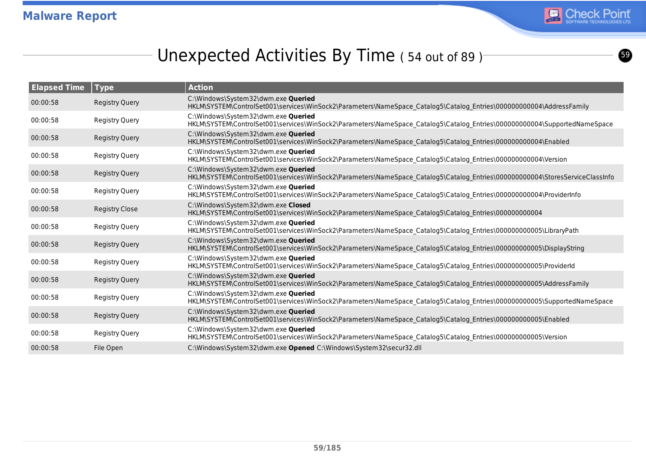

ග

## Unexpected Activities By Time (54 out of 89)<sup>-</sup>

| <b>Elapsed Time</b> | Type                  | <b>Action</b>                                                                                                                                                       |
|---------------------|-----------------------|---------------------------------------------------------------------------------------------------------------------------------------------------------------------|
| 00:00:58            | <b>Registry Query</b> | C:\Windows\System32\dwm.exe Queried<br>HKLM\SYSTEM\ControlSet001\services\WinSock2\Parameters\NameSpace Catalog5\Catalog Entries\000000000004\AddressFamily         |
| 00:00:58            | <b>Registry Query</b> | C:\Windows\System32\dwm.exe Queried<br>HKLM\SYSTEM\ControlSet001\services\WinSock2\Parameters\NameSpace Catalog5\Catalog Entries\00000000004\SupportedNameSpace     |
| 00:00:58            | <b>Registry Query</b> | C:\Windows\System32\dwm.exe Queried<br>HKLM\SYSTEM\ControlSet001\services\WinSock2\Parameters\NameSpace Catalog5\Catalog Entries\00000000004\Enabled                |
| 00:00:58            | <b>Registry Query</b> | C:\Windows\System32\dwm.exe Queried<br>HKLM\SYSTEM\ControlSet001\services\WinSock2\Parameters\NameSpace Catalog5\Catalog Entries\000000000004\Version               |
| 00:00:58            | <b>Registry Query</b> | C:\Windows\System32\dwm.exe Queried<br>HKLM\SYSTEM\ControlSet001\services\WinSock2\Parameters\NameSpace Catalog5\Catalog Entries\00000000004\StoresServiceClassInfo |
| 00:00:58            | <b>Registry Query</b> | C:\Windows\System32\dwm.exe Queried<br>HKLM\SYSTEM\ControlSet001\services\WinSock2\Parameters\NameSpace Catalog5\Catalog Entries\000000000004\ProviderInfo          |
| 00:00:58            | <b>Registry Close</b> | C:\Windows\System32\dwm.exe Closed<br>HKLM\SYSTEM\ControlSet001\services\WinSock2\Parameters\NameSpace Catalog5\Catalog Entries\00000000004                         |
| 00:00:58            | <b>Registry Query</b> | C:\Windows\System32\dwm.exe Queried<br>HKLM\SYSTEM\ControlSet001\services\WinSock2\Parameters\NameSpace Catalog5\Catalog Entries\000000000005\LibraryPath           |
| 00:00:58            | <b>Registry Query</b> | C:\Windows\System32\dwm.exe Queried<br>HKLM\SYSTEM\ControlSet001\services\WinSock2\Parameters\NameSpace Catalog5\Catalog Entries\000000000005\DisplayString         |
| 00:00:58            | <b>Registry Query</b> | C:\Windows\System32\dwm.exe Queried<br>HKLM\SYSTEM\ControlSet001\services\WinSock2\Parameters\NameSpace Catalog5\Catalog Entries\000000000005\ProviderId            |
| 00:00:58            | <b>Registry Query</b> | C:\Windows\System32\dwm.exe Queried<br>HKLM\SYSTEM\ControlSet001\services\WinSock2\Parameters\NameSpace Catalog5\Catalog Entries\000000000005\AddressFamily         |
| 00:00:58            | <b>Registry Query</b> | C:\Windows\System32\dwm.exe Queried<br>HKLM\SYSTEM\ControlSet001\services\WinSock2\Parameters\NameSpace Catalog5\Catalog Entries\0000000000005\SupportedNameSpace   |
| 00:00:58            | <b>Registry Query</b> | C:\Windows\System32\dwm.exe Queried<br>HKLM\SYSTEM\ControlSet001\services\WinSock2\Parameters\NameSpace Catalog5\Catalog Entries\00000000005\Enabled                |
| 00:00:58            | <b>Registry Query</b> | C:\Windows\System32\dwm.exe Queried<br>HKLM\SYSTEM\ControlSet001\services\WinSock2\Parameters\NameSpace_Catalog5\Catalog_Entries\00000000005\Version                |
| 00:00:58            | File Open             | C:\Windows\System32\dwm.exe Opened C:\Windows\System32\secur32.dll                                                                                                  |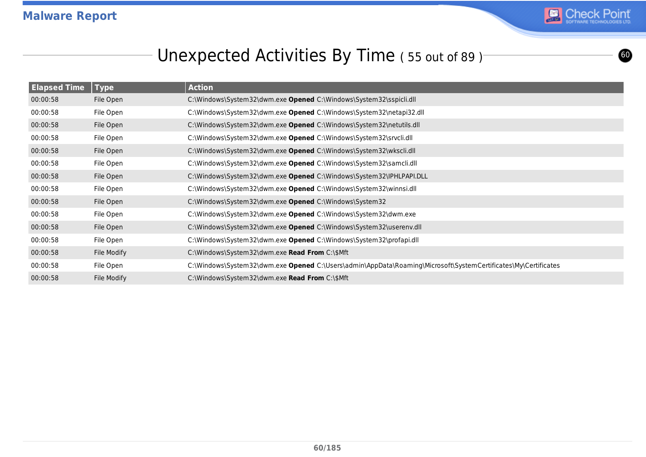

**©** 

# Unexpected Activities By Time ( 55 out of 89 )

| <b>Elapsed Time</b> | <b>Type</b> | <b>Action</b>                                                                                                  |
|---------------------|-------------|----------------------------------------------------------------------------------------------------------------|
| 00:00:58            | File Open   | C:\Windows\System32\dwm.exe Opened C:\Windows\System32\sspicli.dll                                             |
| 00:00:58            | File Open   | C:\Windows\System32\dwm.exe Opened C:\Windows\System32\netapi32.dll                                            |
| 00:00:58            | File Open   | C:\Windows\System32\dwm.exe Opened C:\Windows\System32\netutils.dll                                            |
| 00:00:58            | File Open   | C:\Windows\System32\dwm.exe Opened C:\Windows\System32\srvcli.dll                                              |
| 00:00:58            | File Open   | C:\Windows\System32\dwm.exe Opened C:\Windows\System32\wkscli.dll                                              |
| 00:00:58            | File Open   | C:\Windows\System32\dwm.exe Opened C:\Windows\System32\samcli.dll                                              |
| 00:00:58            | File Open   | C:\Windows\System32\dwm.exe Opened C:\Windows\System32\IPHLPAPI.DLL                                            |
| 00:00:58            | File Open   | C:\Windows\System32\dwm.exe Opened C:\Windows\System32\winnsi.dll                                              |
| 00:00:58            | File Open   | C:\Windows\System32\dwm.exe Opened C:\Windows\System32                                                         |
| 00:00:58            | File Open   | C:\Windows\System32\dwm.exe Opened C:\Windows\System32\dwm.exe                                                 |
| 00:00:58            | File Open   | C:\Windows\System32\dwm.exe Opened C:\Windows\System32\userenv.dll                                             |
| 00:00:58            | File Open   | C:\Windows\System32\dwm.exe Opened C:\Windows\System32\profapi.dll                                             |
| 00:00:58            | File Modify | C:\Windows\System32\dwm.exe Read From C:\\$Mft                                                                 |
| 00:00:58            | File Open   | C:\Windows\System32\dwm.exe Opened C:\Users\admin\AppData\Roaming\Microsoft\SystemCertificates\My\Certificates |
| 00:00:58            | File Modify | C:\Windows\System32\dwm.exe Read From C:\\$Mft                                                                 |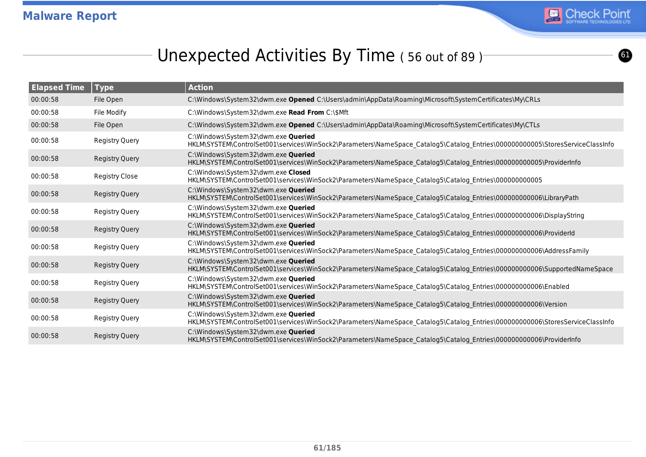

 $\bullet$ 

## Unexpected Activities By Time (56 out of 89)

| <b>Elapsed Time</b> | <b>Type</b>           | <b>Action</b>                                                                                                                                                        |
|---------------------|-----------------------|----------------------------------------------------------------------------------------------------------------------------------------------------------------------|
| 00:00:58            | File Open             | C:\Windows\System32\dwm.exe Opened C:\Users\admin\AppData\Roaming\Microsoft\SystemCertificates\My\CRLs                                                               |
| 00:00:58            | File Modify           | C:\Windows\System32\dwm.exe Read From C:\\$Mft                                                                                                                       |
| 00:00:58            | File Open             | C:\Windows\System32\dwm.exe Opened C:\Users\admin\AppData\Roaming\Microsoft\SystemCertificates\My\CTLs                                                               |
| 00:00:58            | Registry Query        | C:\Windows\System32\dwm.exe Queried<br>HKLM\SYSTEM\ControlSet001\services\WinSock2\Parameters\NameSpace Catalog5\Catalog Entries\000000000005\StoresServiceClassInfo |
| 00:00:58            | <b>Registry Query</b> | C:\Windows\System32\dwm.exe Queried<br>HKLM\SYSTEM\ControlSet001\services\WinSock2\Parameters\NameSpace Catalog5\Catalog Entries\0000000000005\ProviderInfo          |
| 00:00:58            | <b>Registry Close</b> | C:\Windows\System32\dwm.exe Closed<br>HKLM\SYSTEM\ControlSet001\services\WinSock2\Parameters\NameSpace Catalog5\Catalog Entries\00000000005                          |
| 00:00:58            | <b>Registry Query</b> | C:\Windows\System32\dwm.exe Queried<br>HKLM\SYSTEM\ControlSet001\services\WinSock2\Parameters\NameSpace Catalog5\Catalog Entries\000000000006\LibraryPath            |
| 00:00:58            | <b>Registry Query</b> | C:\Windows\System32\dwm.exe Queried<br>HKLM\SYSTEM\ControlSet001\services\WinSock2\Parameters\NameSpace Catalog5\Catalog Entries\000000000006\DisplayString          |
| 00:00:58            | <b>Registry Query</b> | C:\Windows\System32\dwm.exe Queried<br>HKLM\SYSTEM\ControlSet001\services\WinSock2\Parameters\NameSpace Catalog5\Catalog Entries\000000000006\ProviderId             |
| 00:00:58            | Registry Query        | C:\Windows\System32\dwm.exe Queried<br>HKLM\SYSTEM\ControlSet001\services\WinSock2\Parameters\NameSpace Catalog5\Catalog Entries\000000000006\AddressFamily          |
| 00:00:58            | Registry Query        | C:\Windows\System32\dwm.exe Queried<br>HKLM\SYSTEM\ControlSet001\services\WinSock2\Parameters\NameSpace Catalog5\Catalog Entries\0000000000006\SupportedNameSpace    |
| 00:00:58            | Registry Query        | C:\Windows\System32\dwm.exe Queried<br>HKLM\SYSTEM\ControlSet001\services\WinSock2\Parameters\NameSpace Catalog5\Catalog Entries\00000000006\Enabled                 |
| 00:00:58            | <b>Registry Query</b> | C:\Windows\System32\dwm.exe Queried<br>HKLM\SYSTEM\ControlSet001\services\WinSock2\Parameters\NameSpace Catalog5\Catalog Entries\000000000006\Version                |
| 00:00:58            | Registry Query        | C:\Windows\System32\dwm.exe Queried<br>HKLM\SYSTEM\ControlSet001\services\WinSock2\Parameters\NameSpace Catalog5\Catalog Entries\000000000006\StoresServiceClassInfo |
| 00:00:58            | <b>Registry Query</b> | C:\Windows\System32\dwm.exe Queried<br>HKLM\SYSTEM\ControlSet001\services\WinSock2\Parameters\NameSpace Catalog5\Catalog Entries\000000000006\ProviderInfo           |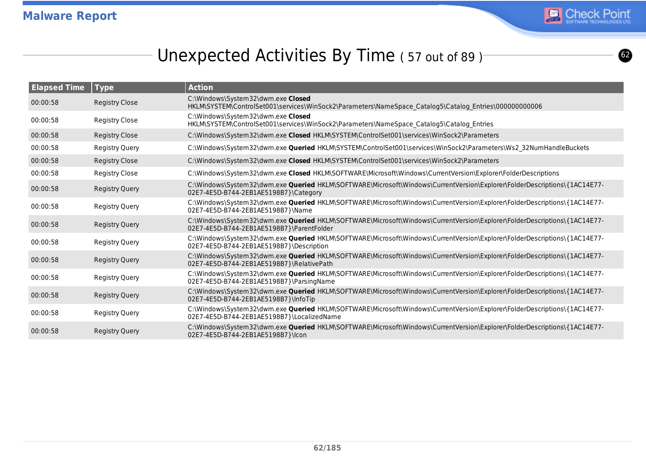

**@** 

# Unexpected Activities By Time (57 out of 89)

| <b>Elapsed Time</b> | <b>Type</b>           | <b>Action</b>                                                                                                                                                           |
|---------------------|-----------------------|-------------------------------------------------------------------------------------------------------------------------------------------------------------------------|
| 00:00:58            | <b>Registry Close</b> | C:\Windows\System32\dwm.exe Closed<br>HKLM\SYSTEM\ControlSet001\services\WinSock2\Parameters\NameSpace Catalog5\Catalog Entries\00000000006                             |
| 00:00:58            | <b>Registry Close</b> | C:\Windows\System32\dwm.exe Closed<br>HKLM\SYSTEM\ControlSet001\services\WinSock2\Parameters\NameSpace_Catalog5\Catalog_Entries                                         |
| 00:00:58            | <b>Registry Close</b> | C:\Windows\System32\dwm.exe Closed HKLM\SYSTEM\ControlSet001\services\WinSock2\Parameters                                                                               |
| 00:00:58            | <b>Registry Query</b> | C:\Windows\System32\dwm.exe Queried HKLM\SYSTEM\ControlSet001\services\WinSock2\Parameters\Ws2_32NumHandleBuckets                                                       |
| 00:00:58            | <b>Registry Close</b> | C:\Windows\System32\dwm.exe Closed HKLM\SYSTEM\ControlSet001\services\WinSock2\Parameters                                                                               |
| 00:00:58            | <b>Registry Close</b> | C:\Windows\System32\dwm.exe Closed HKLM\SOFTWARE\Microsoft\Windows\CurrentVersion\Explorer\FolderDescriptions                                                           |
| 00:00:58            | <b>Registry Query</b> | C:\Windows\System32\dwm.exe Queried HKLM\SOFTWARE\Microsoft\Windows\CurrentVersion\Explorer\FolderDescriptions\{1AC14E77-<br>02E7-4E5D-B744-2EB1AE5198B7}\Category      |
| 00:00:58            | <b>Registry Query</b> | C:\Windows\System32\dwm.exe Queried HKLM\SOFTWARE\Microsoft\Windows\CurrentVersion\Explorer\FolderDescriptions\{1AC14E77-<br>02E7-4E5D-B744-2EB1AE5198B7}\Name          |
| 00:00:58            | <b>Registry Query</b> | C:\Windows\System32\dwm.exe Queried HKLM\SOFTWARE\Microsoft\Windows\CurrentVersion\Explorer\FolderDescriptions\{1AC14E77-<br>02E7-4E5D-B744-2EB1AE5198B7}\ParentFolder  |
| 00:00:58            | <b>Registry Query</b> | C:\Windows\System32\dwm.exe Queried HKLM\SOFTWARE\Microsoft\Windows\CurrentVersion\Explorer\FolderDescriptions\{1AC14E77-<br>02E7-4E5D-B744-2EB1AE5198B7}\Description   |
| 00:00:58            | <b>Registry Query</b> | C:\Windows\System32\dwm.exe Queried HKLM\SOFTWARE\Microsoft\Windows\CurrentVersion\Explorer\FolderDescriptions\{1AC14E77-<br>02E7-4E5D-B744-2EB1AE5198B7}\RelativePath  |
| 00:00:58            | <b>Registry Query</b> | C:\Windows\System32\dwm.exe Queried HKLM\SOFTWARE\Microsoft\Windows\CurrentVersion\Explorer\FolderDescriptions\{1AC14E77-<br>02E7-4E5D-B744-2EB1AE5198B7}\ParsingName   |
| 00:00:58            | <b>Registry Query</b> | C:\Windows\System32\dwm.exe Queried HKLM\SOFTWARE\Microsoft\Windows\CurrentVersion\Explorer\FolderDescriptions\{1AC14E77-<br>02E7-4E5D-B744-2EB1AE5198B7}\InfoTip       |
| 00:00:58            | <b>Registry Query</b> | C:\Windows\System32\dwm.exe Queried HKLM\SOFTWARE\Microsoft\Windows\CurrentVersion\Explorer\FolderDescriptions\{1AC14E77-<br>02E7-4E5D-B744-2EB1AE5198B7}\LocalizedName |
| 00:00:58            | <b>Registry Query</b> | C:\Windows\System32\dwm.exe Queried HKLM\SOFTWARE\Microsoft\Windows\CurrentVersion\Explorer\FolderDescriptions\{1AC14E77-<br>02E7-4E5D-B744-2EB1AE5198B7}\lcon          |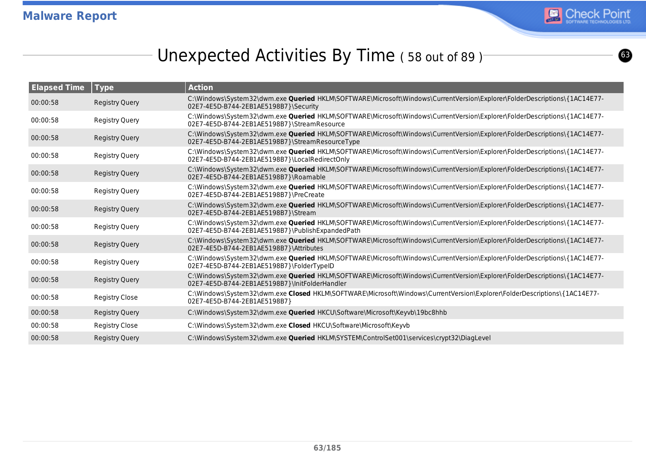

# Unexpected Activities By Time (58 out of 89)

| <b>Elapsed Time</b> | $\vert$ Type          | <b>Action</b>                                                                                                                                                                 |
|---------------------|-----------------------|-------------------------------------------------------------------------------------------------------------------------------------------------------------------------------|
| 00:00:58            | <b>Registry Query</b> | C:\Windows\System32\dwm.exe Queried HKLM\SOFTWARE\Microsoft\Windows\CurrentVersion\Explorer\FolderDescriptions\{1AC14E77-<br>02E7-4E5D-B744-2EB1AE5198B7}\Security            |
| 00:00:58            | Registry Query        | C:\Windows\System32\dwm.exe Queried HKLM\SOFTWARE\Microsoft\Windows\CurrentVersion\Explorer\FolderDescriptions\{1AC14E77-<br>02E7-4E5D-B744-2EB1AE5198B7}\StreamResource      |
| 00:00:58            | <b>Registry Query</b> | C:\Windows\System32\dwm.exe Queried HKLM\SOFTWARE\Microsoft\Windows\CurrentVersion\Explorer\FolderDescriptions\{1AC14E77-<br>02E7-4E5D-B744-2EB1AE5198B7}\StreamResourceType  |
| 00:00:58            | Registry Query        | C:\Windows\System32\dwm.exe Queried HKLM\SOFTWARE\Microsoft\Windows\CurrentVersion\Explorer\FolderDescriptions\{1AC14E77-<br>02E7-4E5D-B744-2EB1AE5198B7}\LocalRedirectOnly   |
| 00:00:58            | <b>Registry Query</b> | C:\Windows\System32\dwm.exe Queried HKLM\SOFTWARE\Microsoft\Windows\CurrentVersion\Explorer\FolderDescriptions\{1AC14E77-<br>02E7-4E5D-B744-2EB1AE5198B7}\Roamable            |
| 00:00:58            | Registry Query        | C:\Windows\System32\dwm.exe Queried HKLM\SOFTWARE\Microsoft\Windows\CurrentVersion\Explorer\FolderDescriptions\{1AC14E77-<br>02E7-4E5D-B744-2EB1AE5198B7}\PreCreate           |
| 00:00:58            | <b>Registry Query</b> | C:\Windows\System32\dwm.exe Queried HKLM\SOFTWARE\Microsoft\Windows\CurrentVersion\Explorer\FolderDescriptions\{1AC14E77-<br>02E7-4E5D-B744-2EB1AE5198B7}\Stream              |
| 00:00:58            | Registry Query        | C:\Windows\System32\dwm.exe Queried HKLM\SOFTWARE\Microsoft\Windows\CurrentVersion\Explorer\FolderDescriptions\{1AC14E77-<br>02E7-4E5D-B744-2EB1AE5198B7}\PublishExpandedPath |
| 00:00:58            | <b>Registry Query</b> | C:\Windows\System32\dwm.exe Queried HKLM\SOFTWARE\Microsoft\Windows\CurrentVersion\Explorer\FolderDescriptions\{1AC14E77-<br>02E7-4E5D-B744-2EB1AE5198B7}\Attributes          |
| 00:00:58            | Registry Query        | C:\Windows\System32\dwm.exe Queried HKLM\SOFTWARE\Microsoft\Windows\CurrentVersion\Explorer\FolderDescriptions\{1AC14E77-<br>02E7-4E5D-B744-2EB1AE5198B7}\FolderTypeID        |
| 00:00:58            | <b>Registry Query</b> | C:\Windows\System32\dwm.exe Queried HKLM\SOFTWARE\Microsoft\Windows\CurrentVersion\Explorer\FolderDescriptions\{1AC14E77-<br>02E7-4E5D-B744-2EB1AE5198B7}\InitFolderHandler   |
| 00:00:58            | <b>Registry Close</b> | C:\Windows\System32\dwm.exe Closed HKLM\SOFTWARE\Microsoft\Windows\CurrentVersion\Explorer\FolderDescriptions\{1AC14E77-<br>02E7-4E5D-B744-2EB1AE5198B7}                      |
| 00:00:58            | <b>Registry Query</b> | C:\Windows\System32\dwm.exe Queried HKCU\Software\Microsoft\Keyvb\19bc8hhb                                                                                                    |
| 00:00:58            | Registry Close        | C:\Windows\System32\dwm.exe Closed HKCU\Software\Microsoft\Keyvb                                                                                                              |
| 00:00:58            | <b>Registry Query</b> | C:\Windows\System32\dwm.exe <b>Queried</b> HKLM\SYSTEM\ControlSet001\services\crypt32\DiagLevel                                                                               |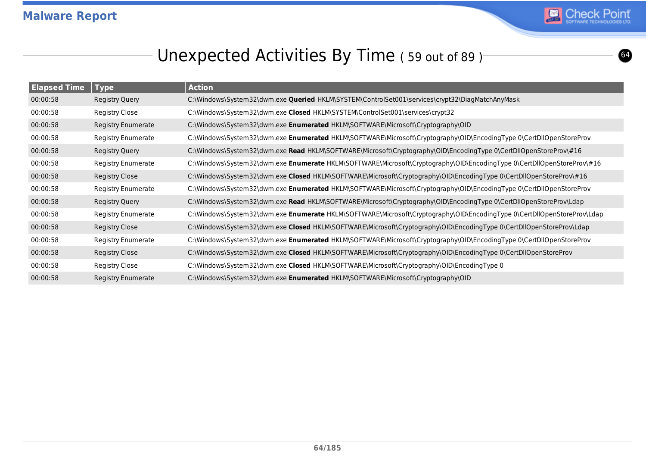

# Unexpected Activities By Time (59 out of 89)<sup>-</sup>

| <b>Elapsed Time</b> | <b>Type</b>               | <b>Action</b>                                                                                                           |
|---------------------|---------------------------|-------------------------------------------------------------------------------------------------------------------------|
| 00:00:58            | Registry Query            | C:\Windows\System32\dwm.exe Queried HKLM\SYSTEM\ControlSet001\services\crypt32\DiagMatchAnyMask                         |
| 00:00:58            | Registry Close            | C:\Windows\System32\dwm.exe Closed HKLM\SYSTEM\ControlSet001\services\crypt32                                           |
| 00:00:58            | <b>Registry Enumerate</b> | C:\Windows\System32\dwm.exe Enumerated HKLM\SOFTWARE\Microsoft\Cryptography\OID                                         |
| 00:00:58            | <b>Registry Enumerate</b> | C:\Windows\System32\dwm.exe Enumerated HKLM\SOFTWARE\Microsoft\Cryptography\OID\EncodingType 0\CertDllOpenStoreProv     |
| 00:00:58            | <b>Registry Query</b>     | C:\Windows\System32\dwm.exe Read HKLM\SOFTWARE\Microsoft\Cryptography\OID\EncodingType 0\CertDllOpenStoreProv\#16       |
| 00:00:58            | <b>Registry Enumerate</b> | C:\Windows\System32\dwm.exe Enumerate HKLM\SOFTWARE\Microsoft\Cryptography\OID\EncodingType 0\CertDllOpenStoreProv\#16  |
| 00:00:58            | Registry Close            | C:\Windows\System32\dwm.exe Closed HKLM\SOFTWARE\Microsoft\Cryptography\OID\EncodingType 0\CertDllOpenStoreProv\#16     |
| 00:00:58            | <b>Registry Enumerate</b> | C:\Windows\System32\dwm.exe Enumerated HKLM\SOFTWARE\Microsoft\Cryptography\OID\EncodingType 0\CertDllOpenStoreProv     |
| 00:00:58            | Registry Query            | C:\Windows\System32\dwm.exe Read HKLM\SOFTWARE\Microsoft\Cryptography\OID\EncodingType 0\CertDllOpenStoreProv\Ldap      |
| 00:00:58            | <b>Registry Enumerate</b> | C:\Windows\System32\dwm.exe Enumerate HKLM\SOFTWARE\Microsoft\Cryptography\OID\EncodingType 0\CertDllOpenStoreProv\Ldap |
| 00:00:58            | <b>Registry Close</b>     | C:\Windows\System32\dwm.exe Closed HKLM\SOFTWARE\Microsoft\Cryptography\OID\EncodingType 0\CertDllOpenStoreProv\Ldap    |
| 00:00:58            | <b>Registry Enumerate</b> | C:\Windows\System32\dwm.exe Enumerated HKLM\SOFTWARE\Microsoft\Cryptography\OID\EncodingType 0\CertDllOpenStoreProv     |
| 00:00:58            | Registry Close            | C:\Windows\System32\dwm.exe Closed HKLM\SOFTWARE\Microsoft\Cryptography\OID\EncodingType 0\CertDllOpenStoreProv         |
| 00:00:58            | <b>Registry Close</b>     | C:\Windows\System32\dwm.exe Closed HKLM\SOFTWARE\Microsoft\Cryptography\OID\EncodingType 0                              |
| 00:00:58            | <b>Registry Enumerate</b> | C:\Windows\System32\dwm.exe Enumerated HKLM\SOFTWARE\Microsoft\Cryptography\OID                                         |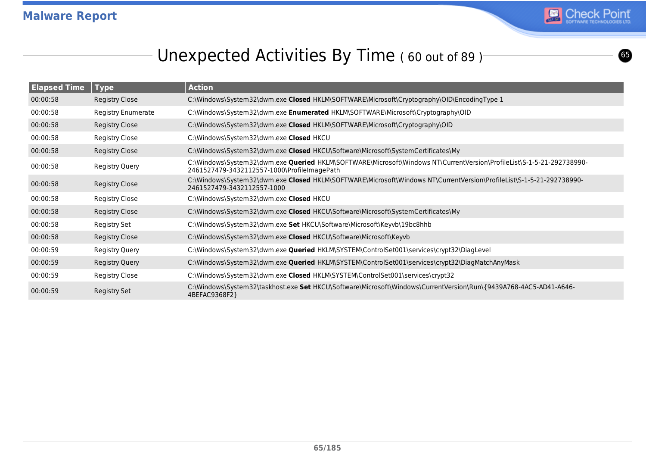

 $\bullet$ 

## Unexpected Activities By Time (60 out of 89)<sup>-</sup>

| <b>Elapsed Time</b> | $ $ Type                  | <b>Action</b>                                                                                                                                                        |
|---------------------|---------------------------|----------------------------------------------------------------------------------------------------------------------------------------------------------------------|
| 00:00:58            | <b>Registry Close</b>     | C:\Windows\System32\dwm.exe Closed HKLM\SOFTWARE\Microsoft\Cryptography\OID\EncodingType 1                                                                           |
| 00:00:58            | <b>Registry Enumerate</b> | C:\Windows\System32\dwm.exe Enumerated HKLM\SOFTWARE\Microsoft\Cryptography\OID                                                                                      |
| 00:00:58            | Registry Close            | C:\Windows\System32\dwm.exe Closed HKLM\SOFTWARE\Microsoft\Cryptography\OID                                                                                          |
| 00:00:58            | Registry Close            | C:\Windows\System32\dwm.exe Closed HKCU                                                                                                                              |
| 00:00:58            | <b>Registry Close</b>     | C:\Windows\System32\dwm.exe Closed HKCU\Software\Microsoft\SystemCertificates\My                                                                                     |
| 00:00:58            | Registry Query            | C:\Windows\System32\dwm.exe Queried HKLM\SOFTWARE\Microsoft\Windows NT\CurrentVersion\ProfileList\S-1-5-21-292738990-<br>2461527479-3432112557-1000\ProfileImagePath |
| 00:00:58            | Registry Close            | C:\Windows\System32\dwm.exe Closed HKLM\SOFTWARE\Microsoft\Windows NT\CurrentVersion\ProfileList\S-1-5-21-292738990-<br>2461527479-3432112557-1000                   |
| 00:00:58            | Registry Close            | C:\Windows\System32\dwm.exe Closed HKCU                                                                                                                              |
| 00:00:58            | Registry Close            | C:\Windows\System32\dwm.exe Closed HKCU\Software\Microsoft\SystemCertificates\My                                                                                     |
| 00:00:58            | Registry Set              | C:\Windows\System32\dwm.exe Set HKCU\Software\Microsoft\Keyvb\19bc8hhb                                                                                               |
| 00:00:58            | <b>Registry Close</b>     | C:\Windows\System32\dwm.exe Closed HKCU\Software\Microsoft\Keyvb                                                                                                     |
| 00:00:59            | <b>Registry Query</b>     | C:\Windows\System32\dwm.exe Queried HKLM\SYSTEM\ControlSet001\services\crypt32\DiagLevel                                                                             |
| 00:00:59            | Registry Query            | C:\Windows\System32\dwm.exe Queried HKLM\SYSTEM\ControlSet001\services\crypt32\DiagMatchAnyMask                                                                      |
| 00:00:59            | Registry Close            | C:\Windows\System32\dwm.exe Closed HKLM\SYSTEM\ControlSet001\services\crypt32                                                                                        |
| 00:00:59            | Registry Set              | C:\Windows\System32\taskhost.exe Set HKCU\Software\Microsoft\Windows\CurrentVersion\Run\{9439A768-4AC5-AD41-A646-<br>4BEFAC9368F2}                                   |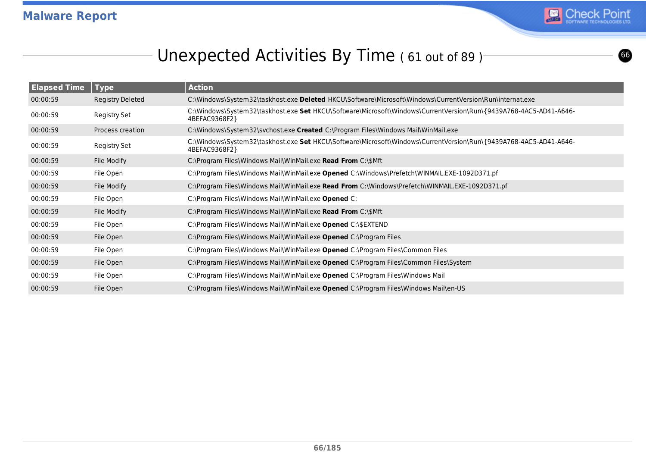

# Unexpected Activities By Time (61 out of 89)<sup>-</sup>

| <b>Elapsed Time</b> | <b>Type</b>      | <b>Action</b>                                                                                                                      |
|---------------------|------------------|------------------------------------------------------------------------------------------------------------------------------------|
| 00:00:59            | Registry Deleted | C:\Windows\System32\taskhost.exe Deleted HKCU\Software\Microsoft\Windows\CurrentVersion\Run\internat.exe                           |
| 00:00:59            | Registry Set     | C:\Windows\System32\taskhost.exe Set HKCU\Software\Microsoft\Windows\CurrentVersion\Run\{9439A768-4AC5-AD41-A646-<br>4BEFAC9368F2} |
| 00:00:59            | Process creation | C:\Windows\System32\svchost.exe Created C:\Program Files\Windows Mail\WinMail.exe                                                  |
| 00:00:59            | Registry Set     | C:\Windows\System32\taskhost.exe Set HKCU\Software\Microsoft\Windows\CurrentVersion\Run\{9439A768-4AC5-AD41-A646-<br>4BEFAC9368F2} |
| 00:00:59            | File Modify      | C:\Program Files\Windows Mail\WinMail.exe Read From C:\\$Mft                                                                       |
| 00:00:59            | File Open        | C:\Program Files\Windows Mail\WinMail.exe Opened C:\Windows\Prefetch\WINMAIL.EXE-1092D371.pf                                       |
| 00:00:59            | File Modify      | C:\Program Files\Windows Mail\WinMail.exe Read From C:\Windows\Prefetch\WINMAIL.EXE-1092D371.pf                                    |
| 00:00:59            | File Open        | C:\Program Files\Windows Mail\WinMail.exe Opened C:                                                                                |
| 00:00:59            | File Modify      | C:\Program Files\Windows Mail\WinMail.exe Read From C:\\$Mft                                                                       |
| 00:00:59            | File Open        | C:\Program Files\Windows Mail\WinMail.exe Opened C:\\$EXTEND                                                                       |
| 00:00:59            | File Open        | C:\Program Files\Windows Mail\WinMail.exe Opened C:\Program Files                                                                  |
| 00:00:59            | File Open        | C:\Program Files\Windows Mail\WinMail.exe Opened C:\Program Files\Common Files                                                     |
| 00:00:59            | File Open        | C:\Program Files\Windows Mail\WinMail.exe Opened C:\Program Files\Common Files\System                                              |
| 00:00:59            | File Open        | C:\Program Files\Windows Mail\WinMail.exe Opened C:\Program Files\Windows Mail                                                     |
| 00:00:59            | File Open        | C:\Program Files\Windows Mail\WinMail.exe Opened C:\Program Files\Windows Mail\en-US                                               |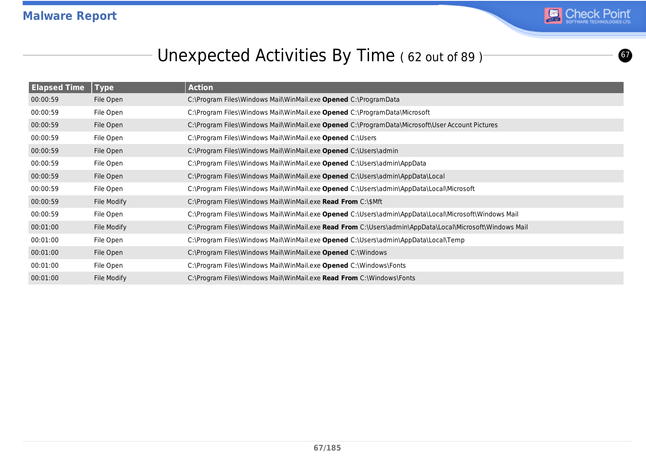

 $\boldsymbol{\bm{\circ}}$ 

# Unexpected Activities By Time (62 out of 89)<sup>-</sup>

| <b>Elapsed Time</b> | <b>Type</b> | <b>Action</b>                                                                                           |
|---------------------|-------------|---------------------------------------------------------------------------------------------------------|
| 00:00:59            | File Open   | C:\Program Files\Windows Mail\WinMail.exe Opened C:\ProgramData                                         |
| 00:00:59            | File Open   | C:\Program Files\Windows Mail\WinMail.exe Opened C:\ProgramData\Microsoft                               |
| 00:00:59            | File Open   | C:\Program Files\Windows Mail\WinMail.exe Opened C:\ProgramData\Microsoft\User Account Pictures         |
| 00:00:59            | File Open   | C:\Program Files\Windows Mail\WinMail.exe Opened C:\Users                                               |
| 00:00:59            | File Open   | C:\Program Files\Windows Mail\WinMail.exe Opened C:\Users\admin                                         |
| 00:00:59            | File Open   | C:\Program Files\Windows Mail\WinMail.exe Opened C:\Users\admin\AppData                                 |
| 00:00:59            | File Open   | C:\Program Files\Windows Mail\WinMail.exe Opened C:\Users\admin\AppData\Local                           |
| 00:00:59            | File Open   | C:\Program Files\Windows Mail\WinMail.exe Opened C:\Users\admin\AppData\Local\Microsoft                 |
| 00:00:59            | File Modify | C:\Program Files\Windows Mail\WinMail.exe Read From C:\\$Mft                                            |
| 00:00:59            | File Open   | C:\Program Files\Windows Mail\WinMail.exe Opened C:\Users\admin\AppData\Local\Microsoft\Windows Mail    |
| 00:01:00            | File Modify | C:\Program Files\Windows Mail\WinMail.exe Read From C:\Users\admin\AppData\Local\Microsoft\Windows Mail |
| 00:01:00            | File Open   | C:\Program Files\Windows Mail\WinMail.exe Opened C:\Users\admin\AppData\Local\Temp                      |
| 00:01:00            | File Open   | C:\Program Files\Windows Mail\WinMail.exe Opened C:\Windows                                             |
| 00:01:00            | File Open   | C:\Program Files\Windows Mail\WinMail.exe Opened C:\Windows\Fonts                                       |
| 00:01:00            | File Modify | C:\Program Files\Windows Mail\WinMail.exe Read From C:\Windows\Fonts                                    |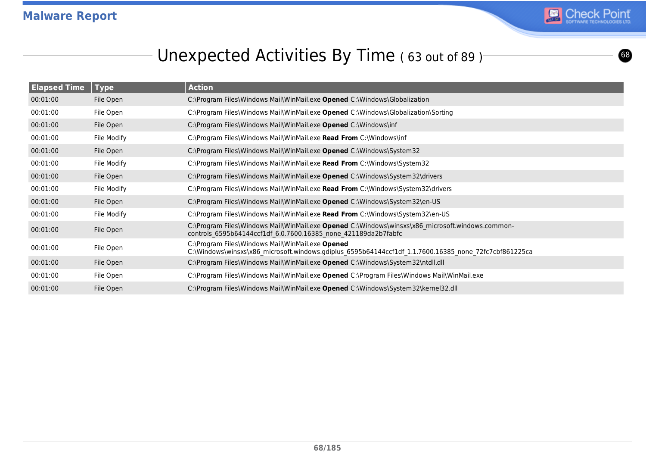

# Unexpected Activities By Time (63 out of 89)<sup>-</sup>

| <b>Elapsed Time</b> | <b>Type</b> | <b>Action</b>                                                                                                                                                      |
|---------------------|-------------|--------------------------------------------------------------------------------------------------------------------------------------------------------------------|
| 00:01:00            | File Open   | C:\Program Files\Windows Mail\WinMail.exe Opened C:\Windows\Globalization                                                                                          |
| 00:01:00            | File Open   | C:\Program Files\Windows Mail\WinMail.exe Opened C:\Windows\Globalization\Sorting                                                                                  |
| 00:01:00            | File Open   | C:\Program Files\Windows Mail\WinMail.exe Opened C:\Windows\inf                                                                                                    |
| 00:01:00            | File Modify | C:\Program Files\Windows Mail\WinMail.exe Read From C:\Windows\inf                                                                                                 |
| 00:01:00            | File Open   | C:\Program Files\Windows Mail\WinMail.exe Opened C:\Windows\System32                                                                                               |
| 00:01:00            | File Modify | C:\Program Files\Windows Mail\WinMail.exe Read From C:\Windows\System32                                                                                            |
| 00:01:00            | File Open   | C:\Program Files\Windows Mail\WinMail.exe Opened C:\Windows\System32\drivers                                                                                       |
| 00:01:00            | File Modify | C:\Program Files\Windows Mail\WinMail.exe Read From C:\Windows\System32\drivers                                                                                    |
| 00:01:00            | File Open   | C:\Program Files\Windows Mail\WinMail.exe Opened C:\Windows\System32\en-US                                                                                         |
| 00:01:00            | File Modify | C:\Program Files\Windows Mail\WinMail.exe Read From C:\Windows\System32\en-US                                                                                      |
| 00:01:00            | File Open   | C:\Program Files\Windows Mail\WinMail.exe Opened C:\Windows\winsxs\x86 microsoft.windows.common-<br>controls 6595b64144ccf1df 6.0.7600.16385 none 421189da2b7fabfc |
| 00:01:00            | File Open   | C:\Program Files\Windows Mail\WinMail.exe Opened<br>C:\Windows\winsxs\x86_microsoft.windows.gdiplus_6595b64144ccf1df_1.1.7600.16385_none_72fc7cbf861225ca          |
| 00:01:00            | File Open   | C:\Program Files\Windows Mail\WinMail.exe Opened C:\Windows\System32\ntdll.dll                                                                                     |
| 00:01:00            | File Open   | C:\Program Files\Windows Mail\WinMail.exe Opened C:\Program Files\Windows Mail\WinMail.exe                                                                         |
| 00:01:00            | File Open   | C:\Program Files\Windows Mail\WinMail.exe Opened C:\Windows\System32\kernel32.dll                                                                                  |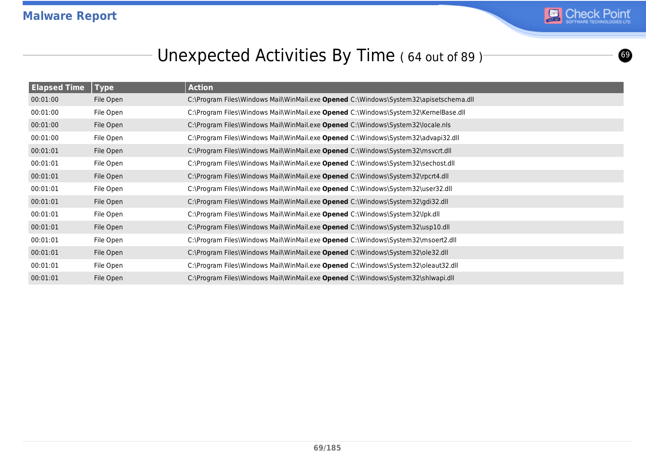

**©** 

# Unexpected Activities By Time (64 out of 89)<sup>-</sup>

| <b>Elapsed Time</b> | <b>Type</b> | <b>Action</b>                                                                         |
|---------------------|-------------|---------------------------------------------------------------------------------------|
| 00:01:00            | File Open   | C:\Program Files\Windows Mail\WinMail.exe Opened C:\Windows\System32\apisetschema.dll |
| 00:01:00            | File Open   | C:\Program Files\Windows Mail\WinMail.exe Opened C:\Windows\System32\KernelBase.dll   |
| 00:01:00            | File Open   | C:\Program Files\Windows Mail\WinMail.exe Opened C:\Windows\System32\locale.nls       |
| 00:01:00            | File Open   | C:\Program Files\Windows Mail\WinMail.exe Opened C:\Windows\System32\advapi32.dll     |
| 00:01:01            | File Open   | C:\Program Files\Windows Mail\WinMail.exe Opened C:\Windows\System32\msvcrt.dll       |
| 00:01:01            | File Open   | C:\Program Files\Windows Mail\WinMail.exe Opened C:\Windows\System32\sechost.dll      |
| 00:01:01            | File Open   | C:\Program Files\Windows Mail\WinMail.exe Opened C:\Windows\System32\rpcrt4.dll       |
| 00:01:01            | File Open   | C:\Program Files\Windows Mail\WinMail.exe Opened C:\Windows\System32\user32.dll       |
| 00:01:01            | File Open   | C:\Program Files\Windows Mail\WinMail.exe Opened C:\Windows\System32\gdi32.dll        |
| 00:01:01            | File Open   | C:\Program Files\Windows Mail\WinMail.exe Opened C:\Windows\System32\lpk.dll          |
| 00:01:01            | File Open   | C:\Program Files\Windows Mail\WinMail.exe Opened C:\Windows\System32\usp10.dll        |
| 00:01:01            | File Open   | C:\Program Files\Windows Mail\WinMail.exe Opened C:\Windows\System32\msoert2.dll      |
| 00:01:01            | File Open   | C:\Program Files\Windows Mail\WinMail.exe Opened C:\Windows\System32\ole32.dll        |
| 00:01:01            | File Open   | C:\Program Files\Windows Mail\WinMail.exe Opened C:\Windows\System32\oleaut32.dll     |
| 00:01:01            | File Open   | C:\Program Files\Windows Mail\WinMail.exe Opened C:\Windows\System32\shlwapi.dll      |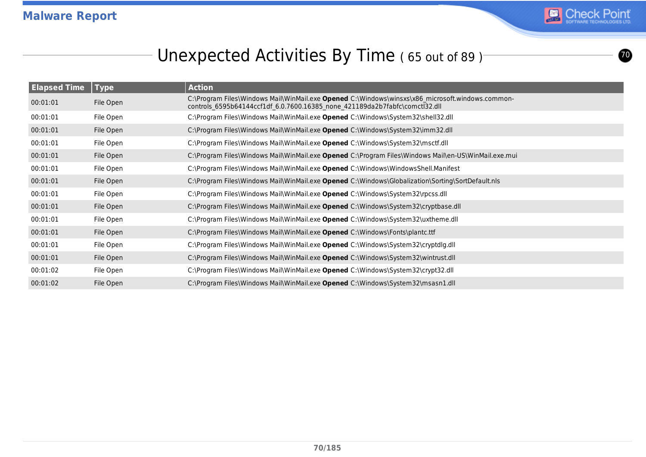

# Unexpected Activities By Time (65 out of 89)

| <b>Elapsed Time</b> | <b>Type</b> | <b>Action</b>                                                                                                                                                                   |
|---------------------|-------------|---------------------------------------------------------------------------------------------------------------------------------------------------------------------------------|
| 00:01:01            | File Open   | C:\Program Files\Windows Mail\WinMail.exe Opened C:\Windows\winsxs\x86 microsoft.windows.common-<br>controls 6595b64144ccf1df 6.0.7600.16385 none 421189da2b7fabfc\comctl32.dll |
| 00:01:01            | File Open   | C:\Program Files\Windows Mail\WinMail.exe Opened C:\Windows\System32\shell32.dll                                                                                                |
| 00:01:01            | File Open   | C:\Program Files\Windows Mail\WinMail.exe Opened C:\Windows\System32\imm32.dll                                                                                                  |
| 00:01:01            | File Open   | C:\Program Files\Windows Mail\WinMail.exe Opened C:\Windows\System32\msctf.dll                                                                                                  |
| 00:01:01            | File Open   | C:\Program Files\Windows Mail\WinMail.exe Opened C:\Program Files\Windows Mail\en-US\WinMail.exe.mui                                                                            |
| 00:01:01            | File Open   | C:\Program Files\Windows Mail\WinMail.exe Opened C:\Windows\WindowsShell.Manifest                                                                                               |
| 00:01:01            | File Open   | C:\Program Files\Windows Mail\WinMail.exe Opened C:\Windows\Globalization\Sorting\SortDefault.nls                                                                               |
| 00:01:01            | File Open   | C:\Program Files\Windows Mail\WinMail.exe Opened C:\Windows\System32\rpcss.dll                                                                                                  |
| 00:01:01            | File Open   | C:\Program Files\Windows Mail\WinMail.exe Opened C:\Windows\System32\cryptbase.dll                                                                                              |
| 00:01:01            | File Open   | C:\Program Files\Windows Mail\WinMail.exe Opened C:\Windows\System32\uxtheme.dll                                                                                                |
| 00:01:01            | File Open   | C:\Program Files\Windows Mail\WinMail.exe Opened C:\Windows\Fonts\plantc.ttf                                                                                                    |
| 00:01:01            | File Open   | C:\Program Files\Windows Mail\WinMail.exe Opened C:\Windows\System32\cryptdlg.dll                                                                                               |
| 00:01:01            | File Open   | C:\Program Files\Windows Mail\WinMail.exe Opened C:\Windows\System32\wintrust.dll                                                                                               |
| 00:01:02            | File Open   | C:\Program Files\Windows Mail\WinMail.exe Opened C:\Windows\System32\crypt32.dll                                                                                                |
| 00:01:02            | File Open   | C:\Program Files\Windows Mail\WinMail.exe Opened C:\Windows\System32\msasn1.dll                                                                                                 |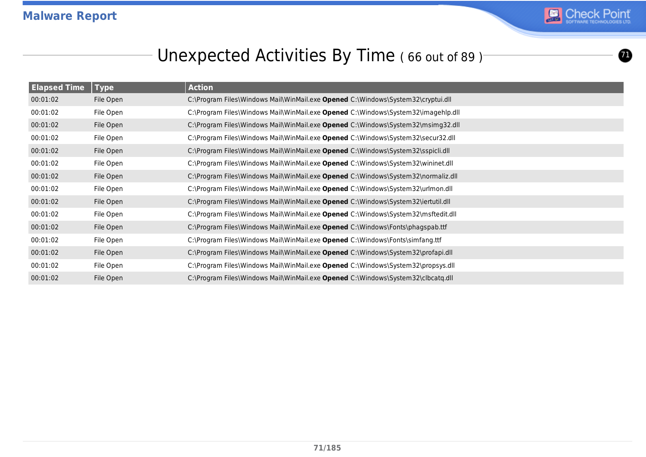

 $\bf{0}$ 

# Unexpected Activities By Time (66 out of 89)<sup>-</sup>

| <b>Elapsed Time</b> | <b>Type</b> | <b>Action</b>                                                                     |
|---------------------|-------------|-----------------------------------------------------------------------------------|
| 00:01:02            | File Open   | C:\Program Files\Windows Mail\WinMail.exe Opened C:\Windows\System32\cryptui.dll  |
| 00:01:02            | File Open   | C:\Program Files\Windows Mail\WinMail.exe Opened C:\Windows\System32\imagehlp.dll |
| 00:01:02            | File Open   | C:\Program Files\Windows Mail\WinMail.exe Opened C:\Windows\System32\msimg32.dll  |
| 00:01:02            | File Open   | C:\Program Files\Windows Mail\WinMail.exe Opened C:\Windows\System32\secur32.dll  |
| 00:01:02            | File Open   | C:\Program Files\Windows Mail\WinMail.exe Opened C:\Windows\System32\sspicli.dll  |
| 00:01:02            | File Open   | C:\Program Files\Windows Mail\WinMail.exe Opened C:\Windows\System32\wininet.dll  |
| 00:01:02            | File Open   | C:\Program Files\Windows Mail\WinMail.exe Opened C:\Windows\System32\normaliz.dll |
| 00:01:02            | File Open   | C:\Program Files\Windows Mail\WinMail.exe Opened C:\Windows\System32\urlmon.dll   |
| 00:01:02            | File Open   | C:\Program Files\Windows Mail\WinMail.exe Opened C:\Windows\System32\iertutil.dll |
| 00:01:02            | File Open   | C:\Program Files\Windows Mail\WinMail.exe Opened C:\Windows\System32\msftedit.dll |
| 00:01:02            | File Open   | C:\Program Files\Windows Mail\WinMail.exe Opened C:\Windows\Fonts\phagspab.ttf    |
| 00:01:02            | File Open   | C:\Program Files\Windows Mail\WinMail.exe Opened C:\Windows\Fonts\simfang.ttf     |
| 00:01:02            | File Open   | C:\Program Files\Windows Mail\WinMail.exe Opened C:\Windows\System32\profapi.dll  |
| 00:01:02            | File Open   | C:\Program Files\Windows Mail\WinMail.exe Opened C:\Windows\System32\propsys.dll  |
| 00:01:02            | File Open   | C:\Program Files\Windows Mail\WinMail.exe Opened C:\Windows\System32\clbcatq.dll  |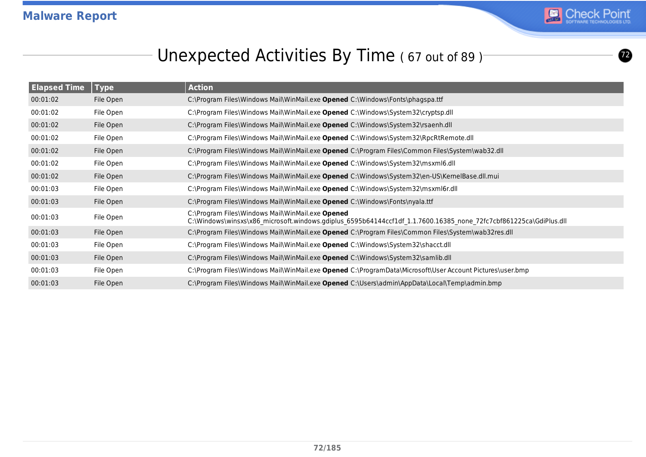

# Unexpected Activities By Time (67 out of 89)<sup>-</sup>

| <b>Elapsed Time</b> | <b>Type</b> | <b>Action</b>                                                                                                                                                         |
|---------------------|-------------|-----------------------------------------------------------------------------------------------------------------------------------------------------------------------|
| 00:01:02            | File Open   | C:\Program Files\Windows Mail\WinMail.exe Opened C:\Windows\Fonts\phagspa.ttf                                                                                         |
| 00:01:02            | File Open   | C:\Program Files\Windows Mail\WinMail.exe Opened C:\Windows\System32\cryptsp.dll                                                                                      |
| 00:01:02            | File Open   | C:\Program Files\Windows Mail\WinMail.exe Opened C:\Windows\System32\rsaenh.dll                                                                                       |
| 00:01:02            | File Open   | C:\Program Files\Windows Mail\WinMail.exe Opened C:\Windows\System32\RpcRtRemote.dll                                                                                  |
| 00:01:02            | File Open   | C:\Program Files\Windows Mail\WinMail.exe Opened C:\Program Files\Common Files\System\wab32.dll                                                                       |
| 00:01:02            | File Open   | C:\Program Files\Windows Mail\WinMail.exe Opened C:\Windows\System32\msxml6.dll                                                                                       |
| 00:01:02            | File Open   | C:\Program Files\Windows Mail\WinMail.exe Opened C:\Windows\System32\en-US\KernelBase.dll.mui                                                                         |
| 00:01:03            | File Open   | C:\Program Files\Windows Mail\WinMail.exe Opened C:\Windows\System32\msxml6r.dll                                                                                      |
| 00:01:03            | File Open   | C:\Program Files\Windows Mail\WinMail.exe Opened C:\Windows\Fonts\nyala.ttf                                                                                           |
| 00:01:03            | File Open   | C:\Program Files\Windows Mail\WinMail.exe Opened<br>C:\Windows\winsxs\x86_microsoft.windows.gdiplus_6595b64144ccf1df_1.1.7600.16385_none_72fc7cbf861225ca\GdiPlus.dll |
| 00:01:03            | File Open   | C:\Program Files\Windows Mail\WinMail.exe Opened C:\Program Files\Common Files\System\wab32res.dll                                                                    |
| 00:01:03            | File Open   | C:\Program Files\Windows Mail\WinMail.exe Opened C:\Windows\System32\shacct.dll                                                                                       |
| 00:01:03            | File Open   | C:\Program Files\Windows Mail\WinMail.exe Opened C:\Windows\System32\samlib.dll                                                                                       |
| 00:01:03            | File Open   | C:\Program Files\Windows Mail\WinMail.exe Opened C:\ProgramData\Microsoft\User Account Pictures\user.bmp                                                              |
| 00:01:03            | File Open   | C:\Program Files\Windows Mail\WinMail.exe Opened C:\Users\admin\AppData\Local\Temp\admin.bmp                                                                          |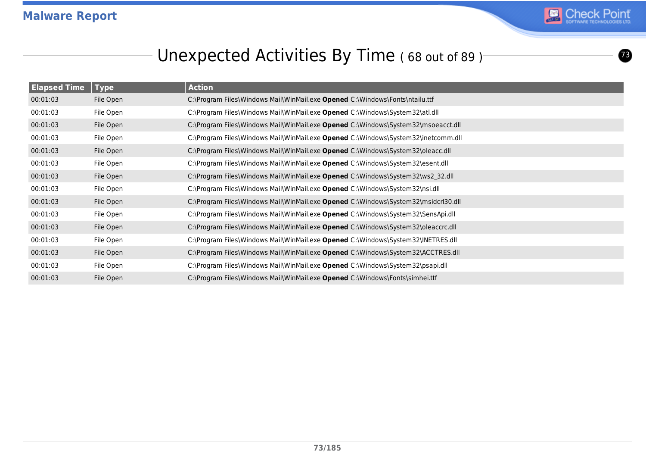

 $\boldsymbol{\circ}$ 

### Unexpected Activities By Time (68 out of 89)<sup>-</sup>

| <b>Elapsed Time</b> | <b>Type</b> | <b>Action</b>                                                                      |
|---------------------|-------------|------------------------------------------------------------------------------------|
| 00:01:03            | File Open   | C:\Program Files\Windows Mail\WinMail.exe Opened C:\Windows\Fonts\ntailu.ttf       |
| 00:01:03            | File Open   | C:\Program Files\Windows Mail\WinMail.exe Opened C:\Windows\System32\atl.dll       |
| 00:01:03            | File Open   | C:\Program Files\Windows Mail\WinMail.exe Opened C:\Windows\System32\msoeacct.dll  |
| 00:01:03            | File Open   | C:\Program Files\Windows Mail\WinMail.exe Opened C:\Windows\System32\inetcomm.dll  |
| 00:01:03            | File Open   | C:\Program Files\Windows Mail\WinMail.exe Opened C:\Windows\System32\oleacc.dll    |
| 00:01:03            | File Open   | C:\Program Files\Windows Mail\WinMail.exe Opened C:\Windows\System32\esent.dll     |
| 00:01:03            | File Open   | C:\Program Files\Windows Mail\WinMail.exe Opened C:\Windows\System32\ws2 32.dll    |
| 00:01:03            | File Open   | C:\Program Files\Windows Mail\WinMail.exe Opened C:\Windows\System32\nsi.dll       |
| 00:01:03            | File Open   | C:\Program Files\Windows Mail\WinMail.exe Opened C:\Windows\System32\msidcrl30.dll |
| 00:01:03            | File Open   | C:\Program Files\Windows Mail\WinMail.exe Opened C:\Windows\System32\SensApi.dll   |
| 00:01:03            | File Open   | C:\Program Files\Windows Mail\WinMail.exe Opened C:\Windows\System32\oleaccrc.dll  |
| 00:01:03            | File Open   | C:\Program Files\Windows Mail\WinMail.exe Opened C:\Windows\System32\INETRES.dll   |
| 00:01:03            | File Open   | C:\Program Files\Windows Mail\WinMail.exe Opened C:\Windows\System32\ACCTRES.dll   |
| 00:01:03            | File Open   | C:\Program Files\Windows Mail\WinMail.exe Opened C:\Windows\System32\psapi.dll     |
| 00:01:03            | File Open   | C:\Program Files\Windows Mail\WinMail.exe Opened C:\Windows\Fonts\simhei.ttf       |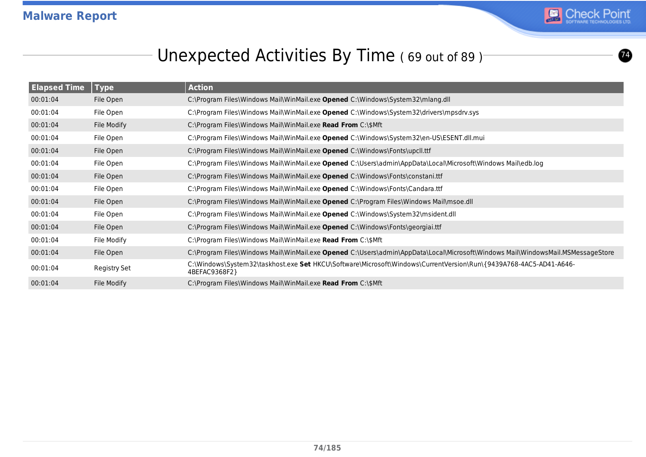

### Unexpected Activities By Time (69 out of 89)<sup>-</sup>

| <b>Elapsed Time</b> | $ $ Type     | <b>Action</b>                                                                                                                      |
|---------------------|--------------|------------------------------------------------------------------------------------------------------------------------------------|
| 00:01:04            | File Open    | C:\Program Files\Windows Mail\WinMail.exe Opened C:\Windows\System32\mlang.dll                                                     |
| 00:01:04            | File Open    | C:\Program Files\Windows Mail\WinMail.exe Opened C:\Windows\System32\drivers\mpsdrv.sys                                            |
| 00:01:04            | File Modify  | C:\Program Files\Windows Mail\WinMail.exe Read From C:\\$Mft                                                                       |
| 00:01:04            | File Open    | C:\Program Files\Windows Mail\WinMail.exe Opened C:\Windows\System32\en-US\ESENT.dll.mui                                           |
| 00:01:04            | File Open    | C:\Program Files\Windows Mail\WinMail.exe Opened C:\Windows\Fonts\upcll.ttf                                                        |
| 00:01:04            | File Open    | C:\Program Files\Windows Mail\WinMail.exe Opened C:\Users\admin\AppData\Local\Microsoft\Windows Mail\edb.log                       |
| 00:01:04            | File Open    | C:\Program Files\Windows Mail\WinMail.exe Opened C:\Windows\Fonts\constani.ttf                                                     |
| 00:01:04            | File Open    | C:\Program Files\Windows Mail\WinMail.exe Opened C:\Windows\Fonts\Candara.ttf                                                      |
| 00:01:04            | File Open    | C:\Program Files\Windows Mail\WinMail.exe Opened C:\Program Files\Windows Mail\msoe.dll                                            |
| 00:01:04            | File Open    | C:\Program Files\Windows Mail\WinMail.exe Opened C:\Windows\System32\msident.dll                                                   |
| 00:01:04            | File Open    | C:\Program Files\Windows Mail\WinMail.exe Opened C:\Windows\Fonts\georgiai.ttf                                                     |
| 00:01:04            | File Modify  | C:\Program Files\Windows Mail\WinMail.exe Read From C:\\$Mft                                                                       |
| 00:01:04            | File Open    | C:\Program Files\Windows Mail\WinMail.exe Opened C:\Users\admin\AppData\Local\Microsoft\Windows Mail\WindowsMail.MSMessageStore    |
| 00:01:04            | Registry Set | C:\Windows\System32\taskhost.exe Set HKCU\Software\Microsoft\Windows\CurrentVersion\Run\{9439A768-4AC5-AD41-A646-<br>4BEFAC9368F2} |
| 00:01:04            | File Modify  | C:\Program Files\Windows Mail\WinMail.exe Read From C:\\$Mft                                                                       |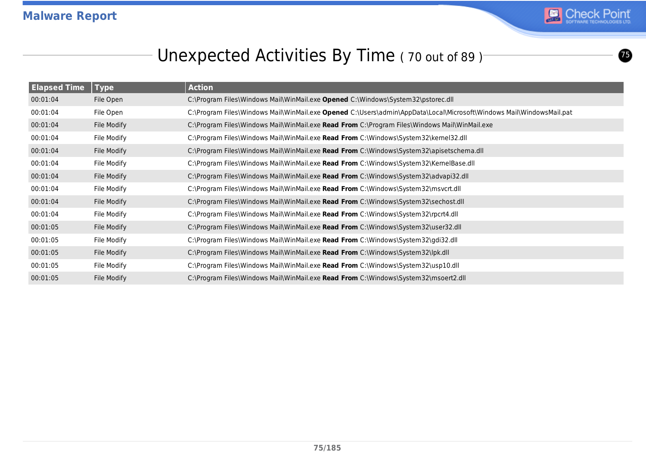

 $\boldsymbol{\bm{\circ}}$ 

### Unexpected Activities By Time (70 out of 89)<sup>-</sup>

| <b>Elapsed Time</b> | <b>Type</b> | <b>Action</b>                                                                                                        |
|---------------------|-------------|----------------------------------------------------------------------------------------------------------------------|
| 00:01:04            | File Open   | C:\Program Files\Windows Mail\WinMail.exe Opened C:\Windows\System32\pstorec.dll                                     |
| 00:01:04            | File Open   | C:\Program Files\Windows Mail\WinMail.exe Opened C:\Users\admin\AppData\Local\Microsoft\Windows Mail\WindowsMail.pat |
| 00:01:04            | File Modify | C:\Program Files\Windows Mail\WinMail.exe Read From C:\Program Files\Windows Mail\WinMail.exe                        |
| 00:01:04            | File Modify | C:\Program Files\Windows Mail\WinMail.exe Read From C:\Windows\System32\kernel32.dll                                 |
| 00:01:04            | File Modify | C:\Program Files\Windows Mail\WinMail.exe Read From C:\Windows\System32\apisetschema.dll                             |
| 00:01:04            | File Modify | C:\Program Files\Windows Mail\WinMail.exe Read From C:\Windows\System32\KernelBase.dll                               |
| 00:01:04            | File Modify | C:\Program Files\Windows Mail\WinMail.exe <b>Read From</b> C:\Windows\System32\advapi32.dll                          |
| 00:01:04            | File Modify | C:\Program Files\Windows Mail\WinMail.exe Read From C:\Windows\System32\msvcrt.dll                                   |
| 00:01:04            | File Modify | C:\Program Files\Windows Mail\WinMail.exe Read From C:\Windows\System32\sechost.dll                                  |
| 00:01:04            | File Modify | C:\Program Files\Windows Mail\WinMail.exe Read From C:\Windows\System32\rpcrt4.dll                                   |
| 00:01:05            | File Modify | C:\Program Files\Windows Mail\WinMail.exe Read From C:\Windows\System32\user32.dll                                   |
| 00:01:05            | File Modify | C:\Program Files\Windows Mail\WinMail.exe Read From C:\Windows\System32\gdi32.dll                                    |
| 00:01:05            | File Modify | C:\Program Files\Windows Mail\WinMail.exe Read From C:\Windows\System32\lpk.dll                                      |
| 00:01:05            | File Modify | C:\Program Files\Windows Mail\WinMail.exe Read From C:\Windows\System32\usp10.dll                                    |
| 00:01:05            | File Modify | C:\Program Files\Windows Mail\WinMail.exe Read From C:\Windows\System32\msoert2.dll                                  |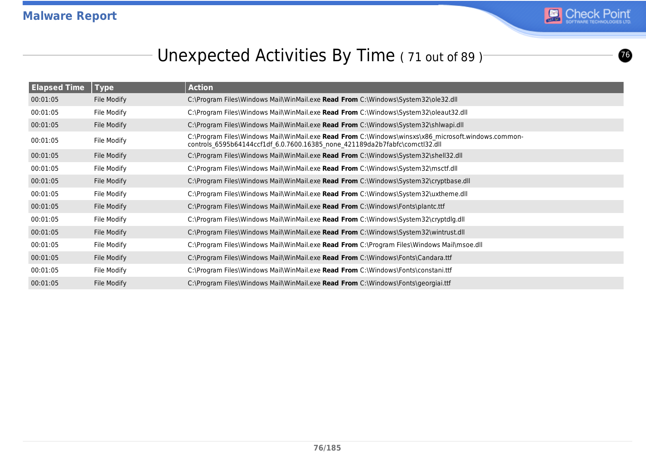

### Unexpected Activities By Time (71 out of 89)<sup>-</sup>

| <b>Elapsed Time</b> | <b>Type</b> | <b>Action</b>                                                                                                                                                                      |
|---------------------|-------------|------------------------------------------------------------------------------------------------------------------------------------------------------------------------------------|
| 00:01:05            | File Modify | C:\Program Files\Windows Mail\WinMail.exe Read From C:\Windows\System32\ole32.dll                                                                                                  |
| 00:01:05            | File Modify | C:\Program Files\Windows Mail\WinMail.exe Read From C:\Windows\System32\oleaut32.dll                                                                                               |
| 00:01:05            | File Modify | C:\Program Files\Windows Mail\WinMail.exe Read From C:\Windows\System32\shlwapi.dll                                                                                                |
| 00:01:05            | File Modify | C:\Program Files\Windows Mail\WinMail.exe Read From C:\Windows\winsxs\x86 microsoft.windows.common-<br>controls_6595b64144ccf1df_6.0.7600.16385_none_421189da2b7fabfc\comctl32.dll |
| 00:01:05            | File Modify | C:\Program Files\Windows Mail\WinMail.exe Read From C:\Windows\System32\shell32.dll                                                                                                |
| 00:01:05            | File Modify | C:\Program Files\Windows Mail\WinMail.exe Read From C:\Windows\System32\msctf.dll                                                                                                  |
| 00:01:05            | File Modify | C:\Program Files\Windows Mail\WinMail.exe Read From C:\Windows\System32\cryptbase.dll                                                                                              |
| 00:01:05            | File Modify | C:\Program Files\Windows Mail\WinMail.exe <b>Read From</b> C:\Windows\System32\uxtheme.dll                                                                                         |
| 00:01:05            | File Modify | C:\Program Files\Windows Mail\WinMail.exe Read From C:\Windows\Fonts\plantc.ttf                                                                                                    |
| 00:01:05            | File Modify | C:\Program Files\Windows Mail\WinMail.exe Read From C:\Windows\System32\cryptdlg.dll                                                                                               |
| 00:01:05            | File Modify | C:\Program Files\Windows Mail\WinMail.exe Read From C:\Windows\System32\wintrust.dll                                                                                               |
| 00:01:05            | File Modify | C:\Program Files\Windows Mail\WinMail.exe Read From C:\Program Files\Windows Mail\msoe.dll                                                                                         |
| 00:01:05            | File Modify | C:\Program Files\Windows Mail\WinMail.exe Read From C:\Windows\Fonts\Candara.ttf                                                                                                   |
| 00:01:05            | File Modify | C:\Program Files\Windows Mail\WinMail.exe Read From C:\Windows\Fonts\constani.ttf                                                                                                  |
| 00:01:05            | File Modify | C:\Program Files\Windows Mail\WinMail.exe Read From C:\Windows\Fonts\georgiai.ttf                                                                                                  |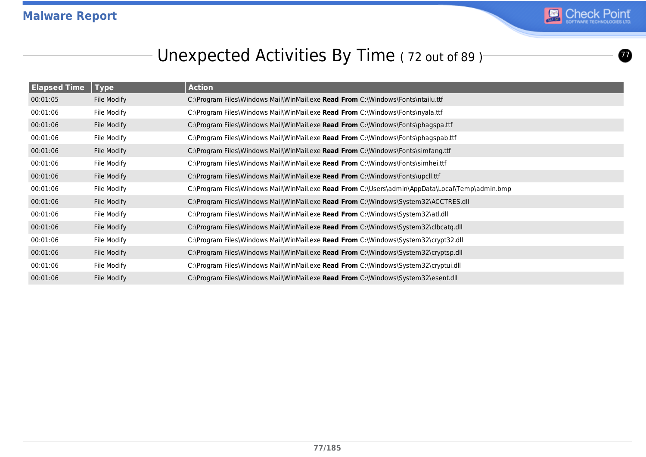

 $\boldsymbol{\varpi}$ 

### Unexpected Activities By Time (72 out of 89)<sup>-</sup>

| <b>Elapsed Time</b> | <b>Type</b> | <b>Action</b>                                                                                   |
|---------------------|-------------|-------------------------------------------------------------------------------------------------|
| 00:01:05            | File Modify | C:\Program Files\Windows Mail\WinMail.exe Read From C:\Windows\Fonts\ntailu.ttf                 |
| 00:01:06            | File Modify | C:\Program Files\Windows Mail\WinMail.exe Read From C:\Windows\Fonts\nyala.ttf                  |
| 00:01:06            | File Modify | C:\Program Files\Windows Mail\WinMail.exe Read From C:\Windows\Fonts\phagspa.ttf                |
| 00:01:06            | File Modify | C:\Program Files\Windows Mail\WinMail.exe Read From C:\Windows\Fonts\phagspab.ttf               |
| 00:01:06            | File Modify | C:\Program Files\Windows Mail\WinMail.exe Read From C:\Windows\Fonts\simfang.ttf                |
| 00:01:06            | File Modify | C:\Program Files\Windows Mail\WinMail.exe Read From C:\Windows\Fonts\simhei.ttf                 |
| 00:01:06            | File Modify | C:\Program Files\Windows Mail\WinMail.exe Read From C:\Windows\Fonts\upcll.ttf                  |
| 00:01:06            | File Modify | C:\Program Files\Windows Mail\WinMail.exe Read From C:\Users\admin\AppData\Local\Temp\admin.bmp |
| 00:01:06            | File Modify | C:\Program Files\Windows Mail\WinMail.exe Read From C:\Windows\System32\ACCTRES.dll             |
| 00:01:06            | File Modify | C:\Program Files\Windows Mail\WinMail.exe Read From C:\Windows\System32\atl.dll                 |
| 00:01:06            | File Modify | C:\Program Files\Windows Mail\WinMail.exe Read From C:\Windows\System32\clbcatq.dll             |
| 00:01:06            | File Modify | C:\Program Files\Windows Mail\WinMail.exe Read From C:\Windows\System32\crypt32.dll             |
| 00:01:06            | File Modify | C:\Program Files\Windows Mail\WinMail.exe Read From C:\Windows\System32\cryptsp.dll             |
| 00:01:06            | File Modify | C:\Program Files\Windows Mail\WinMail.exe Read From C:\Windows\System32\cryptui.dll             |
| 00:01:06            | File Modify | C:\Program Files\Windows Mail\WinMail.exe Read From C:\Windows\System32\esent.dll               |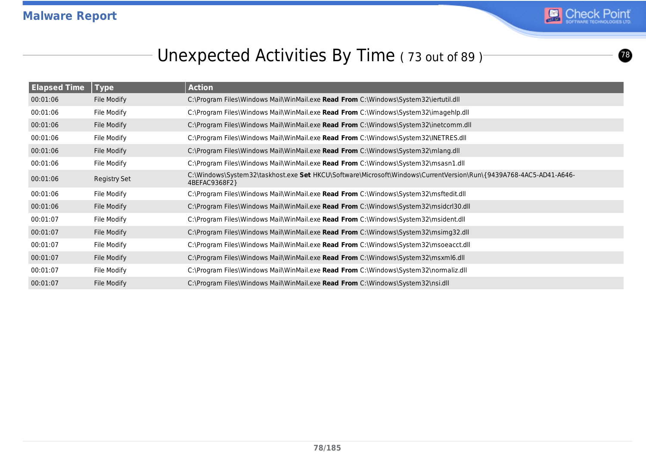

 $\bigcirc$ 

### Unexpected Activities By Time (73 out of 89)<sup>-</sup>

| <b>Elapsed Time</b> | <b>Type</b>  | <b>Action</b>                                                                                                                      |
|---------------------|--------------|------------------------------------------------------------------------------------------------------------------------------------|
| 00:01:06            | File Modify  | C:\Program Files\Windows Mail\WinMail.exe Read From C:\Windows\System32\iertutil.dll                                               |
| 00:01:06            | File Modify  | C:\Program Files\Windows Mail\WinMail.exe Read From C:\Windows\System32\imagehlp.dll                                               |
| 00:01:06            | File Modify  | C:\Program Files\Windows Mail\WinMail.exe Read From C:\Windows\System32\inetcomm.dll                                               |
| 00:01:06            | File Modify  | C:\Program Files\Windows Mail\WinMail.exe Read From C:\Windows\System32\INETRES.dll                                                |
| 00:01:06            | File Modify  | C:\Program Files\Windows Mail\WinMail.exe Read From C:\Windows\System32\mlang.dll                                                  |
| 00:01:06            | File Modify  | C:\Program Files\Windows Mail\WinMail.exe Read From C:\Windows\System32\msasn1.dll                                                 |
| 00:01:06            | Registry Set | C:\Windows\System32\taskhost.exe Set HKCU\Software\Microsoft\Windows\CurrentVersion\Run\{9439A768-4AC5-AD41-A646-<br>4BEFAC9368F2} |
| 00:01:06            | File Modify  | C:\Program Files\Windows Mail\WinMail.exe Read From C:\Windows\System32\msftedit.dll                                               |
| 00:01:06            | File Modify  | C:\Program Files\Windows Mail\WinMail.exe Read From C:\Windows\System32\msidcrl30.dll                                              |
| 00:01:07            | File Modify  | C:\Program Files\Windows Mail\WinMail.exe Read From C:\Windows\System32\msident.dll                                                |
| 00:01:07            | File Modify  | C:\Program Files\Windows Mail\WinMail.exe Read From C:\Windows\System32\msimg32.dll                                                |
| 00:01:07            | File Modify  | C:\Program Files\Windows Mail\WinMail.exe Read From C:\Windows\System32\msoeacct.dll                                               |
| 00:01:07            | File Modify  | C:\Program Files\Windows Mail\WinMail.exe Read From C:\Windows\System32\msxml6.dll                                                 |
| 00:01:07            | File Modify  | C:\Program Files\Windows Mail\WinMail.exe Read From C:\Windows\System32\normaliz.dll                                               |
| 00:01:07            | File Modify  | C:\Program Files\Windows Mail\WinMail.exe Read From C:\Windows\System32\nsi.dll                                                    |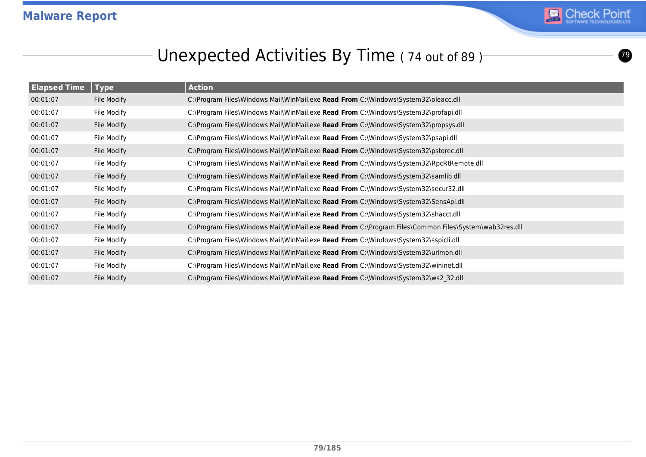

 $\boldsymbol{\circ}$ 

### Unexpected Activities By Time (74 out of 89)<sup>-</sup>

| <b>Elapsed Time</b> | <b>Type</b> | <b>Action</b>                                                                                         |
|---------------------|-------------|-------------------------------------------------------------------------------------------------------|
| 00:01:07            | File Modify | C:\Program Files\Windows Mail\WinMail.exe Read From C:\Windows\System32\oleacc.dll                    |
| 00:01:07            | File Modify | C:\Program Files\Windows Mail\WinMail.exe Read From C:\Windows\System32\profapi.dll                   |
| 00:01:07            | File Modify | C:\Program Files\Windows Mail\WinMail.exe Read From C:\Windows\System32\propsys.dll                   |
| 00:01:07            | File Modify | C:\Program Files\Windows Mail\WinMail.exe Read From C:\Windows\System32\psapi.dll                     |
| 00:01:07            | File Modify | C:\Program Files\Windows Mail\WinMail.exe Read From C:\Windows\System32\pstorec.dll                   |
| 00:01:07            | File Modify | C:\Program Files\Windows Mail\WinMail.exe Read From C:\Windows\System32\RpcRtRemote.dll               |
| 00:01:07            | File Modify | C:\Program Files\Windows Mail\WinMail.exe Read From C:\Windows\System32\samlib.dll                    |
| 00:01:07            | File Modify | C:\Program Files\Windows Mail\WinMail.exe Read From C:\Windows\System32\secur32.dll                   |
| 00:01:07            | File Modify | C:\Program Files\Windows Mail\WinMail.exe Read From C:\Windows\System32\SensApi.dll                   |
| 00:01:07            | File Modify | C:\Program Files\Windows Mail\WinMail.exe Read From C:\Windows\System32\shacct.dll                    |
| 00:01:07            | File Modify | C:\Program Files\Windows Mail\WinMail.exe Read From C:\Program Files\Common Files\System\wab32res.dll |
| 00:01:07            | File Modify | C:\Program Files\Windows Mail\WinMail.exe Read From C:\Windows\System32\sspicli.dll                   |
| 00:01:07            | File Modify | C:\Program Files\Windows Mail\WinMail.exe Read From C:\Windows\System32\urlmon.dll                    |
| 00:01:07            | File Modify | C:\Program Files\Windows Mail\WinMail.exe Read From C:\Windows\System32\wininet.dll                   |
| 00:01:07            | File Modify | C:\Program Files\Windows Mail\WinMail.exe Read From C:\Windows\System32\ws2 32.dll                    |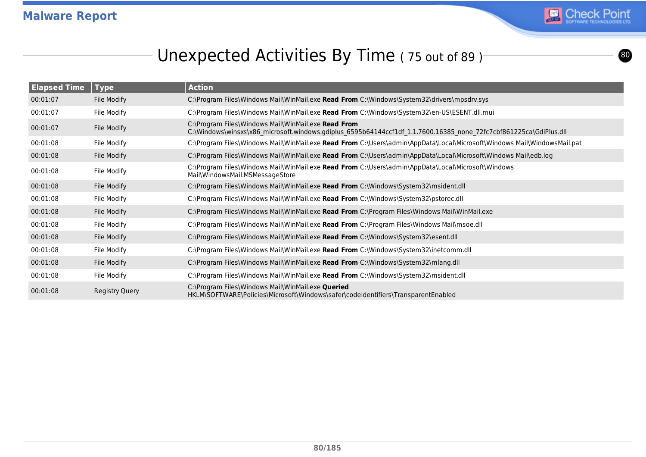

### Unexpected Activities By Time (75 out of 89)<sup>-</sup>

| <b>Elapsed Time</b> | <b>Type</b>    | <b>Action</b>                                                                                                                                                            |
|---------------------|----------------|--------------------------------------------------------------------------------------------------------------------------------------------------------------------------|
| 00:01:07            | File Modify    | C:\Program Files\Windows Mail\WinMail.exe <b>Read From</b> C:\Windows\System32\drivers\mpsdrv.sys                                                                        |
| 00:01:07            | File Modify    | C:\Program Files\Windows Mail\WinMail.exe Read From C:\Windows\System32\en-US\ESENT.dll.mui                                                                              |
| 00:01:07            | File Modify    | C:\Program Files\Windows Mail\WinMail.exe Read From<br>C:\Windows\winsxs\x86_microsoft.windows.gdiplus_6595b64144ccf1df_1.1.7600.16385_none_72fc7cbf861225ca\GdiPlus.dll |
| 00:01:08            | File Modify    | C:\Program Files\Windows Mail\WinMail.exe Read From C:\Users\admin\AppData\Local\Microsoft\Windows Mail\WindowsMail.pat                                                  |
| 00:01:08            | File Modify    | C:\Program Files\Windows Mail\WinMail.exe Read From C:\Users\admin\AppData\Local\Microsoft\Windows Mail\edb.log                                                          |
| 00:01:08            | File Modify    | C:\Program Files\Windows Mail\WinMail.exe Read From C:\Users\admin\AppData\Local\Microsoft\Windows<br>Mail\WindowsMail.MSMessageStore                                    |
| 00:01:08            | File Modify    | C:\Program Files\Windows Mail\WinMail.exe Read From C:\Windows\System32\msident.dll                                                                                      |
| 00:01:08            | File Modify    | C:\Program Files\Windows Mail\WinMail.exe Read From C:\Windows\System32\pstorec.dll                                                                                      |
| 00:01:08            | File Modify    | C:\Program Files\Windows Mail\WinMail.exe Read From C:\Program Files\Windows Mail\WinMail.exe                                                                            |
| 00:01:08            | File Modify    | C:\Program Files\Windows Mail\WinMail.exe Read From C:\Program Files\Windows Mail\msoe.dll                                                                               |
| 00:01:08            | File Modify    | C:\Program Files\Windows Mail\WinMail.exe Read From C:\Windows\System32\esent.dll                                                                                        |
| 00:01:08            | File Modify    | C:\Program Files\Windows Mail\WinMail.exe Read From C:\Windows\System32\inetcomm.dll                                                                                     |
| 00:01:08            | File Modify    | C:\Program Files\Windows Mail\WinMail.exe Read From C:\Windows\System32\mlang.dll                                                                                        |
| 00:01:08            | File Modify    | C:\Program Files\Windows Mail\WinMail.exe Read From C:\Windows\System32\msident.dll                                                                                      |
| 00:01:08            | Registry Query | C:\Program Files\Windows Mail\WinMail.exe Queried<br>HKLM\SOFTWARE\Policies\Microsoft\Windows\safer\codeidentifiers\TransparentEnabled                                   |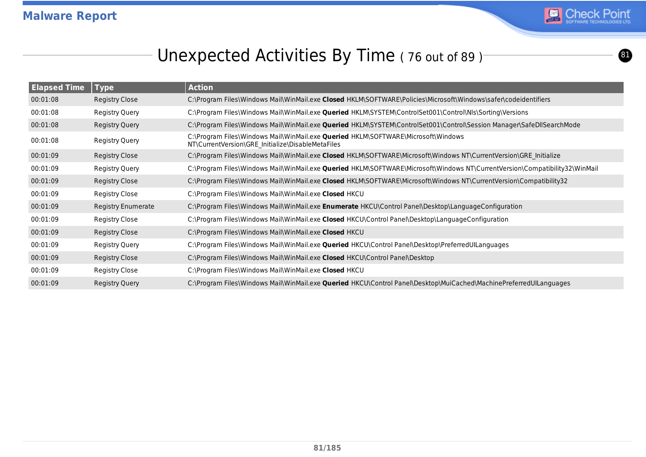

 $\bf{0}$ 

### Unexpected Activities By Time (76 out of 89)

| <b>Elapsed Time</b> | $\blacksquare$ Type       | <b>Action</b>                                                                                                                                 |
|---------------------|---------------------------|-----------------------------------------------------------------------------------------------------------------------------------------------|
| 00:01:08            | Registry Close            | C:\Program Files\Windows Mail\WinMail.exe Closed HKLM\SOFTWARE\Policies\Microsoft\Windows\safer\codeidentifiers                               |
| 00:01:08            | Registry Query            | C:\Program Files\Windows Mail\WinMail.exe Queried HKLM\SYSTEM\ControlSet001\Control\Nls\Sorting\Versions                                      |
| 00:01:08            | Registry Query            | C:\Program Files\Windows Mail\WinMail.exe <b>Queried</b> HKLM\SYSTEM\ControlSet001\Control\Session Manager\SafeDllSearchMode                  |
| 00:01:08            | Registry Query            | C:\Program Files\Windows Mail\WinMail.exe <b>Queried</b> HKLM\SOFTWARE\Microsoft\Windows<br>NT\CurrentVersion\GRE_Initialize\DisableMetaFiles |
| 00:01:09            | Registry Close            | C:\Program Files\Windows Mail\WinMail.exe Closed HKLM\SOFTWARE\Microsoft\Windows NT\CurrentVersion\GRE Initialize                             |
| 00:01:09            | Registry Query            | C:\Program Files\Windows Mail\WinMail.exe Queried HKLM\SOFTWARE\Microsoft\Windows NT\CurrentVersion\Compatibility32\WinMail                   |
| 00:01:09            | Registry Close            | C:\Program Files\Windows Mail\WinMail.exe Closed HKLM\SOFTWARE\Microsoft\Windows NT\CurrentVersion\Compatibility32                            |
| 00:01:09            | Registry Close            | C:\Program Files\Windows Mail\WinMail.exe Closed HKCU                                                                                         |
| 00:01:09            | <b>Registry Enumerate</b> | C:\Program Files\Windows Mail\WinMail.exe Enumerate HKCU\Control Panel\Desktop\LanguageConfiguration                                          |
| 00:01:09            | Registry Close            | C:\Program Files\Windows Mail\WinMail.exe Closed HKCU\Control Panel\Desktop\LanguageConfiguration                                             |
| 00:01:09            | Registry Close            | C:\Program Files\Windows Mail\WinMail.exe Closed HKCU                                                                                         |
| 00:01:09            | Registry Query            | C:\Program Files\Windows Mail\WinMail.exe Queried HKCU\Control Panel\Desktop\PreferredUILanguages                                             |
| 00:01:09            | Registry Close            | C:\Program Files\Windows Mail\WinMail.exe Closed HKCU\Control Panel\Desktop                                                                   |
| 00:01:09            | Registry Close            | C:\Program Files\Windows Mail\WinMail.exe Closed HKCU                                                                                         |
| 00:01:09            | Registry Query            | C:\Program Files\Windows Mail\WinMail.exe Queried HKCU\Control Panel\Desktop\MuiCached\MachinePreferredUILanguages                            |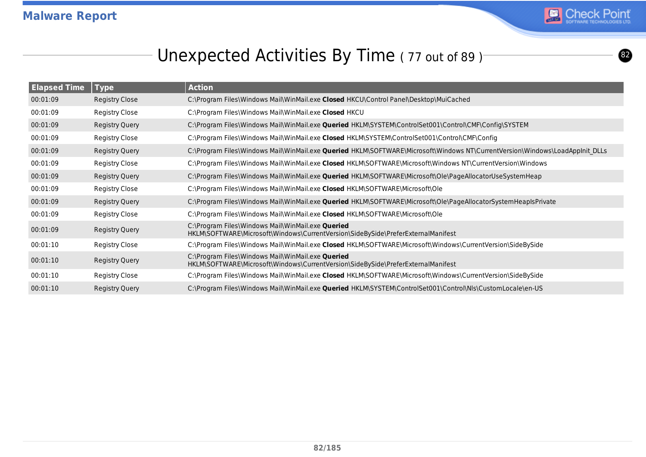

### Unexpected Activities By Time (77 out of 89)<sup>-</sup>

| <b>Elapsed Time</b> | $\sqrt{ }$ Type       | <b>Action</b>                                                                                                                         |
|---------------------|-----------------------|---------------------------------------------------------------------------------------------------------------------------------------|
| 00:01:09            | Registry Close        | C:\Program Files\Windows Mail\WinMail.exe Closed HKCU\Control Panel\Desktop\MuiCached                                                 |
| 00:01:09            | Registry Close        | C:\Program Files\Windows Mail\WinMail.exe Closed HKCU                                                                                 |
| 00:01:09            | <b>Registry Query</b> | C:\Program Files\Windows Mail\WinMail.exe <b>Queried</b> HKLM\SYSTEM\ControlSet001\Control\CMF\Config\SYSTEM                          |
| 00:01:09            | <b>Registry Close</b> | C:\Program Files\Windows Mail\WinMail.exe Closed HKLM\SYSTEM\ControlSet001\Control\CMF\Config                                         |
| 00:01:09            | Registry Query        | C:\Program Files\Windows Mail\WinMail.exe Queried HKLM\SOFTWARE\Microsoft\Windows NT\CurrentVersion\Windows\LoadAppInit DLLs          |
| 00:01:09            | <b>Registry Close</b> | C:\Program Files\Windows Mail\WinMail.exe Closed HKLM\SOFTWARE\Microsoft\Windows NT\CurrentVersion\Windows                            |
| 00:01:09            | <b>Registry Query</b> | C:\Program Files\Windows Mail\WinMail.exe <b>Queried</b> HKLM\SOFTWARE\Microsoft\Ole\PageAllocatorUseSystemHeap                       |
| 00:01:09            | <b>Registry Close</b> | C:\Program Files\Windows Mail\WinMail.exe Closed HKLM\SOFTWARE\Microsoft\Ole                                                          |
| 00:01:09            | <b>Registry Query</b> | C:\Program Files\Windows Mail\WinMail.exe Queried HKLM\SOFTWARE\Microsoft\Ole\PageAllocatorSystemHeapIsPrivate                        |
| 00:01:09            | Registry Close        | C:\Program Files\Windows Mail\WinMail.exe Closed HKLM\SOFTWARE\Microsoft\Ole                                                          |
| 00:01:09            | Registry Query        | C:\Program Files\Windows Mail\WinMail.exe Queried<br>HKLM\SOFTWARE\Microsoft\Windows\CurrentVersion\SideBySide\PreferExternalManifest |
| 00:01:10            | Registry Close        | C:\Program Files\Windows Mail\WinMail.exe Closed HKLM\SOFTWARE\Microsoft\Windows\CurrentVersion\SideBySide                            |
| 00:01:10            | Registry Query        | C:\Program Files\Windows Mail\WinMail.exe Queried<br>HKLM\SOFTWARE\Microsoft\Windows\CurrentVersion\SideBySide\PreferExternalManifest |
| 00:01:10            | Registry Close        | C:\Program Files\Windows Mail\WinMail.exe Closed HKLM\SOFTWARE\Microsoft\Windows\CurrentVersion\SideBySide                            |
| 00:01:10            | <b>Registry Query</b> | C:\Program Files\Windows Mail\WinMail.exe Queried HKLM\SYSTEM\ControlSet001\Control\Nls\CustomLocale\en-US                            |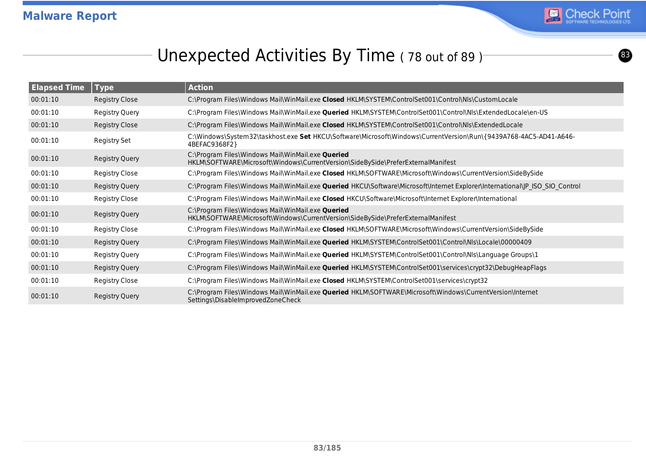

### Unexpected Activities By Time (78 out of 89)

| <b>Elapsed Time</b> | <b>Type</b>           | <b>Action</b>                                                                                                                                         |
|---------------------|-----------------------|-------------------------------------------------------------------------------------------------------------------------------------------------------|
| 00:01:10            | <b>Registry Close</b> | C:\Program Files\Windows Mail\WinMail.exe Closed HKLM\SYSTEM\ControlSet001\Control\Nls\CustomLocale                                                   |
| 00:01:10            | Registry Query        | C:\Program Files\Windows Mail\WinMail.exe Queried HKLM\SYSTEM\ControlSet001\Control\Nls\ExtendedLocale\en-US                                          |
| 00:01:10            | <b>Registry Close</b> | C:\Program Files\Windows Mail\WinMail.exe Closed HKLM\SYSTEM\ControlSet001\Control\Nls\ExtendedLocale                                                 |
| 00:01:10            | Registry Set          | C:\Windows\System32\taskhost.exe Set HKCU\Software\Microsoft\Windows\CurrentVersion\Run\{9439A768-4AC5-AD41-A646-<br>4BEFAC9368F2}                    |
| 00:01:10            | Registry Query        | C:\Program Files\Windows Mail\WinMail.exe Queried<br>HKLM\SOFTWARE\Microsoft\Windows\CurrentVersion\SideBySide\PreferExternalManifest                 |
| 00:01:10            | <b>Registry Close</b> | C:\Program Files\Windows Mail\WinMail.exe Closed HKLM\SOFTWARE\Microsoft\Windows\CurrentVersion\SideBySide                                            |
| 00:01:10            | Registry Query        | C:\Program Files\Windows Mail\WinMail.exe Queried HKCU\Software\Microsoft\Internet Explorer\International\JP ISO SIO Control                          |
| 00:01:10            | Registry Close        | C:\Program Files\Windows Mail\WinMail.exe Closed HKCU\Software\Microsoft\Internet Explorer\International                                              |
| 00:01:10            | Registry Query        | C:\Program Files\Windows Mail\WinMail.exe Queried<br>HKLM\SOFTWARE\Microsoft\Windows\CurrentVersion\SideBySide\PreferExternalManifest                 |
| 00:01:10            | <b>Registry Close</b> | C:\Program Files\Windows Mail\WinMail.exe Closed HKLM\SOFTWARE\Microsoft\Windows\CurrentVersion\SideBySide                                            |
| 00:01:10            | <b>Registry Query</b> | C:\Program Files\Windows Mail\WinMail.exe Queried HKLM\SYSTEM\ControlSet001\Control\Nls\Locale\00000409                                               |
| 00:01:10            | Registry Query        | C:\Program Files\Windows Mail\WinMail.exe <b>Queried</b> HKLM\SYSTEM\ControlSet001\Control\Nls\Language Groups\1                                      |
| 00:01:10            | <b>Registry Query</b> | C:\Program Files\Windows Mail\WinMail.exe <b>Queried</b> HKLM\SYSTEM\ControlSet001\services\crypt32\DebugHeapFlags                                    |
| 00:01:10            | Registry Close        | C:\Program Files\Windows Mail\WinMail.exe Closed HKLM\SYSTEM\ControlSet001\services\crypt32                                                           |
| 00:01:10            | <b>Registry Query</b> | C:\Program Files\Windows Mail\WinMail.exe <b>Queried</b> HKLM\SOFTWARE\Microsoft\Windows\CurrentVersion\Internet<br>Settings\DisableImprovedZoneCheck |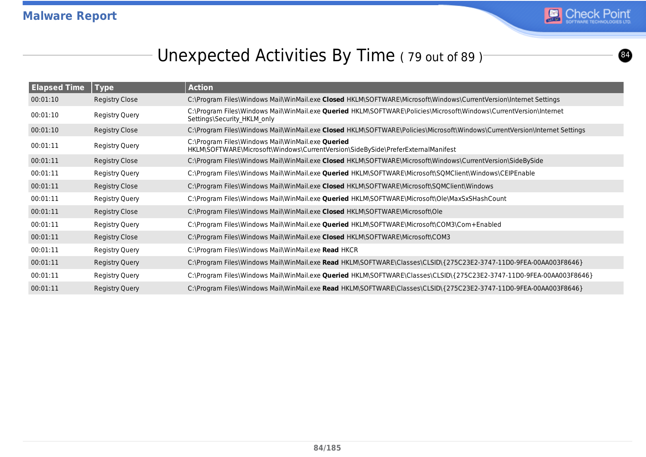

### Unexpected Activities By Time (79 out of 89)<sup>-</sup>

| <b>Elapsed Time</b> | Type                  | <b>Action</b>                                                                                                                                            |
|---------------------|-----------------------|----------------------------------------------------------------------------------------------------------------------------------------------------------|
| 00:01:10            | <b>Registry Close</b> | C:\Program Files\Windows Mail\WinMail.exe Closed HKLM\SOFTWARE\Microsoft\Windows\CurrentVersion\Internet Settings                                        |
| 00:01:10            | <b>Registry Query</b> | C:\Program Files\Windows Mail\WinMail.exe <b>Queried</b> HKLM\SOFTWARE\Policies\Microsoft\Windows\CurrentVersion\Internet<br>Settings\Security_HKLM_only |
| 00:01:10            | Registry Close        | C:\Program Files\Windows Mail\WinMail.exe Closed HKLM\SOFTWARE\Policies\Microsoft\Windows\CurrentVersion\Internet Settings                               |
| 00:01:11            | Registry Query        | C:\Program Files\Windows Mail\WinMail.exe Queried<br>HKLM\SOFTWARE\Microsoft\Windows\CurrentVersion\SideBySide\PreferExternalManifest                    |
| 00:01:11            | <b>Registry Close</b> | C:\Program Files\Windows Mail\WinMail.exe Closed HKLM\SOFTWARE\Microsoft\Windows\CurrentVersion\SideBySide                                               |
| 00:01:11            | <b>Registry Query</b> | C:\Program Files\Windows Mail\WinMail.exe Queried HKLM\SOFTWARE\Microsoft\SQMClient\Windows\CEIPEnable                                                   |
| 00:01:11            | Registry Close        | C:\Program Files\Windows Mail\WinMail.exe Closed HKLM\SOFTWARE\Microsoft\SQMClient\Windows                                                               |
| 00:01:11            | <b>Registry Query</b> | C:\Program Files\Windows Mail\WinMail.exe Queried HKLM\SOFTWARE\Microsoft\Ole\MaxSxSHashCount                                                            |
| 00:01:11            | Registry Close        | C:\Program Files\Windows Mail\WinMail.exe Closed HKLM\SOFTWARE\Microsoft\Ole                                                                             |
| 00:01:11            | <b>Registry Query</b> | C:\Program Files\Windows Mail\WinMail.exe Queried HKLM\SOFTWARE\Microsoft\COM3\Com+Enabled                                                               |
| 00:01:11            | Registry Close        | C:\Program Files\Windows Mail\WinMail.exe Closed HKLM\SOFTWARE\Microsoft\COM3                                                                            |
| 00:01:11            | Registry Query        | C:\Program Files\Windows Mail\WinMail.exe Read HKCR                                                                                                      |
| 00:01:11            | <b>Registry Query</b> | C:\Program Files\Windows Mail\WinMail.exe Read HKLM\SOFTWARE\Classes\CLSID\{275C23E2-3747-11D0-9FEA-00AA003F8646}                                        |
| 00:01:11            | Registry Query        | C:\Program Files\Windows Mail\WinMail.exe Queried HKLM\SOFTWARE\Classes\CLSID\{275C23E2-3747-11D0-9FEA-00AA003F8646}                                     |
| 00:01:11            | Registry Query        | C:\Program Files\Windows Mail\WinMail.exe Read HKLM\SOFTWARE\Classes\CLSID\{275C23E2-3747-11D0-9FEA-00AA003F8646}                                        |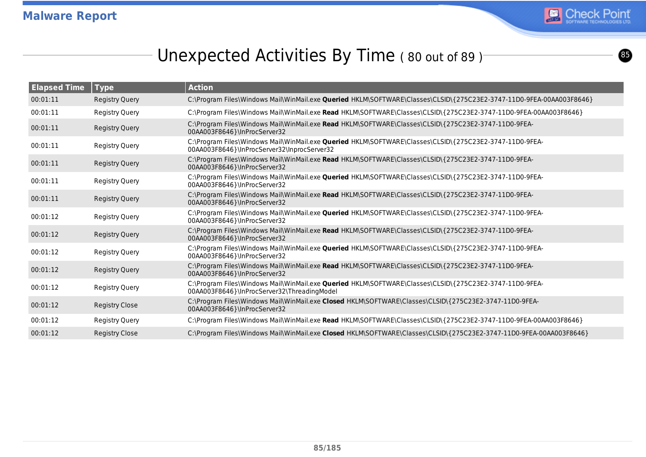

 $\bullet$ 

### Unexpected Activities By Time (80 out of 89)<sup>-</sup>

| <b>Elapsed Time</b> | $ $ Type              | <b>Action</b>                                                                                                                                          |
|---------------------|-----------------------|--------------------------------------------------------------------------------------------------------------------------------------------------------|
| 00:01:11            | <b>Registry Query</b> | C:\Program Files\Windows Mail\WinMail.exe Queried HKLM\SOFTWARE\Classes\CLSID\{275C23E2-3747-11D0-9FEA-00AA003F8646}                                   |
| 00:01:11            | Registry Query        | C:\Program Files\Windows Mail\WinMail.exe Read HKLM\SOFTWARE\Classes\CLSID\{275C23E2-3747-11D0-9FEA-00AA003F8646}                                      |
| 00:01:11            | <b>Registry Query</b> | C:\Program Files\Windows Mail\WinMail.exe Read HKLM\SOFTWARE\Classes\CLSID\{275C23E2-3747-11D0-9FEA-<br>00AA003F8646}\InProcServer32                   |
| 00:01:11            | Registry Query        | C:\Program Files\Windows Mail\WinMail.exe Queried HKLM\SOFTWARE\Classes\CLSID\{275C23E2-3747-11D0-9FEA-<br>00AA003F8646}\InProcServer32\InprocServer32 |
| 00:01:11            | <b>Registry Query</b> | C:\Program Files\Windows Mail\WinMail.exe Read HKLM\SOFTWARE\Classes\CLSID\{275C23E2-3747-11D0-9FEA-<br>00AA003F8646}\InProcServer32                   |
| 00:01:11            | Registry Query        | C:\Program Files\Windows Mail\WinMail.exe Queried HKLM\SOFTWARE\Classes\CLSID\{275C23E2-3747-11D0-9FEA-<br>00AA003F8646}\InProcServer32                |
| 00:01:11            | <b>Registry Query</b> | C:\Program Files\Windows Mail\WinMail.exe Read HKLM\SOFTWARE\Classes\CLSID\{275C23E2-3747-11D0-9FEA-<br>00AA003F8646}\InProcServer32                   |
| 00:01:12            | Registry Query        | C:\Program Files\Windows Mail\WinMail.exe Queried HKLM\SOFTWARE\Classes\CLSID\{275C23E2-3747-11D0-9FEA-<br>00AA003F8646}\InProcServer32                |
| 00:01:12            | <b>Registry Query</b> | C:\Program Files\Windows Mail\WinMail.exe Read HKLM\SOFTWARE\Classes\CLSID\{275C23E2-3747-11D0-9FEA-<br>00AA003F8646}\InProcServer32                   |
| 00:01:12            | Registry Query        | C:\Program Files\Windows Mail\WinMail.exe Queried HKLM\SOFTWARE\Classes\CLSID\{275C23E2-3747-11D0-9FEA-<br>00AA003F8646}\InProcServer32                |
| 00:01:12            | <b>Registry Query</b> | C:\Program Files\Windows Mail\WinMail.exe Read HKLM\SOFTWARE\Classes\CLSID\{275C23E2-3747-11D0-9FEA-<br>00AA003F8646}\InProcServer32                   |
| 00:01:12            | Registry Query        | C:\Program Files\Windows Mail\WinMail.exe Queried HKLM\SOFTWARE\Classes\CLSID\{275C23E2-3747-11D0-9FEA-<br>00AA003F8646}\InProcServer32\ThreadingModel |
| 00:01:12            | <b>Registry Close</b> | C:\Program Files\Windows Mail\WinMail.exe Closed HKLM\SOFTWARE\Classes\CLSID\{275C23E2-3747-11D0-9FEA-<br>00AA003F8646}\InProcServer32                 |
| 00:01:12            | Registry Query        | C:\Program Files\Windows Mail\WinMail.exe Read HKLM\SOFTWARE\Classes\CLSID\{275C23E2-3747-11D0-9FEA-00AA003F8646}                                      |
| 00:01:12            | <b>Registry Close</b> | C:\Program Files\Windows Mail\WinMail.exe Closed HKLM\SOFTWARE\Classes\CLSID\{275C23E2-3747-11D0-9FEA-00AA003F8646}                                    |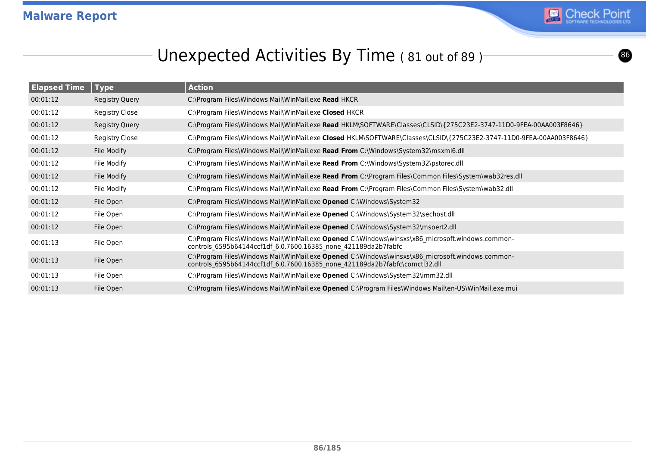

# Unexpected Activities By Time (81 out of 89)<sup>-</sup>

| <b>Elapsed Time</b> | Type                  | <b>Action</b>                                                                                                                                                                   |
|---------------------|-----------------------|---------------------------------------------------------------------------------------------------------------------------------------------------------------------------------|
| 00:01:12            | <b>Registry Query</b> | C:\Program Files\Windows Mail\WinMail.exe Read HKCR                                                                                                                             |
| 00:01:12            | Registry Close        | C:\Program Files\Windows Mail\WinMail.exe Closed HKCR                                                                                                                           |
| 00:01:12            | <b>Registry Query</b> | C:\Program Files\Windows Mail\WinMail.exe Read HKLM\SOFTWARE\Classes\CLSID\{275C23E2-3747-11D0-9FEA-00AA003F8646}                                                               |
| 00:01:12            | Registry Close        | C:\Program Files\Windows Mail\WinMail.exe Closed HKLM\SOFTWARE\Classes\CLSID\{275C23E2-3747-11D0-9FEA-00AA003F8646}                                                             |
| 00:01:12            | File Modify           | C:\Program Files\Windows Mail\WinMail.exe Read From C:\Windows\System32\msxml6.dll                                                                                              |
| 00:01:12            | File Modify           | C:\Program Files\Windows Mail\WinMail.exe Read From C:\Windows\System32\pstorec.dll                                                                                             |
| 00:01:12            | File Modify           | C:\Program Files\Windows Mail\WinMail.exe Read From C:\Program Files\Common Files\System\wab32res.dll                                                                           |
| 00:01:12            | File Modify           | C:\Program Files\Windows Mail\WinMail.exe Read From C:\Program Files\Common Files\System\wab32.dll                                                                              |
| 00:01:12            | File Open             | C:\Program Files\Windows Mail\WinMail.exe Opened C:\Windows\System32                                                                                                            |
| 00:01:12            | File Open             | C:\Program Files\Windows Mail\WinMail.exe Opened C:\Windows\System32\sechost.dll                                                                                                |
| 00:01:12            | File Open             | C:\Program Files\Windows Mail\WinMail.exe Opened C:\Windows\System32\msoert2.dll                                                                                                |
| 00:01:13            | File Open             | C:\Program Files\Windows Mail\WinMail.exe Opened C:\Windows\winsxs\x86 microsoft.windows.common-<br>controls 6595b64144ccf1df 6.0.7600.16385 none 421189da2b7fabfc              |
| 00:01:13            | File Open             | C:\Program Files\Windows Mail\WinMail.exe Opened C:\Windows\winsxs\x86 microsoft.windows.common-<br>controls 6595b64144ccf1df 6.0.7600.16385 none 421189da2b7fabfc\comctl32.dll |
| 00:01:13            | File Open             | C:\Program Files\Windows Mail\WinMail.exe Opened C:\Windows\System32\imm32.dll                                                                                                  |
| 00:01:13            | File Open             | C:\Program Files\Windows Mail\WinMail.exe Opened C:\Program Files\Windows Mail\en-US\WinMail.exe.mui                                                                            |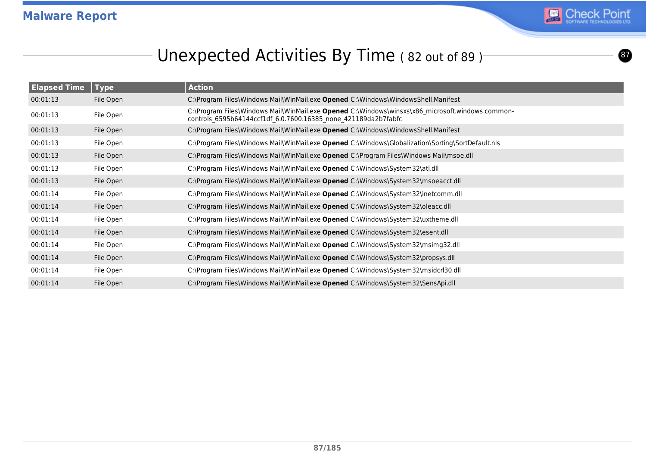

 $\boldsymbol{0}$ 

### Unexpected Activities By Time (82 out of 89)

| <b>Elapsed Time</b> | <b>Type</b> | <b>Action</b>                                                                                                                                                      |
|---------------------|-------------|--------------------------------------------------------------------------------------------------------------------------------------------------------------------|
| 00:01:13            | File Open   | C:\Program Files\Windows Mail\WinMail.exe Opened C:\Windows\WindowsShell.Manifest                                                                                  |
| 00:01:13            | File Open   | C:\Program Files\Windows Mail\WinMail.exe Opened C:\Windows\winsxs\x86 microsoft.windows.common-<br>controls_6595b64144ccf1df_6.0.7600.16385_none_421189da2b7fabfc |
| 00:01:13            | File Open   | C:\Program Files\Windows Mail\WinMail.exe Opened C:\Windows\WindowsShell.Manifest                                                                                  |
| 00:01:13            | File Open   | C:\Program Files\Windows Mail\WinMail.exe Opened C:\Windows\Globalization\Sorting\SortDefault.nls                                                                  |
| 00:01:13            | File Open   | C:\Program Files\Windows Mail\WinMail.exe Opened C:\Program Files\Windows Mail\msoe.dll                                                                            |
| 00:01:13            | File Open   | C:\Program Files\Windows Mail\WinMail.exe Opened C:\Windows\System32\atl.dll                                                                                       |
| 00:01:13            | File Open   | C:\Program Files\Windows Mail\WinMail.exe Opened C:\Windows\System32\msoeacct.dll                                                                                  |
| 00:01:14            | File Open   | C:\Program Files\Windows Mail\WinMail.exe Opened C:\Windows\System32\inetcomm.dll                                                                                  |
| 00:01:14            | File Open   | C:\Program Files\Windows Mail\WinMail.exe Opened C:\Windows\System32\oleacc.dll                                                                                    |
| 00:01:14            | File Open   | C:\Program Files\Windows Mail\WinMail.exe Opened C:\Windows\System32\uxtheme.dll                                                                                   |
| 00:01:14            | File Open   | C:\Program Files\Windows Mail\WinMail.exe Opened C:\Windows\System32\esent.dll                                                                                     |
| 00:01:14            | File Open   | C:\Program Files\Windows Mail\WinMail.exe Opened C:\Windows\System32\msimg32.dll                                                                                   |
| 00:01:14            | File Open   | C:\Program Files\Windows Mail\WinMail.exe Opened C:\Windows\System32\propsys.dll                                                                                   |
| 00:01:14            | File Open   | C:\Program Files\Windows Mail\WinMail.exe Opened C:\Windows\System32\msidcrl30.dll                                                                                 |
| 00:01:14            | File Open   | C:\Program Files\Windows Mail\WinMail.exe Opened C:\Windows\System32\SensApi.dll                                                                                   |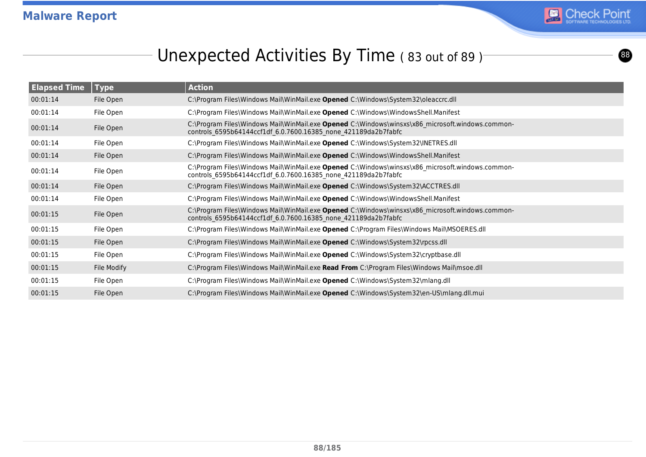

### Unexpected Activities By Time (83 out of 89)

| <b>Elapsed Time</b> | <b>Type</b> | <b>Action</b>                                                                                                                                                      |
|---------------------|-------------|--------------------------------------------------------------------------------------------------------------------------------------------------------------------|
| 00:01:14            | File Open   | C:\Program Files\Windows Mail\WinMail.exe Opened C:\Windows\System32\oleaccrc.dll                                                                                  |
| 00:01:14            | File Open   | C:\Program Files\Windows Mail\WinMail.exe Opened C:\Windows\WindowsShell.Manifest                                                                                  |
| 00:01:14            | File Open   | C:\Program Files\Windows Mail\WinMail.exe Opened C:\Windows\winsxs\x86 microsoft.windows.common-<br>controls 6595b64144ccf1df 6.0.7600.16385 none 421189da2b7fabfc |
| 00:01:14            | File Open   | C:\Program Files\Windows Mail\WinMail.exe Opened C:\Windows\System32\INETRES.dll                                                                                   |
| 00:01:14            | File Open   | C:\Program Files\Windows Mail\WinMail.exe Opened C:\Windows\WindowsShell.Manifest                                                                                  |
| 00:01:14            | File Open   | C:\Program Files\Windows Mail\WinMail.exe Opened C:\Windows\winsxs\x86 microsoft.windows.common-<br>controls 6595b64144ccf1df 6.0.7600.16385 none 421189da2b7fabfc |
| 00:01:14            | File Open   | C:\Program Files\Windows Mail\WinMail.exe Opened C:\Windows\System32\ACCTRES.dll                                                                                   |
| 00:01:14            | File Open   | C:\Program Files\Windows Mail\WinMail.exe Opened C:\Windows\WindowsShell.Manifest                                                                                  |
| 00:01:15            | File Open   | C:\Program Files\Windows Mail\WinMail.exe Opened C:\Windows\winsxs\x86_microsoft.windows.common-<br>controls 6595b64144ccf1df 6.0.7600.16385 none 421189da2b7fabfc |
| 00:01:15            | File Open   | C:\Program Files\Windows Mail\WinMail.exe Opened C:\Program Files\Windows Mail\MSOERES.dll                                                                         |
| 00:01:15            | File Open   | C:\Program Files\Windows Mail\WinMail.exe Opened C:\Windows\System32\rpcss.dll                                                                                     |
| 00:01:15            | File Open   | C:\Program Files\Windows Mail\WinMail.exe Opened C:\Windows\System32\cryptbase.dll                                                                                 |
| 00:01:15            | File Modify | C:\Program Files\Windows Mail\WinMail.exe Read From C:\Program Files\Windows Mail\msoe.dll                                                                         |
| 00:01:15            | File Open   | C:\Program Files\Windows Mail\WinMail.exe Opened C:\Windows\System32\mlang.dll                                                                                     |
| 00:01:15            | File Open   | C:\Program Files\Windows Mail\WinMail.exe Opened C:\Windows\System32\en-US\mlang.dll.mui                                                                           |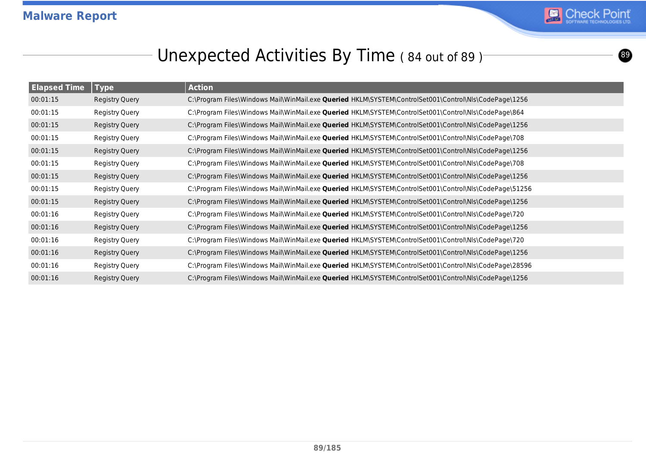

#### Unexpected Activities By Time (84 out of 89)<sup>-</sup>

| <b>Elapsed Time</b> | <b>Type</b>           | <b>Action</b>                                                                                                 |
|---------------------|-----------------------|---------------------------------------------------------------------------------------------------------------|
| 00:01:15            | <b>Registry Query</b> | C:\Program Files\Windows Mail\WinMail.exe Queried HKLM\SYSTEM\ControlSet001\Control\Nls\CodePage\1256         |
| 00:01:15            | <b>Registry Query</b> | C:\Program Files\Windows Mail\WinMail.exe Queried HKLM\SYSTEM\ControlSet001\Control\Nls\CodePage\864          |
| 00:01:15            | <b>Registry Query</b> | C:\Program Files\Windows Mail\WinMail.exe Queried HKLM\SYSTEM\ControlSet001\Control\Nls\CodePage\1256         |
| 00:01:15            | <b>Registry Query</b> | C:\Program Files\Windows Mail\WinMail.exe Queried HKLM\SYSTEM\ControlSet001\Control\Nls\CodePage\708          |
| 00:01:15            | <b>Registry Query</b> | C:\Program Files\Windows Mail\WinMail.exe Queried HKLM\SYSTEM\ControlSet001\Control\Nls\CodePage\1256         |
| 00:01:15            | <b>Registry Query</b> | C:\Program Files\Windows Mail\WinMail.exe Queried HKLM\SYSTEM\ControlSet001\Control\Nls\CodePage\708          |
| 00:01:15            | Registry Query        | C:\Program Files\Windows Mail\WinMail.exe Queried HKLM\SYSTEM\ControlSet001\Control\Nls\CodePage\1256         |
| 00:01:15            | <b>Registry Query</b> | C:\Program Files\Windows Mail\WinMail.exe <b>Queried</b> HKLM\SYSTEM\ControlSet001\Control\Nls\CodePage\51256 |
| 00:01:15            | Registry Query        | C:\Program Files\Windows Mail\WinMail.exe Queried HKLM\SYSTEM\ControlSet001\Control\Nls\CodePage\1256         |
| 00:01:16            | <b>Registry Query</b> | C:\Program Files\Windows Mail\WinMail.exe Queried HKLM\SYSTEM\ControlSet001\Control\Nls\CodePage\720          |
| 00:01:16            | <b>Registry Query</b> | C:\Program Files\Windows Mail\WinMail.exe Queried HKLM\SYSTEM\ControlSet001\Control\Nls\CodePage\1256         |
| 00:01:16            | <b>Registry Query</b> | C:\Program Files\Windows Mail\WinMail.exe Queried HKLM\SYSTEM\ControlSet001\Control\Nls\CodePage\720          |
| 00:01:16            | Registry Query        | C:\Program Files\Windows Mail\WinMail.exe Queried HKLM\SYSTEM\ControlSet001\Control\Nls\CodePage\1256         |
| 00:01:16            | <b>Registry Query</b> | C:\Program Files\Windows Mail\WinMail.exe Queried HKLM\SYSTEM\ControlSet001\Control\Nls\CodePage\28596        |
| 00:01:16            | Registry Query        | C:\Program Files\Windows Mail\WinMail.exe Queried HKLM\SYSTEM\ControlSet001\Control\Nls\CodePage\1256         |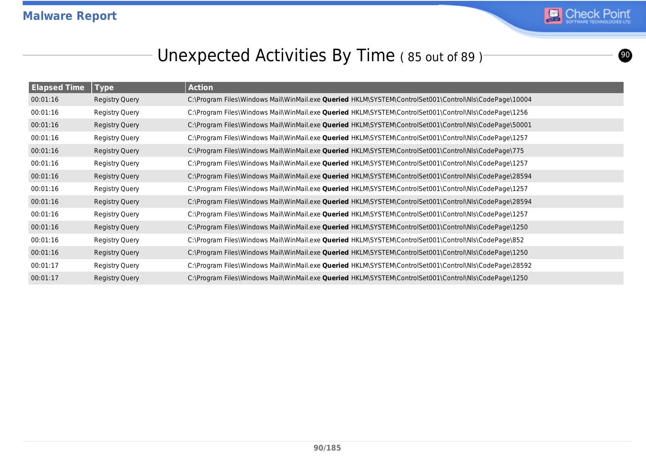

<u>ග</u>

### Unexpected Activities By Time (85 out of 89)<sup>-</sup>

| <b>Elapsed Time</b> | <b>Type</b>           | <b>Action</b>                                                                                          |
|---------------------|-----------------------|--------------------------------------------------------------------------------------------------------|
| 00:01:16            | <b>Registry Query</b> | C:\Program Files\Windows Mail\WinMail.exe Queried HKLM\SYSTEM\ControlSet001\Control\Nls\CodePage\10004 |
| 00:01:16            | Registry Query        | C:\Program Files\Windows Mail\WinMail.exe Queried HKLM\SYSTEM\ControlSet001\Control\Nls\CodePage\1256  |
| 00:01:16            | <b>Registry Query</b> | C:\Program Files\Windows Mail\WinMail.exe Queried HKLM\SYSTEM\ControlSet001\Control\Nls\CodePage\50001 |
| 00:01:16            | Registry Query        | C:\Program Files\Windows Mail\WinMail.exe Queried HKLM\SYSTEM\ControlSet001\Control\Nls\CodePage\1257  |
| 00:01:16            | Registry Query        | C:\Program Files\Windows Mail\WinMail.exe Queried HKLM\SYSTEM\ControlSet001\Control\Nls\CodePage\775   |
| 00:01:16            | Registry Query        | C:\Program Files\Windows Mail\WinMail.exe Queried HKLM\SYSTEM\ControlSet001\Control\Nls\CodePage\1257  |
| 00:01:16            | <b>Registry Query</b> | C:\Program Files\Windows Mail\WinMail.exe Queried HKLM\SYSTEM\ControlSet001\Control\Nls\CodePage\28594 |
| 00:01:16            | Registry Query        | C:\Program Files\Windows Mail\WinMail.exe Queried HKLM\SYSTEM\ControlSet001\Control\Nls\CodePage\1257  |
| 00:01:16            | Registry Query        | C:\Program Files\Windows Mail\WinMail.exe Queried HKLM\SYSTEM\ControlSet001\Control\Nls\CodePage\28594 |
| 00:01:16            | Registry Query        | C:\Program Files\Windows Mail\WinMail.exe Queried HKLM\SYSTEM\ControlSet001\Control\Nls\CodePage\1257  |
| 00:01:16            | <b>Registry Query</b> | C:\Program Files\Windows Mail\WinMail.exe Queried HKLM\SYSTEM\ControlSet001\Control\Nls\CodePage\1250  |
| 00:01:16            | Registry Query        | C:\Program Files\Windows Mail\WinMail.exe Queried HKLM\SYSTEM\ControlSet001\Control\Nls\CodePage\852   |
| 00:01:16            | <b>Registry Query</b> | C:\Program Files\Windows Mail\WinMail.exe Queried HKLM\SYSTEM\ControlSet001\Control\Nls\CodePage\1250  |
| 00:01:17            | Registry Query        | C:\Program Files\Windows Mail\WinMail.exe Queried HKLM\SYSTEM\ControlSet001\Control\Nls\CodePage\28592 |
| 00:01:17            | <b>Registry Query</b> | C:\Program Files\Windows Mail\WinMail.exe Queried HKLM\SYSTEM\ControlSet001\Control\Nls\CodePage\1250  |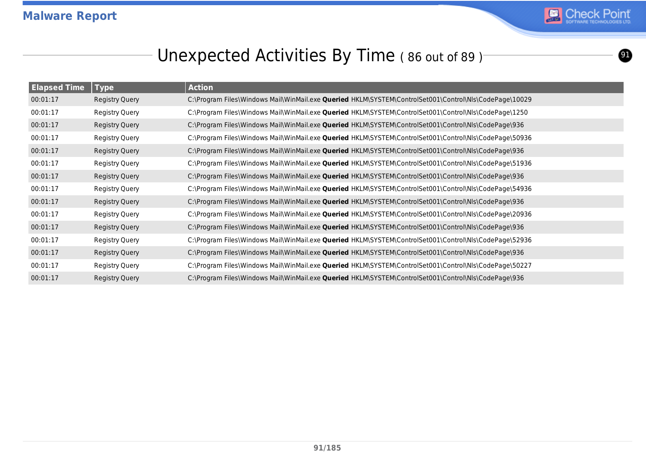

 $\bf{O}$ 

### Unexpected Activities By Time (86 out of 89)<sup>-</sup>

| <b>Elapsed Time</b> | $\sqrt{ }$ Type       | <b>Action</b>                                                                                          |
|---------------------|-----------------------|--------------------------------------------------------------------------------------------------------|
| 00:01:17            | Registry Query        | C:\Program Files\Windows Mail\WinMail.exe Queried HKLM\SYSTEM\ControlSet001\Control\Nls\CodePage\10029 |
| 00:01:17            | Registry Query        | C:\Program Files\Windows Mail\WinMail.exe Queried HKLM\SYSTEM\ControlSet001\Control\Nls\CodePage\1250  |
| 00:01:17            | <b>Registry Query</b> | C:\Program Files\Windows Mail\WinMail.exe Queried HKLM\SYSTEM\ControlSet001\Control\Nls\CodePage\936   |
| 00:01:17            | Registry Query        | C:\Program Files\Windows Mail\WinMail.exe Queried HKLM\SYSTEM\ControlSet001\Control\Nls\CodePage\50936 |
| 00:01:17            | Registry Query        | C:\Program Files\Windows Mail\WinMail.exe Queried HKLM\SYSTEM\ControlSet001\Control\Nls\CodePage\936   |
| 00:01:17            | Registry Query        | C:\Program Files\Windows Mail\WinMail.exe Queried HKLM\SYSTEM\ControlSet001\Control\Nls\CodePage\51936 |
| 00:01:17            | Registry Query        | C:\Program Files\Windows Mail\WinMail.exe Queried HKLM\SYSTEM\ControlSet001\Control\Nls\CodePage\936   |
| 00:01:17            | Registry Query        | C:\Program Files\Windows Mail\WinMail.exe Queried HKLM\SYSTEM\ControlSet001\Control\Nls\CodePage\54936 |
| 00:01:17            | Registry Query        | C:\Program Files\Windows Mail\WinMail.exe Queried HKLM\SYSTEM\ControlSet001\Control\Nls\CodePage\936   |
| 00:01:17            | Registry Query        | C:\Program Files\Windows Mail\WinMail.exe Queried HKLM\SYSTEM\ControlSet001\Control\Nls\CodePage\20936 |
| 00:01:17            | <b>Registry Query</b> | C:\Program Files\Windows Mail\WinMail.exe Queried HKLM\SYSTEM\ControlSet001\Control\Nls\CodePage\936   |
| 00:01:17            | <b>Registry Query</b> | C:\Program Files\Windows Mail\WinMail.exe Queried HKLM\SYSTEM\ControlSet001\Control\Nls\CodePage\52936 |
| 00:01:17            | Registry Query        | C:\Program Files\Windows Mail\WinMail.exe Queried HKLM\SYSTEM\ControlSet001\Control\Nls\CodePage\936   |
| 00:01:17            | <b>Registry Query</b> | C:\Program Files\Windows Mail\WinMail.exe Queried HKLM\SYSTEM\ControlSet001\Control\Nls\CodePage\50227 |
| 00:01:17            | Registry Query        | C:\Program Files\Windows Mail\WinMail.exe Queried HKLM\SYSTEM\ControlSet001\Control\Nls\CodePage\936   |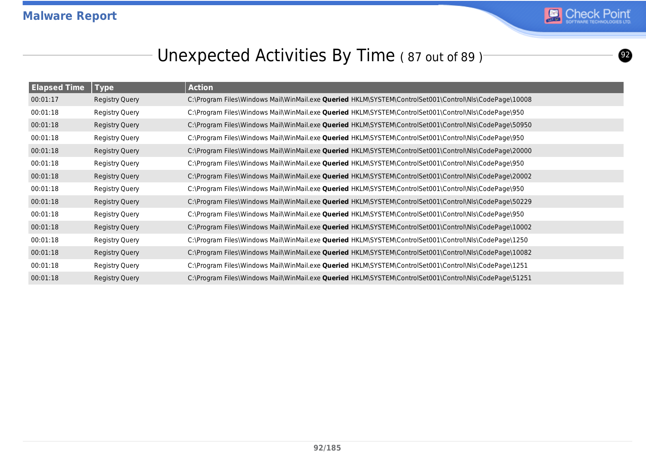

 $\boldsymbol{2}$ 

### Unexpected Activities By Time (87 out of 89)<sup>-</sup>

| <b>Elapsed Time</b> | <b>Type</b>           | <b>Action</b>                                                                                                 |
|---------------------|-----------------------|---------------------------------------------------------------------------------------------------------------|
| 00:01:17            | Registry Query        | C:\Program Files\Windows Mail\WinMail.exe Queried HKLM\SYSTEM\ControlSet001\Control\Nls\CodePage\10008        |
| 00:01:18            | Registry Query        | C:\Program Files\Windows Mail\WinMail.exe Queried HKLM\SYSTEM\ControlSet001\Control\Nls\CodePage\950          |
| 00:01:18            | <b>Registry Query</b> | C:\Program Files\Windows Mail\WinMail.exe Queried HKLM\SYSTEM\ControlSet001\Control\Nls\CodePage\50950        |
| 00:01:18            | <b>Registry Query</b> | C:\Program Files\Windows Mail\WinMail.exe Queried HKLM\SYSTEM\ControlSet001\Control\Nls\CodePage\950          |
| 00:01:18            | <b>Registry Query</b> | C:\Program Files\Windows Mail\WinMail.exe Queried HKLM\SYSTEM\ControlSet001\Control\Nls\CodePage\20000        |
| 00:01:18            | <b>Registry Query</b> | C:\Program Files\Windows Mail\WinMail.exe Queried HKLM\SYSTEM\ControlSet001\Control\Nls\CodePage\950          |
| 00:01:18            | Registry Query        | C:\Program Files\Windows Mail\WinMail.exe Queried HKLM\SYSTEM\ControlSet001\Control\Nls\CodePage\20002        |
| 00:01:18            | Registry Query        | C:\Program Files\Windows Mail\WinMail.exe Queried HKLM\SYSTEM\ControlSet001\Control\Nls\CodePage\950          |
| 00:01:18            | Registry Query        | C:\Program Files\Windows Mail\WinMail.exe Queried HKLM\SYSTEM\ControlSet001\Control\Nls\CodePage\50229        |
| 00:01:18            | Registry Query        | C:\Program Files\Windows Mail\WinMail.exe Queried HKLM\SYSTEM\ControlSet001\Control\Nls\CodePage\950          |
| 00:01:18            | <b>Registry Query</b> | C:\Program Files\Windows Mail\WinMail.exe <b>Queried</b> HKLM\SYSTEM\ControlSet001\Control\Nls\CodePage\10002 |
| 00:01:18            | <b>Registry Query</b> | C:\Program Files\Windows Mail\WinMail.exe Queried HKLM\SYSTEM\ControlSet001\Control\Nls\CodePage\1250         |
| 00:01:18            | Registry Query        | C:\Program Files\Windows Mail\WinMail.exe Queried HKLM\SYSTEM\ControlSet001\Control\Nls\CodePage\10082        |
| 00:01:18            | <b>Registry Query</b> | C:\Program Files\Windows Mail\WinMail.exe Queried HKLM\SYSTEM\ControlSet001\Control\Nls\CodePage\1251         |
| 00:01:18            | Registry Query        | C:\Program Files\Windows Mail\WinMail.exe Queried HKLM\SYSTEM\ControlSet001\Control\Nls\CodePage\51251        |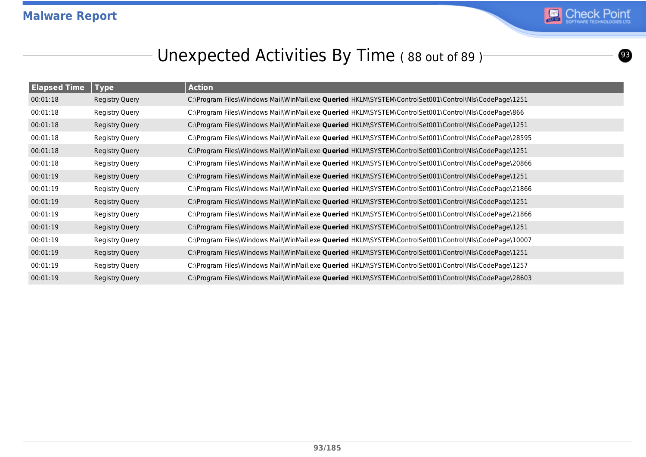

 $\circledcirc$ 

### Unexpected Activities By Time (88 out of 89)<sup>-</sup>

| <b>Elapsed Time</b> | <b>Type</b>           | <b>Action</b>                                                                                          |
|---------------------|-----------------------|--------------------------------------------------------------------------------------------------------|
| 00:01:18            | Registry Query        | C:\Program Files\Windows Mail\WinMail.exe Queried HKLM\SYSTEM\ControlSet001\Control\Nls\CodePage\1251  |
| 00:01:18            | Registry Query        | C:\Program Files\Windows Mail\WinMail.exe Queried HKLM\SYSTEM\ControlSet001\Control\Nls\CodePage\866   |
| 00:01:18            | <b>Registry Query</b> | C:\Program Files\Windows Mail\WinMail.exe Queried HKLM\SYSTEM\ControlSet001\Control\Nls\CodePage\1251  |
| 00:01:18            | Registry Query        | C:\Program Files\Windows Mail\WinMail.exe Queried HKLM\SYSTEM\ControlSet001\Control\Nls\CodePage\28595 |
| 00:01:18            | <b>Registry Query</b> | C:\Program Files\Windows Mail\WinMail.exe Queried HKLM\SYSTEM\ControlSet001\Control\Nls\CodePage\1251  |
| 00:01:18            | Registry Query        | C:\Program Files\Windows Mail\WinMail.exe Queried HKLM\SYSTEM\ControlSet001\Control\Nls\CodePage\20866 |
| 00:01:19            | Registry Query        | C:\Program Files\Windows Mail\WinMail.exe Queried HKLM\SYSTEM\ControlSet001\Control\Nls\CodePage\1251  |
| 00:01:19            | Registry Query        | C:\Program Files\Windows Mail\WinMail.exe Queried HKLM\SYSTEM\ControlSet001\Control\Nls\CodePage\21866 |
| 00:01:19            | Registry Query        | C:\Program Files\Windows Mail\WinMail.exe Queried HKLM\SYSTEM\ControlSet001\Control\Nls\CodePage\1251  |
| 00:01:19            | Registry Query        | C:\Program Files\Windows Mail\WinMail.exe Queried HKLM\SYSTEM\ControlSet001\Control\Nls\CodePage\21866 |
| 00:01:19            | <b>Registry Query</b> | C:\Program Files\Windows Mail\WinMail.exe Queried HKLM\SYSTEM\ControlSet001\Control\Nls\CodePage\1251  |
| 00:01:19            | Registry Query        | C:\Program Files\Windows Mail\WinMail.exe Queried HKLM\SYSTEM\ControlSet001\Control\Nls\CodePage\10007 |
| 00:01:19            | Registry Query        | C:\Program Files\Windows Mail\WinMail.exe Queried HKLM\SYSTEM\ControlSet001\Control\Nls\CodePage\1251  |
| 00:01:19            | Registry Query        | C:\Program Files\Windows Mail\WinMail.exe Queried HKLM\SYSTEM\ControlSet001\Control\Nls\CodePage\1257  |
| 00:01:19            | Registry Query        | C:\Program Files\Windows Mail\WinMail.exe Queried HKLM\SYSTEM\ControlSet001\Control\Nls\CodePage\28603 |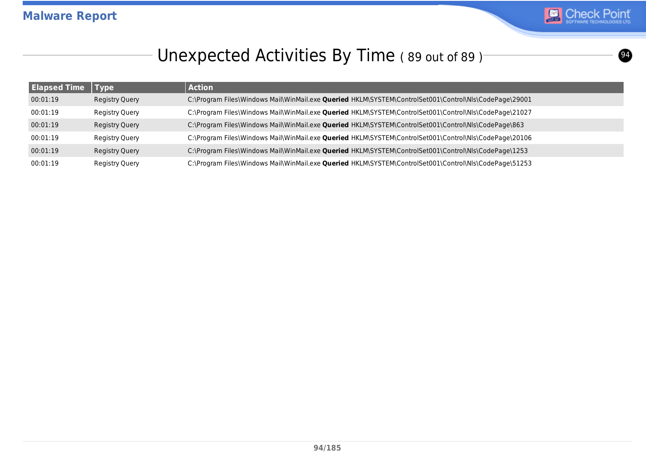

### Unexpected Activities By Time (89 out of 89)<sup>-</sup>

| <b>Elapsed Time</b> | Type                  | <b>Action</b>                                                                                               |
|---------------------|-----------------------|-------------------------------------------------------------------------------------------------------------|
| 00:01:19            | <b>Registry Query</b> | C:\Program Files\Windows Mail\WinMail.exe Queried HKLM\SYSTEM\ControlSet001\Control\Nls\CodePage\29001      |
| 00:01:19            | Registry Query        | C:\Program Files\Windows Mail\WinMail.exe Queried HKLM\SYSTEM\ControlSet001\Control\Nls\CodePage\21027      |
| 00:01:19            | <b>Registry Query</b> | C:\Program Files\Windows Mail\WinMail.exe <b>Queried</b> HKLM\SYSTEM\ControlSet001\Control\Nls\CodePage\863 |
| 00:01:19            | Registry Query        | C:\Program Files\Windows Mail\WinMail.exe Queried HKLM\SYSTEM\ControlSet001\Control\Nls\CodePage\20106      |
| 00:01:19            | Registry Query        | C:\Program Files\Windows Mail\WinMail.exe Queried HKLM\SYSTEM\ControlSet001\Control\Nls\CodePage\1253       |
| 00:01:19            | Registry Query        | C:\Program Files\Windows Mail\WinMail.exe Queried HKLM\SYSTEM\ControlSet001\Control\Nls\CodePage\51253      |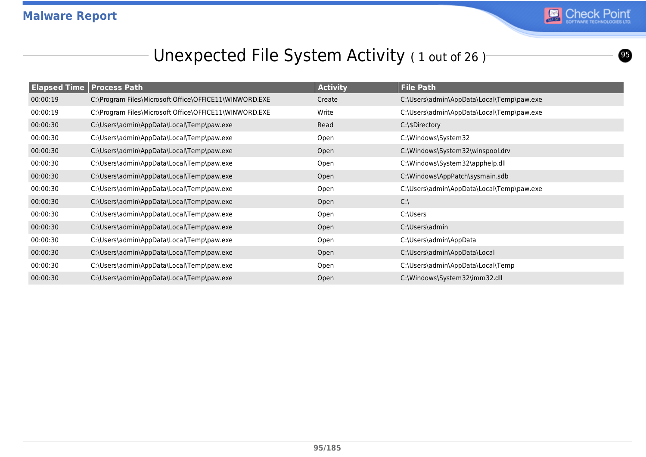

 $\boldsymbol{\Theta}$ 

### Unexpected File System Activity (1 out of 26)

|          | <b>Elapsed Time Process Path</b>                       | <b>Activity</b> | <b>File Path</b>                          |
|----------|--------------------------------------------------------|-----------------|-------------------------------------------|
| 00:00:19 | C:\Program Files\Microsoft Office\OFFICE11\WINWORD.EXE | Create          | C:\Users\admin\AppData\Local\Temp\paw.exe |
| 00:00:19 | C:\Program Files\Microsoft Office\OFFICE11\WINWORD.EXE | Write           | C:\Users\admin\AppData\Local\Temp\paw.exe |
| 00:00:30 | C:\Users\admin\AppData\Local\Temp\paw.exe              | Read            | C:\\$Directory                            |
| 00:00:30 | C:\Users\admin\AppData\Local\Temp\paw.exe              | Open            | C:\Windows\System32                       |
| 00:00:30 | C:\Users\admin\AppData\Local\Temp\paw.exe              | Open            | C:\Windows\System32\winspool.drv          |
| 00:00:30 | C:\Users\admin\AppData\Local\Temp\paw.exe              | Open            | C:\Windows\System32\apphelp.dll           |
| 00:00:30 | C:\Users\admin\AppData\Local\Temp\paw.exe              | Open            | C:\Windows\AppPatch\sysmain.sdb           |
| 00:00:30 | C:\Users\admin\AppData\Local\Temp\paw.exe              | Open            | C:\Users\admin\AppData\Local\Temp\paw.exe |
| 00:00:30 | C:\Users\admin\AppData\Local\Temp\paw.exe              | Open            | $C:\setminus$                             |
| 00:00:30 | C:\Users\admin\AppData\Local\Temp\paw.exe              | Open            | C:\Users                                  |
| 00:00:30 | C:\Users\admin\AppData\Local\Temp\paw.exe              | Open            | C:\Users\admin                            |
| 00:00:30 | C:\Users\admin\AppData\Local\Temp\paw.exe              | Open            | C:\Users\admin\AppData                    |
| 00:00:30 | C:\Users\admin\AppData\Local\Temp\paw.exe              | Open            | C:\Users\admin\AppData\Local              |
| 00:00:30 | C:\Users\admin\AppData\Local\Temp\paw.exe              | Open            | C:\Users\admin\AppData\Local\Temp         |
| 00:00:30 | C:\Users\admin\AppData\Local\Temp\paw.exe              | Open            | C:\Windows\System32\imm32.dll             |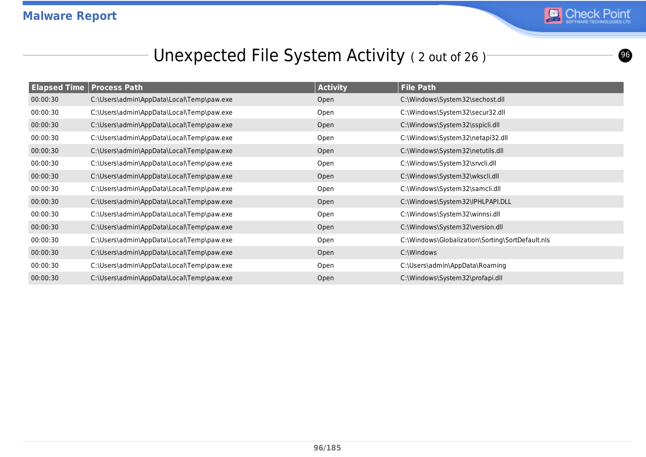

 $\bullet$ 

# Unexpected File System Activity (2 out of 26)

|          | <b>Elapsed Time   Process Path</b>        | <b>Activity</b> | <b>File Path</b>                                 |
|----------|-------------------------------------------|-----------------|--------------------------------------------------|
| 00:00:30 | C:\Users\admin\AppData\Local\Temp\paw.exe | Open            | C:\Windows\System32\sechost.dll                  |
| 00:00:30 | C:\Users\admin\AppData\Local\Temp\paw.exe | Open            | C:\Windows\System32\secur32.dll                  |
| 00:00:30 | C:\Users\admin\AppData\Local\Temp\paw.exe | Open            | C:\Windows\System32\sspicli.dll                  |
| 00:00:30 | C:\Users\admin\AppData\Local\Temp\paw.exe | Open            | C:\Windows\System32\netapi32.dll                 |
| 00:00:30 | C:\Users\admin\AppData\Local\Temp\paw.exe | Open            | C:\Windows\System32\netutils.dll                 |
| 00:00:30 | C:\Users\admin\AppData\Local\Temp\paw.exe | Open            | C:\Windows\System32\srvcli.dll                   |
| 00:00:30 | C:\Users\admin\AppData\Local\Temp\paw.exe | Open            | C:\Windows\System32\wkscli.dll                   |
| 00:00:30 | C:\Users\admin\AppData\Local\Temp\paw.exe | Open            | C:\Windows\System32\samcli.dll                   |
| 00:00:30 | C:\Users\admin\AppData\Local\Temp\paw.exe | Open            | C:\Windows\System32\IPHLPAPI.DLL                 |
| 00:00:30 | C:\Users\admin\AppData\Local\Temp\paw.exe | Open            | C:\Windows\System32\winnsi.dll                   |
| 00:00:30 | C:\Users\admin\AppData\Local\Temp\paw.exe | Open            | C:\Windows\System32\version.dll                  |
| 00:00:30 | C:\Users\admin\AppData\Local\Temp\paw.exe | Open            | C:\Windows\Globalization\Sorting\SortDefault.nls |
| 00:00:30 | C:\Users\admin\AppData\Local\Temp\paw.exe | Open            | C:\Windows                                       |
| 00:00:30 | C:\Users\admin\AppData\Local\Temp\paw.exe | Open            | C:\Users\admin\AppData\Roaming                   |
| 00:00:30 | C:\Users\admin\AppData\Local\Temp\paw.exe | Open            | C:\Windows\System32\profapi.dll                  |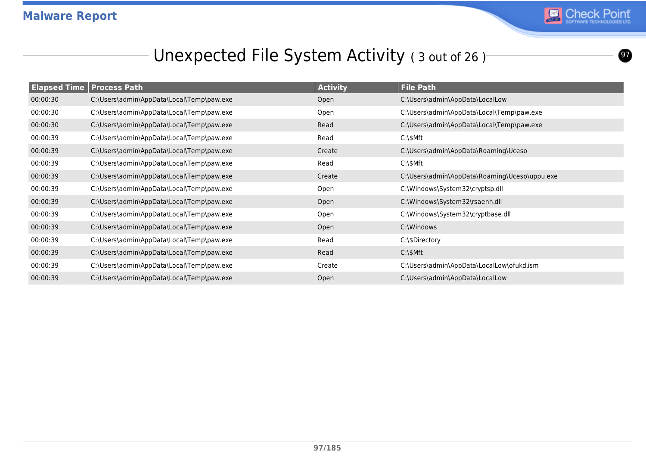

 $\boldsymbol{\Omega}$ 

# Unexpected File System Activity (3 out of 26)

|          | <b>Elapsed Time   Process Path</b>        | <b>Activity</b> | <b>File Path</b>                              |
|----------|-------------------------------------------|-----------------|-----------------------------------------------|
| 00:00:30 | C:\Users\admin\AppData\Local\Temp\paw.exe | Open            | C:\Users\admin\AppData\LocalLow               |
| 00:00:30 | C:\Users\admin\AppData\Local\Temp\paw.exe | Open            | C:\Users\admin\AppData\Local\Temp\paw.exe     |
| 00:00:30 | C:\Users\admin\AppData\Local\Temp\paw.exe | Read            | C:\Users\admin\AppData\Local\Temp\paw.exe     |
| 00:00:39 | C:\Users\admin\AppData\Local\Temp\paw.exe | Read            | $C:\$                                         |
| 00:00:39 | C:\Users\admin\AppData\Local\Temp\paw.exe | Create          | C:\Users\admin\AppData\Roaming\Uceso          |
| 00:00:39 | C:\Users\admin\AppData\Local\Temp\paw.exe | Read            | $C:\$                                         |
| 00:00:39 | C:\Users\admin\AppData\Local\Temp\paw.exe | Create          | C:\Users\admin\AppData\Roaming\Uceso\uppu.exe |
| 00:00:39 | C:\Users\admin\AppData\Local\Temp\paw.exe | Open            | C:\Windows\System32\cryptsp.dll               |
| 00:00:39 | C:\Users\admin\AppData\Local\Temp\paw.exe | Open            | C:\Windows\System32\rsaenh.dll                |
| 00:00:39 | C:\Users\admin\AppData\Local\Temp\paw.exe | Open            | C:\Windows\System32\cryptbase.dll             |
| 00:00:39 | C:\Users\admin\AppData\Local\Temp\paw.exe | Open            | C:\Windows                                    |
| 00:00:39 | C:\Users\admin\AppData\Local\Temp\paw.exe | Read            | C:\\$Directory                                |
| 00:00:39 | C:\Users\admin\AppData\Local\Temp\paw.exe | Read            | $C:\$ SMft                                    |
| 00:00:39 | C:\Users\admin\AppData\Local\Temp\paw.exe | Create          | C:\Users\admin\AppData\LocalLow\ofukd.ism     |
| 00:00:39 | C:\Users\admin\AppData\Local\Temp\paw.exe | Open            | C:\Users\admin\AppData\LocalLow               |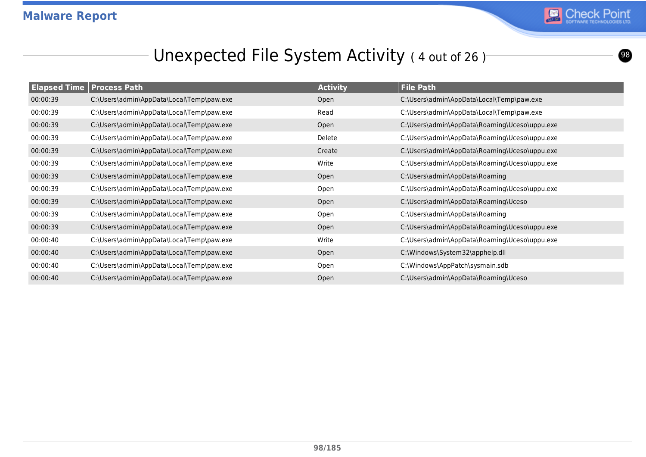

 $\bullet$ 

### Unexpected File System Activity (4 out of 26)

| <b>Elapsed Time Process Path</b> |                                           | <b>Activity</b> | <b>File Path</b>                              |
|----------------------------------|-------------------------------------------|-----------------|-----------------------------------------------|
| 00:00:39                         | C:\Users\admin\AppData\Local\Temp\paw.exe | Open            | C:\Users\admin\AppData\Local\Temp\paw.exe     |
| 00:00:39                         | C:\Users\admin\AppData\Local\Temp\paw.exe | Read            | C:\Users\admin\AppData\Local\Temp\paw.exe     |
| 00:00:39                         | C:\Users\admin\AppData\Local\Temp\paw.exe | Open            | C:\Users\admin\AppData\Roaming\Uceso\uppu.exe |
| 00:00:39                         | C:\Users\admin\AppData\Local\Temp\paw.exe | Delete          | C:\Users\admin\AppData\Roaming\Uceso\uppu.exe |
| 00:00:39                         | C:\Users\admin\AppData\Local\Temp\paw.exe | Create          | C:\Users\admin\AppData\Roaming\Uceso\uppu.exe |
| 00:00:39                         | C:\Users\admin\AppData\Local\Temp\paw.exe | Write           | C:\Users\admin\AppData\Roaming\Uceso\uppu.exe |
| 00:00:39                         | C:\Users\admin\AppData\Local\Temp\paw.exe | Open            | C:\Users\admin\AppData\Roaming                |
| 00:00:39                         | C:\Users\admin\AppData\Local\Temp\paw.exe | Open            | C:\Users\admin\AppData\Roaming\Uceso\uppu.exe |
| 00:00:39                         | C:\Users\admin\AppData\Local\Temp\paw.exe | Open            | C:\Users\admin\AppData\Roaming\Uceso          |
| 00:00:39                         | C:\Users\admin\AppData\Local\Temp\paw.exe | Open            | C:\Users\admin\AppData\Roaming                |
| 00:00:39                         | C:\Users\admin\AppData\Local\Temp\paw.exe | Open            | C:\Users\admin\AppData\Roaming\Uceso\uppu.exe |
| 00:00:40                         | C:\Users\admin\AppData\Local\Temp\paw.exe | Write           | C:\Users\admin\AppData\Roaming\Uceso\uppu.exe |
| 00:00:40                         | C:\Users\admin\AppData\Local\Temp\paw.exe | Open            | C:\Windows\System32\apphelp.dll               |
| 00:00:40                         | C:\Users\admin\AppData\Local\Temp\paw.exe | Open            | C:\Windows\AppPatch\sysmain.sdb               |
| 00:00:40                         | C:\Users\admin\AppData\Local\Temp\paw.exe | Open            | C:\Users\admin\AppData\Roaming\Uceso          |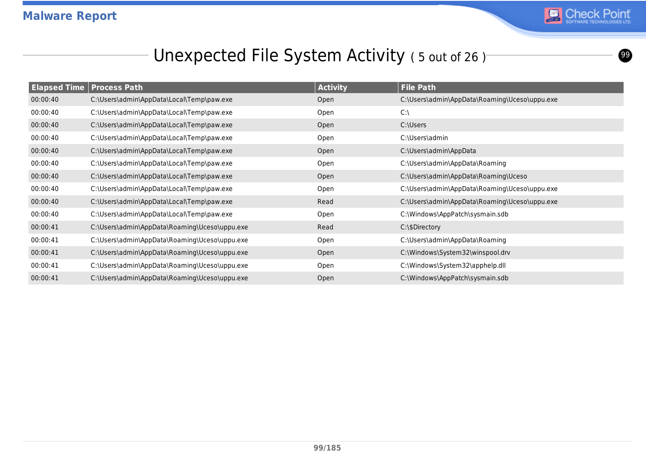

 $\boldsymbol{\circledcirc}$ 

# Unexpected File System Activity (5 out of 26)

| <b>Elapsed Time   Process Path</b> |                                               | <b>Activity</b> | <b>File Path</b>                              |
|------------------------------------|-----------------------------------------------|-----------------|-----------------------------------------------|
| 00:00:40                           | C:\Users\admin\AppData\Local\Temp\paw.exe     | Open            | C:\Users\admin\AppData\Roaming\Uceso\uppu.exe |
| 00:00:40                           | C:\Users\admin\AppData\Local\Temp\paw.exe     | Open            | $C:\setminus$                                 |
| 00:00:40                           | C:\Users\admin\AppData\Local\Temp\paw.exe     | Open            | C:\Users                                      |
| 00:00:40                           | C:\Users\admin\AppData\Local\Temp\paw.exe     | Open            | C:\Users\admin                                |
| 00:00:40                           | C:\Users\admin\AppData\Local\Temp\paw.exe     | Open            | C:\Users\admin\AppData                        |
| 00:00:40                           | C:\Users\admin\AppData\Local\Temp\paw.exe     | Open            | C:\Users\admin\AppData\Roaming                |
| 00:00:40                           | C:\Users\admin\AppData\Local\Temp\paw.exe     | Open            | C:\Users\admin\AppData\Roaming\Uceso          |
| 00:00:40                           | C:\Users\admin\AppData\Local\Temp\paw.exe     | Open            | C:\Users\admin\AppData\Roaming\Uceso\uppu.exe |
| 00:00:40                           | C:\Users\admin\AppData\Local\Temp\paw.exe     | Read            | C:\Users\admin\AppData\Roaming\Uceso\uppu.exe |
| 00:00:40                           | C:\Users\admin\AppData\Local\Temp\paw.exe     | Open            | C:\Windows\AppPatch\sysmain.sdb               |
| 00:00:41                           | C:\Users\admin\AppData\Roaming\Uceso\uppu.exe | Read            | C:\\$Directory                                |
| 00:00:41                           | C:\Users\admin\AppData\Roaming\Uceso\uppu.exe | Open            | C:\Users\admin\AppData\Roaming                |
| 00:00:41                           | C:\Users\admin\AppData\Roaming\Uceso\uppu.exe | Open            | C:\Windows\System32\winspool.drv              |
| 00:00:41                           | C:\Users\admin\AppData\Roaming\Uceso\uppu.exe | Open            | C:\Windows\System32\apphelp.dll               |
| 00:00:41                           | C:\Users\admin\AppData\Roaming\Uceso\uppu.exe | Open            | C:\Windows\AppPatch\sysmain.sdb               |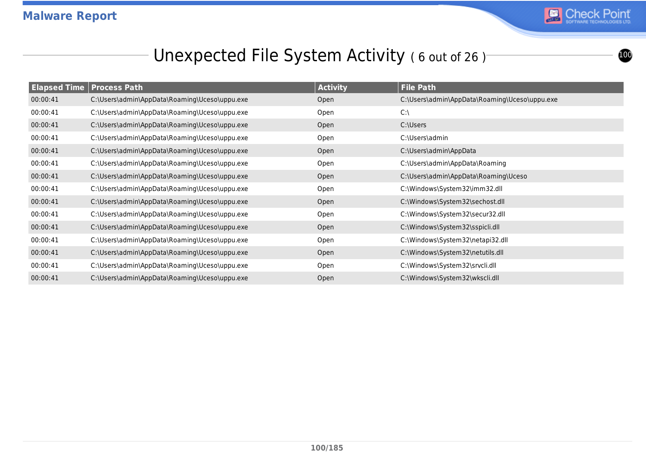

## Unexpected File System Activity (6 out of 26)

| <b>Elapsed Time   Process Path</b> |                                               | <b>Activity</b> | <b>File Path</b>                              |
|------------------------------------|-----------------------------------------------|-----------------|-----------------------------------------------|
| 00:00:41                           | C:\Users\admin\AppData\Roaming\Uceso\uppu.exe | Open            | C:\Users\admin\AppData\Roaming\Uceso\uppu.exe |
| 00:00:41                           | C:\Users\admin\AppData\Roaming\Uceso\uppu.exe | Open            | $C:\setminus$                                 |
| 00:00:41                           | C:\Users\admin\AppData\Roaming\Uceso\uppu.exe | Open            | C:\Users                                      |
| 00:00:41                           | C:\Users\admin\AppData\Roaming\Uceso\uppu.exe | Open            | C:\Users\admin                                |
| 00:00:41                           | C:\Users\admin\AppData\Roaming\Uceso\uppu.exe | Open            | C:\Users\admin\AppData                        |
| 00:00:41                           | C:\Users\admin\AppData\Roaming\Uceso\uppu.exe | Open            | C:\Users\admin\AppData\Roaming                |
| 00:00:41                           | C:\Users\admin\AppData\Roaming\Uceso\uppu.exe | Open            | C:\Users\admin\AppData\Roaming\Uceso          |
| 00:00:41                           | C:\Users\admin\AppData\Roaming\Uceso\uppu.exe | Open            | C:\Windows\System32\imm32.dll                 |
| 00:00:41                           | C:\Users\admin\AppData\Roaming\Uceso\uppu.exe | Open            | C:\Windows\System32\sechost.dll               |
| 00:00:41                           | C:\Users\admin\AppData\Roaming\Uceso\uppu.exe | Open            | C:\Windows\System32\secur32.dll               |
| 00:00:41                           | C:\Users\admin\AppData\Roaming\Uceso\uppu.exe | Open            | C:\Windows\System32\sspicli.dll               |
| 00:00:41                           | C:\Users\admin\AppData\Roaming\Uceso\uppu.exe | Open            | C:\Windows\System32\netapi32.dll              |
| 00:00:41                           | C:\Users\admin\AppData\Roaming\Uceso\uppu.exe | Open            | C:\Windows\System32\netutils.dll              |
| 00:00:41                           | C:\Users\admin\AppData\Roaming\Uceso\uppu.exe | Open            | C:\Windows\System32\srvcli.dll                |
| 00:00:41                           | C:\Users\admin\AppData\Roaming\Uceso\uppu.exe | Open            | C:\Windows\System32\wkscli.dll                |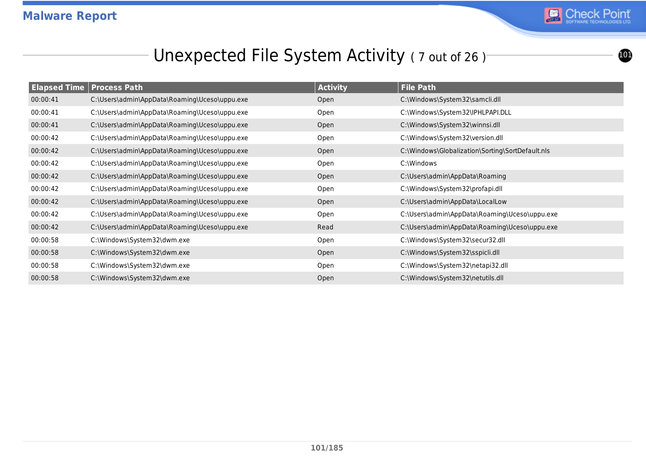

# Unexpected File System Activity (7 out of 26)

| <b>Elapsed Time Process Path</b> |                                               | <b>Activity</b> | <b>File Path</b>                                 |
|----------------------------------|-----------------------------------------------|-----------------|--------------------------------------------------|
| 00:00:41                         | C:\Users\admin\AppData\Roaming\Uceso\uppu.exe | Open            | C:\Windows\System32\samcli.dll                   |
| 00:00:41                         | C:\Users\admin\AppData\Roaming\Uceso\uppu.exe | Open            | C:\Windows\System32\IPHLPAPI.DLL                 |
| 00:00:41                         | C:\Users\admin\AppData\Roaming\Uceso\uppu.exe | Open            | C:\Windows\System32\winnsi.dll                   |
| 00:00:42                         | C:\Users\admin\AppData\Roaming\Uceso\uppu.exe | Open            | C:\Windows\System32\version.dll                  |
| 00:00:42                         | C:\Users\admin\AppData\Roaming\Uceso\uppu.exe | Open            | C:\Windows\Globalization\Sorting\SortDefault.nls |
| 00:00:42                         | C:\Users\admin\AppData\Roaming\Uceso\uppu.exe | Open            | C:\Windows                                       |
| 00:00:42                         | C:\Users\admin\AppData\Roaming\Uceso\uppu.exe | Open            | C:\Users\admin\AppData\Roaming                   |
| 00:00:42                         | C:\Users\admin\AppData\Roaming\Uceso\uppu.exe | Open            | C:\Windows\System32\profapi.dll                  |
| 00:00:42                         | C:\Users\admin\AppData\Roaming\Uceso\uppu.exe | Open            | C:\Users\admin\AppData\LocalLow                  |
| 00:00:42                         | C:\Users\admin\AppData\Roaming\Uceso\uppu.exe | Open            | C:\Users\admin\AppData\Roaming\Uceso\uppu.exe    |
| 00:00:42                         | C:\Users\admin\AppData\Roaming\Uceso\uppu.exe | Read            | C:\Users\admin\AppData\Roaming\Uceso\uppu.exe    |
| 00:00:58                         | C:\Windows\System32\dwm.exe                   | Open            | C:\Windows\System32\secur32.dll                  |
| 00:00:58                         | C:\Windows\System32\dwm.exe                   | Open            | C:\Windows\System32\sspicli.dll                  |
| 00:00:58                         | C:\Windows\System32\dwm.exe                   | Open            | C:\Windows\System32\netapi32.dll                 |
| 00:00:58                         | C:\Windows\System32\dwm.exe                   | Open            | C:\Windows\System32\netutils.dll                 |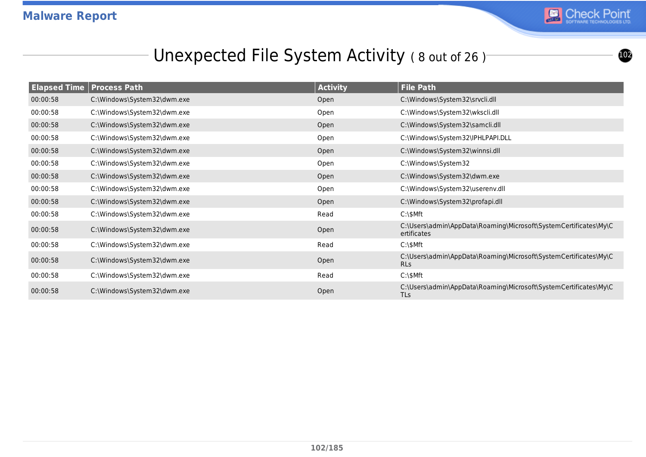# Unexpected File System Activity (8 out of 26)

| <b>Elapsed Time   Process Path</b> |                             | <b>Activity</b> | <b>File Path</b>                                                                |
|------------------------------------|-----------------------------|-----------------|---------------------------------------------------------------------------------|
| 00:00:58                           | C:\Windows\System32\dwm.exe | Open            | C:\Windows\System32\srvcli.dll                                                  |
| 00:00:58                           | C:\Windows\System32\dwm.exe | Open            | C:\Windows\System32\wkscli.dll                                                  |
| 00:00:58                           | C:\Windows\System32\dwm.exe | Open            | C:\Windows\System32\samcli.dll                                                  |
| 00:00:58                           | C:\Windows\System32\dwm.exe | Open            | C:\Windows\System32\IPHLPAPI.DLL                                                |
| 00:00:58                           | C:\Windows\System32\dwm.exe | Open            | C:\Windows\System32\winnsi.dll                                                  |
| 00:00:58                           | C:\Windows\System32\dwm.exe | Open            | C:\Windows\System32                                                             |
| 00:00:58                           | C:\Windows\System32\dwm.exe | Open            | C:\Windows\System32\dwm.exe                                                     |
| 00:00:58                           | C:\Windows\System32\dwm.exe | Open            | C:\Windows\System32\userenv.dll                                                 |
| 00:00:58                           | C:\Windows\System32\dwm.exe | Open            | C:\Windows\System32\profapi.dll                                                 |
| 00:00:58                           | C:\Windows\System32\dwm.exe | Read            | $C:\$                                                                           |
| 00:00:58                           | C:\Windows\System32\dwm.exe | Open            | C:\Users\admin\AppData\Roaming\Microsoft\SystemCertificates\My\C<br>ertificates |
| 00:00:58                           | C:\Windows\System32\dwm.exe | Read            | $C:\$                                                                           |
| 00:00:58                           | C:\Windows\System32\dwm.exe | Open            | C:\Users\admin\AppData\Roaming\Microsoft\SystemCertificates\My\C<br><b>RLs</b>  |
| 00:00:58                           | C:\Windows\System32\dwm.exe | Read            | $C:\$                                                                           |
| 00:00:58                           | C:\Windows\System32\dwm.exe | Open            | C:\Users\admin\AppData\Roaming\Microsoft\SystemCertificates\My\C<br><b>TLs</b>  |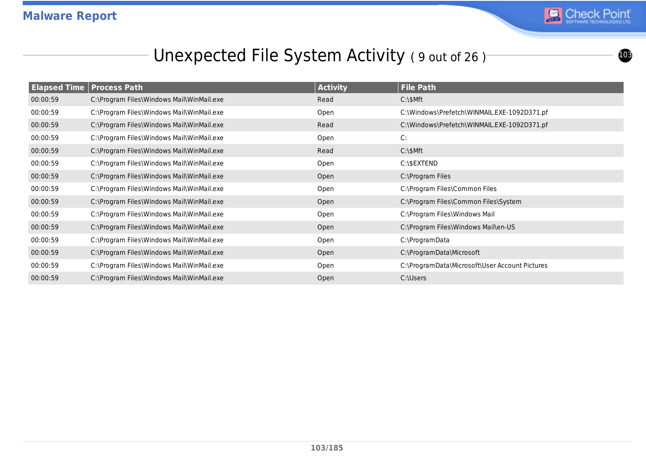

# Unexpected File System Activity (9 out of 26)

| <b>Elapsed Time   Process Path</b> |                                           | <b>Activity</b> | <b>File Path</b>                               |
|------------------------------------|-------------------------------------------|-----------------|------------------------------------------------|
| 00:00:59                           | C:\Program Files\Windows Mail\WinMail.exe | Read            | $C:\$ SMft                                     |
| 00:00:59                           | C:\Program Files\Windows Mail\WinMail.exe | Open            | C:\Windows\Prefetch\WINMAIL.EXE-1092D371.pf    |
| 00:00:59                           | C:\Program Files\Windows Mail\WinMail.exe | Read            | C:\Windows\Prefetch\WINMAIL.EXE-1092D371.pf    |
| 00:00:59                           | C:\Program Files\Windows Mail\WinMail.exe | Open            | C:                                             |
| 00:00:59                           | C:\Program Files\Windows Mail\WinMail.exe | Read            | $C:\$ SMft                                     |
| 00:00:59                           | C:\Program Files\Windows Mail\WinMail.exe | Open            | C:\\$EXTEND                                    |
| 00:00:59                           | C:\Program Files\Windows Mail\WinMail.exe | Open            | C:\Program Files                               |
| 00:00:59                           | C:\Program Files\Windows Mail\WinMail.exe | Open            | C:\Program Files\Common Files                  |
| 00:00:59                           | C:\Program Files\Windows Mail\WinMail.exe | Open            | C:\Program Files\Common Files\System           |
| 00:00:59                           | C:\Program Files\Windows Mail\WinMail.exe | Open            | C:\Program Files\Windows Mail                  |
| 00:00:59                           | C:\Program Files\Windows Mail\WinMail.exe | Open            | C:\Program Files\Windows Mail\en-US            |
| 00:00:59                           | C:\Program Files\Windows Mail\WinMail.exe | Open            | C:\ProgramData                                 |
| 00:00:59                           | C:\Program Files\Windows Mail\WinMail.exe | Open            | C:\ProgramData\Microsoft                       |
| 00:00:59                           | C:\Program Files\Windows Mail\WinMail.exe | Open            | C:\ProgramData\Microsoft\User Account Pictures |
| 00:00:59                           | C:\Program Files\Windows Mail\WinMail.exe | Open            | C:\Users                                       |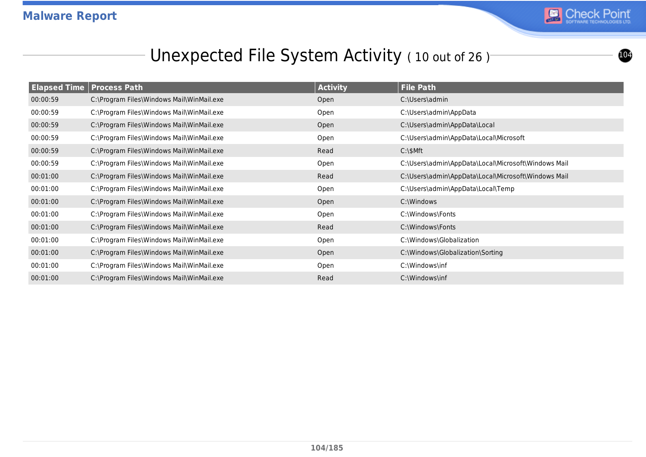# Unexpected File System Activity (10 out of 26)

|          | <b>Elapsed Time Process Path</b>          | <b>Activity</b> | <b>File Path</b>                                    |
|----------|-------------------------------------------|-----------------|-----------------------------------------------------|
| 00:00:59 | C:\Program Files\Windows Mail\WinMail.exe | Open            | C:\Users\admin                                      |
| 00:00:59 | C:\Program Files\Windows Mail\WinMail.exe | Open            | C:\Users\admin\AppData                              |
| 00:00:59 | C:\Program Files\Windows Mail\WinMail.exe | Open            | C:\Users\admin\AppData\Local                        |
| 00:00:59 | C:\Program Files\Windows Mail\WinMail.exe | Open            | C:\Users\admin\AppData\Local\Microsoft              |
| 00:00:59 | C:\Program Files\Windows Mail\WinMail.exe | Read            | $C:\$ SMft                                          |
| 00:00:59 | C:\Program Files\Windows Mail\WinMail.exe | Open            | C:\Users\admin\AppData\Local\Microsoft\Windows Mail |
| 00:01:00 | C:\Program Files\Windows Mail\WinMail.exe | Read            | C:\Users\admin\AppData\Local\Microsoft\Windows Mail |
| 00:01:00 | C:\Program Files\Windows Mail\WinMail.exe | Open            | C:\Users\admin\AppData\Local\Temp                   |
| 00:01:00 | C:\Program Files\Windows Mail\WinMail.exe | Open            | C:\Windows                                          |
| 00:01:00 | C:\Program Files\Windows Mail\WinMail.exe | Open            | C:\Windows\Fonts                                    |
| 00:01:00 | C:\Program Files\Windows Mail\WinMail.exe | Read            | C:\Windows\Fonts                                    |
| 00:01:00 | C:\Program Files\Windows Mail\WinMail.exe | Open            | C:\Windows\Globalization                            |
| 00:01:00 | C:\Program Files\Windows Mail\WinMail.exe | Open            | C:\Windows\Globalization\Sorting                    |
| 00:01:00 | C:\Program Files\Windows Mail\WinMail.exe | Open            | C:\Windows\inf                                      |
| 00:01:00 | C:\Program Files\Windows Mail\WinMail.exe | Read            | C:\Windows\inf                                      |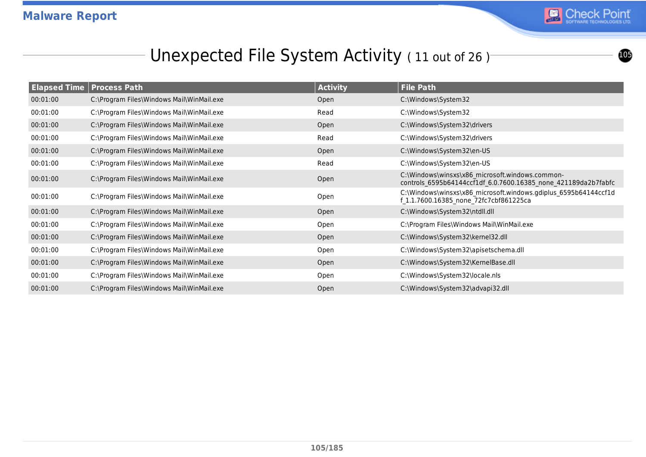# Unexpected File System Activity (11 out of 26)

| <b>Elapsed Time Process Path</b> |                                           | <b>Activity</b> | File Path                                                                                                         |
|----------------------------------|-------------------------------------------|-----------------|-------------------------------------------------------------------------------------------------------------------|
| 00:01:00                         | C:\Program Files\Windows Mail\WinMail.exe | Open            | C:\Windows\System32                                                                                               |
| 00:01:00                         | C:\Program Files\Windows Mail\WinMail.exe | Read            | C:\Windows\System32                                                                                               |
| 00:01:00                         | C:\Program Files\Windows Mail\WinMail.exe | Open            | C:\Windows\System32\drivers                                                                                       |
| 00:01:00                         | C:\Program Files\Windows Mail\WinMail.exe | Read            | C:\Windows\System32\drivers                                                                                       |
| 00:01:00                         | C:\Program Files\Windows Mail\WinMail.exe | Open            | C:\Windows\System32\en-US                                                                                         |
| 00:01:00                         | C:\Program Files\Windows Mail\WinMail.exe | Read            | C:\Windows\System32\en-US                                                                                         |
| 00:01:00                         | C:\Program Files\Windows Mail\WinMail.exe | Open            | C:\Windows\winsxs\x86_microsoft.windows.common-<br>controls 6595b64144ccf1df 6.0.7600.16385 none 421189da2b7fabfc |
| 00:01:00                         | C:\Program Files\Windows Mail\WinMail.exe | Open            | C:\Windows\winsxs\x86_microsoft.windows.gdiplus_6595b64144ccf1d<br>f 1.1.7600.16385 none 72fc7cbf861225ca         |
| 00:01:00                         | C:\Program Files\Windows Mail\WinMail.exe | Open            | C:\Windows\System32\ntdll.dll                                                                                     |
| 00:01:00                         | C:\Program Files\Windows Mail\WinMail.exe | Open            | C:\Program Files\Windows Mail\WinMail.exe                                                                         |
| 00:01:00                         | C:\Program Files\Windows Mail\WinMail.exe | Open            | C:\Windows\System32\kernel32.dll                                                                                  |
| 00:01:00                         | C:\Program Files\Windows Mail\WinMail.exe | Open            | C:\Windows\System32\apisetschema.dll                                                                              |
| 00:01:00                         | C:\Program Files\Windows Mail\WinMail.exe | Open            | C:\Windows\System32\KernelBase.dll                                                                                |
| 00:01:00                         | C:\Program Files\Windows Mail\WinMail.exe | Open            | C:\Windows\System32\locale.nls                                                                                    |
| 00:01:00                         | C:\Program Files\Windows Mail\WinMail.exe | Open            | C:\Windows\System32\advapi32.dll                                                                                  |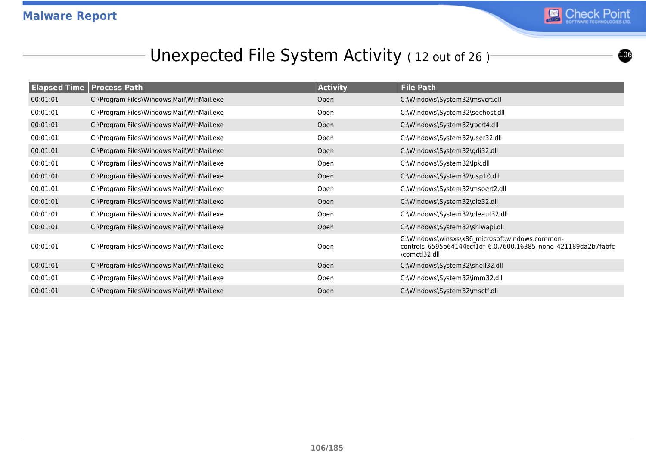#### Unexpected File System Activity (12 out of 26)

| <b>Elapsed Time</b> | <b>Process Path</b>                       | <b>Activity</b> | <b>File Path</b>                                                                                                                   |
|---------------------|-------------------------------------------|-----------------|------------------------------------------------------------------------------------------------------------------------------------|
| 00:01:01            | C:\Program Files\Windows Mail\WinMail.exe | Open            | C:\Windows\System32\msvcrt.dll                                                                                                     |
| 00:01:01            | C:\Program Files\Windows Mail\WinMail.exe | Open            | C:\Windows\System32\sechost.dll                                                                                                    |
| 00:01:01            | C:\Program Files\Windows Mail\WinMail.exe | Open            | C:\Windows\System32\rpcrt4.dll                                                                                                     |
| 00:01:01            | C:\Program Files\Windows Mail\WinMail.exe | Open            | C:\Windows\System32\user32.dll                                                                                                     |
| 00:01:01            | C:\Program Files\Windows Mail\WinMail.exe | Open            | C:\Windows\System32\gdi32.dll                                                                                                      |
| 00:01:01            | C:\Program Files\Windows Mail\WinMail.exe | Open            | C:\Windows\System32\lpk.dll                                                                                                        |
| 00:01:01            | C:\Program Files\Windows Mail\WinMail.exe | Open            | C:\Windows\System32\usp10.dll                                                                                                      |
| 00:01:01            | C:\Program Files\Windows Mail\WinMail.exe | Open            | C:\Windows\System32\msoert2.dll                                                                                                    |
| 00:01:01            | C:\Program Files\Windows Mail\WinMail.exe | Open            | C:\Windows\System32\ole32.dll                                                                                                      |
| 00:01:01            | C:\Program Files\Windows Mail\WinMail.exe | Open            | C:\Windows\System32\oleaut32.dll                                                                                                   |
| 00:01:01            | C:\Program Files\Windows Mail\WinMail.exe | Open            | C:\Windows\System32\shlwapi.dll                                                                                                    |
| 00:01:01            | C:\Program Files\Windows Mail\WinMail.exe | Open            | C:\Windows\winsxs\x86 microsoft.windows.common-<br>controls_6595b64144ccf1df_6.0.7600.16385_none_421189da2b7fabfc<br>\comctl32.dll |
| 00:01:01            | C:\Program Files\Windows Mail\WinMail.exe | Open            | C:\Windows\System32\shell32.dll                                                                                                    |
| 00:01:01            | C:\Program Files\Windows Mail\WinMail.exe | Open            | C:\Windows\System32\imm32.dll                                                                                                      |
| 00:01:01            | C:\Program Files\Windows Mail\WinMail.exe | Open            | C:\Windows\System32\msctf.dll                                                                                                      |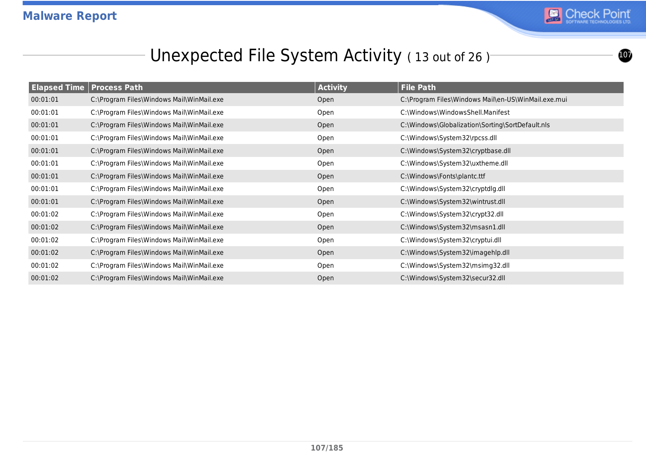

## Unexpected File System Activity (13 out of 26)

|          | <b>Elapsed Time Process Path</b>          | <b>Activity</b> | <b>File Path</b>                                    |
|----------|-------------------------------------------|-----------------|-----------------------------------------------------|
| 00:01:01 | C:\Program Files\Windows Mail\WinMail.exe | Open            | C:\Program Files\Windows Mail\en-US\WinMail.exe.mui |
| 00:01:01 | C:\Program Files\Windows Mail\WinMail.exe | Open            | C:\Windows\WindowsShell.Manifest                    |
| 00:01:01 | C:\Program Files\Windows Mail\WinMail.exe | Open            | C:\Windows\Globalization\Sorting\SortDefault.nls    |
| 00:01:01 | C:\Program Files\Windows Mail\WinMail.exe | Open            | C:\Windows\System32\rpcss.dll                       |
| 00:01:01 | C:\Program Files\Windows Mail\WinMail.exe | Open            | C:\Windows\System32\cryptbase.dll                   |
| 00:01:01 | C:\Program Files\Windows Mail\WinMail.exe | Open            | C:\Windows\System32\uxtheme.dll                     |
| 00:01:01 | C:\Program Files\Windows Mail\WinMail.exe | Open            | C:\Windows\Fonts\plantc.ttf                         |
| 00:01:01 | C:\Program Files\Windows Mail\WinMail.exe | Open            | C:\Windows\System32\cryptdlg.dll                    |
| 00:01:01 | C:\Program Files\Windows Mail\WinMail.exe | Open            | C:\Windows\System32\wintrust.dll                    |
| 00:01:02 | C:\Program Files\Windows Mail\WinMail.exe | Open            | C:\Windows\System32\crypt32.dll                     |
| 00:01:02 | C:\Program Files\Windows Mail\WinMail.exe | Open            | C:\Windows\System32\msasn1.dll                      |
| 00:01:02 | C:\Program Files\Windows Mail\WinMail.exe | Open            | C:\Windows\System32\cryptui.dll                     |
| 00:01:02 | C:\Program Files\Windows Mail\WinMail.exe | Open            | C:\Windows\System32\imagehlp.dll                    |
| 00:01:02 | C:\Program Files\Windows Mail\WinMail.exe | Open            | C:\Windows\System32\msimg32.dll                     |
| 00:01:02 | C:\Program Files\Windows Mail\WinMail.exe | Open            | C:\Windows\System32\secur32.dll                     |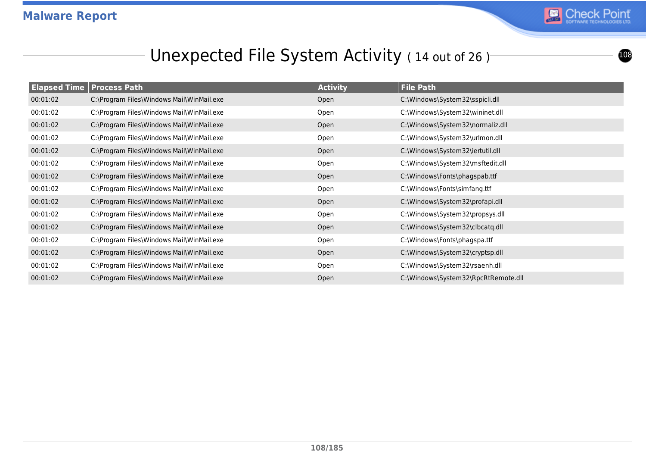# Unexpected File System Activity (14 out of 26)

|          | <b>Elapsed Time   Process Path</b>        | <b>Activity</b> | <b>File Path</b>                    |
|----------|-------------------------------------------|-----------------|-------------------------------------|
| 00:01:02 | C:\Program Files\Windows Mail\WinMail.exe | Open            | C:\Windows\System32\sspicli.dll     |
| 00:01:02 | C:\Program Files\Windows Mail\WinMail.exe | Open            | C:\Windows\System32\wininet.dll     |
| 00:01:02 | C:\Program Files\Windows Mail\WinMail.exe | Open            | C:\Windows\System32\normaliz.dll    |
| 00:01:02 | C:\Program Files\Windows Mail\WinMail.exe | Open            | C:\Windows\System32\urlmon.dll      |
| 00:01:02 | C:\Program Files\Windows Mail\WinMail.exe | Open            | C:\Windows\System32\iertutil.dll    |
| 00:01:02 | C:\Program Files\Windows Mail\WinMail.exe | Open            | C:\Windows\System32\msftedit.dll    |
| 00:01:02 | C:\Program Files\Windows Mail\WinMail.exe | Open            | C:\Windows\Fonts\phagspab.ttf       |
| 00:01:02 | C:\Program Files\Windows Mail\WinMail.exe | Open            | C:\Windows\Fonts\simfang.ttf        |
| 00:01:02 | C:\Program Files\Windows Mail\WinMail.exe | Open            | C:\Windows\System32\profapi.dll     |
| 00:01:02 | C:\Program Files\Windows Mail\WinMail.exe | Open            | C:\Windows\System32\propsys.dll     |
| 00:01:02 | C:\Program Files\Windows Mail\WinMail.exe | Open            | C:\Windows\System32\clbcatq.dll     |
| 00:01:02 | C:\Program Files\Windows Mail\WinMail.exe | Open            | C:\Windows\Fonts\phagspa.ttf        |
| 00:01:02 | C:\Program Files\Windows Mail\WinMail.exe | Open            | C:\Windows\System32\cryptsp.dll     |
| 00:01:02 | C:\Program Files\Windows Mail\WinMail.exe | Open            | C:\Windows\System32\rsaenh.dll      |
| 00:01:02 | C:\Program Files\Windows Mail\WinMail.exe | Open            | C:\Windows\System32\RpcRtRemote.dll |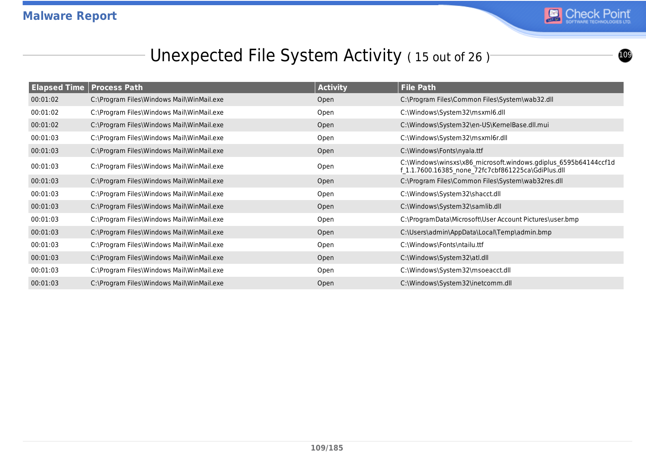

#### Unexpected File System Activity (15 out of 26)

| <b>Elapsed Time Process Path</b> |                                           | <b>Activity</b> | <b>File Path</b>                                                                                                      |
|----------------------------------|-------------------------------------------|-----------------|-----------------------------------------------------------------------------------------------------------------------|
| 00:01:02                         | C:\Program Files\Windows Mail\WinMail.exe | Open            | C:\Program Files\Common Files\System\wab32.dll                                                                        |
| 00:01:02                         | C:\Program Files\Windows Mail\WinMail.exe | Open            | C:\Windows\System32\msxml6.dll                                                                                        |
| 00:01:02                         | C:\Program Files\Windows Mail\WinMail.exe | Open            | C:\Windows\System32\en-US\KernelBase.dll.mui                                                                          |
| 00:01:03                         | C:\Program Files\Windows Mail\WinMail.exe | Open            | C:\Windows\System32\msxml6r.dll                                                                                       |
| 00:01:03                         | C:\Program Files\Windows Mail\WinMail.exe | Open            | C:\Windows\Fonts\nyala.ttf                                                                                            |
| 00:01:03                         | C:\Program Files\Windows Mail\WinMail.exe | Open            | C:\Windows\winsxs\x86 microsoft.windows.gdiplus 6595b64144ccf1d<br>f 1.1.7600.16385 none 72fc7cbf861225ca\GdiPlus.dll |
| 00:01:03                         | C:\Program Files\Windows Mail\WinMail.exe | Open            | C:\Program Files\Common Files\System\wab32res.dll                                                                     |
| 00:01:03                         | C:\Program Files\Windows Mail\WinMail.exe | Open            | C:\Windows\System32\shacct.dll                                                                                        |
| 00:01:03                         | C:\Program Files\Windows Mail\WinMail.exe | Open            | C:\Windows\System32\samlib.dll                                                                                        |
| 00:01:03                         | C:\Program Files\Windows Mail\WinMail.exe | Open            | C:\ProgramData\Microsoft\User Account Pictures\user.bmp                                                               |
| 00:01:03                         | C:\Program Files\Windows Mail\WinMail.exe | Open            | C:\Users\admin\AppData\Local\Temp\admin.bmp                                                                           |
| 00:01:03                         | C:\Program Files\Windows Mail\WinMail.exe | Open            | C:\Windows\Fonts\ntailu.ttf                                                                                           |
| 00:01:03                         | C:\Program Files\Windows Mail\WinMail.exe | Open            | C:\Windows\System32\atl.dll                                                                                           |
| 00:01:03                         | C:\Program Files\Windows Mail\WinMail.exe | Open            | C:\Windows\System32\msoeacct.dll                                                                                      |
| 00:01:03                         | C:\Program Files\Windows Mail\WinMail.exe | Open            | C:\Windows\System32\inetcomm.dll                                                                                      |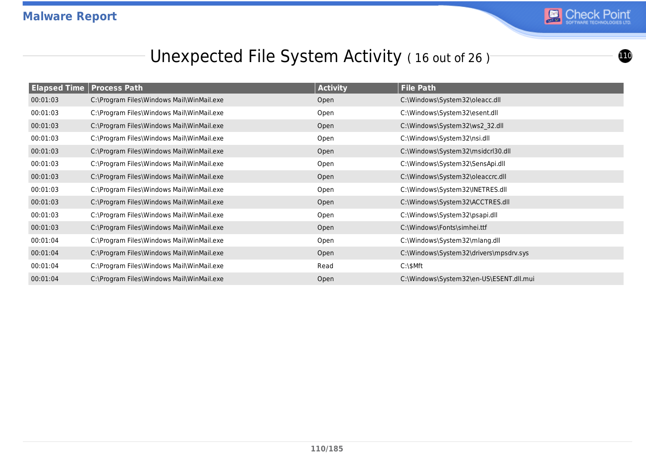

## Unexpected File System Activity (16 out of 26)

| <b>Elapsed Time Process Path</b> |                                           | <b>Activity</b> | <b>File Path</b>                        |
|----------------------------------|-------------------------------------------|-----------------|-----------------------------------------|
| 00:01:03                         | C:\Program Files\Windows Mail\WinMail.exe | Open            | C:\Windows\System32\oleacc.dll          |
| 00:01:03                         | C:\Program Files\Windows Mail\WinMail.exe | Open            | C:\Windows\System32\esent.dll           |
| 00:01:03                         | C:\Program Files\Windows Mail\WinMail.exe | Open            | C:\Windows\System32\ws2_32.dll          |
| 00:01:03                         | C:\Program Files\Windows Mail\WinMail.exe | Open            | C:\Windows\System32\nsi.dll             |
| 00:01:03                         | C:\Program Files\Windows Mail\WinMail.exe | Open            | C:\Windows\System32\msidcrl30.dll       |
| 00:01:03                         | C:\Program Files\Windows Mail\WinMail.exe | Open            | C:\Windows\System32\SensApi.dll         |
| 00:01:03                         | C:\Program Files\Windows Mail\WinMail.exe | Open            | C:\Windows\System32\oleaccrc.dll        |
| 00:01:03                         | C:\Program Files\Windows Mail\WinMail.exe | Open            | C:\Windows\System32\INETRES.dll         |
| 00:01:03                         | C:\Program Files\Windows Mail\WinMail.exe | Open            | C:\Windows\System32\ACCTRES.dll         |
| 00:01:03                         | C:\Program Files\Windows Mail\WinMail.exe | Open            | C:\Windows\System32\psapi.dll           |
| 00:01:03                         | C:\Program Files\Windows Mail\WinMail.exe | Open            | C:\Windows\Fonts\simhei.ttf             |
| 00:01:04                         | C:\Program Files\Windows Mail\WinMail.exe | Open            | C:\Windows\System32\mlang.dll           |
| 00:01:04                         | C:\Program Files\Windows Mail\WinMail.exe | Open            | C:\Windows\System32\drivers\mpsdrv.sys  |
| 00:01:04                         | C:\Program Files\Windows Mail\WinMail.exe | Read            | $C:\$                                   |
| 00:01:04                         | C:\Program Files\Windows Mail\WinMail.exe | Open            | C:\Windows\System32\en-US\ESENT.dll.mui |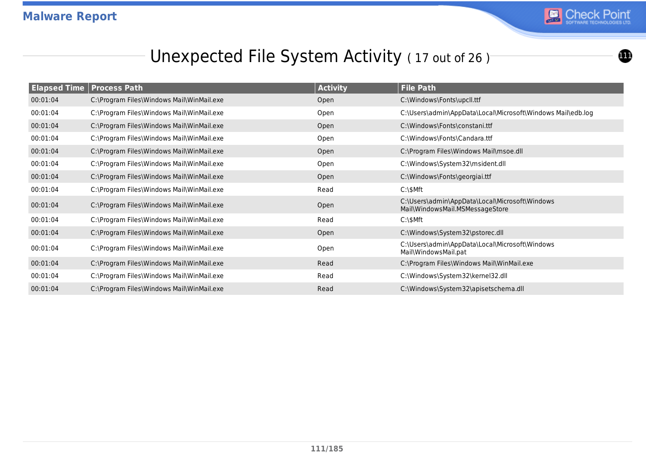

 $\bf{1}$ 

### Unexpected File System Activity (17 out of 26)

| <b>Elapsed Time   Process Path</b> |                                           | <b>Activity</b> | <b>File Path</b>                                                                  |
|------------------------------------|-------------------------------------------|-----------------|-----------------------------------------------------------------------------------|
| 00:01:04                           | C:\Program Files\Windows Mail\WinMail.exe | Open            | C:\Windows\Fonts\upcll.ttf                                                        |
| 00:01:04                           | C:\Program Files\Windows Mail\WinMail.exe | Open            | C:\Users\admin\AppData\Local\Microsoft\Windows Mail\edb.log                       |
| 00:01:04                           | C:\Program Files\Windows Mail\WinMail.exe | Open            | C:\Windows\Fonts\constani.ttf                                                     |
| 00:01:04                           | C:\Program Files\Windows Mail\WinMail.exe | Open            | C:\Windows\Fonts\Candara.ttf                                                      |
| 00:01:04                           | C:\Program Files\Windows Mail\WinMail.exe | Open            | C:\Program Files\Windows Mail\msoe.dll                                            |
| 00:01:04                           | C:\Program Files\Windows Mail\WinMail.exe | Open            | C:\Windows\System32\msident.dll                                                   |
| 00:01:04                           | C:\Program Files\Windows Mail\WinMail.exe | Open            | C:\Windows\Fonts\georgiai.ttf                                                     |
| 00:01:04                           | C:\Program Files\Windows Mail\WinMail.exe | Read            | $C:\$                                                                             |
| 00:01:04                           | C:\Program Files\Windows Mail\WinMail.exe | Open            | C:\Users\admin\AppData\Local\Microsoft\Windows<br>Mail\WindowsMail.MSMessageStore |
| 00:01:04                           | C:\Program Files\Windows Mail\WinMail.exe | Read            | $C:\$                                                                             |
| 00:01:04                           | C:\Program Files\Windows Mail\WinMail.exe | Open            | C:\Windows\System32\pstorec.dll                                                   |
| 00:01:04                           | C:\Program Files\Windows Mail\WinMail.exe | Open            | C:\Users\admin\AppData\Local\Microsoft\Windows<br>Mail\WindowsMail.pat            |
| 00:01:04                           | C:\Program Files\Windows Mail\WinMail.exe | Read            | C:\Program Files\Windows Mail\WinMail.exe                                         |
| 00:01:04                           | C:\Program Files\Windows Mail\WinMail.exe | Read            | C:\Windows\System32\kernel32.dll                                                  |
| 00:01:04                           | C:\Program Files\Windows Mail\WinMail.exe | Read            | C:\Windows\System32\apisetschema.dll                                              |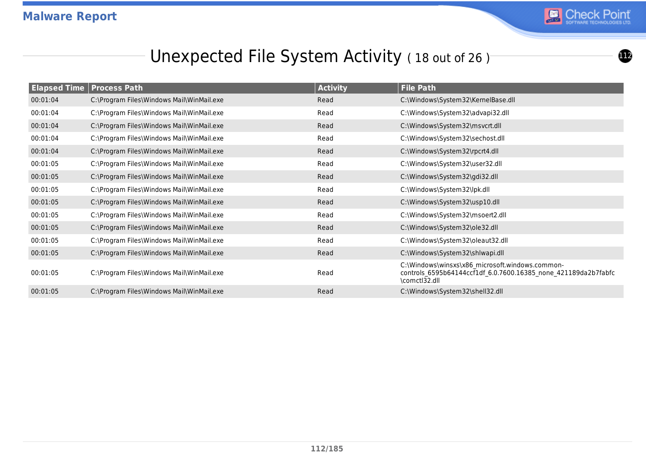

<u>112</u>

### Unexpected File System Activity (18 out of 26)

| <b>Elapsed Time</b> | <b>Process Path</b>                       | <b>Activity</b> | <b>File Path</b>                                                                                                                   |
|---------------------|-------------------------------------------|-----------------|------------------------------------------------------------------------------------------------------------------------------------|
| 00:01:04            | C:\Program Files\Windows Mail\WinMail.exe | Read            | C:\Windows\System32\KernelBase.dll                                                                                                 |
| 00:01:04            | C:\Program Files\Windows Mail\WinMail.exe | Read            | C:\Windows\System32\advapi32.dll                                                                                                   |
| 00:01:04            | C:\Program Files\Windows Mail\WinMail.exe | Read            | C:\Windows\System32\msvcrt.dll                                                                                                     |
| 00:01:04            | C:\Program Files\Windows Mail\WinMail.exe | Read            | C:\Windows\System32\sechost.dll                                                                                                    |
| 00:01:04            | C:\Program Files\Windows Mail\WinMail.exe | Read            | C:\Windows\System32\rpcrt4.dll                                                                                                     |
| 00:01:05            | C:\Program Files\Windows Mail\WinMail.exe | Read            | C:\Windows\System32\user32.dll                                                                                                     |
| 00:01:05            | C:\Program Files\Windows Mail\WinMail.exe | Read            | C:\Windows\System32\gdi32.dll                                                                                                      |
| 00:01:05            | C:\Program Files\Windows Mail\WinMail.exe | Read            | C:\Windows\System32\lpk.dll                                                                                                        |
| 00:01:05            | C:\Program Files\Windows Mail\WinMail.exe | Read            | C:\Windows\System32\usp10.dll                                                                                                      |
| 00:01:05            | C:\Program Files\Windows Mail\WinMail.exe | Read            | C:\Windows\System32\msoert2.dll                                                                                                    |
| 00:01:05            | C:\Program Files\Windows Mail\WinMail.exe | Read            | C:\Windows\System32\ole32.dll                                                                                                      |
| 00:01:05            | C:\Program Files\Windows Mail\WinMail.exe | Read            | C:\Windows\System32\oleaut32.dll                                                                                                   |
| 00:01:05            | C:\Program Files\Windows Mail\WinMail.exe | Read            | C:\Windows\System32\shlwapi.dll                                                                                                    |
| 00:01:05            | C:\Program Files\Windows Mail\WinMail.exe | Read            | C:\Windows\winsxs\x86 microsoft.windows.common-<br>controls 6595b64144ccf1df 6.0.7600.16385 none 421189da2b7fabfc<br>\comctl32.dll |
| 00:01:05            | C:\Program Files\Windows Mail\WinMail.exe | Read            | C:\Windows\System32\shell32.dll                                                                                                    |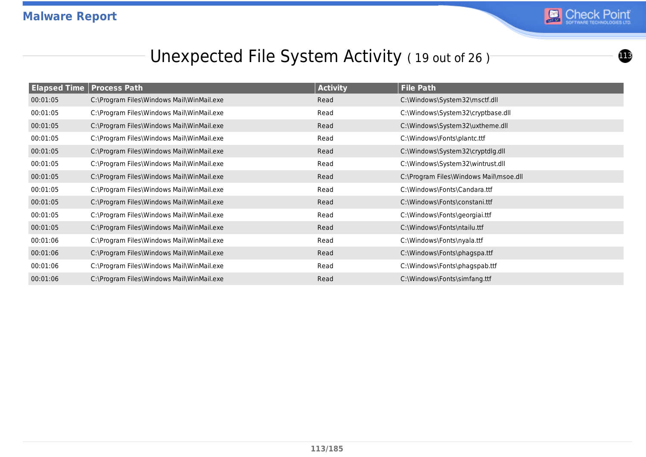

 $\bigoplus$ 

### Unexpected File System Activity (19 out of 26)

|          | <b>Elapsed Time Process Path</b>          | <b>Activity</b> | <b>File Path</b>                       |
|----------|-------------------------------------------|-----------------|----------------------------------------|
| 00:01:05 | C:\Program Files\Windows Mail\WinMail.exe | Read            | C:\Windows\System32\msctf.dll          |
| 00:01:05 | C:\Program Files\Windows Mail\WinMail.exe | Read            | C:\Windows\System32\cryptbase.dll      |
| 00:01:05 | C:\Program Files\Windows Mail\WinMail.exe | Read            | C:\Windows\System32\uxtheme.dll        |
| 00:01:05 | C:\Program Files\Windows Mail\WinMail.exe | Read            | C:\Windows\Fonts\plantc.ttf            |
| 00:01:05 | C:\Program Files\Windows Mail\WinMail.exe | Read            | C:\Windows\System32\cryptdlg.dll       |
| 00:01:05 | C:\Program Files\Windows Mail\WinMail.exe | Read            | C:\Windows\System32\wintrust.dll       |
| 00:01:05 | C:\Program Files\Windows Mail\WinMail.exe | Read            | C:\Program Files\Windows Mail\msoe.dll |
| 00:01:05 | C:\Program Files\Windows Mail\WinMail.exe | Read            | C:\Windows\Fonts\Candara.ttf           |
| 00:01:05 | C:\Program Files\Windows Mail\WinMail.exe | Read            | C:\Windows\Fonts\constani.ttf          |
| 00:01:05 | C:\Program Files\Windows Mail\WinMail.exe | Read            | C:\Windows\Fonts\georgiai.ttf          |
| 00:01:05 | C:\Program Files\Windows Mail\WinMail.exe | Read            | C:\Windows\Fonts\ntailu.ttf            |
| 00:01:06 | C:\Program Files\Windows Mail\WinMail.exe | Read            | C:\Windows\Fonts\nyala.ttf             |
| 00:01:06 | C:\Program Files\Windows Mail\WinMail.exe | Read            | C:\Windows\Fonts\phagspa.ttf           |
| 00:01:06 | C:\Program Files\Windows Mail\WinMail.exe | Read            | C:\Windows\Fonts\phagspab.ttf          |
| 00:01:06 | C:\Program Files\Windows Mail\WinMail.exe | Read            | C:\Windows\Fonts\simfang.ttf           |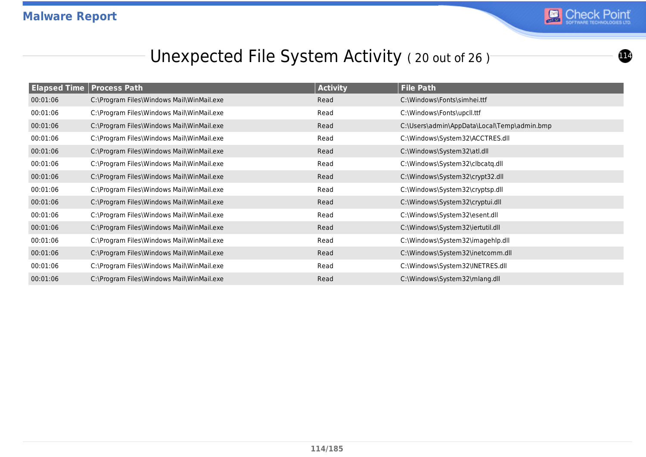

 $\bf{1}$ 

### Unexpected File System Activity (20 out of 26)

| <b>Elapsed Time Process Path</b> |                                           | <b>Activity</b> | <b>File Path</b>                            |
|----------------------------------|-------------------------------------------|-----------------|---------------------------------------------|
| 00:01:06                         | C:\Program Files\Windows Mail\WinMail.exe | Read            | C:\Windows\Fonts\simhei.ttf                 |
| 00:01:06                         | C:\Program Files\Windows Mail\WinMail.exe | Read            | C:\Windows\Fonts\upcll.ttf                  |
| 00:01:06                         | C:\Program Files\Windows Mail\WinMail.exe | Read            | C:\Users\admin\AppData\Local\Temp\admin.bmp |
| 00:01:06                         | C:\Program Files\Windows Mail\WinMail.exe | Read            | C:\Windows\System32\ACCTRES.dll             |
| 00:01:06                         | C:\Program Files\Windows Mail\WinMail.exe | Read            | C:\Windows\System32\atl.dll                 |
| 00:01:06                         | C:\Program Files\Windows Mail\WinMail.exe | Read            | C:\Windows\System32\clbcatq.dll             |
| 00:01:06                         | C:\Program Files\Windows Mail\WinMail.exe | Read            | C:\Windows\System32\crypt32.dll             |
| 00:01:06                         | C:\Program Files\Windows Mail\WinMail.exe | Read            | C:\Windows\System32\cryptsp.dll             |
| 00:01:06                         | C:\Program Files\Windows Mail\WinMail.exe | Read            | C:\Windows\System32\cryptui.dll             |
| 00:01:06                         | C:\Program Files\Windows Mail\WinMail.exe | Read            | C:\Windows\System32\esent.dll               |
| 00:01:06                         | C:\Program Files\Windows Mail\WinMail.exe | Read            | C:\Windows\System32\iertutil.dll            |
| 00:01:06                         | C:\Program Files\Windows Mail\WinMail.exe | Read            | C:\Windows\System32\imagehlp.dll            |
| 00:01:06                         | C:\Program Files\Windows Mail\WinMail.exe | Read            | C:\Windows\System32\inetcomm.dll            |
| 00:01:06                         | C:\Program Files\Windows Mail\WinMail.exe | Read            | C:\Windows\System32\INETRES.dll             |
| 00:01:06                         | C:\Program Files\Windows Mail\WinMail.exe | Read            | C:\Windows\System32\mlang.dll               |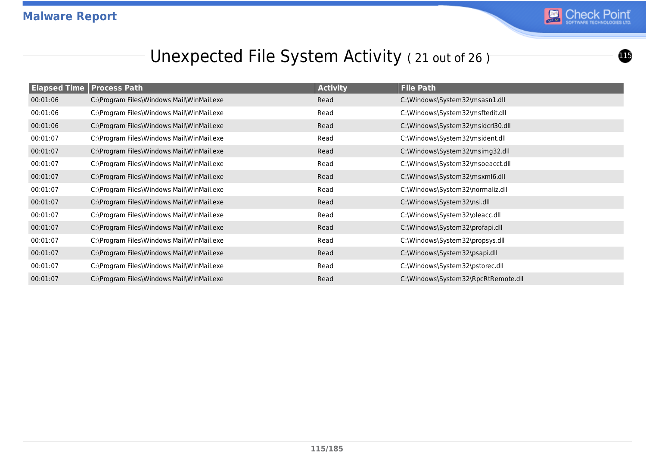

 $\mathbf 0$ 

### Unexpected File System Activity (21 out of 26)

| <b>Elapsed Time Process Path</b> |                                           | <b>Activity</b> | <b>File Path</b>                    |
|----------------------------------|-------------------------------------------|-----------------|-------------------------------------|
| 00:01:06                         | C:\Program Files\Windows Mail\WinMail.exe | Read            | C:\Windows\System32\msasn1.dll      |
| 00:01:06                         | C:\Program Files\Windows Mail\WinMail.exe | Read            | C:\Windows\System32\msftedit.dll    |
| 00:01:06                         | C:\Program Files\Windows Mail\WinMail.exe | Read            | C:\Windows\System32\msidcrl30.dll   |
| 00:01:07                         | C:\Program Files\Windows Mail\WinMail.exe | Read            | C:\Windows\System32\msident.dll     |
| 00:01:07                         | C:\Program Files\Windows Mail\WinMail.exe | Read            | C:\Windows\System32\msimg32.dll     |
| 00:01:07                         | C:\Program Files\Windows Mail\WinMail.exe | Read            | C:\Windows\System32\msoeacct.dll    |
| 00:01:07                         | C:\Program Files\Windows Mail\WinMail.exe | Read            | C:\Windows\System32\msxml6.dll      |
| 00:01:07                         | C:\Program Files\Windows Mail\WinMail.exe | Read            | C:\Windows\System32\normaliz.dll    |
| 00:01:07                         | C:\Program Files\Windows Mail\WinMail.exe | Read            | C:\Windows\System32\nsi.dll         |
| 00:01:07                         | C:\Program Files\Windows Mail\WinMail.exe | Read            | C:\Windows\System32\oleacc.dll      |
| 00:01:07                         | C:\Program Files\Windows Mail\WinMail.exe | Read            | C:\Windows\System32\profapi.dll     |
| 00:01:07                         | C:\Program Files\Windows Mail\WinMail.exe | Read            | C:\Windows\System32\propsys.dll     |
| 00:01:07                         | C:\Program Files\Windows Mail\WinMail.exe | Read            | C:\Windows\System32\psapi.dll       |
| 00:01:07                         | C:\Program Files\Windows Mail\WinMail.exe | Read            | C:\Windows\System32\pstorec.dll     |
| 00:01:07                         | C:\Program Files\Windows Mail\WinMail.exe | Read            | C:\Windows\System32\RpcRtRemote.dll |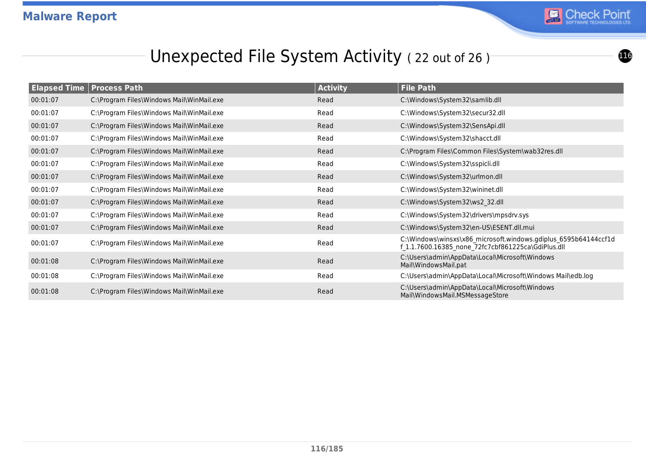

### Unexpected File System Activity (22 out of 26)

| <b>Elapsed Time</b> | <b>Process Path</b>                       | <b>Activity</b> | <b>File Path</b>                                                                                                      |
|---------------------|-------------------------------------------|-----------------|-----------------------------------------------------------------------------------------------------------------------|
| 00:01:07            | C:\Program Files\Windows Mail\WinMail.exe | Read            | C:\Windows\System32\samlib.dll                                                                                        |
| 00:01:07            | C:\Program Files\Windows Mail\WinMail.exe | Read            | C:\Windows\System32\secur32.dll                                                                                       |
| 00:01:07            | C:\Program Files\Windows Mail\WinMail.exe | Read            | C:\Windows\System32\SensApi.dll                                                                                       |
| 00:01:07            | C:\Program Files\Windows Mail\WinMail.exe | Read            | C:\Windows\System32\shacct.dll                                                                                        |
| 00:01:07            | C:\Program Files\Windows Mail\WinMail.exe | Read            | C:\Program Files\Common Files\System\wab32res.dll                                                                     |
| 00:01:07            | C:\Program Files\Windows Mail\WinMail.exe | Read            | C:\Windows\System32\sspicli.dll                                                                                       |
| 00:01:07            | C:\Program Files\Windows Mail\WinMail.exe | Read            | C:\Windows\System32\urlmon.dll                                                                                        |
| 00:01:07            | C:\Program Files\Windows Mail\WinMail.exe | Read            | C:\Windows\System32\wininet.dll                                                                                       |
| 00:01:07            | C:\Program Files\Windows Mail\WinMail.exe | Read            | C:\Windows\System32\ws2_32.dll                                                                                        |
| 00:01:07            | C:\Program Files\Windows Mail\WinMail.exe | Read            | C:\Windows\System32\drivers\mpsdrv.sys                                                                                |
| 00:01:07            | C:\Program Files\Windows Mail\WinMail.exe | Read            | C:\Windows\System32\en-US\ESENT.dll.mui                                                                               |
| 00:01:07            | C:\Program Files\Windows Mail\WinMail.exe | Read            | C:\Windows\winsxs\x86_microsoft.windows.gdiplus_6595b64144ccf1d<br>f 1.1.7600.16385 none 72fc7cbf861225ca\GdiPlus.dll |
| 00:01:08            | C:\Program Files\Windows Mail\WinMail.exe | Read            | C:\Users\admin\AppData\Local\Microsoft\Windows<br>Mail\WindowsMail.pat                                                |
| 00:01:08            | C:\Program Files\Windows Mail\WinMail.exe | Read            | C:\Users\admin\AppData\Local\Microsoft\Windows Mail\edb.log                                                           |
| 00:01:08            | C:\Program Files\Windows Mail\WinMail.exe | Read            | C:\Users\admin\AppData\Local\Microsoft\Windows<br>Mail\WindowsMail.MSMessageStore                                     |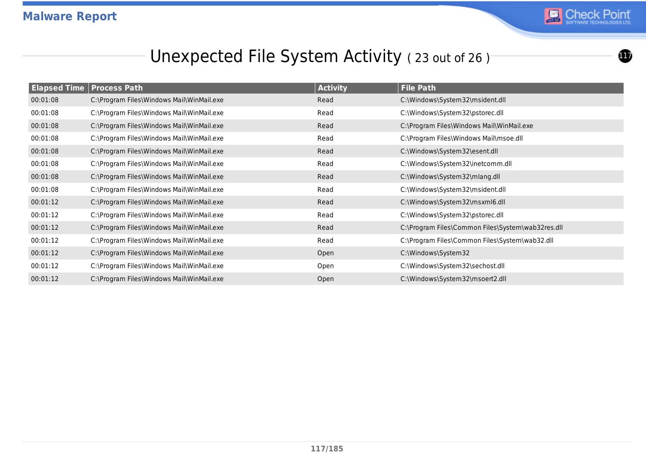

 $\bf \bm \Phi$ 

#### Unexpected File System Activity (23 out of 26)

| <b>Elapsed Time Process Path</b> |                                           | <b>Activity</b> | <b>File Path</b>                                  |
|----------------------------------|-------------------------------------------|-----------------|---------------------------------------------------|
| 00:01:08                         | C:\Program Files\Windows Mail\WinMail.exe | Read            | C:\Windows\System32\msident.dll                   |
| 00:01:08                         | C:\Program Files\Windows Mail\WinMail.exe | Read            | C:\Windows\System32\pstorec.dll                   |
| 00:01:08                         | C:\Program Files\Windows Mail\WinMail.exe | Read            | C:\Program Files\Windows Mail\WinMail.exe         |
| 00:01:08                         | C:\Program Files\Windows Mail\WinMail.exe | Read            | C:\Program Files\Windows Mail\msoe.dll            |
| 00:01:08                         | C:\Program Files\Windows Mail\WinMail.exe | Read            | C:\Windows\System32\esent.dll                     |
| 00:01:08                         | C:\Program Files\Windows Mail\WinMail.exe | Read            | C:\Windows\System32\inetcomm.dll                  |
| 00:01:08                         | C:\Program Files\Windows Mail\WinMail.exe | Read            | C:\Windows\System32\mlang.dll                     |
| 00:01:08                         | C:\Program Files\Windows Mail\WinMail.exe | Read            | C:\Windows\System32\msident.dll                   |
| 00:01:12                         | C:\Program Files\Windows Mail\WinMail.exe | Read            | C:\Windows\System32\msxml6.dll                    |
| 00:01:12                         | C:\Program Files\Windows Mail\WinMail.exe | Read            | C:\Windows\System32\pstorec.dll                   |
| 00:01:12                         | C:\Program Files\Windows Mail\WinMail.exe | Read            | C:\Program Files\Common Files\System\wab32res.dll |
| 00:01:12                         | C:\Program Files\Windows Mail\WinMail.exe | Read            | C:\Program Files\Common Files\System\wab32.dll    |
| 00:01:12                         | C:\Program Files\Windows Mail\WinMail.exe | Open            | C:\Windows\System32                               |
| 00:01:12                         | C:\Program Files\Windows Mail\WinMail.exe | Open            | C:\Windows\System32\sechost.dll                   |
| 00:01:12                         | C:\Program Files\Windows Mail\WinMail.exe | Open            | C:\Windows\System32\msoert2.dll                   |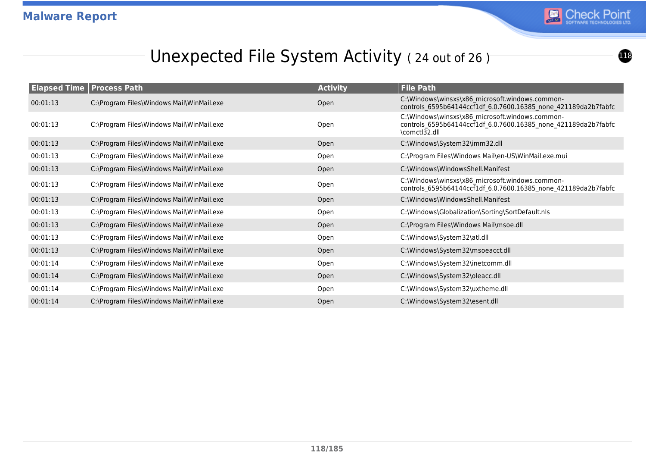

 $\bigoplus$ 

## Unexpected File System Activity (24 out of 26)

| <b>Elapsed Time   Process Path</b> |                                           | <b>Activity</b> | <b>File Path</b>                                                                                                                   |
|------------------------------------|-------------------------------------------|-----------------|------------------------------------------------------------------------------------------------------------------------------------|
| 00:01:13                           | C:\Program Files\Windows Mail\WinMail.exe | Open            | C:\Windows\winsxs\x86_microsoft.windows.common-<br>controls_6595b64144ccf1df_6.0.7600.16385_none_421189da2b7fabfc                  |
| 00:01:13                           | C:\Program Files\Windows Mail\WinMail.exe | Open            | C:\Windows\winsxs\x86_microsoft.windows.common-<br>controls_6595b64144ccf1df_6.0.7600.16385_none_421189da2b7fabfc<br>\comctl32.dll |
| 00:01:13                           | C:\Program Files\Windows Mail\WinMail.exe | Open            | C:\Windows\System32\imm32.dll                                                                                                      |
| 00:01:13                           | C:\Program Files\Windows Mail\WinMail.exe | Open            | C:\Program Files\Windows Mail\en-US\WinMail.exe.mui                                                                                |
| 00:01:13                           | C:\Program Files\Windows Mail\WinMail.exe | Open            | C:\Windows\WindowsShell.Manifest                                                                                                   |
| 00:01:13                           | C:\Program Files\Windows Mail\WinMail.exe | Open            | C:\Windows\winsxs\x86_microsoft.windows.common-<br>controls_6595b64144ccf1df_6.0.7600.16385_none_421189da2b7fabfc                  |
| 00:01:13                           | C:\Program Files\Windows Mail\WinMail.exe | Open            | C:\Windows\WindowsShell.Manifest                                                                                                   |
| 00:01:13                           | C:\Program Files\Windows Mail\WinMail.exe | Open            | C:\Windows\Globalization\Sorting\SortDefault.nls                                                                                   |
| 00:01:13                           | C:\Program Files\Windows Mail\WinMail.exe | Open            | C:\Program Files\Windows Mail\msoe.dll                                                                                             |
| 00:01:13                           | C:\Program Files\Windows Mail\WinMail.exe | Open            | C:\Windows\System32\atl.dll                                                                                                        |
| 00:01:13                           | C:\Program Files\Windows Mail\WinMail.exe | Open            | C:\Windows\System32\msoeacct.dll                                                                                                   |
| 00:01:14                           | C:\Program Files\Windows Mail\WinMail.exe | Open            | C:\Windows\System32\inetcomm.dll                                                                                                   |
| 00:01:14                           | C:\Program Files\Windows Mail\WinMail.exe | Open            | C:\Windows\System32\oleacc.dll                                                                                                     |
| 00:01:14                           | C:\Program Files\Windows Mail\WinMail.exe | Open            | C:\Windows\System32\uxtheme.dll                                                                                                    |
| 00:01:14                           | C:\Program Files\Windows Mail\WinMail.exe | Open            | C:\Windows\System32\esent.dll                                                                                                      |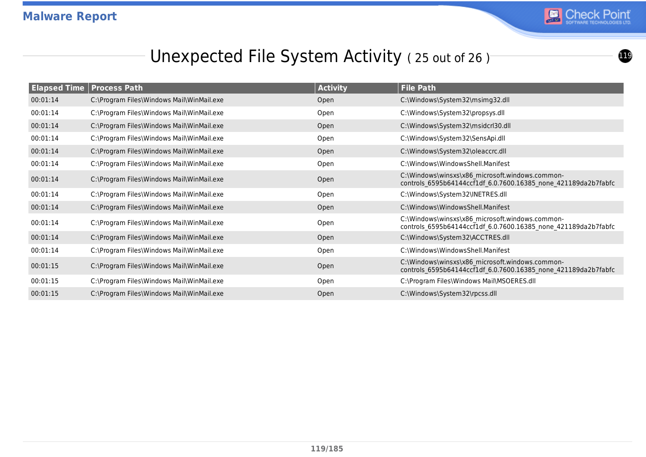

<u>119</u>

#### Unexpected File System Activity (25 out of 26)

|          | <b>Elapsed Time   Process Path</b>        | <b>Activity</b> | <b>File Path</b>                                                                                                  |
|----------|-------------------------------------------|-----------------|-------------------------------------------------------------------------------------------------------------------|
| 00:01:14 | C:\Program Files\Windows Mail\WinMail.exe | Open            | C:\Windows\System32\msimg32.dll                                                                                   |
| 00:01:14 | C:\Program Files\Windows Mail\WinMail.exe | Open            | C:\Windows\System32\propsys.dll                                                                                   |
| 00:01:14 | C:\Program Files\Windows Mail\WinMail.exe | Open            | C:\Windows\System32\msidcrl30.dll                                                                                 |
| 00:01:14 | C:\Program Files\Windows Mail\WinMail.exe | Open            | C:\Windows\System32\SensApi.dll                                                                                   |
| 00:01:14 | C:\Program Files\Windows Mail\WinMail.exe | Open            | C:\Windows\System32\oleaccrc.dll                                                                                  |
| 00:01:14 | C:\Program Files\Windows Mail\WinMail.exe | Open            | C:\Windows\WindowsShell.Manifest                                                                                  |
| 00:01:14 | C:\Program Files\Windows Mail\WinMail.exe | Open            | C:\Windows\winsxs\x86_microsoft.windows.common-<br>controls 6595b64144ccf1df 6.0.7600.16385 none 421189da2b7fabfc |
| 00:01:14 | C:\Program Files\Windows Mail\WinMail.exe | Open            | C:\Windows\System32\INETRES.dll                                                                                   |
| 00:01:14 | C:\Program Files\Windows Mail\WinMail.exe | Open            | C:\Windows\WindowsShell.Manifest                                                                                  |
| 00:01:14 | C:\Program Files\Windows Mail\WinMail.exe | Open            | C:\Windows\winsxs\x86 microsoft.windows.common-<br>controls_6595b64144ccf1df_6.0.7600.16385_none_421189da2b7fabfc |
| 00:01:14 | C:\Program Files\Windows Mail\WinMail.exe | Open            | C:\Windows\System32\ACCTRES.dll                                                                                   |
| 00:01:14 | C:\Program Files\Windows Mail\WinMail.exe | Open            | C:\Windows\WindowsShell.Manifest                                                                                  |
| 00:01:15 | C:\Program Files\Windows Mail\WinMail.exe | Open            | C:\Windows\winsxs\x86 microsoft.windows.common-<br>controls 6595b64144ccf1df 6.0.7600.16385 none 421189da2b7fabfc |
| 00:01:15 | C:\Program Files\Windows Mail\WinMail.exe | Open            | C:\Program Files\Windows Mail\MSOERES.dll                                                                         |
| 00:01:15 | C:\Program Files\Windows Mail\WinMail.exe | Open            | C:\Windows\System32\rpcss.dll                                                                                     |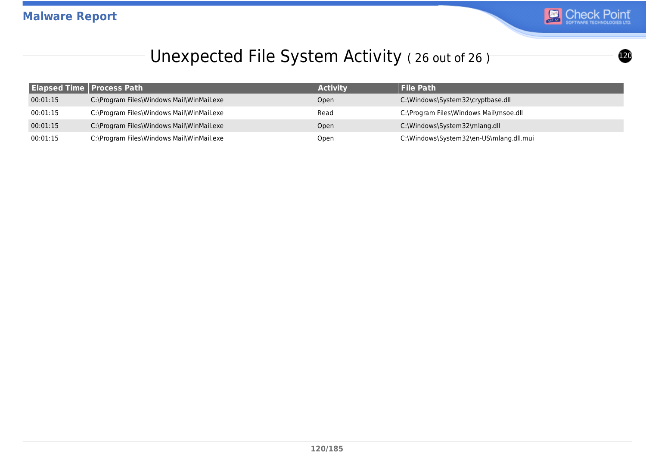

#### Unexpected File System Activity (26 out of 26)

|          | <b>Elapsed Time   Process Path</b>        | <b>Activity</b> | <b>File Path</b>                        |
|----------|-------------------------------------------|-----------------|-----------------------------------------|
| 00:01:15 | C:\Program Files\Windows Mail\WinMail.exe | Open            | C:\Windows\System32\cryptbase.dll       |
| 00:01:15 | C:\Program Files\Windows Mail\WinMail.exe | Read            | C:\Program Files\Windows Mail\msoe.dll  |
| 00:01:15 | C:\Program Files\Windows Mail\WinMail.exe | Open            | C:\Windows\System32\mlang.dll           |
| 00:01:15 | C:\Program Files\Windows Mail\WinMail.exe | Open            | C:\Windows\System32\en-US\mlang.dll.mui |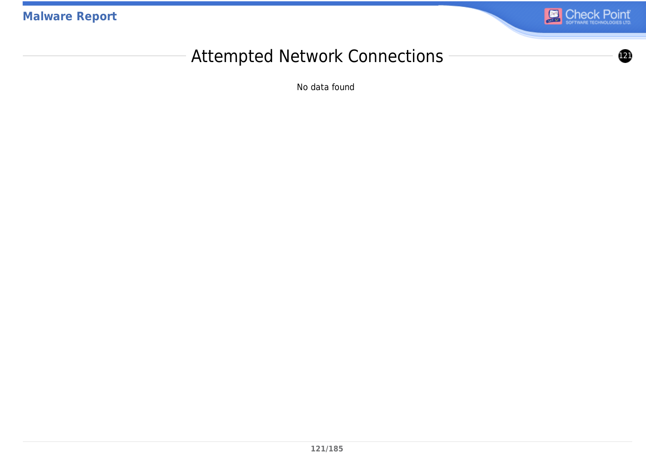**Malware Report**



#### Attempted Network Connections ––––––––––––––––

No data found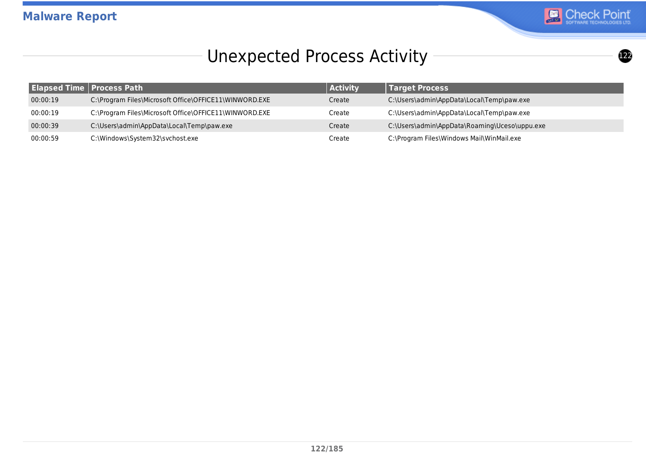

# Unexpected Process Activity 1222 1222 1223

|          | <b>Elapsed Time   Process Path</b>                     | <b>Activity</b> | <b>Target Process</b>                         |
|----------|--------------------------------------------------------|-----------------|-----------------------------------------------|
| 00:00:19 | C:\Program Files\Microsoft Office\OFFICE11\WINWORD.EXE | Create          | C:\Users\admin\AppData\Local\Temp\paw.exe     |
| 00:00:19 | C:\Program Files\Microsoft Office\OFFICE11\WINWORD.EXE | Create          | C:\Users\admin\AppData\Local\Temp\paw.exe     |
| 00:00:39 | C:\Users\admin\AppData\Local\Temp\paw.exe              | Create          | C:\Users\admin\AppData\Roaming\Uceso\uppu.exe |
| 00:00:59 | C:\Windows\System32\svchost.exe                        | Create          | C:\Program Files\Windows Mail\WinMail.exe     |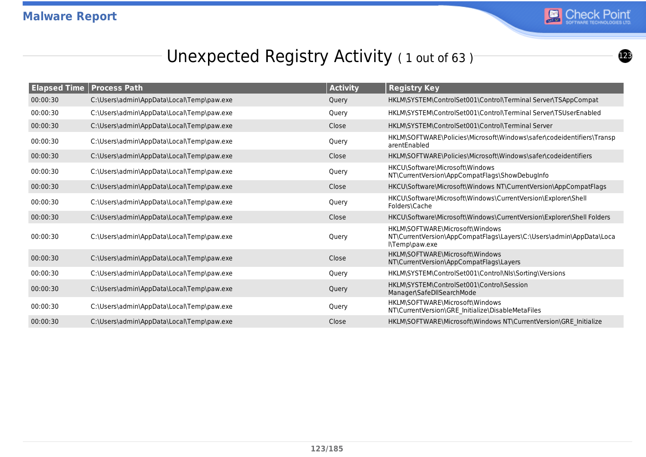

## Unexpected Registry Activity (1 out of 63)

|          | <b>Elapsed Time   Process Path</b>        | <b>Activity</b> | <b>Registry Key</b>                                                                                                      |
|----------|-------------------------------------------|-----------------|--------------------------------------------------------------------------------------------------------------------------|
| 00:00:30 | C:\Users\admin\AppData\Local\Temp\paw.exe | Query           | HKLM\SYSTEM\ControlSet001\Control\Terminal Server\TSAppCompat                                                            |
| 00:00:30 | C:\Users\admin\AppData\Local\Temp\paw.exe | Query           | HKLM\SYSTEM\ControlSet001\Control\Terminal Server\TSUserEnabled                                                          |
| 00:00:30 | C:\Users\admin\AppData\Local\Temp\paw.exe | Close           | HKLM\SYSTEM\ControlSet001\Control\Terminal Server                                                                        |
| 00:00:30 | C:\Users\admin\AppData\Local\Temp\paw.exe | Query           | HKLM\SOFTWARE\Policies\Microsoft\Windows\safer\codeidentifiers\Transp<br>arentEnabled                                    |
| 00:00:30 | C:\Users\admin\AppData\Local\Temp\paw.exe | Close           | HKLM\SOFTWARE\Policies\Microsoft\Windows\safer\codeidentifiers                                                           |
| 00:00:30 | C:\Users\admin\AppData\Local\Temp\paw.exe | Query           | HKCU\Software\Microsoft\Windows<br>NT\CurrentVersion\AppCompatFlags\ShowDebugInfo                                        |
| 00:00:30 | C:\Users\admin\AppData\Local\Temp\paw.exe | Close           | HKCU\Software\Microsoft\Windows NT\CurrentVersion\AppCompatFlags                                                         |
| 00:00:30 | C:\Users\admin\AppData\Local\Temp\paw.exe | Query           | HKCU\Software\Microsoft\Windows\CurrentVersion\Explorer\Shell<br>Folders\Cache                                           |
| 00:00:30 | C:\Users\admin\AppData\Local\Temp\paw.exe | Close           | HKCU\Software\Microsoft\Windows\CurrentVersion\Explorer\Shell Folders                                                    |
| 00:00:30 | C:\Users\admin\AppData\Local\Temp\paw.exe | Query           | HKLM\SOFTWARE\Microsoft\Windows<br>NT\CurrentVersion\AppCompatFlags\Layers\C:\Users\admin\AppData\Loca<br>l\Temp\paw.exe |
| 00:00:30 | C:\Users\admin\AppData\Local\Temp\paw.exe | Close           | HKLM\SOFTWARE\Microsoft\Windows<br>NT\CurrentVersion\AppCompatFlags\Layers                                               |
| 00:00:30 | C:\Users\admin\AppData\Local\Temp\paw.exe | Query           | HKLM\SYSTEM\ControlSet001\Control\Nls\Sorting\Versions                                                                   |
| 00:00:30 | C:\Users\admin\AppData\Local\Temp\paw.exe | Query           | HKLM\SYSTEM\ControlSet001\Control\Session<br>Manager\SafeDllSearchMode                                                   |
| 00:00:30 | C:\Users\admin\AppData\Local\Temp\paw.exe | Query           | HKLM\SOFTWARE\Microsoft\Windows<br>NT\CurrentVersion\GRE_Initialize\DisableMetaFiles                                     |
| 00:00:30 | C:\Users\admin\AppData\Local\Temp\paw.exe | Close           | HKLM\SOFTWARE\Microsoft\Windows NT\CurrentVersion\GRE_Initialize                                                         |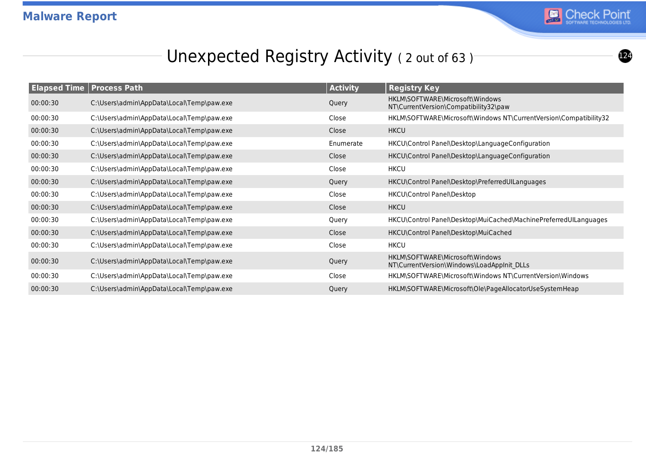

## Unexpected Registry Activity (2 out of 63)

| <b>Elapsed Time   Process Path</b> |                                           | <b>Activity</b> | <b>Registry Key</b>                                                           |
|------------------------------------|-------------------------------------------|-----------------|-------------------------------------------------------------------------------|
| 00:00:30                           | C:\Users\admin\AppData\Local\Temp\paw.exe | Query           | HKLM\SOFTWARE\Microsoft\Windows<br>NT\CurrentVersion\Compatibility32\paw      |
| 00:00:30                           | C:\Users\admin\AppData\Local\Temp\paw.exe | Close           | HKLM\SOFTWARE\Microsoft\Windows NT\CurrentVersion\Compatibility32             |
| 00:00:30                           | C:\Users\admin\AppData\Local\Temp\paw.exe | Close           | <b>HKCU</b>                                                                   |
| 00:00:30                           | C:\Users\admin\AppData\Local\Temp\paw.exe | Enumerate       | HKCU\Control Panel\Desktop\LanguageConfiguration                              |
| 00:00:30                           | C:\Users\admin\AppData\Local\Temp\paw.exe | Close           | HKCU\Control Panel\Desktop\LanguageConfiguration                              |
| 00:00:30                           | C:\Users\admin\AppData\Local\Temp\paw.exe | Close           | <b>HKCU</b>                                                                   |
| 00:00:30                           | C:\Users\admin\AppData\Local\Temp\paw.exe | Query           | HKCU\Control Panel\Desktop\PreferredUILanguages                               |
| 00:00:30                           | C:\Users\admin\AppData\Local\Temp\paw.exe | Close           | HKCU\Control Panel\Desktop                                                    |
| 00:00:30                           | C:\Users\admin\AppData\Local\Temp\paw.exe | Close           | <b>HKCU</b>                                                                   |
| 00:00:30                           | C:\Users\admin\AppData\Local\Temp\paw.exe | Query           | HKCU\Control Panel\Desktop\MuiCached\MachinePreferredUILanguages              |
| 00:00:30                           | C:\Users\admin\AppData\Local\Temp\paw.exe | Close           | HKCU\Control Panel\Desktop\MuiCached                                          |
| 00:00:30                           | C:\Users\admin\AppData\Local\Temp\paw.exe | Close           | <b>HKCU</b>                                                                   |
| 00:00:30                           | C:\Users\admin\AppData\Local\Temp\paw.exe | Query           | HKLM\SOFTWARE\Microsoft\Windows<br>NT\CurrentVersion\Windows\LoadAppInit DLLs |
| 00:00:30                           | C:\Users\admin\AppData\Local\Temp\paw.exe | Close           | HKLM\SOFTWARE\Microsoft\Windows NT\CurrentVersion\Windows                     |
| 00:00:30                           | C:\Users\admin\AppData\Local\Temp\paw.exe | Query           | HKLM\SOFTWARE\Microsoft\Ole\PageAllocatorUseSystemHeap                        |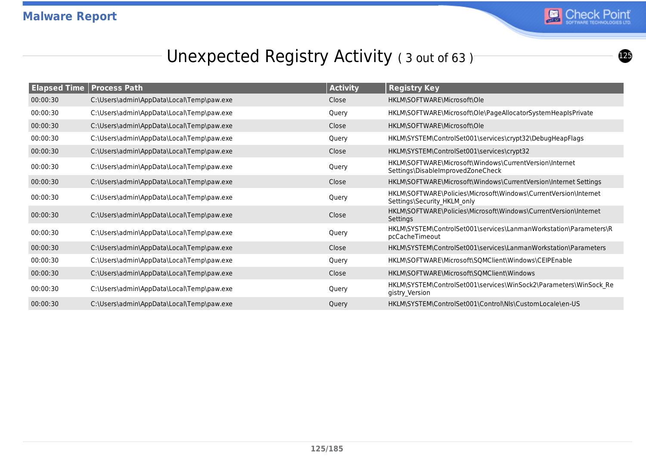

 $\bullet$ 

## Unexpected Registry Activity (3 out of 63)

|          | <b>Elapsed Time   Process Path</b>        | <b>Activity</b> | <b>Registry Key</b>                                                                             |
|----------|-------------------------------------------|-----------------|-------------------------------------------------------------------------------------------------|
| 00:00:30 | C:\Users\admin\AppData\Local\Temp\paw.exe | Close           | HKLM\SOFTWARE\Microsoft\Ole                                                                     |
| 00:00:30 | C:\Users\admin\AppData\Local\Temp\paw.exe | Query           | HKLM\SOFTWARE\Microsoft\Ole\PageAllocatorSystemHeapIsPrivate                                    |
| 00:00:30 | C:\Users\admin\AppData\Local\Temp\paw.exe | Close           | HKLM\SOFTWARE\Microsoft\Ole                                                                     |
| 00:00:30 | C:\Users\admin\AppData\Local\Temp\paw.exe | Query           | HKLM\SYSTEM\ControlSet001\services\crypt32\DebugHeapFlags                                       |
| 00:00:30 | C:\Users\admin\AppData\Local\Temp\paw.exe | Close           | HKLM\SYSTEM\ControlSet001\services\crypt32                                                      |
| 00:00:30 | C:\Users\admin\AppData\Local\Temp\paw.exe | Query           | HKLM\SOFTWARE\Microsoft\Windows\CurrentVersion\Internet<br>Settings\DisableImprovedZoneCheck    |
| 00:00:30 | C:\Users\admin\AppData\Local\Temp\paw.exe | Close           | HKLM\SOFTWARE\Microsoft\Windows\CurrentVersion\Internet Settings                                |
| 00:00:30 | C:\Users\admin\AppData\Local\Temp\paw.exe | Query           | HKLM\SOFTWARE\Policies\Microsoft\Windows\CurrentVersion\Internet<br>Settings\Security HKLM only |
| 00:00:30 | C:\Users\admin\AppData\Local\Temp\paw.exe | Close           | HKLM\SOFTWARE\Policies\Microsoft\Windows\CurrentVersion\Internet<br>Settings                    |
| 00:00:30 | C:\Users\admin\AppData\Local\Temp\paw.exe | Query           | HKLM\SYSTEM\ControlSet001\services\LanmanWorkstation\Parameters\R<br>pcCacheTimeout             |
| 00:00:30 | C:\Users\admin\AppData\Local\Temp\paw.exe | Close           | HKLM\SYSTEM\ControlSet001\services\LanmanWorkstation\Parameters                                 |
| 00:00:30 | C:\Users\admin\AppData\Local\Temp\paw.exe | Query           | HKLM\SOFTWARE\Microsoft\SQMClient\Windows\CEIPEnable                                            |
| 00:00:30 | C:\Users\admin\AppData\Local\Temp\paw.exe | Close           | HKLM\SOFTWARE\Microsoft\SQMClient\Windows                                                       |
| 00:00:30 | C:\Users\admin\AppData\Local\Temp\paw.exe | Query           | HKLM\SYSTEM\ControlSet001\services\WinSock2\Parameters\WinSock Re<br>gistry Version             |
| 00:00:30 | C:\Users\admin\AppData\Local\Temp\paw.exe | Query           | HKLM\SYSTEM\ControlSet001\Control\Nls\CustomLocale\en-US                                        |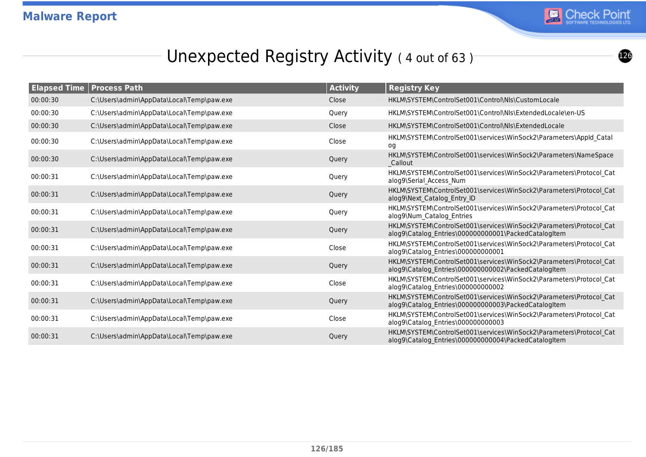

## Unexpected Registry Activity (4 out of 63)

|          | <b>Elapsed Time   Process Path</b>        | <b>Activity</b> | <b>Registry Key</b>                                                                                                         |
|----------|-------------------------------------------|-----------------|-----------------------------------------------------------------------------------------------------------------------------|
| 00:00:30 | C:\Users\admin\AppData\Local\Temp\paw.exe | Close           | HKLM\SYSTEM\ControlSet001\Control\NIs\CustomLocale                                                                          |
| 00:00:30 | C:\Users\admin\AppData\Local\Temp\paw.exe | Query           | HKLM\SYSTEM\ControlSet001\Control\Nls\ExtendedLocale\en-US                                                                  |
| 00:00:30 | C:\Users\admin\AppData\Local\Temp\paw.exe | Close           | HKLM\SYSTEM\ControlSet001\Control\Nls\ExtendedLocale                                                                        |
| 00:00:30 | C:\Users\admin\AppData\Local\Temp\paw.exe | Close           | HKLM\SYSTEM\ControlSet001\services\WinSock2\Parameters\AppId Catal<br>og                                                    |
| 00:00:30 | C:\Users\admin\AppData\Local\Temp\paw.exe | Query           | HKLM\SYSTEM\ControlSet001\services\WinSock2\Parameters\NameSpace<br>Callout                                                 |
| 00:00:31 | C:\Users\admin\AppData\Local\Temp\paw.exe | Query           | HKLM\SYSTEM\ControlSet001\services\WinSock2\Parameters\Protocol Cat<br>alog9\Serial Access Num                              |
| 00:00:31 | C:\Users\admin\AppData\Local\Temp\paw.exe | Query           | HKLM\SYSTEM\ControlSet001\services\WinSock2\Parameters\Protocol_Cat<br>alog9\Next Catalog Entry ID                          |
| 00:00:31 | C:\Users\admin\AppData\Local\Temp\paw.exe | Query           | HKLM\SYSTEM\ControlSet001\services\WinSock2\Parameters\Protocol Cat<br>alog9\Num Catalog Entries                            |
| 00:00:31 | C:\Users\admin\AppData\Local\Temp\paw.exe | Query           | HKLM\SYSTEM\ControlSet001\services\WinSock2\Parameters\Protocol Cat<br>alog9\Catalog_Entries\000000000001\PackedCatalogItem |
| 00:00:31 | C:\Users\admin\AppData\Local\Temp\paw.exe | Close           | HKLM\SYSTEM\ControlSet001\services\WinSock2\Parameters\Protocol Cat<br>alog9\Catalog Entries\000000000001                   |
| 00:00:31 | C:\Users\admin\AppData\Local\Temp\paw.exe | Query           | HKLM\SYSTEM\ControlSet001\services\WinSock2\Parameters\Protocol Cat<br>alog9\Catalog Entries\000000000002\PackedCatalogItem |
| 00:00:31 | C:\Users\admin\AppData\Local\Temp\paw.exe | Close           | HKLM\SYSTEM\ControlSet001\services\WinSock2\Parameters\Protocol Cat<br>alog9\Catalog Entries\000000000002                   |
| 00:00:31 | C:\Users\admin\AppData\Local\Temp\paw.exe | Query           | HKLM\SYSTEM\ControlSet001\services\WinSock2\Parameters\Protocol Cat<br>alog9\Catalog_Entries\000000000003\PackedCatalogItem |
| 00:00:31 | C:\Users\admin\AppData\Local\Temp\paw.exe | Close           | HKLM\SYSTEM\ControlSet001\services\WinSock2\Parameters\Protocol Cat<br>alog9\Catalog Entries\000000000003                   |
| 00:00:31 | C:\Users\admin\AppData\Local\Temp\paw.exe | Query           | HKLM\SYSTEM\ControlSet001\services\WinSock2\Parameters\Protocol Cat<br>alog9\Catalog Entries\000000000004\PackedCatalogItem |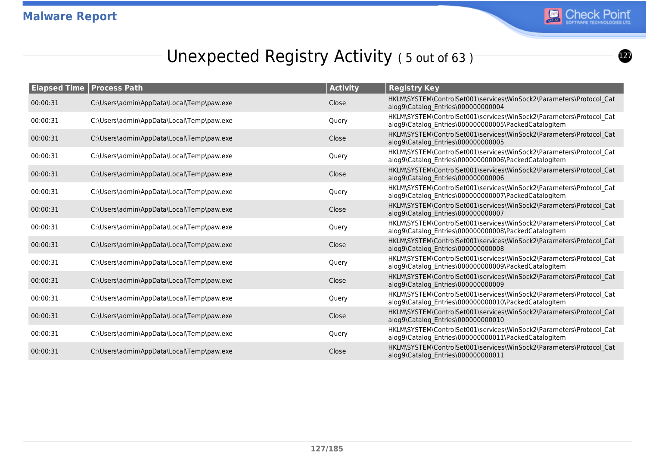

## Unexpected Registry Activity (5 out of 63)

|          | <b>Elapsed Time   Process Path</b>        | <b>Activity</b> | <b>Registry Key</b>                                                                                                         |
|----------|-------------------------------------------|-----------------|-----------------------------------------------------------------------------------------------------------------------------|
| 00:00:31 | C:\Users\admin\AppData\Local\Temp\paw.exe | Close           | HKLM\SYSTEM\ControlSet001\services\WinSock2\Parameters\Protocol Cat<br>alog9\Catalog_Entries\000000000004                   |
| 00:00:31 | C:\Users\admin\AppData\Local\Temp\paw.exe | Query           | HKLM\SYSTEM\ControlSet001\services\WinSock2\Parameters\Protocol Cat<br>alog9\Catalog Entries\000000000005\PackedCatalogItem |
| 00:00:31 | C:\Users\admin\AppData\Local\Temp\paw.exe | Close           | HKLM\SYSTEM\ControlSet001\services\WinSock2\Parameters\Protocol Cat<br>alog9\Catalog Entries\000000000005                   |
| 00:00:31 | C:\Users\admin\AppData\Local\Temp\paw.exe | Query           | HKLM\SYSTEM\ControlSet001\services\WinSock2\Parameters\Protocol Cat<br>alog9\Catalog Entries\000000000006\PackedCatalogItem |
| 00:00:31 | C:\Users\admin\AppData\Local\Temp\paw.exe | Close           | HKLM\SYSTEM\ControlSet001\services\WinSock2\Parameters\Protocol Cat<br>alog9\Catalog Entries\000000000006                   |
| 00:00:31 | C:\Users\admin\AppData\Local\Temp\paw.exe | Query           | HKLM\SYSTEM\ControlSet001\services\WinSock2\Parameters\Protocol Cat<br>alog9\Catalog_Entries\000000000007\PackedCatalogItem |
| 00:00:31 | C:\Users\admin\AppData\Local\Temp\paw.exe | Close           | HKLM\SYSTEM\ControlSet001\services\WinSock2\Parameters\Protocol Cat<br>alog9\Catalog_Entries\000000000007                   |
| 00:00:31 | C:\Users\admin\AppData\Local\Temp\paw.exe | Query           | HKLM\SYSTEM\ControlSet001\services\WinSock2\Parameters\Protocol Cat<br>alog9\Catalog Entries\000000000008\PackedCatalogItem |
| 00:00:31 | C:\Users\admin\AppData\Local\Temp\paw.exe | Close           | HKLM\SYSTEM\ControlSet001\services\WinSock2\Parameters\Protocol Cat<br>alog9\Catalog Entries\000000000008                   |
| 00:00:31 | C:\Users\admin\AppData\Local\Temp\paw.exe | Query           | HKLM\SYSTEM\ControlSet001\services\WinSock2\Parameters\Protocol Cat<br>alog9\Catalog_Entries\000000000009\PackedCatalogItem |
| 00:00:31 | C:\Users\admin\AppData\Local\Temp\paw.exe | Close           | HKLM\SYSTEM\ControlSet001\services\WinSock2\Parameters\Protocol Cat<br>alog9\Catalog Entries\000000000009                   |
| 00:00:31 | C:\Users\admin\AppData\Local\Temp\paw.exe | Query           | HKLM\SYSTEM\ControlSet001\services\WinSock2\Parameters\Protocol Cat<br>alog9\Catalog Entries\000000000010\PackedCatalogItem |
| 00:00:31 | C:\Users\admin\AppData\Local\Temp\paw.exe | Close           | HKLM\SYSTEM\ControlSet001\services\WinSock2\Parameters\Protocol Cat<br>alog9\Catalog Entries\000000000010                   |
| 00:00:31 | C:\Users\admin\AppData\Local\Temp\paw.exe | Query           | HKLM\SYSTEM\ControlSet001\services\WinSock2\Parameters\Protocol Cat<br>alog9\Catalog Entries\000000000011\PackedCatalogItem |
| 00:00:31 | C:\Users\admin\AppData\Local\Temp\paw.exe | Close           | HKLM\SYSTEM\ControlSet001\services\WinSock2\Parameters\Protocol Cat<br>alog9\Catalog Entries\000000000011                   |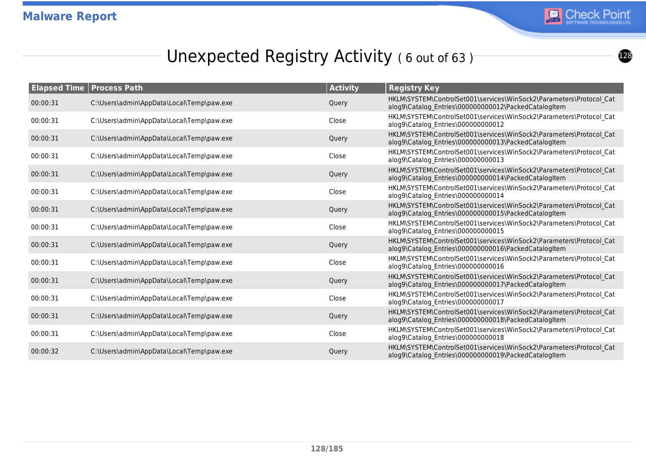

## Unexpected Registry Activity (6 out of 63)

|          | <b>Elapsed Time   Process Path</b>        | <b>Activity</b> | <b>Registry Key</b>                                                                                                         |
|----------|-------------------------------------------|-----------------|-----------------------------------------------------------------------------------------------------------------------------|
| 00:00:31 | C:\Users\admin\AppData\Local\Temp\paw.exe | Query           | HKLM\SYSTEM\ControlSet001\services\WinSock2\Parameters\Protocol Cat<br>alog9\Catalog_Entries\000000000012\PackedCatalogItem |
| 00:00:31 | C:\Users\admin\AppData\Local\Temp\paw.exe | Close           | HKLM\SYSTEM\ControlSet001\services\WinSock2\Parameters\Protocol Cat<br>alog9\Catalog Entries\000000000012                   |
| 00:00:31 | C:\Users\admin\AppData\Local\Temp\paw.exe | Query           | HKLM\SYSTEM\ControlSet001\services\WinSock2\Parameters\Protocol Cat<br>alog9\Catalog Entries\000000000013\PackedCatalogItem |
| 00:00:31 | C:\Users\admin\AppData\Local\Temp\paw.exe | Close           | HKLM\SYSTEM\ControlSet001\services\WinSock2\Parameters\Protocol Cat<br>alog9\Catalog Entries\000000000013                   |
| 00:00:31 | C:\Users\admin\AppData\Local\Temp\paw.exe | Query           | HKLM\SYSTEM\ControlSet001\services\WinSock2\Parameters\Protocol Cat<br>alog9\Catalog Entries\000000000014\PackedCatalogItem |
| 00:00:31 | C:\Users\admin\AppData\Local\Temp\paw.exe | Close           | HKLM\SYSTEM\ControlSet001\services\WinSock2\Parameters\Protocol Cat<br>alog9\Catalog Entries\000000000014                   |
| 00:00:31 | C:\Users\admin\AppData\Local\Temp\paw.exe | Query           | HKLM\SYSTEM\ControlSet001\services\WinSock2\Parameters\Protocol Cat<br>alog9\Catalog Entries\000000000015\PackedCatalogItem |
| 00:00:31 | C:\Users\admin\AppData\Local\Temp\paw.exe | Close           | HKLM\SYSTEM\ControlSet001\services\WinSock2\Parameters\Protocol Cat<br>alog9\Catalog Entries\000000000015                   |
| 00:00:31 | C:\Users\admin\AppData\Local\Temp\paw.exe | Query           | HKLM\SYSTEM\ControlSet001\services\WinSock2\Parameters\Protocol Cat<br>alog9\Catalog Entries\000000000016\PackedCatalogItem |
| 00:00:31 | C:\Users\admin\AppData\Local\Temp\paw.exe | Close           | HKLM\SYSTEM\ControlSet001\services\WinSock2\Parameters\Protocol Cat<br>alog9\Catalog Entries\000000000016                   |
| 00:00:31 | C:\Users\admin\AppData\Local\Temp\paw.exe | Query           | HKLM\SYSTEM\ControlSet001\services\WinSock2\Parameters\Protocol Cat<br>alog9\Catalog Entries\000000000017\PackedCatalogItem |
| 00:00:31 | C:\Users\admin\AppData\Local\Temp\paw.exe | Close           | HKLM\SYSTEM\ControlSet001\services\WinSock2\Parameters\Protocol Cat<br>alog9\Catalog_Entries\000000000017                   |
| 00:00:31 | C:\Users\admin\AppData\Local\Temp\paw.exe | Query           | HKLM\SYSTEM\ControlSet001\services\WinSock2\Parameters\Protocol Cat<br>alog9\Catalog Entries\000000000018\PackedCatalogItem |
| 00:00:31 | C:\Users\admin\AppData\Local\Temp\paw.exe | Close           | HKLM\SYSTEM\ControlSet001\services\WinSock2\Parameters\Protocol_Cat<br>alog9\Catalog Entries\000000000018                   |
| 00:00:32 | C:\Users\admin\AppData\Local\Temp\paw.exe | Query           | HKLM\SYSTEM\ControlSet001\services\WinSock2\Parameters\Protocol Cat<br>alog9\Catalog Entries\000000000019\PackedCatalogItem |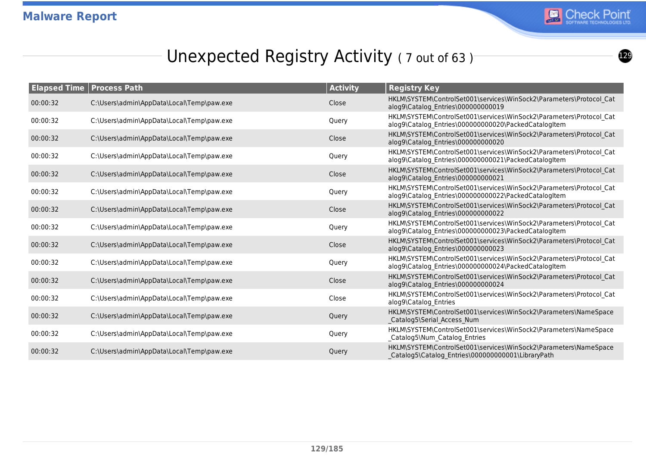

## Unexpected Registry Activity (7 out of 63)

| <b>Elapsed Time   Process Path</b> |                                           | <b>Activity</b> | <b>Registry Key</b>                                                                                                         |
|------------------------------------|-------------------------------------------|-----------------|-----------------------------------------------------------------------------------------------------------------------------|
| 00:00:32                           | C:\Users\admin\AppData\Local\Temp\paw.exe | Close           | HKLM\SYSTEM\ControlSet001\services\WinSock2\Parameters\Protocol Cat<br>alog9\Catalog Entries\000000000019                   |
| 00:00:32                           | C:\Users\admin\AppData\Local\Temp\paw.exe | Query           | HKLM\SYSTEM\ControlSet001\services\WinSock2\Parameters\Protocol Cat<br>alog9\Catalog Entries\000000000020\PackedCatalogItem |
| 00:00:32                           | C:\Users\admin\AppData\Local\Temp\paw.exe | Close           | HKLM\SYSTEM\ControlSet001\services\WinSock2\Parameters\Protocol Cat<br>alog9\Catalog Entries\000000000020                   |
| 00:00:32                           | C:\Users\admin\AppData\Local\Temp\paw.exe | Query           | HKLM\SYSTEM\ControlSet001\services\WinSock2\Parameters\Protocol Cat<br>alog9\Catalog Entries\000000000021\PackedCatalogItem |
| 00:00:32                           | C:\Users\admin\AppData\Local\Temp\paw.exe | Close           | HKLM\SYSTEM\ControlSet001\services\WinSock2\Parameters\Protocol Cat<br>alog9\Catalog Entries\000000000021                   |
| 00:00:32                           | C:\Users\admin\AppData\Local\Temp\paw.exe | Query           | HKLM\SYSTEM\ControlSet001\services\WinSock2\Parameters\Protocol Cat<br>alog9\Catalog_Entries\000000000022\PackedCatalogItem |
| 00:00:32                           | C:\Users\admin\AppData\Local\Temp\paw.exe | Close           | HKLM\SYSTEM\ControlSet001\services\WinSock2\Parameters\Protocol Cat<br>alog9\Catalog Entries\000000000022                   |
| 00:00:32                           | C:\Users\admin\AppData\Local\Temp\paw.exe | Query           | HKLM\SYSTEM\ControlSet001\services\WinSock2\Parameters\Protocol Cat<br>alog9\Catalog Entries\000000000023\PackedCatalogItem |
| 00:00:32                           | C:\Users\admin\AppData\Local\Temp\paw.exe | Close           | HKLM\SYSTEM\ControlSet001\services\WinSock2\Parameters\Protocol Cat<br>alog9\Catalog Entries\000000000023                   |
| 00:00:32                           | C:\Users\admin\AppData\Local\Temp\paw.exe | Query           | HKLM\SYSTEM\ControlSet001\services\WinSock2\Parameters\Protocol Cat<br>alog9\Catalog Entries\000000000024\PackedCatalogItem |
| 00:00:32                           | C:\Users\admin\AppData\Local\Temp\paw.exe | Close           | HKLM\SYSTEM\ControlSet001\services\WinSock2\Parameters\Protocol Cat<br>alog9\Catalog Entries\000000000024                   |
| 00:00:32                           | C:\Users\admin\AppData\Local\Temp\paw.exe | Close           | HKLM\SYSTEM\ControlSet001\services\WinSock2\Parameters\Protocol Cat<br>alog9\Catalog Entries                                |
| 00:00:32                           | C:\Users\admin\AppData\Local\Temp\paw.exe | Query           | HKLM\SYSTEM\ControlSet001\services\WinSock2\Parameters\NameSpace<br>Catalog5\Serial Access Num                              |
| 00:00:32                           | C:\Users\admin\AppData\Local\Temp\paw.exe | Query           | HKLM\SYSTEM\ControlSet001\services\WinSock2\Parameters\NameSpace<br>_Catalog5\Num_Catalog_Entries                           |
| 00:00:32                           | C:\Users\admin\AppData\Local\Temp\paw.exe | Query           | HKLM\SYSTEM\ControlSet001\services\WinSock2\Parameters\NameSpace<br>Catalog5\Catalog Entries\000000000001\LibraryPath       |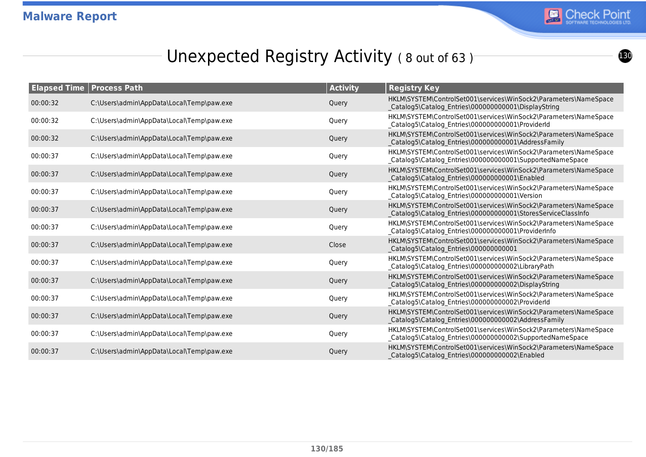

## Unexpected Registry Activity (8 out of 63)

| <b>Elapsed Time   Process Path</b> |                                           | <b>Activity</b> | <b>Registry Key</b>                                                                                                              |
|------------------------------------|-------------------------------------------|-----------------|----------------------------------------------------------------------------------------------------------------------------------|
| 00:00:32                           | C:\Users\admin\AppData\Local\Temp\paw.exe | Query           | HKLM\SYSTEM\ControlSet001\services\WinSock2\Parameters\NameSpace<br>Catalog5\Catalog Entries\000000000001\DisplayString          |
| 00:00:32                           | C:\Users\admin\AppData\Local\Temp\paw.exe | Query           | HKLM\SYSTEM\ControlSet001\services\WinSock2\Parameters\NameSpace<br>_Catalog5\Catalog_Entries\000000000001\ProviderId            |
| 00:00:32                           | C:\Users\admin\AppData\Local\Temp\paw.exe | Query           | HKLM\SYSTEM\ControlSet001\services\WinSock2\Parameters\NameSpace<br>Catalog5\Catalog Entries\000000000001\AddressFamily          |
| 00:00:37                           | C:\Users\admin\AppData\Local\Temp\paw.exe | Query           | HKLM\SYSTEM\ControlSet001\services\WinSock2\Parameters\NameSpace<br>_Catalog5\Catalog_Entries\000000000001\SupportedNameSpace    |
| 00:00:37                           | C:\Users\admin\AppData\Local\Temp\paw.exe | Query           | HKLM\SYSTEM\ControlSet001\services\WinSock2\Parameters\NameSpace<br>Catalog5\Catalog Entries\000000000001\Enabled                |
| 00:00:37                           | C:\Users\admin\AppData\Local\Temp\paw.exe | Query           | HKLM\SYSTEM\ControlSet001\services\WinSock2\Parameters\NameSpace<br>_Catalog5\Catalog_Entries\000000000001\Version               |
| 00:00:37                           | C:\Users\admin\AppData\Local\Temp\paw.exe | Query           | HKLM\SYSTEM\ControlSet001\services\WinSock2\Parameters\NameSpace<br>Catalog5\Catalog_Entries\000000000001\StoresServiceClassInfo |
| 00:00:37                           | C:\Users\admin\AppData\Local\Temp\paw.exe | Query           | HKLM\SYSTEM\ControlSet001\services\WinSock2\Parameters\NameSpace<br>Catalog5\Catalog_Entries\000000000001\ProviderInfo           |
| 00:00:37                           | C:\Users\admin\AppData\Local\Temp\paw.exe | Close           | HKLM\SYSTEM\ControlSet001\services\WinSock2\Parameters\NameSpace<br>Catalog5\Catalog_Entries\000000000001                        |
| 00:00:37                           | C:\Users\admin\AppData\Local\Temp\paw.exe | Query           | HKLM\SYSTEM\ControlSet001\services\WinSock2\Parameters\NameSpace<br>_Catalog5\Catalog_Entries\000000000002\LibraryPath           |
| 00:00:37                           | C:\Users\admin\AppData\Local\Temp\paw.exe | Query           | HKLM\SYSTEM\ControlSet001\services\WinSock2\Parameters\NameSpace<br>Catalog5\Catalog Entries\000000000002\DisplayString          |
| 00:00:37                           | C:\Users\admin\AppData\Local\Temp\paw.exe | Query           | HKLM\SYSTEM\ControlSet001\services\WinSock2\Parameters\NameSpace<br>_Catalog5\Catalog_Entries\000000000002\ProviderId            |
| 00:00:37                           | C:\Users\admin\AppData\Local\Temp\paw.exe | Query           | HKLM\SYSTEM\ControlSet001\services\WinSock2\Parameters\NameSpace<br>Catalog5\Catalog Entries\000000000002\AddressFamily          |
| 00:00:37                           | C:\Users\admin\AppData\Local\Temp\paw.exe | Query           | HKLM\SYSTEM\ControlSet001\services\WinSock2\Parameters\NameSpace<br>_Catalog5\Catalog_Entries\000000000002\SupportedNameSpace    |
| 00:00:37                           | C:\Users\admin\AppData\Local\Temp\paw.exe | Query           | HKLM\SYSTEM\ControlSet001\services\WinSock2\Parameters\NameSpace<br>Catalog5\Catalog Entries\000000000002\Enabled                |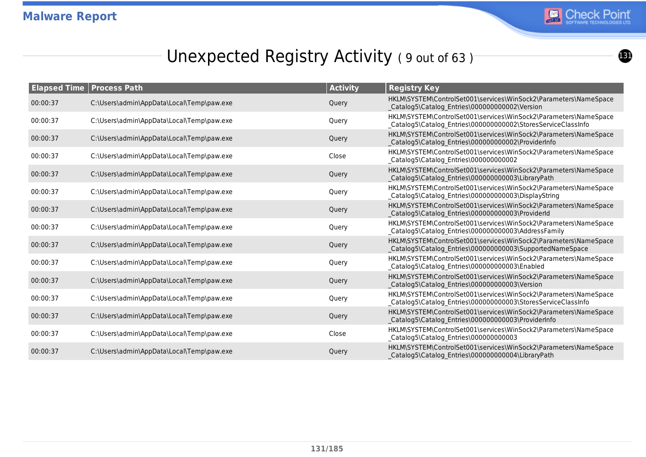

## Unexpected Registry Activity (9 out of 63)

| <b>Elapsed Time</b> | <b>Process Path</b>                       | <b>Activity</b> | <b>Registry Key</b>                                                                                                               |
|---------------------|-------------------------------------------|-----------------|-----------------------------------------------------------------------------------------------------------------------------------|
| 00:00:37            | C:\Users\admin\AppData\Local\Temp\paw.exe | Query           | HKLM\SYSTEM\ControlSet001\services\WinSock2\Parameters\NameSpace<br>Catalog5\Catalog_Entries\000000000002\Version                 |
| 00:00:37            | C:\Users\admin\AppData\Local\Temp\paw.exe | Query           | HKLM\SYSTEM\ControlSet001\services\WinSock2\Parameters\NameSpace<br>_Catalog5\Catalog_Entries\000000000002\StoresServiceClassInfo |
| 00:00:37            | C:\Users\admin\AppData\Local\Temp\paw.exe | Query           | HKLM\SYSTEM\ControlSet001\services\WinSock2\Parameters\NameSpace<br>Catalog5\Catalog_Entries\000000000002\ProviderInfo            |
| 00:00:37            | C:\Users\admin\AppData\Local\Temp\paw.exe | Close           | HKLM\SYSTEM\ControlSet001\services\WinSock2\Parameters\NameSpace<br>Catalog5\Catalog_Entries\000000000002                         |
| 00:00:37            | C:\Users\admin\AppData\Local\Temp\paw.exe | Query           | HKLM\SYSTEM\ControlSet001\services\WinSock2\Parameters\NameSpace<br>Catalog5\Catalog_Entries\000000000003\LibraryPath             |
| 00:00:37            | C:\Users\admin\AppData\Local\Temp\paw.exe | Query           | HKLM\SYSTEM\ControlSet001\services\WinSock2\Parameters\NameSpace<br>_Catalog5\Catalog_Entries\000000000003\DisplayString          |
| 00:00:37            | C:\Users\admin\AppData\Local\Temp\paw.exe | Query           | HKLM\SYSTEM\ControlSet001\services\WinSock2\Parameters\NameSpace<br>Catalog5\Catalog Entries\000000000003\ProviderId              |
| 00:00:37            | C:\Users\admin\AppData\Local\Temp\paw.exe | Query           | HKLM\SYSTEM\ControlSet001\services\WinSock2\Parameters\NameSpace<br>Catalog5\Catalog_Entries\000000000003\AddressFamily           |
| 00:00:37            | C:\Users\admin\AppData\Local\Temp\paw.exe | Query           | HKLM\SYSTEM\ControlSet001\services\WinSock2\Parameters\NameSpace<br>Catalog5\Catalog_Entries\000000000003\SupportedNameSpace      |
| 00:00:37            | C:\Users\admin\AppData\Local\Temp\paw.exe | Query           | HKLM\SYSTEM\ControlSet001\services\WinSock2\Parameters\NameSpace<br>_Catalog5\Catalog_Entries\000000000003\Enabled                |
| 00:00:37            | C:\Users\admin\AppData\Local\Temp\paw.exe | Query           | HKLM\SYSTEM\ControlSet001\services\WinSock2\Parameters\NameSpace<br>Catalog5\Catalog_Entries\000000000003\Version                 |
| 00:00:37            | C:\Users\admin\AppData\Local\Temp\paw.exe | Query           | HKLM\SYSTEM\ControlSet001\services\WinSock2\Parameters\NameSpace<br>_Catalog5\Catalog_Entries\000000000003\StoresServiceClassInfo |
| 00:00:37            | C:\Users\admin\AppData\Local\Temp\paw.exe | Query           | HKLM\SYSTEM\ControlSet001\services\WinSock2\Parameters\NameSpace<br>Catalog5\Catalog_Entries\000000000003\ProviderInfo            |
| 00:00:37            | C:\Users\admin\AppData\Local\Temp\paw.exe | Close           | HKLM\SYSTEM\ControlSet001\services\WinSock2\Parameters\NameSpace<br>_Catalog5\Catalog_Entries\000000000003                        |
| 00:00:37            | C:\Users\admin\AppData\Local\Temp\paw.exe | Query           | HKLM\SYSTEM\ControlSet001\services\WinSock2\Parameters\NameSpace<br>Catalog5\Catalog Entries\000000000004\LibraryPath             |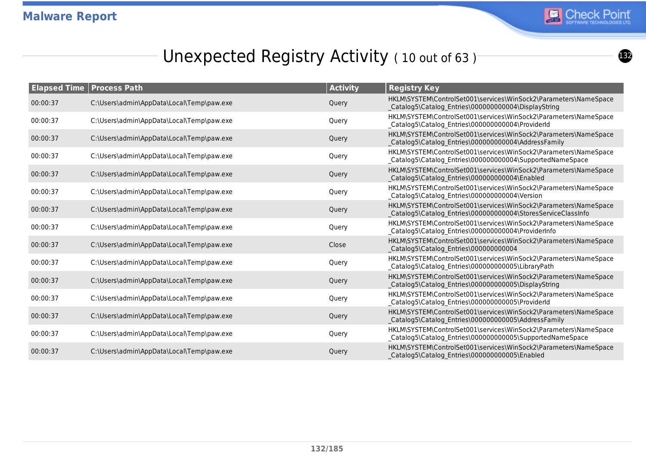

## Unexpected Registry Activity (10 out of 63)

| <b>Elapsed Time   Process Path</b> |                                           | <b>Activity</b> | <b>Registry Key</b>                                                                                                              |
|------------------------------------|-------------------------------------------|-----------------|----------------------------------------------------------------------------------------------------------------------------------|
| 00:00:37                           | C:\Users\admin\AppData\Local\Temp\paw.exe | Query           | HKLM\SYSTEM\ControlSet001\services\WinSock2\Parameters\NameSpace<br>Catalog5\Catalog Entries\000000000004\DisplayString          |
| 00:00:37                           | C:\Users\admin\AppData\Local\Temp\paw.exe | Query           | HKLM\SYSTEM\ControlSet001\services\WinSock2\Parameters\NameSpace<br>_Catalog5\Catalog_Entries\000000000004\ProviderId            |
| 00:00:37                           | C:\Users\admin\AppData\Local\Temp\paw.exe | Query           | HKLM\SYSTEM\ControlSet001\services\WinSock2\Parameters\NameSpace<br>Catalog5\Catalog Entries\000000000004\AddressFamily          |
| 00:00:37                           | C:\Users\admin\AppData\Local\Temp\paw.exe | Query           | HKLM\SYSTEM\ControlSet001\services\WinSock2\Parameters\NameSpace<br>_Catalog5\Catalog_Entries\000000000004\SupportedNameSpace    |
| 00:00:37                           | C:\Users\admin\AppData\Local\Temp\paw.exe | Query           | HKLM\SYSTEM\ControlSet001\services\WinSock2\Parameters\NameSpace<br>Catalog5\Catalog Entries\000000000004\Enabled                |
| 00:00:37                           | C:\Users\admin\AppData\Local\Temp\paw.exe | Query           | HKLM\SYSTEM\ControlSet001\services\WinSock2\Parameters\NameSpace<br>Catalog5\Catalog_Entries\000000000004\Version                |
| 00:00:37                           | C:\Users\admin\AppData\Local\Temp\paw.exe | Query           | HKLM\SYSTEM\ControlSet001\services\WinSock2\Parameters\NameSpace<br>Catalog5\Catalog_Entries\000000000004\StoresServiceClassInfo |
| 00:00:37                           | C:\Users\admin\AppData\Local\Temp\paw.exe | Query           | HKLM\SYSTEM\ControlSet001\services\WinSock2\Parameters\NameSpace<br>Catalog5\Catalog_Entries\000000000004\ProviderInfo           |
| 00:00:37                           | C:\Users\admin\AppData\Local\Temp\paw.exe | Close           | HKLM\SYSTEM\ControlSet001\services\WinSock2\Parameters\NameSpace<br>Catalog5\Catalog_Entries\000000000004                        |
| 00:00:37                           | C:\Users\admin\AppData\Local\Temp\paw.exe | Query           | HKLM\SYSTEM\ControlSet001\services\WinSock2\Parameters\NameSpace<br>_Catalog5\Catalog_Entries\000000000005\LibraryPath           |
| 00:00:37                           | C:\Users\admin\AppData\Local\Temp\paw.exe | Query           | HKLM\SYSTEM\ControlSet001\services\WinSock2\Parameters\NameSpace<br>Catalog5\Catalog Entries\000000000005\DisplayString          |
| 00:00:37                           | C:\Users\admin\AppData\Local\Temp\paw.exe | Query           | HKLM\SYSTEM\ControlSet001\services\WinSock2\Parameters\NameSpace<br>_Catalog5\Catalog_Entries\000000000005\ProviderId            |
| 00:00:37                           | C:\Users\admin\AppData\Local\Temp\paw.exe | Query           | HKLM\SYSTEM\ControlSet001\services\WinSock2\Parameters\NameSpace<br>Catalog5\Catalog Entries\000000000005\AddressFamily          |
| 00:00:37                           | C:\Users\admin\AppData\Local\Temp\paw.exe | Query           | HKLM\SYSTEM\ControlSet001\services\WinSock2\Parameters\NameSpace<br>_Catalog5\Catalog_Entries\000000000005\SupportedNameSpace    |
| 00:00:37                           | C:\Users\admin\AppData\Local\Temp\paw.exe | Query           | HKLM\SYSTEM\ControlSet001\services\WinSock2\Parameters\NameSpace<br>Catalog5\Catalog Entries\000000000005\Enabled                |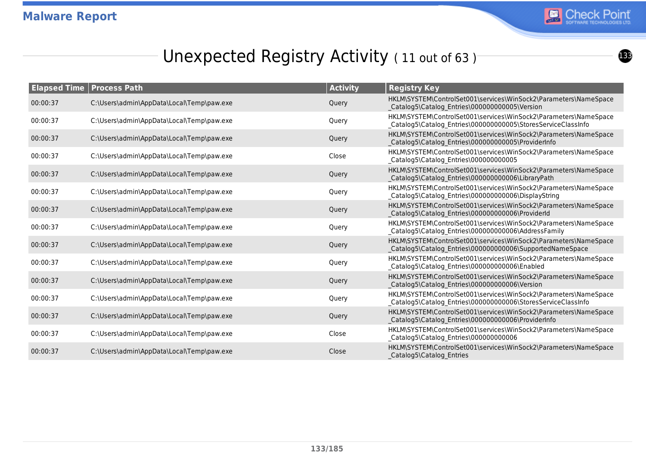

## Unexpected Registry Activity (11 out of 63)<sup>-</sup>

|          | <b>Elapsed Time   Process Path</b>        | <b>Activity</b> | <b>Registry Key</b>                                                                                                               |
|----------|-------------------------------------------|-----------------|-----------------------------------------------------------------------------------------------------------------------------------|
| 00:00:37 | C:\Users\admin\AppData\Local\Temp\paw.exe | Query           | HKLM\SYSTEM\ControlSet001\services\WinSock2\Parameters\NameSpace<br>Catalog5\Catalog_Entries\000000000005\Version                 |
| 00:00:37 | C:\Users\admin\AppData\Local\Temp\paw.exe | Query           | HKLM\SYSTEM\ControlSet001\services\WinSock2\Parameters\NameSpace<br>_Catalog5\Catalog_Entries\000000000005\StoresServiceClassInfo |
| 00:00:37 | C:\Users\admin\AppData\Local\Temp\paw.exe | Query           | HKLM\SYSTEM\ControlSet001\services\WinSock2\Parameters\NameSpace<br>Catalog5\Catalog_Entries\000000000005\ProviderInfo            |
| 00:00:37 | C:\Users\admin\AppData\Local\Temp\paw.exe | Close           | HKLM\SYSTEM\ControlSet001\services\WinSock2\Parameters\NameSpace<br>Catalog5\Catalog_Entries\000000000005                         |
| 00:00:37 | C:\Users\admin\AppData\Local\Temp\paw.exe | Query           | HKLM\SYSTEM\ControlSet001\services\WinSock2\Parameters\NameSpace<br>Catalog5\Catalog_Entries\000000000006\LibraryPath             |
| 00:00:37 | C:\Users\admin\AppData\Local\Temp\paw.exe | Query           | HKLM\SYSTEM\ControlSet001\services\WinSock2\Parameters\NameSpace<br>_Catalog5\Catalog_Entries\000000000006\DisplayString          |
| 00:00:37 | C:\Users\admin\AppData\Local\Temp\paw.exe | Query           | HKLM\SYSTEM\ControlSet001\services\WinSock2\Parameters\NameSpace<br>Catalog5\Catalog Entries\000000000006\ProviderId              |
| 00:00:37 | C:\Users\admin\AppData\Local\Temp\paw.exe | Query           | HKLM\SYSTEM\ControlSet001\services\WinSock2\Parameters\NameSpace<br>Catalog5\Catalog_Entries\000000000006\AddressFamily           |
| 00:00:37 | C:\Users\admin\AppData\Local\Temp\paw.exe | Query           | HKLM\SYSTEM\ControlSet001\services\WinSock2\Parameters\NameSpace<br>Catalog5\Catalog_Entries\000000000006\SupportedNameSpace      |
| 00:00:37 | C:\Users\admin\AppData\Local\Temp\paw.exe | Query           | HKLM\SYSTEM\ControlSet001\services\WinSock2\Parameters\NameSpace<br>_Catalog5\Catalog_Entries\000000000006\Enabled                |
| 00:00:37 | C:\Users\admin\AppData\Local\Temp\paw.exe | Query           | HKLM\SYSTEM\ControlSet001\services\WinSock2\Parameters\NameSpace<br>Catalog5\Catalog_Entries\000000000006\Version                 |
| 00:00:37 | C:\Users\admin\AppData\Local\Temp\paw.exe | Query           | HKLM\SYSTEM\ControlSet001\services\WinSock2\Parameters\NameSpace<br>_Catalog5\Catalog_Entries\000000000006\StoresServiceClassInfo |
| 00:00:37 | C:\Users\admin\AppData\Local\Temp\paw.exe | Query           | HKLM\SYSTEM\ControlSet001\services\WinSock2\Parameters\NameSpace<br>Catalog5\Catalog Entries\000000000006\ProviderInfo            |
| 00:00:37 | C:\Users\admin\AppData\Local\Temp\paw.exe | Close           | HKLM\SYSTEM\ControlSet001\services\WinSock2\Parameters\NameSpace<br>_Catalog5\Catalog_Entries\000000000006                        |
| 00:00:37 | C:\Users\admin\AppData\Local\Temp\paw.exe | Close           | HKLM\SYSTEM\ControlSet001\services\WinSock2\Parameters\NameSpace<br>Catalog5\Catalog Entries                                      |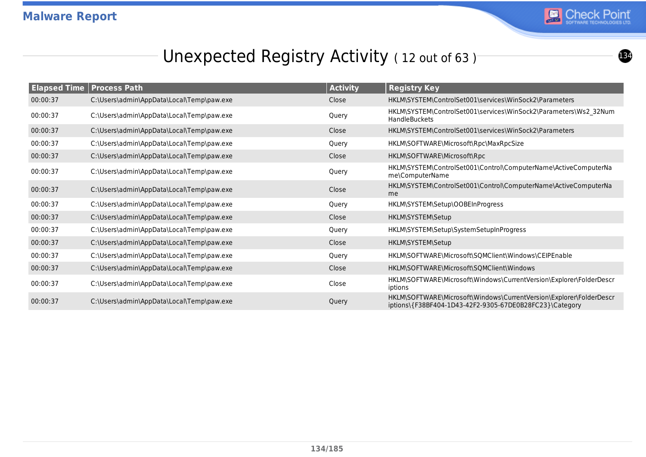

## Unexpected Registry Activity (12 out of 63)

| <b>Elapsed Time</b> | <b>Process Path</b>                       | <b>Activity</b> | <b>Registry Key</b>                                                                                                            |
|---------------------|-------------------------------------------|-----------------|--------------------------------------------------------------------------------------------------------------------------------|
| 00:00:37            | C:\Users\admin\AppData\Local\Temp\paw.exe | Close           | HKLM\SYSTEM\ControlSet001\services\WinSock2\Parameters                                                                         |
| 00:00:37            | C:\Users\admin\AppData\Local\Temp\paw.exe | Query           | HKLM\SYSTEM\ControlSet001\services\WinSock2\Parameters\Ws2_32Num<br>HandleBuckets                                              |
| 00:00:37            | C:\Users\admin\AppData\Local\Temp\paw.exe | Close           | HKLM\SYSTEM\ControlSet001\services\WinSock2\Parameters                                                                         |
| 00:00:37            | C:\Users\admin\AppData\Local\Temp\paw.exe | Query           | HKLM\SOFTWARE\Microsoft\Rpc\MaxRpcSize                                                                                         |
| 00:00:37            | C:\Users\admin\AppData\Local\Temp\paw.exe | Close           | HKLM\SOFTWARE\Microsoft\Rpc                                                                                                    |
| 00:00:37            | C:\Users\admin\AppData\Local\Temp\paw.exe | Query           | HKLM\SYSTEM\ControlSet001\Control\ComputerName\ActiveComputerNa<br>me\ComputerName                                             |
| 00:00:37            | C:\Users\admin\AppData\Local\Temp\paw.exe | Close           | HKLM\SYSTEM\ControlSet001\Control\ComputerName\ActiveComputerNa<br>me                                                          |
| 00:00:37            | C:\Users\admin\AppData\Local\Temp\paw.exe | Query           | HKLM\SYSTEM\Setup\OOBEInProgress                                                                                               |
| 00:00:37            | C:\Users\admin\AppData\Local\Temp\paw.exe | Close           | HKLM\SYSTEM\Setup                                                                                                              |
| 00:00:37            | C:\Users\admin\AppData\Local\Temp\paw.exe | Query           | HKLM\SYSTEM\Setup\SystemSetupInProgress                                                                                        |
| 00:00:37            | C:\Users\admin\AppData\Local\Temp\paw.exe | Close           | HKLM\SYSTEM\Setup                                                                                                              |
| 00:00:37            | C:\Users\admin\AppData\Local\Temp\paw.exe | Query           | HKLM\SOFTWARE\Microsoft\SQMClient\Windows\CEIPEnable                                                                           |
| 00:00:37            | C:\Users\admin\AppData\Local\Temp\paw.exe | Close           | HKLM\SOFTWARE\Microsoft\SQMClient\Windows                                                                                      |
| 00:00:37            | C:\Users\admin\AppData\Local\Temp\paw.exe | Close           | HKLM\SOFTWARE\Microsoft\Windows\CurrentVersion\Explorer\FolderDescr<br>iptions                                                 |
| 00:00:37            | C:\Users\admin\AppData\Local\Temp\paw.exe | Query           | HKLM\SOFTWARE\Microsoft\Windows\CurrentVersion\Explorer\FolderDescr<br>iptions\{F38BF404-1D43-42F2-9305-67DE0B28FC23}\Category |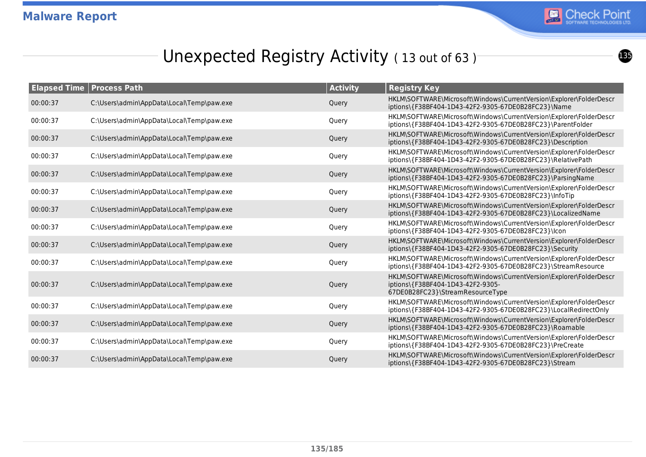

## Unexpected Registry Activity (13 out of 63)

|          | <b>Elapsed Time   Process Path</b>        | <b>Activity</b> | <b>Registry Key</b>                                                                                                                          |
|----------|-------------------------------------------|-----------------|----------------------------------------------------------------------------------------------------------------------------------------------|
| 00:00:37 | C:\Users\admin\AppData\Local\Temp\paw.exe | Query           | HKLM\SOFTWARE\Microsoft\Windows\CurrentVersion\Explorer\FolderDescr<br>iptions\{F38BF404-1D43-42F2-9305-67DE0B28FC23}\Name                   |
| 00:00:37 | C:\Users\admin\AppData\Local\Temp\paw.exe | Query           | HKLM\SOFTWARE\Microsoft\Windows\CurrentVersion\Explorer\FolderDescr<br>iptions\{F38BF404-1D43-42F2-9305-67DE0B28FC23}\ParentFolder           |
| 00:00:37 | C:\Users\admin\AppData\Local\Temp\paw.exe | Query           | HKLM\SOFTWARE\Microsoft\Windows\CurrentVersion\Explorer\FolderDescr<br>iptions\{F38BF404-1D43-42F2-9305-67DE0B28FC23}\Description            |
| 00:00:37 | C:\Users\admin\AppData\Local\Temp\paw.exe | Query           | HKLM\SOFTWARE\Microsoft\Windows\CurrentVersion\Explorer\FolderDescr<br>iptions\{F38BF404-1D43-42F2-9305-67DE0B28FC23}\RelativePath           |
| 00:00:37 | C:\Users\admin\AppData\Local\Temp\paw.exe | Query           | HKLM\SOFTWARE\Microsoft\Windows\CurrentVersion\Explorer\FolderDescr<br>iptions\{F38BF404-1D43-42F2-9305-67DE0B28FC23}\ParsingName            |
| 00:00:37 | C:\Users\admin\AppData\Local\Temp\paw.exe | Query           | HKLM\SOFTWARE\Microsoft\Windows\CurrentVersion\Explorer\FolderDescr<br>iptions\{F38BF404-1D43-42F2-9305-67DE0B28FC23}\InfoTip                |
| 00:00:37 | C:\Users\admin\AppData\Local\Temp\paw.exe | Query           | HKLM\SOFTWARE\Microsoft\Windows\CurrentVersion\Explorer\FolderDescr<br>iptions\{F38BF404-1D43-42F2-9305-67DE0B28FC23}\LocalizedName          |
| 00:00:37 | C:\Users\admin\AppData\Local\Temp\paw.exe | Query           | HKLM\SOFTWARE\Microsoft\Windows\CurrentVersion\Explorer\FolderDescr<br>iptions\{F38BF404-1D43-42F2-9305-67DE0B28FC23}\lcon                   |
| 00:00:37 | C:\Users\admin\AppData\Local\Temp\paw.exe | Query           | HKLM\SOFTWARE\Microsoft\Windows\CurrentVersion\Explorer\FolderDescr<br>iptions\{F38BF404-1D43-42F2-9305-67DE0B28FC23}\Security               |
| 00:00:37 | C:\Users\admin\AppData\Local\Temp\paw.exe | Query           | HKLM\SOFTWARE\Microsoft\Windows\CurrentVersion\Explorer\FolderDescr<br>iptions\{F38BF404-1D43-42F2-9305-67DE0B28FC23}\StreamResource         |
| 00:00:37 | C:\Users\admin\AppData\Local\Temp\paw.exe | Query           | HKLM\SOFTWARE\Microsoft\Windows\CurrentVersion\Explorer\FolderDescr<br>iptions\{F38BF404-1D43-42F2-9305-<br>67DE0B28FC23}\StreamResourceType |
| 00:00:37 | C:\Users\admin\AppData\Local\Temp\paw.exe | Query           | HKLM\SOFTWARE\Microsoft\Windows\CurrentVersion\Explorer\FolderDescr<br>iptions\{F38BF404-1D43-42F2-9305-67DE0B28FC23}\LocalRedirectOnly      |
| 00:00:37 | C:\Users\admin\AppData\Local\Temp\paw.exe | Query           | HKLM\SOFTWARE\Microsoft\Windows\CurrentVersion\Explorer\FolderDescr<br>iptions\{F38BF404-1D43-42F2-9305-67DE0B28FC23}\Roamable               |
| 00:00:37 | C:\Users\admin\AppData\Local\Temp\paw.exe | Query           | HKLM\SOFTWARE\Microsoft\Windows\CurrentVersion\Explorer\FolderDescr<br>iptions\{F38BF404-1D43-42F2-9305-67DE0B28FC23}\PreCreate              |
| 00:00:37 | C:\Users\admin\AppData\Local\Temp\paw.exe | Query           | HKLM\SOFTWARE\Microsoft\Windows\CurrentVersion\Explorer\FolderDescr<br>iptions\{F38BF404-1D43-42F2-9305-67DE0B28FC23}\Stream                 |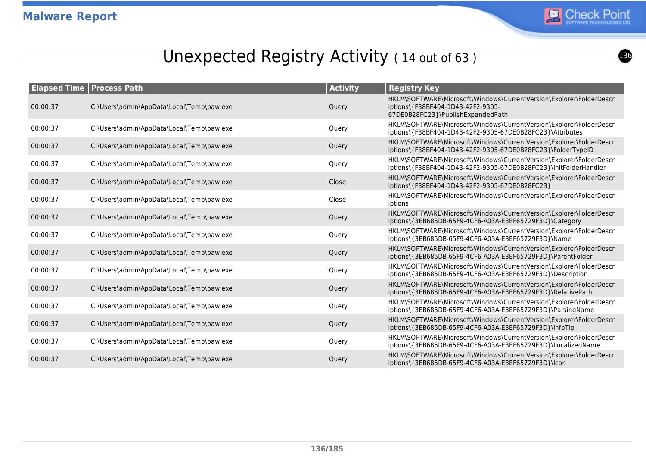

## Unexpected Registry Activity (14 out of 63)

| <b>Elapsed Time   Process Path</b> |                                           | <b>Activity</b> | <b>Registry Key</b>                                                                                                                           |
|------------------------------------|-------------------------------------------|-----------------|-----------------------------------------------------------------------------------------------------------------------------------------------|
| 00:00:37                           | C:\Users\admin\AppData\Local\Temp\paw.exe | Query           | HKLM\SOFTWARE\Microsoft\Windows\CurrentVersion\Explorer\FolderDescr<br>iptions\{F38BF404-1D43-42F2-9305-<br>67DE0B28FC23}\PublishExpandedPath |
| 00:00:37                           | C:\Users\admin\AppData\Local\Temp\paw.exe | Query           | HKLM\SOFTWARE\Microsoft\Windows\CurrentVersion\Explorer\FolderDescr<br>iptions\{F38BF404-1D43-42F2-9305-67DE0B28FC23}\Attributes              |
| 00:00:37                           | C:\Users\admin\AppData\Local\Temp\paw.exe | Query           | HKLM\SOFTWARE\Microsoft\Windows\CurrentVersion\Explorer\FolderDescr<br>iptions\{F38BF404-1D43-42F2-9305-67DE0B28FC23}\FolderTypeID            |
| 00:00:37                           | C:\Users\admin\AppData\Local\Temp\paw.exe | Query           | HKLM\SOFTWARE\Microsoft\Windows\CurrentVersion\Explorer\FolderDescr<br>iptions\{F38BF404-1D43-42F2-9305-67DE0B28FC23}\InitFolderHandler       |
| 00:00:37                           | C:\Users\admin\AppData\Local\Temp\paw.exe | Close           | HKLM\SOFTWARE\Microsoft\Windows\CurrentVersion\Explorer\FolderDescr<br>iptions\{F38BF404-1D43-42F2-9305-67DE0B28FC23}                         |
| 00:00:37                           | C:\Users\admin\AppData\Local\Temp\paw.exe | Close           | HKLM\SOFTWARE\Microsoft\Windows\CurrentVersion\Explorer\FolderDescr<br>iptions                                                                |
| 00:00:37                           | C:\Users\admin\AppData\Local\Temp\paw.exe | Query           | HKLM\SOFTWARE\Microsoft\Windows\CurrentVersion\Explorer\FolderDescr<br>iptions\{3EB685DB-65F9-4CF6-A03A-E3EF65729F3D}\Category                |
| 00:00:37                           | C:\Users\admin\AppData\Local\Temp\paw.exe | Query           | HKLM\SOFTWARE\Microsoft\Windows\CurrentVersion\Explorer\FolderDescr<br>iptions\{3EB685DB-65F9-4CF6-A03A-E3EF65729F3D}\Name                    |
| 00:00:37                           | C:\Users\admin\AppData\Local\Temp\paw.exe | Query           | HKLM\SOFTWARE\Microsoft\Windows\CurrentVersion\Explorer\FolderDescr<br>iptions\{3EB685DB-65F9-4CF6-A03A-E3EF65729F3D}\ParentFolder            |
| 00:00:37                           | C:\Users\admin\AppData\Local\Temp\paw.exe | Query           | HKLM\SOFTWARE\Microsoft\Windows\CurrentVersion\Explorer\FolderDescr<br>iptions\{3EB685DB-65F9-4CF6-A03A-E3EF65729F3D}\Description             |
| 00:00:37                           | C:\Users\admin\AppData\Local\Temp\paw.exe | Query           | HKLM\SOFTWARE\Microsoft\Windows\CurrentVersion\Explorer\FolderDescr<br>iptions\{3EB685DB-65F9-4CF6-A03A-E3EF65729F3D}\RelativePath            |
| 00:00:37                           | C:\Users\admin\AppData\Local\Temp\paw.exe | Query           | HKLM\SOFTWARE\Microsoft\Windows\CurrentVersion\Explorer\FolderDescr<br>iptions\{3EB685DB-65F9-4CF6-A03A-E3EF65729F3D}\ParsingName             |
| 00:00:37                           | C:\Users\admin\AppData\Local\Temp\paw.exe | Query           | HKLM\SOFTWARE\Microsoft\Windows\CurrentVersion\Explorer\FolderDescr<br>iptions\{3EB685DB-65F9-4CF6-A03A-E3EF65729F3D}\InfoTip                 |
| 00:00:37                           | C:\Users\admin\AppData\Local\Temp\paw.exe | Query           | HKLM\SOFTWARE\Microsoft\Windows\CurrentVersion\Explorer\FolderDescr<br>iptions\{3EB685DB-65F9-4CF6-A03A-E3EF65729F3D}\LocalizedName           |
| 00:00:37                           | C:\Users\admin\AppData\Local\Temp\paw.exe | Query           | HKLM\SOFTWARE\Microsoft\Windows\CurrentVersion\Explorer\FolderDescr<br>iptions\{3EB685DB-65F9-4CF6-A03A-E3EF65729F3D}\lcon                    |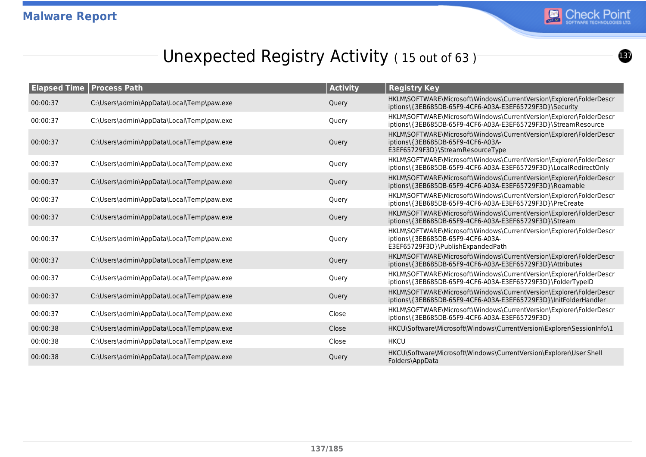

# Unexpected Registry Activity (15 out of 63)

| <b>Elapsed Time</b> | <b>Process Path</b>                       | <b>Activity</b> | <b>Registry Key</b>                                                                                                                           |
|---------------------|-------------------------------------------|-----------------|-----------------------------------------------------------------------------------------------------------------------------------------------|
| 00:00:37            | C:\Users\admin\AppData\Local\Temp\paw.exe | Query           | HKLM\SOFTWARE\Microsoft\Windows\CurrentVersion\Explorer\FolderDescr<br>iptions\{3EB685DB-65F9-4CF6-A03A-E3EF65729F3D}\Security                |
| 00:00:37            | C:\Users\admin\AppData\Local\Temp\paw.exe | Query           | HKLM\SOFTWARE\Microsoft\Windows\CurrentVersion\Explorer\FolderDescr<br>iptions\{3EB685DB-65F9-4CF6-A03A-E3EF65729F3D}\StreamResource          |
| 00:00:37            | C:\Users\admin\AppData\Local\Temp\paw.exe | Query           | HKLM\SOFTWARE\Microsoft\Windows\CurrentVersion\Explorer\FolderDescr<br>iptions\{3EB685DB-65F9-4CF6-A03A-<br>E3EF65729F3D}\StreamResourceType  |
| 00:00:37            | C:\Users\admin\AppData\Local\Temp\paw.exe | Query           | HKLM\SOFTWARE\Microsoft\Windows\CurrentVersion\Explorer\FolderDescr<br>iptions\{3EB685DB-65F9-4CF6-A03A-E3EF65729F3D}\LocalRedirectOnly       |
| 00:00:37            | C:\Users\admin\AppData\Local\Temp\paw.exe | Query           | HKLM\SOFTWARE\Microsoft\Windows\CurrentVersion\Explorer\FolderDescr<br>iptions\{3EB685DB-65F9-4CF6-A03A-E3EF65729F3D}\Roamable                |
| 00:00:37            | C:\Users\admin\AppData\Local\Temp\paw.exe | Query           | HKLM\SOFTWARE\Microsoft\Windows\CurrentVersion\Explorer\FolderDescr<br>iptions\{3EB685DB-65F9-4CF6-A03A-E3EF65729F3D}\PreCreate               |
| 00:00:37            | C:\Users\admin\AppData\Local\Temp\paw.exe | Query           | HKLM\SOFTWARE\Microsoft\Windows\CurrentVersion\Explorer\FolderDescr<br>iptions\{3EB685DB-65F9-4CF6-A03A-E3EF65729F3D}\Stream                  |
| 00:00:37            | C:\Users\admin\AppData\Local\Temp\paw.exe | Query           | HKLM\SOFTWARE\Microsoft\Windows\CurrentVersion\Explorer\FolderDescr<br>iptions\{3EB685DB-65F9-4CF6-A03A-<br>E3EF65729F3D}\PublishExpandedPath |
| 00:00:37            | C:\Users\admin\AppData\Local\Temp\paw.exe | Query           | HKLM\SOFTWARE\Microsoft\Windows\CurrentVersion\Explorer\FolderDescr<br>iptions\{3EB685DB-65F9-4CF6-A03A-E3EF65729F3D}\Attributes              |
| 00:00:37            | C:\Users\admin\AppData\Local\Temp\paw.exe | Query           | HKLM\SOFTWARE\Microsoft\Windows\CurrentVersion\Explorer\FolderDescr<br>iptions\{3EB685DB-65F9-4CF6-A03A-E3EF65729F3D}\FolderTypeID            |
| 00:00:37            | C:\Users\admin\AppData\Local\Temp\paw.exe | Query           | HKLM\SOFTWARE\Microsoft\Windows\CurrentVersion\Explorer\FolderDescr<br>iptions\{3EB685DB-65F9-4CF6-A03A-E3EF65729F3D}\InitFolderHandler       |
| 00:00:37            | C:\Users\admin\AppData\Local\Temp\paw.exe | Close           | HKLM\SOFTWARE\Microsoft\Windows\CurrentVersion\Explorer\FolderDescr<br>iptions\{3EB685DB-65F9-4CF6-A03A-E3EF65729F3D}                         |
| 00:00:38            | C:\Users\admin\AppData\Local\Temp\paw.exe | Close           | HKCU\Software\Microsoft\Windows\CurrentVersion\Explorer\SessionInfo\1                                                                         |
| 00:00:38            | C:\Users\admin\AppData\Local\Temp\paw.exe | Close           | <b>HKCU</b>                                                                                                                                   |
| 00:00:38            | C:\Users\admin\AppData\Local\Temp\paw.exe | Query           | HKCU\Software\Microsoft\Windows\CurrentVersion\Explorer\User Shell<br>Folders\AppData                                                         |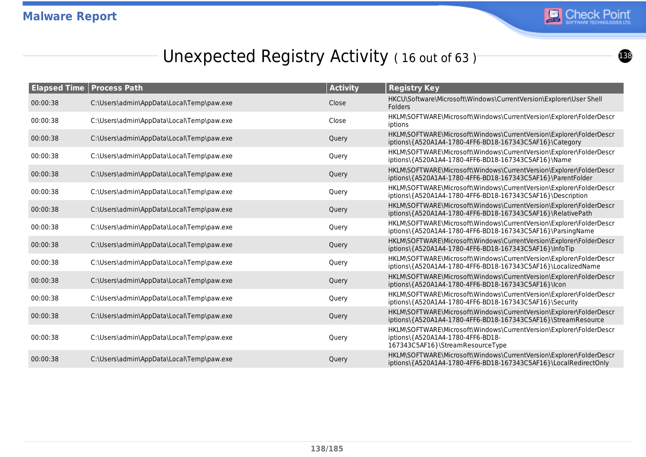

## Unexpected Registry Activity (16 out of 63)

| <b>Elapsed Time   Process Path</b> |                                           | <b>Activity</b> | <b>Registry Key</b>                                                                                                                          |
|------------------------------------|-------------------------------------------|-----------------|----------------------------------------------------------------------------------------------------------------------------------------------|
| 00:00:38                           | C:\Users\admin\AppData\Local\Temp\paw.exe | Close           | HKCU\Software\Microsoft\Windows\CurrentVersion\Explorer\User Shell<br>Folders                                                                |
| 00:00:38                           | C:\Users\admin\AppData\Local\Temp\paw.exe | Close           | HKLM\SOFTWARE\Microsoft\Windows\CurrentVersion\Explorer\FolderDescr<br>iptions                                                               |
| 00:00:38                           | C:\Users\admin\AppData\Local\Temp\paw.exe | Query           | HKLM\SOFTWARE\Microsoft\Windows\CurrentVersion\Explorer\FolderDescr<br>iptions\{A520A1A4-1780-4FF6-BD18-167343C5AF16}\Category               |
| 00:00:38                           | C:\Users\admin\AppData\Local\Temp\paw.exe | Query           | HKLM\SOFTWARE\Microsoft\Windows\CurrentVersion\Explorer\FolderDescr<br>iptions\{A520A1A4-1780-4FF6-BD18-167343C5AF16}\Name                   |
| 00:00:38                           | C:\Users\admin\AppData\Local\Temp\paw.exe | Query           | HKLM\SOFTWARE\Microsoft\Windows\CurrentVersion\Explorer\FolderDescr<br>iptions\{A520A1A4-1780-4FF6-BD18-167343C5AF16}\ParentFolder           |
| 00:00:38                           | C:\Users\admin\AppData\Local\Temp\paw.exe | Query           | HKLM\SOFTWARE\Microsoft\Windows\CurrentVersion\Explorer\FolderDescr<br>iptions\{A520A1A4-1780-4FF6-BD18-167343C5AF16}\Description            |
| 00:00:38                           | C:\Users\admin\AppData\Local\Temp\paw.exe | Query           | HKLM\SOFTWARE\Microsoft\Windows\CurrentVersion\Explorer\FolderDescr<br>iptions\{A520A1A4-1780-4FF6-BD18-167343C5AF16}\RelativePath           |
| 00:00:38                           | C:\Users\admin\AppData\Local\Temp\paw.exe | Query           | HKLM\SOFTWARE\Microsoft\Windows\CurrentVersion\Explorer\FolderDescr<br>iptions\{A520A1A4-1780-4FF6-BD18-167343C5AF16}\ParsingName            |
| 00:00:38                           | C:\Users\admin\AppData\Local\Temp\paw.exe | Query           | HKLM\SOFTWARE\Microsoft\Windows\CurrentVersion\Explorer\FolderDescr<br>iptions\{A520A1A4-1780-4FF6-BD18-167343C5AF16}\InfoTip                |
| 00:00:38                           | C:\Users\admin\AppData\Local\Temp\paw.exe | Query           | HKLM\SOFTWARE\Microsoft\Windows\CurrentVersion\Explorer\FolderDescr<br>iptions\{A520A1A4-1780-4FF6-BD18-167343C5AF16}\LocalizedName          |
| 00:00:38                           | C:\Users\admin\AppData\Local\Temp\paw.exe | Query           | HKLM\SOFTWARE\Microsoft\Windows\CurrentVersion\Explorer\FolderDescr<br>iptions\{A520A1A4-1780-4FF6-BD18-167343C5AF16}\lcon                   |
| 00:00:38                           | C:\Users\admin\AppData\Local\Temp\paw.exe | Query           | HKLM\SOFTWARE\Microsoft\Windows\CurrentVersion\Explorer\FolderDescr<br>iptions\{A520A1A4-1780-4FF6-BD18-167343C5AF16}\Security               |
| 00:00:38                           | C:\Users\admin\AppData\Local\Temp\paw.exe | Query           | HKLM\SOFTWARE\Microsoft\Windows\CurrentVersion\Explorer\FolderDescr<br>iptions\{A520A1A4-1780-4FF6-BD18-167343C5AF16}\StreamResource         |
| 00:00:38                           | C:\Users\admin\AppData\Local\Temp\paw.exe | Query           | HKLM\SOFTWARE\Microsoft\Windows\CurrentVersion\Explorer\FolderDescr<br>iptions\{A520A1A4-1780-4FF6-BD18-<br>167343C5AF16}\StreamResourceType |
| 00:00:38                           | C:\Users\admin\AppData\Local\Temp\paw.exe | Query           | HKLM\SOFTWARE\Microsoft\Windows\CurrentVersion\Explorer\FolderDescr<br>iptions\{A520A1A4-1780-4FF6-BD18-167343C5AF16}\LocalRedirectOnly      |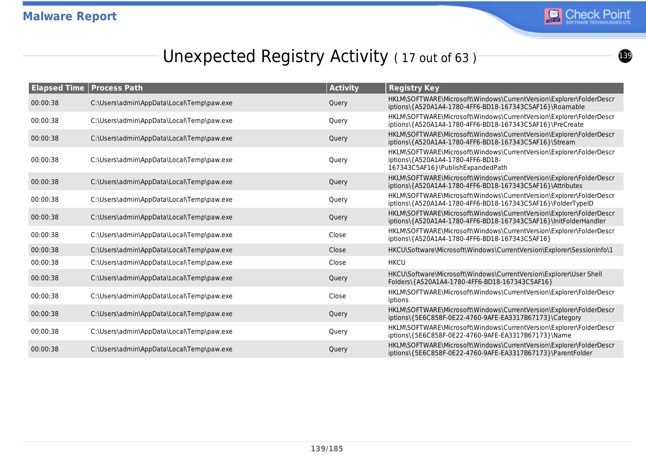

## Unexpected Registry Activity (17 out of 63)

| <b>Elapsed Time</b> | <b>Process Path</b>                       | <b>Activity</b> | <b>Registry Key</b>                                                                                                                           |
|---------------------|-------------------------------------------|-----------------|-----------------------------------------------------------------------------------------------------------------------------------------------|
| 00:00:38            | C:\Users\admin\AppData\Local\Temp\paw.exe | Query           | HKLM\SOFTWARE\Microsoft\Windows\CurrentVersion\Explorer\FolderDescr<br>iptions\{A520A1A4-1780-4FF6-BD18-167343C5AF16}\Roamable                |
| 00:00:38            | C:\Users\admin\AppData\Local\Temp\paw.exe | Query           | HKLM\SOFTWARE\Microsoft\Windows\CurrentVersion\Explorer\FolderDescr<br>iptions\{A520A1A4-1780-4FF6-BD18-167343C5AF16}\PreCreate               |
| 00:00:38            | C:\Users\admin\AppData\Local\Temp\paw.exe | Query           | HKLM\SOFTWARE\Microsoft\Windows\CurrentVersion\Explorer\FolderDescr<br>iptions\{A520A1A4-1780-4FF6-BD18-167343C5AF16}\Stream                  |
| 00:00:38            | C:\Users\admin\AppData\Local\Temp\paw.exe | Query           | HKLM\SOFTWARE\Microsoft\Windows\CurrentVersion\Explorer\FolderDescr<br>iptions\{A520A1A4-1780-4FF6-BD18-<br>167343C5AF16}\PublishExpandedPath |
| 00:00:38            | C:\Users\admin\AppData\Local\Temp\paw.exe | Query           | HKLM\SOFTWARE\Microsoft\Windows\CurrentVersion\Explorer\FolderDescr<br>iptions\{A520A1A4-1780-4FF6-BD18-167343C5AF16}\Attributes              |
| 00:00:38            | C:\Users\admin\AppData\Local\Temp\paw.exe | Query           | HKLM\SOFTWARE\Microsoft\Windows\CurrentVersion\Explorer\FolderDescr<br>iptions\{A520A1A4-1780-4FF6-BD18-167343C5AF16}\FolderTypeID            |
| 00:00:38            | C:\Users\admin\AppData\Local\Temp\paw.exe | Query           | HKLM\SOFTWARE\Microsoft\Windows\CurrentVersion\Explorer\FolderDescr<br>iptions\{A520A1A4-1780-4FF6-BD18-167343C5AF16}\InitFolderHandler       |
| 00:00:38            | C:\Users\admin\AppData\Local\Temp\paw.exe | Close           | HKLM\SOFTWARE\Microsoft\Windows\CurrentVersion\Explorer\FolderDescr<br>iptions\{A520A1A4-1780-4FF6-BD18-167343C5AF16}                         |
| 00:00:38            | C:\Users\admin\AppData\Local\Temp\paw.exe | Close           | HKCU\Software\Microsoft\Windows\CurrentVersion\Explorer\SessionInfo\1                                                                         |
| 00:00:38            | C:\Users\admin\AppData\Local\Temp\paw.exe | Close           | <b>HKCU</b>                                                                                                                                   |
| 00:00:38            | C:\Users\admin\AppData\Local\Temp\paw.exe | Query           | HKCU\Software\Microsoft\Windows\CurrentVersion\Explorer\User Shell<br>Folders\{A520A1A4-1780-4FF6-BD18-167343C5AF16}                          |
| 00:00:38            | C:\Users\admin\AppData\Local\Temp\paw.exe | Close           | HKLM\SOFTWARE\Microsoft\Windows\CurrentVersion\Explorer\FolderDescr<br>iptions                                                                |
| 00:00:38            | C:\Users\admin\AppData\Local\Temp\paw.exe | Query           | HKLM\SOFTWARE\Microsoft\Windows\CurrentVersion\Explorer\FolderDescr<br>iptions\{5E6C858F-0E22-4760-9AFE-EA3317B67173}\Category                |
| 00:00:38            | C:\Users\admin\AppData\Local\Temp\paw.exe | Query           | HKLM\SOFTWARE\Microsoft\Windows\CurrentVersion\Explorer\FolderDescr<br>iptions\{5E6C858F-0E22-4760-9AFE-EA3317B67173}\Name                    |
| 00:00:38            | C:\Users\admin\AppData\Local\Temp\paw.exe | Query           | HKLM\SOFTWARE\Microsoft\Windows\CurrentVersion\Explorer\FolderDescr<br>iptions\{5E6C858F-0E22-4760-9AFE-EA3317B67173}\ParentFolder            |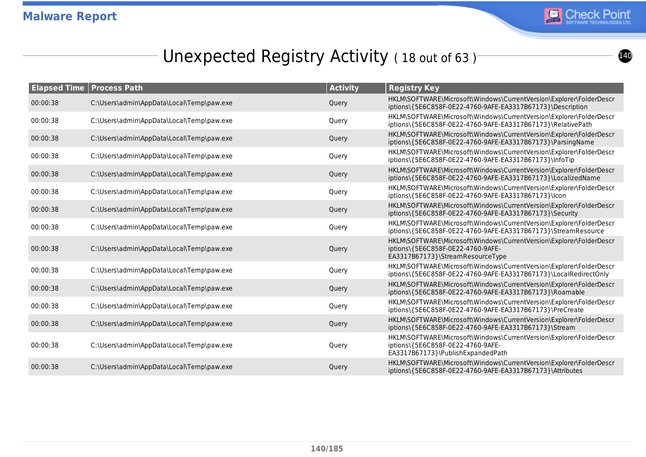

## Unexpected Registry Activity (18 out of 63)<sup>-</sup>

|          | <b>Elapsed Time   Process Path</b>        | <b>Activity</b> | <b>Registry Key</b>                                                                                                                           |
|----------|-------------------------------------------|-----------------|-----------------------------------------------------------------------------------------------------------------------------------------------|
| 00:00:38 | C:\Users\admin\AppData\Local\Temp\paw.exe | Query           | HKLM\SOFTWARE\Microsoft\Windows\CurrentVersion\Explorer\FolderDescr<br>iptions\{5E6C858F-0E22-4760-9AFE-EA3317B67173}\Description             |
| 00:00:38 | C:\Users\admin\AppData\Local\Temp\paw.exe | Query           | HKLM\SOFTWARE\Microsoft\Windows\CurrentVersion\Explorer\FolderDescr<br>iptions\{5E6C858F-0E22-4760-9AFE-EA3317B67173}\RelativePath            |
| 00:00:38 | C:\Users\admin\AppData\Local\Temp\paw.exe | Query           | HKLM\SOFTWARE\Microsoft\Windows\CurrentVersion\Explorer\FolderDescr<br>iptions\{5E6C858F-0E22-4760-9AFE-EA3317B67173}\ParsingName             |
| 00:00:38 | C:\Users\admin\AppData\Local\Temp\paw.exe | Query           | HKLM\SOFTWARE\Microsoft\Windows\CurrentVersion\Explorer\FolderDescr<br>iptions\{5E6C858F-0E22-4760-9AFE-EA3317B67173}\InfoTip                 |
| 00:00:38 | C:\Users\admin\AppData\Local\Temp\paw.exe | Query           | HKLM\SOFTWARE\Microsoft\Windows\CurrentVersion\Explorer\FolderDescr<br>iptions\{5E6C858F-0E22-4760-9AFE-EA3317B67173}\LocalizedName           |
| 00:00:38 | C:\Users\admin\AppData\Local\Temp\paw.exe | Query           | HKLM\SOFTWARE\Microsoft\Windows\CurrentVersion\Explorer\FolderDescr<br>iptions\{5E6C858F-0E22-4760-9AFE-EA3317B67173}\lcon                    |
| 00:00:38 | C:\Users\admin\AppData\Local\Temp\paw.exe | Query           | HKLM\SOFTWARE\Microsoft\Windows\CurrentVersion\Explorer\FolderDescr<br>iptions\{5E6C858F-0E22-4760-9AFE-EA3317B67173}\Security                |
| 00:00:38 | C:\Users\admin\AppData\Local\Temp\paw.exe | Query           | HKLM\SOFTWARE\Microsoft\Windows\CurrentVersion\Explorer\FolderDescr<br>iptions\{5E6C858F-0E22-4760-9AFE-EA3317B67173}\StreamResource          |
| 00:00:38 | C:\Users\admin\AppData\Local\Temp\paw.exe | Query           | HKLM\SOFTWARE\Microsoft\Windows\CurrentVersion\Explorer\FolderDescr<br>iptions\{5E6C858F-0E22-4760-9AFE-<br>EA3317B67173}\StreamResourceType  |
| 00:00:38 | C:\Users\admin\AppData\Local\Temp\paw.exe | Query           | HKLM\SOFTWARE\Microsoft\Windows\CurrentVersion\Explorer\FolderDescr<br>iptions\{5E6C858F-0E22-4760-9AFE-EA3317B67173}\LocalRedirectOnly       |
| 00:00:38 | C:\Users\admin\AppData\Local\Temp\paw.exe | Query           | HKLM\SOFTWARE\Microsoft\Windows\CurrentVersion\Explorer\FolderDescr<br>iptions\{5E6C858F-0E22-4760-9AFE-EA3317B67173}\Roamable                |
| 00:00:38 | C:\Users\admin\AppData\Local\Temp\paw.exe | Query           | HKLM\SOFTWARE\Microsoft\Windows\CurrentVersion\Explorer\FolderDescr<br>iptions\{5E6C858F-0E22-4760-9AFE-EA3317B67173}\PreCreate               |
| 00:00:38 | C:\Users\admin\AppData\Local\Temp\paw.exe | Query           | HKLM\SOFTWARE\Microsoft\Windows\CurrentVersion\Explorer\FolderDescr<br>iptions\{5E6C858F-0E22-4760-9AFE-EA3317B67173}\Stream                  |
| 00:00:38 | C:\Users\admin\AppData\Local\Temp\paw.exe | Query           | HKLM\SOFTWARE\Microsoft\Windows\CurrentVersion\Explorer\FolderDescr<br>iptions\{5E6C858F-0E22-4760-9AFE-<br>EA3317B67173}\PublishExpandedPath |
| 00:00:38 | C:\Users\admin\AppData\Local\Temp\paw.exe | Query           | HKLM\SOFTWARE\Microsoft\Windows\CurrentVersion\Explorer\FolderDescr<br>iptions\{5E6C858F-0E22-4760-9AFE-EA3317B67173}\Attributes              |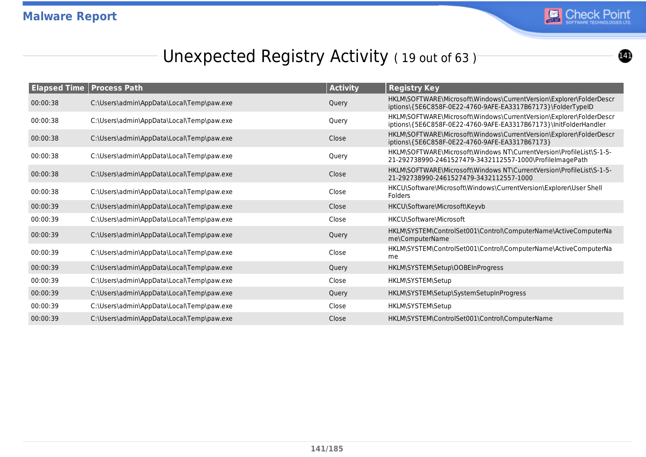

## Unexpected Registry Activity (19 out of 63)

| <b>Elapsed Time   Process Path</b> |                                           | <b>Activity</b> | <b>Registry Key</b>                                                                                                                     |
|------------------------------------|-------------------------------------------|-----------------|-----------------------------------------------------------------------------------------------------------------------------------------|
| 00:00:38                           | C:\Users\admin\AppData\Local\Temp\paw.exe | Query           | HKLM\SOFTWARE\Microsoft\Windows\CurrentVersion\Explorer\FolderDescr<br>iptions\{5E6C858F-0E22-4760-9AFE-EA3317B67173}\FolderTypeID      |
| 00:00:38                           | C:\Users\admin\AppData\Local\Temp\paw.exe | Query           | HKLM\SOFTWARE\Microsoft\Windows\CurrentVersion\Explorer\FolderDescr<br>iptions\{5E6C858F-0E22-4760-9AFE-EA3317B67173}\lnitFolderHandler |
| 00:00:38                           | C:\Users\admin\AppData\Local\Temp\paw.exe | Close           | HKLM\SOFTWARE\Microsoft\Windows\CurrentVersion\Explorer\FolderDescr<br>iptions\{5E6C858F-0E22-4760-9AFE-EA3317B67173}                   |
| 00:00:38                           | C:\Users\admin\AppData\Local\Temp\paw.exe | Query           | HKLM\SOFTWARE\Microsoft\Windows NT\CurrentVersion\ProfileList\S-1-5-<br>21-292738990-2461527479-3432112557-1000\ProfileImagePath        |
| 00:00:38                           | C:\Users\admin\AppData\Local\Temp\paw.exe | Close           | HKLM\SOFTWARE\Microsoft\Windows NT\CurrentVersion\ProfileList\S-1-5-<br>21-292738990-2461527479-3432112557-1000                         |
| 00:00:38                           | C:\Users\admin\AppData\Local\Temp\paw.exe | Close           | HKCU\Software\Microsoft\Windows\CurrentVersion\Explorer\User Shell<br><b>Folders</b>                                                    |
| 00:00:39                           | C:\Users\admin\AppData\Local\Temp\paw.exe | Close           | HKCU\Software\Microsoft\Keyvb                                                                                                           |
| 00:00:39                           | C:\Users\admin\AppData\Local\Temp\paw.exe | Close           | HKCU\Software\Microsoft                                                                                                                 |
| 00:00:39                           | C:\Users\admin\AppData\Local\Temp\paw.exe | Query           | HKLM\SYSTEM\ControlSet001\Control\ComputerName\ActiveComputerNa<br>me\ComputerName                                                      |
| 00:00:39                           | C:\Users\admin\AppData\Local\Temp\paw.exe | Close           | HKLM\SYSTEM\ControlSet001\Control\ComputerName\ActiveComputerNa<br>me                                                                   |
| 00:00:39                           | C:\Users\admin\AppData\Local\Temp\paw.exe | Query           | HKLM\SYSTEM\Setup\OOBEInProgress                                                                                                        |
| 00:00:39                           | C:\Users\admin\AppData\Local\Temp\paw.exe | Close           | HKLM\SYSTEM\Setup                                                                                                                       |
| 00:00:39                           | C:\Users\admin\AppData\Local\Temp\paw.exe | Query           | HKLM\SYSTEM\Setup\SystemSetupInProgress                                                                                                 |
| 00:00:39                           | C:\Users\admin\AppData\Local\Temp\paw.exe | Close           | HKLM\SYSTEM\Setup                                                                                                                       |
| 00:00:39                           | C:\Users\admin\AppData\Local\Temp\paw.exe | Close           | HKLM\SYSTEM\ControlSet001\Control\ComputerName                                                                                          |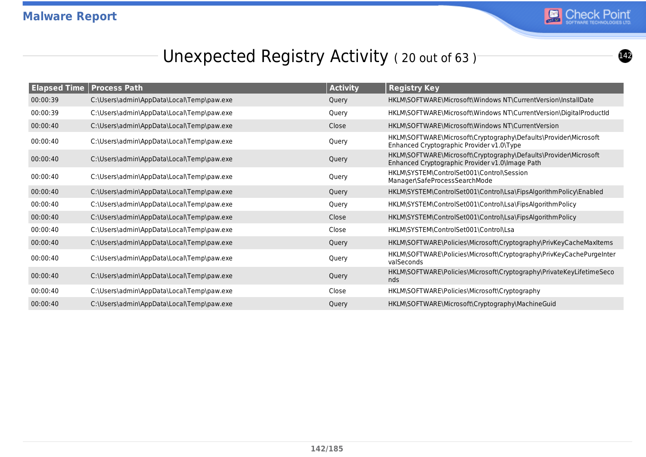

## Unexpected Registry Activity (20 out of 63)

| <b>Elapsed Time</b> | <b>Process Path</b>                       | <b>Activity</b> | <b>Registry Key</b>                                                                                                 |
|---------------------|-------------------------------------------|-----------------|---------------------------------------------------------------------------------------------------------------------|
| 00:00:39            | C:\Users\admin\AppData\Local\Temp\paw.exe | Query           | HKLM\SOFTWARE\Microsoft\Windows NT\CurrentVersion\InstallDate                                                       |
| 00:00:39            | C:\Users\admin\AppData\Local\Temp\paw.exe | Query           | HKLM\SOFTWARE\Microsoft\Windows NT\CurrentVersion\DigitalProductId                                                  |
| 00:00:40            | C:\Users\admin\AppData\Local\Temp\paw.exe | Close           | HKLM\SOFTWARE\Microsoft\Windows NT\CurrentVersion                                                                   |
| 00:00:40            | C:\Users\admin\AppData\Local\Temp\paw.exe | Query           | HKLM\SOFTWARE\Microsoft\Cryptography\Defaults\Provider\Microsoft<br>Enhanced Cryptographic Provider v1.0\Type       |
| 00:00:40            | C:\Users\admin\AppData\Local\Temp\paw.exe | Query           | HKLM\SOFTWARE\Microsoft\Cryptography\Defaults\Provider\Microsoft<br>Enhanced Cryptographic Provider v1.0\Image Path |
| 00:00:40            | C:\Users\admin\AppData\Local\Temp\paw.exe | Query           | HKLM\SYSTEM\ControlSet001\Control\Session<br>Manager\SafeProcessSearchMode                                          |
| 00:00:40            | C:\Users\admin\AppData\Local\Temp\paw.exe | Query           | HKLM\SYSTEM\ControlSet001\Control\Lsa\FipsAlgorithmPolicy\Enabled                                                   |
| 00:00:40            | C:\Users\admin\AppData\Local\Temp\paw.exe | Query           | HKLM\SYSTEM\ControlSet001\Control\Lsa\FipsAlgorithmPolicy                                                           |
| 00:00:40            | C:\Users\admin\AppData\Local\Temp\paw.exe | Close           | HKLM\SYSTEM\ControlSet001\Control\Lsa\FipsAlgorithmPolicy                                                           |
| 00:00:40            | C:\Users\admin\AppData\Local\Temp\paw.exe | Close           | HKLM\SYSTEM\ControlSet001\Control\Lsa                                                                               |
| 00:00:40            | C:\Users\admin\AppData\Local\Temp\paw.exe | Query           | HKLM\SOFTWARE\Policies\Microsoft\Cryptography\PrivKeyCacheMaxItems                                                  |
| 00:00:40            | C:\Users\admin\AppData\Local\Temp\paw.exe | Query           | HKLM\SOFTWARE\Policies\Microsoft\Cryptography\PrivKeyCachePurgeInter<br>valSeconds                                  |
| 00:00:40            | C:\Users\admin\AppData\Local\Temp\paw.exe | Query           | HKLM\SOFTWARE\Policies\Microsoft\Cryptography\PrivateKeyLifetimeSeco<br>nds                                         |
| 00:00:40            | C:\Users\admin\AppData\Local\Temp\paw.exe | Close           | HKLM\SOFTWARE\Policies\Microsoft\Cryptography                                                                       |
| 00:00:40            | C:\Users\admin\AppData\Local\Temp\paw.exe | Query           | HKLM\SOFTWARE\Microsoft\Cryptography\MachineGuid                                                                    |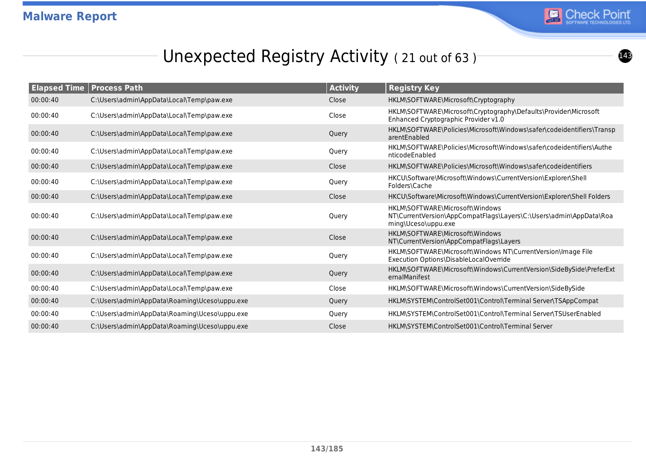

## Unexpected Registry Activity (21 out of 63)

| <b>Elapsed Time</b> | <b>Process Path</b>                           | <b>Activity</b> | <b>Registry Key</b>                                                                                                          |
|---------------------|-----------------------------------------------|-----------------|------------------------------------------------------------------------------------------------------------------------------|
| 00:00:40            | C:\Users\admin\AppData\Local\Temp\paw.exe     | Close           | HKLM\SOFTWARE\Microsoft\Cryptography                                                                                         |
| 00:00:40            | C:\Users\admin\AppData\Local\Temp\paw.exe     | Close           | HKLM\SOFTWARE\Microsoft\Cryptography\Defaults\Provider\Microsoft<br>Enhanced Cryptographic Provider v1.0                     |
| 00:00:40            | C:\Users\admin\AppData\Local\Temp\paw.exe     | Query           | HKLM\SOFTWARE\Policies\Microsoft\Windows\safer\codeidentifiers\Transp<br>arentEnabled                                        |
| 00:00:40            | C:\Users\admin\AppData\Local\Temp\paw.exe     | Query           | HKLM\SOFTWARE\Policies\Microsoft\Windows\safer\codeidentifiers\Authe<br>nticodeEnabled                                       |
| 00:00:40            | C:\Users\admin\AppData\Local\Temp\paw.exe     | Close           | HKLM\SOFTWARE\Policies\Microsoft\Windows\safer\codeidentifiers                                                               |
| 00:00:40            | C:\Users\admin\AppData\Local\Temp\paw.exe     | Query           | HKCU\Software\Microsoft\Windows\CurrentVersion\Explorer\Shell<br>Folders\Cache                                               |
| 00:00:40            | C:\Users\admin\AppData\Local\Temp\paw.exe     | Close           | HKCU\Software\Microsoft\Windows\CurrentVersion\Explorer\Shell Folders                                                        |
| 00:00:40            | C:\Users\admin\AppData\Local\Temp\paw.exe     | Query           | HKLM\SOFTWARE\Microsoft\Windows<br>NT\CurrentVersion\AppCompatFlags\Layers\C:\Users\admin\AppData\Roa<br>ming\Uceso\uppu.exe |
| 00:00:40            | C:\Users\admin\AppData\Local\Temp\paw.exe     | Close           | HKLM\SOFTWARE\Microsoft\Windows<br>NT\CurrentVersion\AppCompatFlags\Layers                                                   |
| 00:00:40            | C:\Users\admin\AppData\Local\Temp\paw.exe     | Query           | HKLM\SOFTWARE\Microsoft\Windows NT\CurrentVersion\Image File<br>Execution Options\DisableLocalOverride                       |
| 00:00:40            | C:\Users\admin\AppData\Local\Temp\paw.exe     | Query           | HKLM\SOFTWARE\Microsoft\Windows\CurrentVersion\SideBySide\PreferExt<br>ernalManifest                                         |
| 00:00:40            | C:\Users\admin\AppData\Local\Temp\paw.exe     | Close           | HKLM\SOFTWARE\Microsoft\Windows\CurrentVersion\SideBySide                                                                    |
| 00:00:40            | C:\Users\admin\AppData\Roaming\Uceso\uppu.exe | Query           | HKLM\SYSTEM\ControlSet001\Control\Terminal Server\TSAppCompat                                                                |
| 00:00:40            | C:\Users\admin\AppData\Roaming\Uceso\uppu.exe | Query           | HKLM\SYSTEM\ControlSet001\Control\Terminal Server\TSUserEnabled                                                              |
| 00:00:40            | C:\Users\admin\AppData\Roaming\Uceso\uppu.exe | Close           | HKLM\SYSTEM\ControlSet001\Control\Terminal Server                                                                            |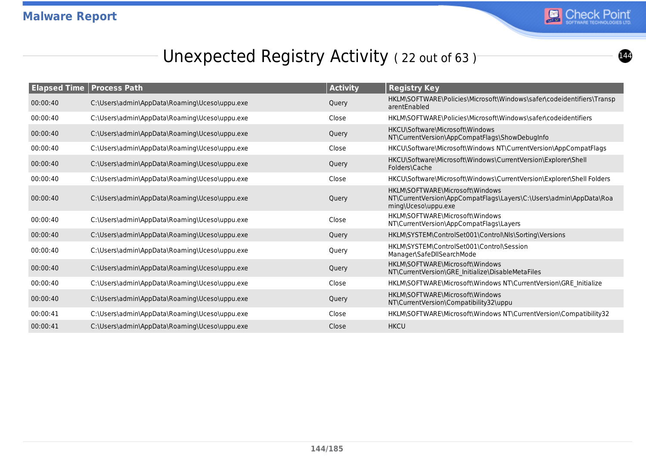

## Unexpected Registry Activity (22 out of 63)

| <b>Elapsed Time   Process Path</b> |                                               | <b>Activity</b> | <b>Registry Key</b>                                                                                                          |
|------------------------------------|-----------------------------------------------|-----------------|------------------------------------------------------------------------------------------------------------------------------|
| 00:00:40                           | C:\Users\admin\AppData\Roaming\Uceso\uppu.exe | Query           | HKLM\SOFTWARE\Policies\Microsoft\Windows\safer\codeidentifiers\Transp<br>arentEnabled                                        |
| 00:00:40                           | C:\Users\admin\AppData\Roaming\Uceso\uppu.exe | Close           | HKLM\SOFTWARE\Policies\Microsoft\Windows\safer\codeidentifiers                                                               |
| 00:00:40                           | C:\Users\admin\AppData\Roaming\Uceso\uppu.exe | Query           | HKCU\Software\Microsoft\Windows<br>NT\CurrentVersion\AppCompatFlags\ShowDebugInfo                                            |
| 00:00:40                           | C:\Users\admin\AppData\Roaming\Uceso\uppu.exe | Close           | HKCU\Software\Microsoft\Windows NT\CurrentVersion\AppCompatFlags                                                             |
| 00:00:40                           | C:\Users\admin\AppData\Roaming\Uceso\uppu.exe | Query           | HKCU\Software\Microsoft\Windows\CurrentVersion\Explorer\Shell<br>Folders\Cache                                               |
| 00:00:40                           | C:\Users\admin\AppData\Roaming\Uceso\uppu.exe | Close           | HKCU\Software\Microsoft\Windows\CurrentVersion\Explorer\Shell Folders                                                        |
| 00:00:40                           | C:\Users\admin\AppData\Roaming\Uceso\uppu.exe | Query           | HKLM\SOFTWARE\Microsoft\Windows<br>NT\CurrentVersion\AppCompatFlags\Layers\C:\Users\admin\AppData\Roa<br>ming\Uceso\uppu.exe |
| 00:00:40                           | C:\Users\admin\AppData\Roaming\Uceso\uppu.exe | Close           | HKLM\SOFTWARE\Microsoft\Windows<br>NT\CurrentVersion\AppCompatFlags\Layers                                                   |
| 00:00:40                           | C:\Users\admin\AppData\Roaming\Uceso\uppu.exe | Query           | HKLM\SYSTEM\ControlSet001\Control\NIs\Sorting\Versions                                                                       |
| 00:00:40                           | C:\Users\admin\AppData\Roaming\Uceso\uppu.exe | Query           | HKLM\SYSTEM\ControlSet001\Control\Session<br>Manager\SafeDllSearchMode                                                       |
| 00:00:40                           | C:\Users\admin\AppData\Roaming\Uceso\uppu.exe | Query           | HKLM\SOFTWARE\Microsoft\Windows<br>NT\CurrentVersion\GRE_Initialize\DisableMetaFiles                                         |
| 00:00:40                           | C:\Users\admin\AppData\Roaming\Uceso\uppu.exe | Close           | HKLM\SOFTWARE\Microsoft\Windows NT\CurrentVersion\GRE_Initialize                                                             |
| 00:00:40                           | C:\Users\admin\AppData\Roaming\Uceso\uppu.exe | Query           | HKLM\SOFTWARE\Microsoft\Windows<br>NT\CurrentVersion\Compatibility32\uppu                                                    |
| 00:00:41                           | C:\Users\admin\AppData\Roaming\Uceso\uppu.exe | Close           | HKLM\SOFTWARE\Microsoft\Windows NT\CurrentVersion\Compatibility32                                                            |
| 00:00:41                           | C:\Users\admin\AppData\Roaming\Uceso\uppu.exe | Close           | <b>HKCU</b>                                                                                                                  |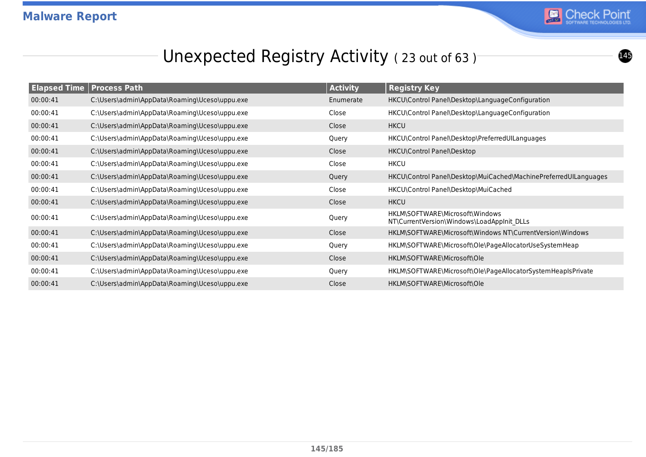

#### Unexpected Registry Activity (23 out of 63)

| <b>Elapsed Time Process Path</b> |                                               | <b>Activity</b> | <b>Registry Key</b>                                                           |
|----------------------------------|-----------------------------------------------|-----------------|-------------------------------------------------------------------------------|
| 00:00:41                         | C:\Users\admin\AppData\Roaming\Uceso\uppu.exe | Enumerate       | HKCU\Control Panel\Desktop\LanguageConfiguration                              |
| 00:00:41                         | C:\Users\admin\AppData\Roaming\Uceso\uppu.exe | Close           | HKCU\Control Panel\Desktop\LanguageConfiguration                              |
| 00:00:41                         | C:\Users\admin\AppData\Roaming\Uceso\uppu.exe | Close           | <b>HKCU</b>                                                                   |
| 00:00:41                         | C:\Users\admin\AppData\Roaming\Uceso\uppu.exe | Query           | HKCU\Control Panel\Desktop\PreferredUILanguages                               |
| 00:00:41                         | C:\Users\admin\AppData\Roaming\Uceso\uppu.exe | Close           | HKCU\Control Panel\Desktop                                                    |
| 00:00:41                         | C:\Users\admin\AppData\Roaming\Uceso\uppu.exe | Close           | <b>HKCU</b>                                                                   |
| 00:00:41                         | C:\Users\admin\AppData\Roaming\Uceso\uppu.exe | Query           | HKCU\Control Panel\Desktop\MuiCached\MachinePreferredUILanguages              |
| 00:00:41                         | C:\Users\admin\AppData\Roaming\Uceso\uppu.exe | Close           | HKCU\Control Panel\Desktop\MuiCached                                          |
| 00:00:41                         | C:\Users\admin\AppData\Roaming\Uceso\uppu.exe | Close           | <b>HKCU</b>                                                                   |
| 00:00:41                         | C:\Users\admin\AppData\Roaming\Uceso\uppu.exe | Query           | HKLM\SOFTWARE\Microsoft\Windows<br>NT\CurrentVersion\Windows\LoadAppInit DLLs |
| 00:00:41                         | C:\Users\admin\AppData\Roaming\Uceso\uppu.exe | Close           | HKLM\SOFTWARE\Microsoft\Windows NT\CurrentVersion\Windows                     |
| 00:00:41                         | C:\Users\admin\AppData\Roaming\Uceso\uppu.exe | Query           | HKLM\SOFTWARE\Microsoft\Ole\PageAllocatorUseSystemHeap                        |
| 00:00:41                         | C:\Users\admin\AppData\Roaming\Uceso\uppu.exe | Close           | HKLM\SOFTWARE\Microsoft\Ole                                                   |
| 00:00:41                         | C:\Users\admin\AppData\Roaming\Uceso\uppu.exe | Query           | HKLM\SOFTWARE\Microsoft\Ole\PageAllocatorSystemHeapIsPrivate                  |
| 00:00:41                         | C:\Users\admin\AppData\Roaming\Uceso\uppu.exe | Close           | HKLM\SOFTWARE\Microsoft\Ole                                                   |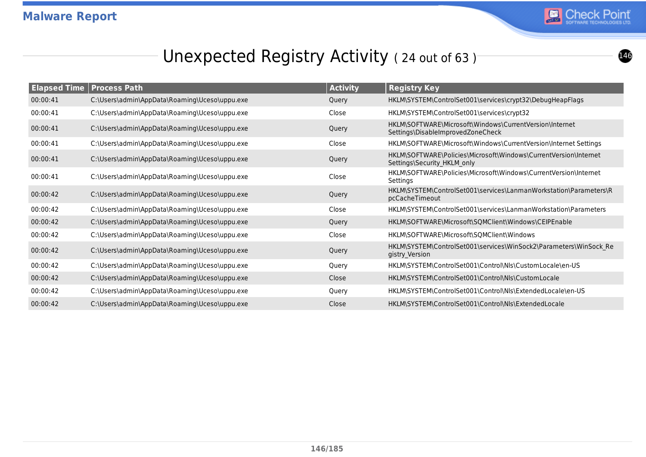

#### Unexpected Registry Activity (24 out of 63)

| <b>Elapsed Time</b> | <b>Process Path</b>                           | <b>Activity</b> | <b>Registry Key</b>                                                                             |
|---------------------|-----------------------------------------------|-----------------|-------------------------------------------------------------------------------------------------|
| 00:00:41            | C:\Users\admin\AppData\Roaming\Uceso\uppu.exe | Query           | HKLM\SYSTEM\ControlSet001\services\crypt32\DebugHeapFlags                                       |
| 00:00:41            | C:\Users\admin\AppData\Roaming\Uceso\uppu.exe | Close           | HKLM\SYSTEM\ControlSet001\services\crypt32                                                      |
| 00:00:41            | C:\Users\admin\AppData\Roaming\Uceso\uppu.exe | Query           | HKLM\SOFTWARE\Microsoft\Windows\CurrentVersion\Internet<br>Settings\DisableImprovedZoneCheck    |
| 00:00:41            | C:\Users\admin\AppData\Roaming\Uceso\uppu.exe | Close           | HKLM\SOFTWARE\Microsoft\Windows\CurrentVersion\Internet Settings                                |
| 00:00:41            | C:\Users\admin\AppData\Roaming\Uceso\uppu.exe | Query           | HKLM\SOFTWARE\Policies\Microsoft\Windows\CurrentVersion\Internet<br>Settings\Security HKLM only |
| 00:00:41            | C:\Users\admin\AppData\Roaming\Uceso\uppu.exe | Close           | HKLM\SOFTWARE\Policies\Microsoft\Windows\CurrentVersion\Internet<br>Settings                    |
| 00:00:42            | C:\Users\admin\AppData\Roaming\Uceso\uppu.exe | Query           | HKLM\SYSTEM\ControlSet001\services\LanmanWorkstation\Parameters\R<br>pcCacheTimeout             |
| 00:00:42            | C:\Users\admin\AppData\Roaming\Uceso\uppu.exe | Close           | HKLM\SYSTEM\ControlSet001\services\LanmanWorkstation\Parameters                                 |
| 00:00:42            | C:\Users\admin\AppData\Roaming\Uceso\uppu.exe | Query           | HKLM\SOFTWARE\Microsoft\SQMClient\Windows\CEIPEnable                                            |
| 00:00:42            | C:\Users\admin\AppData\Roaming\Uceso\uppu.exe | Close           | HKLM\SOFTWARE\Microsoft\SQMClient\Windows                                                       |
| 00:00:42            | C:\Users\admin\AppData\Roaming\Uceso\uppu.exe | Query           | HKLM\SYSTEM\ControlSet001\services\WinSock2\Parameters\WinSock Re<br>gistry_Version             |
| 00:00:42            | C:\Users\admin\AppData\Roaming\Uceso\uppu.exe | Query           | HKLM\SYSTEM\ControlSet001\Control\Nls\CustomLocale\en-US                                        |
| 00:00:42            | C:\Users\admin\AppData\Roaming\Uceso\uppu.exe | Close           | HKLM\SYSTEM\ControlSet001\Control\NIs\CustomLocale                                              |
| 00:00:42            | C:\Users\admin\AppData\Roaming\Uceso\uppu.exe | Query           | HKLM\SYSTEM\ControlSet001\Control\Nls\ExtendedLocale\en-US                                      |
| 00:00:42            | C:\Users\admin\AppData\Roaming\Uceso\uppu.exe | Close           | HKLM\SYSTEM\ControlSet001\Control\Nls\ExtendedLocale                                            |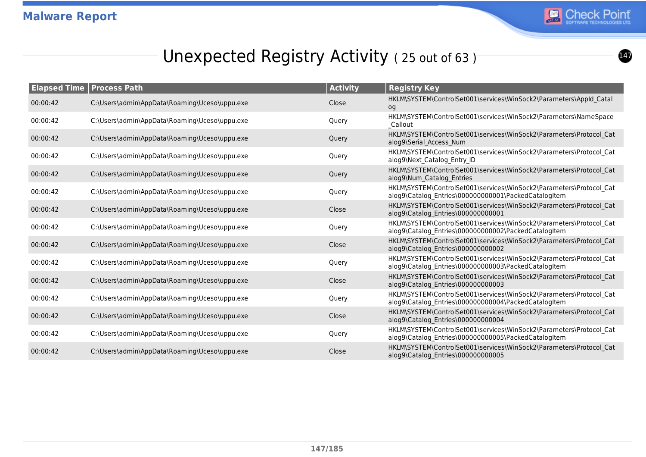

## Unexpected Registry Activity (25 out of 63)

| <b>Elapsed Time</b> | <b>Process Path</b>                           | <b>Activity</b> | <b>Registry Key</b>                                                                                                         |
|---------------------|-----------------------------------------------|-----------------|-----------------------------------------------------------------------------------------------------------------------------|
| 00:00:42            | C:\Users\admin\AppData\Roaming\Uceso\uppu.exe | Close           | HKLM\SYSTEM\ControlSet001\services\WinSock2\Parameters\AppId Catal<br>og                                                    |
| 00:00:42            | C:\Users\admin\AppData\Roaming\Uceso\uppu.exe | Query           | HKLM\SYSTEM\ControlSet001\services\WinSock2\Parameters\NameSpace<br>Callout                                                 |
| 00:00:42            | C:\Users\admin\AppData\Roaming\Uceso\uppu.exe | Query           | HKLM\SYSTEM\ControlSet001\services\WinSock2\Parameters\Protocol Cat<br>alog9\Serial Access Num                              |
| 00:00:42            | C:\Users\admin\AppData\Roaming\Uceso\uppu.exe | Query           | HKLM\SYSTEM\ControlSet001\services\WinSock2\Parameters\Protocol_Cat<br>alog9\Next Catalog Entry ID                          |
| 00:00:42            | C:\Users\admin\AppData\Roaming\Uceso\uppu.exe | Query           | HKLM\SYSTEM\ControlSet001\services\WinSock2\Parameters\Protocol Cat<br>alog9\Num Catalog Entries                            |
| 00:00:42            | C:\Users\admin\AppData\Roaming\Uceso\uppu.exe | Query           | HKLM\SYSTEM\ControlSet001\services\WinSock2\Parameters\Protocol Cat<br>alog9\Catalog_Entries\000000000001\PackedCatalogItem |
| 00:00:42            | C:\Users\admin\AppData\Roaming\Uceso\uppu.exe | Close           | HKLM\SYSTEM\ControlSet001\services\WinSock2\Parameters\Protocol Cat<br>alog9\Catalog Entries\000000000001                   |
| 00:00:42            | C:\Users\admin\AppData\Roaming\Uceso\uppu.exe | Query           | HKLM\SYSTEM\ControlSet001\services\WinSock2\Parameters\Protocol Cat<br>alog9\Catalog Entries\000000000002\PackedCatalogItem |
| 00:00:42            | C:\Users\admin\AppData\Roaming\Uceso\uppu.exe | Close           | HKLM\SYSTEM\ControlSet001\services\WinSock2\Parameters\Protocol Cat<br>alog9\Catalog Entries\000000000002                   |
| 00:00:42            | C:\Users\admin\AppData\Roaming\Uceso\uppu.exe | Query           | HKLM\SYSTEM\ControlSet001\services\WinSock2\Parameters\Protocol Cat<br>alog9\Catalog Entries\000000000003\PackedCatalogItem |
| 00:00:42            | C:\Users\admin\AppData\Roaming\Uceso\uppu.exe | Close           | HKLM\SYSTEM\ControlSet001\services\WinSock2\Parameters\Protocol Cat<br>alog9\Catalog Entries\000000000003                   |
| 00:00:42            | C:\Users\admin\AppData\Roaming\Uceso\uppu.exe | Query           | HKLM\SYSTEM\ControlSet001\services\WinSock2\Parameters\Protocol Cat<br>alog9\Catalog Entries\000000000004\PackedCatalogItem |
| 00:00:42            | C:\Users\admin\AppData\Roaming\Uceso\uppu.exe | Close           | HKLM\SYSTEM\ControlSet001\services\WinSock2\Parameters\Protocol Cat<br>alog9\Catalog Entries\000000000004                   |
| 00:00:42            | C:\Users\admin\AppData\Roaming\Uceso\uppu.exe | Query           | HKLM\SYSTEM\ControlSet001\services\WinSock2\Parameters\Protocol Cat<br>alog9\Catalog Entries\000000000005\PackedCatalogItem |
| 00:00:42            | C:\Users\admin\AppData\Roaming\Uceso\uppu.exe | Close           | HKLM\SYSTEM\ControlSet001\services\WinSock2\Parameters\Protocol Cat<br>alog9\Catalog Entries\000000000005                   |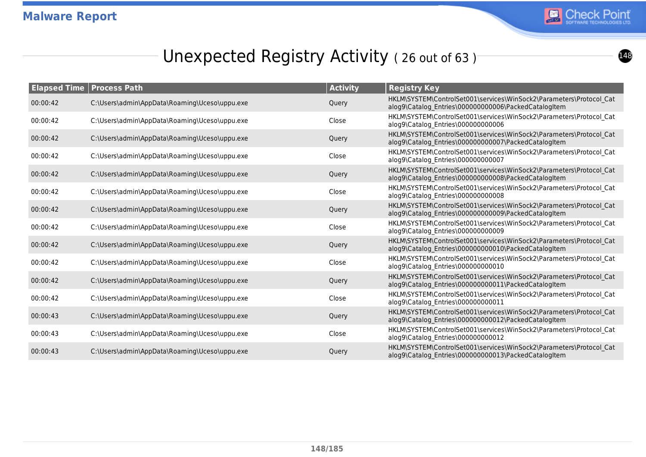

## Unexpected Registry Activity (26 out of 63)

| <b>Elapsed Time   Process Path</b> |                                               | <b>Activity</b> | <b>Registry Key</b>                                                                                                         |
|------------------------------------|-----------------------------------------------|-----------------|-----------------------------------------------------------------------------------------------------------------------------|
| 00:00:42                           | C:\Users\admin\AppData\Roaming\Uceso\uppu.exe | Query           | HKLM\SYSTEM\ControlSet001\services\WinSock2\Parameters\Protocol Cat<br>alog9\Catalog Entries\000000000006\PackedCatalogItem |
| 00:00:42                           | C:\Users\admin\AppData\Roaming\Uceso\uppu.exe | Close           | HKLM\SYSTEM\ControlSet001\services\WinSock2\Parameters\Protocol Cat<br>alog9\Catalog Entries\000000000006                   |
| 00:00:42                           | C:\Users\admin\AppData\Roaming\Uceso\uppu.exe | Query           | HKLM\SYSTEM\ControlSet001\services\WinSock2\Parameters\Protocol Cat<br>alog9\Catalog Entries\000000000007\PackedCatalogItem |
| 00:00:42                           | C:\Users\admin\AppData\Roaming\Uceso\uppu.exe | Close           | HKLM\SYSTEM\ControlSet001\services\WinSock2\Parameters\Protocol_Cat<br>alog9\Catalog Entries\000000000007                   |
| 00:00:42                           | C:\Users\admin\AppData\Roaming\Uceso\uppu.exe | Query           | HKLM\SYSTEM\ControlSet001\services\WinSock2\Parameters\Protocol Cat<br>alog9\Catalog_Entries\000000000008\PackedCatalogItem |
| 00:00:42                           | C:\Users\admin\AppData\Roaming\Uceso\uppu.exe | Close           | HKLM\SYSTEM\ControlSet001\services\WinSock2\Parameters\Protocol Cat<br>alog9\Catalog Entries\000000000008                   |
| 00:00:42                           | C:\Users\admin\AppData\Roaming\Uceso\uppu.exe | Query           | HKLM\SYSTEM\ControlSet001\services\WinSock2\Parameters\Protocol Cat<br>alog9\Catalog Entries\000000000009\PackedCatalogItem |
| 00:00:42                           | C:\Users\admin\AppData\Roaming\Uceso\uppu.exe | Close           | HKLM\SYSTEM\ControlSet001\services\WinSock2\Parameters\Protocol_Cat<br>alog9\Catalog Entries\000000000009                   |
| 00:00:42                           | C:\Users\admin\AppData\Roaming\Uceso\uppu.exe | Query           | HKLM\SYSTEM\ControlSet001\services\WinSock2\Parameters\Protocol Cat<br>alog9\Catalog Entries\000000000010\PackedCatalogItem |
| 00:00:42                           | C:\Users\admin\AppData\Roaming\Uceso\uppu.exe | Close           | HKLM\SYSTEM\ControlSet001\services\WinSock2\Parameters\Protocol Cat<br>alog9\Catalog Entries\000000000010                   |
| 00:00:42                           | C:\Users\admin\AppData\Roaming\Uceso\uppu.exe | Query           | HKLM\SYSTEM\ControlSet001\services\WinSock2\Parameters\Protocol Cat<br>alog9\Catalog_Entries\000000000011\PackedCatalogItem |
| 00:00:42                           | C:\Users\admin\AppData\Roaming\Uceso\uppu.exe | Close           | HKLM\SYSTEM\ControlSet001\services\WinSock2\Parameters\Protocol Cat<br>alog9\Catalog_Entries\000000000011                   |
| 00:00:43                           | C:\Users\admin\AppData\Roaming\Uceso\uppu.exe | Query           | HKLM\SYSTEM\ControlSet001\services\WinSock2\Parameters\Protocol Cat<br>alog9\Catalog Entries\000000000012\PackedCatalogItem |
| 00:00:43                           | C:\Users\admin\AppData\Roaming\Uceso\uppu.exe | Close           | HKLM\SYSTEM\ControlSet001\services\WinSock2\Parameters\Protocol_Cat<br>alog9\Catalog Entries\000000000012                   |
| 00:00:43                           | C:\Users\admin\AppData\Roaming\Uceso\uppu.exe | Query           | HKLM\SYSTEM\ControlSet001\services\WinSock2\Parameters\Protocol Cat<br>alog9\Catalog Entries\000000000013\PackedCatalogItem |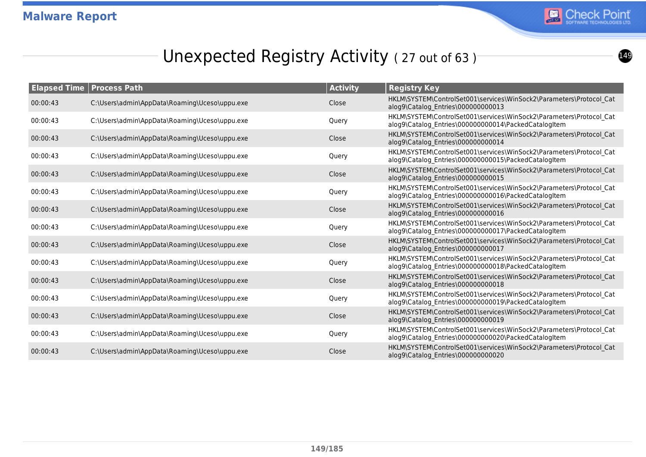

## Unexpected Registry Activity (27 out of 63)

| <b>Elapsed Time</b> | <b>Process Path</b>                           | <b>Activity</b> | <b>Registry Key</b>                                                                                                         |
|---------------------|-----------------------------------------------|-----------------|-----------------------------------------------------------------------------------------------------------------------------|
| 00:00:43            | C:\Users\admin\AppData\Roaming\Uceso\uppu.exe | Close           | HKLM\SYSTEM\ControlSet001\services\WinSock2\Parameters\Protocol Cat<br>alog9\Catalog_Entries\000000000013                   |
| 00:00:43            | C:\Users\admin\AppData\Roaming\Uceso\uppu.exe | Query           | HKLM\SYSTEM\ControlSet001\services\WinSock2\Parameters\Protocol Cat<br>alog9\Catalog Entries\000000000014\PackedCatalogItem |
| 00:00:43            | C:\Users\admin\AppData\Roaming\Uceso\uppu.exe | Close           | HKLM\SYSTEM\ControlSet001\services\WinSock2\Parameters\Protocol Cat<br>alog9\Catalog Entries\000000000014                   |
| 00:00:43            | C:\Users\admin\AppData\Roaming\Uceso\uppu.exe | Query           | HKLM\SYSTEM\ControlSet001\services\WinSock2\Parameters\Protocol Cat<br>alog9\Catalog Entries\000000000015\PackedCatalogItem |
| 00:00:43            | C:\Users\admin\AppData\Roaming\Uceso\uppu.exe | Close           | HKLM\SYSTEM\ControlSet001\services\WinSock2\Parameters\Protocol Cat<br>alog9\Catalog Entries\000000000015                   |
| 00:00:43            | C:\Users\admin\AppData\Roaming\Uceso\uppu.exe | Query           | HKLM\SYSTEM\ControlSet001\services\WinSock2\Parameters\Protocol Cat<br>alog9\Catalog_Entries\000000000016\PackedCatalogItem |
| 00:00:43            | C:\Users\admin\AppData\Roaming\Uceso\uppu.exe | Close           | HKLM\SYSTEM\ControlSet001\services\WinSock2\Parameters\Protocol Cat<br>alog9\Catalog_Entries\000000000016                   |
| 00:00:43            | C:\Users\admin\AppData\Roaming\Uceso\uppu.exe | Query           | HKLM\SYSTEM\ControlSet001\services\WinSock2\Parameters\Protocol Cat<br>alog9\Catalog Entries\000000000017\PackedCatalogItem |
| 00:00:43            | C:\Users\admin\AppData\Roaming\Uceso\uppu.exe | Close           | HKLM\SYSTEM\ControlSet001\services\WinSock2\Parameters\Protocol Cat<br>alog9\Catalog Entries\000000000017                   |
| 00:00:43            | C:\Users\admin\AppData\Roaming\Uceso\uppu.exe | Query           | HKLM\SYSTEM\ControlSet001\services\WinSock2\Parameters\Protocol Cat<br>alog9\Catalog Entries\000000000018\PackedCatalogItem |
| 00:00:43            | C:\Users\admin\AppData\Roaming\Uceso\uppu.exe | Close           | HKLM\SYSTEM\ControlSet001\services\WinSock2\Parameters\Protocol Cat<br>alog9\Catalog Entries\000000000018                   |
| 00:00:43            | C:\Users\admin\AppData\Roaming\Uceso\uppu.exe | Query           | HKLM\SYSTEM\ControlSet001\services\WinSock2\Parameters\Protocol Cat<br>alog9\Catalog Entries\000000000019\PackedCatalogItem |
| 00:00:43            | C:\Users\admin\AppData\Roaming\Uceso\uppu.exe | Close           | HKLM\SYSTEM\ControlSet001\services\WinSock2\Parameters\Protocol Cat<br>alog9\Catalog Entries\000000000019                   |
| 00:00:43            | C:\Users\admin\AppData\Roaming\Uceso\uppu.exe | Query           | HKLM\SYSTEM\ControlSet001\services\WinSock2\Parameters\Protocol Cat<br>alog9\Catalog Entries\000000000020\PackedCatalogItem |
| 00:00:43            | C:\Users\admin\AppData\Roaming\Uceso\uppu.exe | Close           | HKLM\SYSTEM\ControlSet001\services\WinSock2\Parameters\Protocol Cat<br>alog9\Catalog Entries\000000000020                   |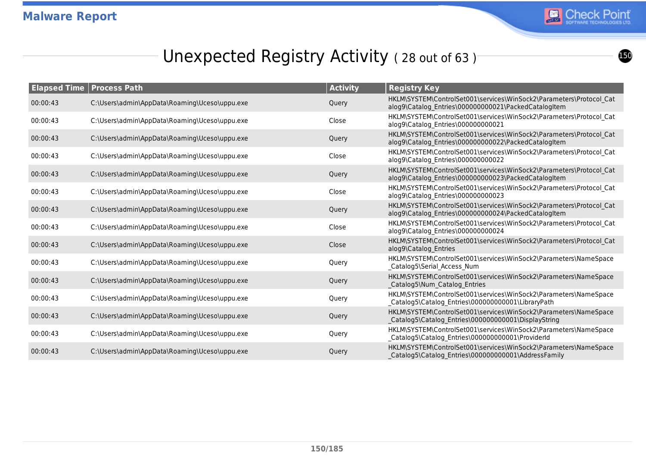

## Unexpected Registry Activity (28 out of 63)

| <b>Elapsed Time   Process Path</b> |                                               | <b>Activity</b> | <b>Registry Key</b>                                                                                                         |
|------------------------------------|-----------------------------------------------|-----------------|-----------------------------------------------------------------------------------------------------------------------------|
| 00:00:43                           | C:\Users\admin\AppData\Roaming\Uceso\uppu.exe | Query           | HKLM\SYSTEM\ControlSet001\services\WinSock2\Parameters\Protocol Cat<br>alog9\Catalog Entries\000000000021\PackedCatalogItem |
| 00:00:43                           | C:\Users\admin\AppData\Roaming\Uceso\uppu.exe | Close           | HKLM\SYSTEM\ControlSet001\services\WinSock2\Parameters\Protocol Cat<br>alog9\Catalog Entries\000000000021                   |
| 00:00:43                           | C:\Users\admin\AppData\Roaming\Uceso\uppu.exe | Query           | HKLM\SYSTEM\ControlSet001\services\WinSock2\Parameters\Protocol Cat<br>alog9\Catalog Entries\000000000022\PackedCatalogItem |
| 00:00:43                           | C:\Users\admin\AppData\Roaming\Uceso\uppu.exe | Close           | HKLM\SYSTEM\ControlSet001\services\WinSock2\Parameters\Protocol Cat<br>alog9\Catalog Entries\000000000022                   |
| 00:00:43                           | C:\Users\admin\AppData\Roaming\Uceso\uppu.exe | Query           | HKLM\SYSTEM\ControlSet001\services\WinSock2\Parameters\Protocol Cat<br>alog9\Catalog_Entries\000000000023\PackedCatalogItem |
| 00:00:43                           | C:\Users\admin\AppData\Roaming\Uceso\uppu.exe | Close           | HKLM\SYSTEM\ControlSet001\services\WinSock2\Parameters\Protocol Cat<br>alog9\Catalog Entries\000000000023                   |
| 00:00:43                           | C:\Users\admin\AppData\Roaming\Uceso\uppu.exe | Query           | HKLM\SYSTEM\ControlSet001\services\WinSock2\Parameters\Protocol Cat<br>alog9\Catalog Entries\000000000024\PackedCatalogItem |
| 00:00:43                           | C:\Users\admin\AppData\Roaming\Uceso\uppu.exe | Close           | HKLM\SYSTEM\ControlSet001\services\WinSock2\Parameters\Protocol_Cat<br>alog9\Catalog Entries\000000000024                   |
| 00:00:43                           | C:\Users\admin\AppData\Roaming\Uceso\uppu.exe | Close           | HKLM\SYSTEM\ControlSet001\services\WinSock2\Parameters\Protocol Cat<br>alog9\Catalog Entries                                |
| 00:00:43                           | C:\Users\admin\AppData\Roaming\Uceso\uppu.exe | Query           | HKLM\SYSTEM\ControlSet001\services\WinSock2\Parameters\NameSpace<br>_Catalog5\Serial_Access_Num                             |
| 00:00:43                           | C:\Users\admin\AppData\Roaming\Uceso\uppu.exe | Query           | HKLM\SYSTEM\ControlSet001\services\WinSock2\Parameters\NameSpace<br>Catalog5\Num Catalog Entries                            |
| 00:00:43                           | C:\Users\admin\AppData\Roaming\Uceso\uppu.exe | Query           | HKLM\SYSTEM\ControlSet001\services\WinSock2\Parameters\NameSpace<br>_Catalog5\Catalog_Entries\000000000001\LibraryPath      |
| 00:00:43                           | C:\Users\admin\AppData\Roaming\Uceso\uppu.exe | Query           | HKLM\SYSTEM\ControlSet001\services\WinSock2\Parameters\NameSpace<br>Catalog5\Catalog Entries\000000000001\DisplayString     |
| 00:00:43                           | C:\Users\admin\AppData\Roaming\Uceso\uppu.exe | Query           | HKLM\SYSTEM\ControlSet001\services\WinSock2\Parameters\NameSpace<br>_Catalog5\Catalog_Entries\000000000001\ProviderId       |
| 00:00:43                           | C:\Users\admin\AppData\Roaming\Uceso\uppu.exe | Query           | HKLM\SYSTEM\ControlSet001\services\WinSock2\Parameters\NameSpace<br>Catalog5\Catalog Entries\000000000001\AddressFamily     |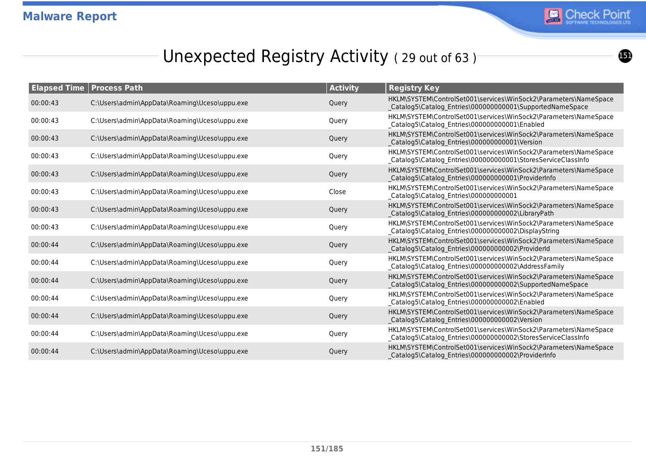

## Unexpected Registry Activity (29 out of 63)

|          | <b>Elapsed Time   Process Path</b>            | <b>Activity</b> | <b>Registry Key</b>                                                                                                               |
|----------|-----------------------------------------------|-----------------|-----------------------------------------------------------------------------------------------------------------------------------|
| 00:00:43 | C:\Users\admin\AppData\Roaming\Uceso\uppu.exe | Query           | HKLM\SYSTEM\ControlSet001\services\WinSock2\Parameters\NameSpace<br>Catalog5\Catalog_Entries\000000000001\SupportedNameSpace      |
| 00:00:43 | C:\Users\admin\AppData\Roaming\Uceso\uppu.exe | Query           | HKLM\SYSTEM\ControlSet001\services\WinSock2\Parameters\NameSpace<br>_Catalog5\Catalog_Entries\000000000001\Enabled                |
| 00:00:43 | C:\Users\admin\AppData\Roaming\Uceso\uppu.exe | Query           | HKLM\SYSTEM\ControlSet001\services\WinSock2\Parameters\NameSpace<br>Catalog5\Catalog_Entries\000000000001\Version                 |
| 00:00:43 | C:\Users\admin\AppData\Roaming\Uceso\uppu.exe | Query           | HKLM\SYSTEM\ControlSet001\services\WinSock2\Parameters\NameSpace<br>_Catalog5\Catalog_Entries\000000000001\StoresServiceClassInfo |
| 00:00:43 | C:\Users\admin\AppData\Roaming\Uceso\uppu.exe | Query           | HKLM\SYSTEM\ControlSet001\services\WinSock2\Parameters\NameSpace<br>Catalog5\Catalog Entries\000000000001\ProviderInfo            |
| 00:00:43 | C:\Users\admin\AppData\Roaming\Uceso\uppu.exe | Close           | HKLM\SYSTEM\ControlSet001\services\WinSock2\Parameters\NameSpace<br>_Catalog5\Catalog_Entries\000000000001                        |
| 00:00:43 | C:\Users\admin\AppData\Roaming\Uceso\uppu.exe | Query           | HKLM\SYSTEM\ControlSet001\services\WinSock2\Parameters\NameSpace<br>Catalog5\Catalog_Entries\000000000002\LibraryPath             |
| 00:00:43 | C:\Users\admin\AppData\Roaming\Uceso\uppu.exe | Query           | HKLM\SYSTEM\ControlSet001\services\WinSock2\Parameters\NameSpace<br>Catalog5\Catalog Entries\000000000002\DisplayString           |
| 00:00:44 | C:\Users\admin\AppData\Roaming\Uceso\uppu.exe | Query           | HKLM\SYSTEM\ControlSet001\services\WinSock2\Parameters\NameSpace<br>Catalog5\Catalog Entries\000000000002\ProviderId              |
| 00:00:44 | C:\Users\admin\AppData\Roaming\Uceso\uppu.exe | Query           | HKLM\SYSTEM\ControlSet001\services\WinSock2\Parameters\NameSpace<br>_Catalog5\Catalog_Entries\000000000002\AddressFamily          |
| 00:00:44 | C:\Users\admin\AppData\Roaming\Uceso\uppu.exe | Query           | HKLM\SYSTEM\ControlSet001\services\WinSock2\Parameters\NameSpace<br>Catalog5\Catalog_Entries\000000000002\SupportedNameSpace      |
| 00:00:44 | C:\Users\admin\AppData\Roaming\Uceso\uppu.exe | Query           | HKLM\SYSTEM\ControlSet001\services\WinSock2\Parameters\NameSpace<br>_Catalog5\Catalog_Entries\000000000002\Enabled                |
| 00:00:44 | C:\Users\admin\AppData\Roaming\Uceso\uppu.exe | Query           | HKLM\SYSTEM\ControlSet001\services\WinSock2\Parameters\NameSpace<br>Catalog5\Catalog_Entries\000000000002\Version                 |
| 00:00:44 | C:\Users\admin\AppData\Roaming\Uceso\uppu.exe | Query           | HKLM\SYSTEM\ControlSet001\services\WinSock2\Parameters\NameSpace<br>_Catalog5\Catalog_Entries\000000000002\StoresServiceClassInfo |
| 00:00:44 | C:\Users\admin\AppData\Roaming\Uceso\uppu.exe | Query           | HKLM\SYSTEM\ControlSet001\services\WinSock2\Parameters\NameSpace<br>Catalog5\Catalog Entries\000000000002\ProviderInfo            |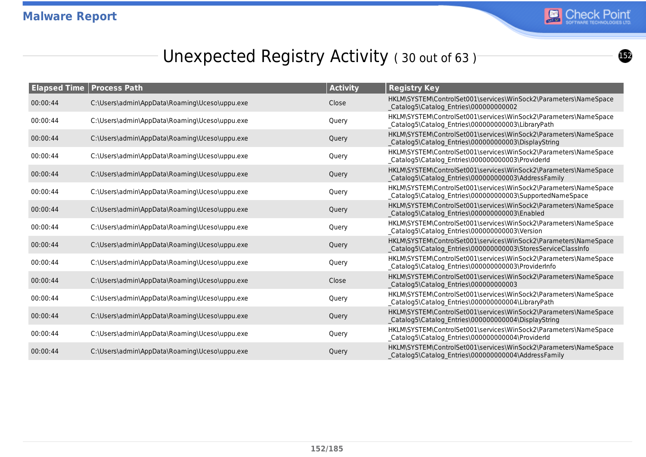

## Unexpected Registry Activity (30 out of 63)<sup>-</sup>

|          | <b>Elapsed Time   Process Path</b>            | <b>Activity</b> | <b>Registry Key</b>                                                                                                              |
|----------|-----------------------------------------------|-----------------|----------------------------------------------------------------------------------------------------------------------------------|
| 00:00:44 | C:\Users\admin\AppData\Roaming\Uceso\uppu.exe | Close           | HKLM\SYSTEM\ControlSet001\services\WinSock2\Parameters\NameSpace<br>Catalog5\Catalog_Entries\000000000002                        |
| 00:00:44 | C:\Users\admin\AppData\Roaming\Uceso\uppu.exe | Query           | HKLM\SYSTEM\ControlSet001\services\WinSock2\Parameters\NameSpace<br>_Catalog5\Catalog_Entries\000000000003\LibraryPath           |
| 00:00:44 | C:\Users\admin\AppData\Roaming\Uceso\uppu.exe | Query           | HKLM\SYSTEM\ControlSet001\services\WinSock2\Parameters\NameSpace<br>Catalog5\Catalog Entries\000000000003\DisplayString          |
| 00:00:44 | C:\Users\admin\AppData\Roaming\Uceso\uppu.exe | Query           | HKLM\SYSTEM\ControlSet001\services\WinSock2\Parameters\NameSpace<br>_Catalog5\Catalog_Entries\000000000003\ProviderId            |
| 00:00:44 | C:\Users\admin\AppData\Roaming\Uceso\uppu.exe | Query           | HKLM\SYSTEM\ControlSet001\services\WinSock2\Parameters\NameSpace<br>Catalog5\Catalog Entries\000000000003\AddressFamily          |
| 00:00:44 | C:\Users\admin\AppData\Roaming\Uceso\uppu.exe | Query           | HKLM\SYSTEM\ControlSet001\services\WinSock2\Parameters\NameSpace<br>_Catalog5\Catalog_Entries\000000000003\SupportedNameSpace    |
| 00:00:44 | C:\Users\admin\AppData\Roaming\Uceso\uppu.exe | Query           | HKLM\SYSTEM\ControlSet001\services\WinSock2\Parameters\NameSpace<br>Catalog5\Catalog Entries\000000000003\Enabled                |
| 00:00:44 | C:\Users\admin\AppData\Roaming\Uceso\uppu.exe | Query           | HKLM\SYSTEM\ControlSet001\services\WinSock2\Parameters\NameSpace<br>Catalog5\Catalog_Entries\000000000003\Version                |
| 00:00:44 | C:\Users\admin\AppData\Roaming\Uceso\uppu.exe | Query           | HKLM\SYSTEM\ControlSet001\services\WinSock2\Parameters\NameSpace<br>Catalog5\Catalog_Entries\000000000003\StoresServiceClassInfo |
| 00:00:44 | C:\Users\admin\AppData\Roaming\Uceso\uppu.exe | Query           | HKLM\SYSTEM\ControlSet001\services\WinSock2\Parameters\NameSpace<br>_Catalog5\Catalog_Entries\000000000003\ProviderInfo          |
| 00:00:44 | C:\Users\admin\AppData\Roaming\Uceso\uppu.exe | Close           | HKLM\SYSTEM\ControlSet001\services\WinSock2\Parameters\NameSpace<br>Catalog5\Catalog_Entries\000000000003                        |
| 00:00:44 | C:\Users\admin\AppData\Roaming\Uceso\uppu.exe | Query           | HKLM\SYSTEM\ControlSet001\services\WinSock2\Parameters\NameSpace<br>_Catalog5\Catalog_Entries\000000000004\LibraryPath           |
| 00:00:44 | C:\Users\admin\AppData\Roaming\Uceso\uppu.exe | Query           | HKLM\SYSTEM\ControlSet001\services\WinSock2\Parameters\NameSpace<br>Catalog5\Catalog_Entries\000000000004\DisplayString          |
| 00:00:44 | C:\Users\admin\AppData\Roaming\Uceso\uppu.exe | Query           | HKLM\SYSTEM\ControlSet001\services\WinSock2\Parameters\NameSpace<br>_Catalog5\Catalog_Entries\000000000004\ProviderId            |
| 00:00:44 | C:\Users\admin\AppData\Roaming\Uceso\uppu.exe | Query           | HKLM\SYSTEM\ControlSet001\services\WinSock2\Parameters\NameSpace<br>Catalog5\Catalog Entries\000000000004\AddressFamily          |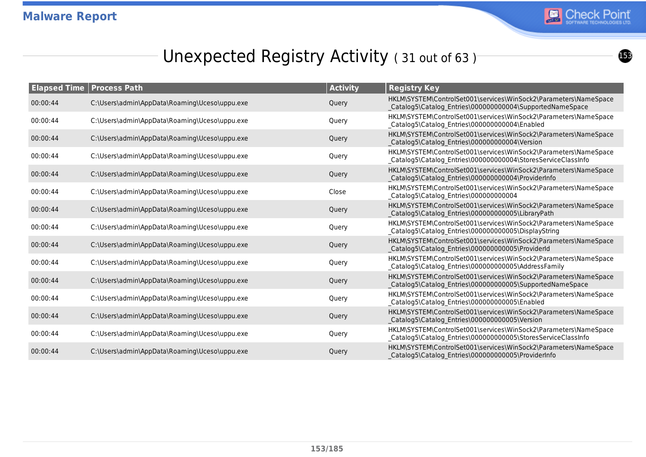

## Unexpected Registry Activity (31 out of 63)

| <b>Elapsed Time   Process Path</b> |                                               | <b>Activity</b> | <b>Registry Key</b>                                                                                                               |
|------------------------------------|-----------------------------------------------|-----------------|-----------------------------------------------------------------------------------------------------------------------------------|
| 00:00:44                           | C:\Users\admin\AppData\Roaming\Uceso\uppu.exe | Query           | HKLM\SYSTEM\ControlSet001\services\WinSock2\Parameters\NameSpace<br>Catalog5\Catalog_Entries\000000000004\SupportedNameSpace      |
| 00:00:44                           | C:\Users\admin\AppData\Roaming\Uceso\uppu.exe | Query           | HKLM\SYSTEM\ControlSet001\services\WinSock2\Parameters\NameSpace<br>_Catalog5\Catalog_Entries\000000000004\Enabled                |
| 00:00:44                           | C:\Users\admin\AppData\Roaming\Uceso\uppu.exe | Query           | HKLM\SYSTEM\ControlSet001\services\WinSock2\Parameters\NameSpace<br>Catalog5\Catalog Entries\000000000004\Version                 |
| 00:00:44                           | C:\Users\admin\AppData\Roaming\Uceso\uppu.exe | Query           | HKLM\SYSTEM\ControlSet001\services\WinSock2\Parameters\NameSpace<br>_Catalog5\Catalog_Entries\000000000004\StoresServiceClassInfo |
| 00:00:44                           | C:\Users\admin\AppData\Roaming\Uceso\uppu.exe | Query           | HKLM\SYSTEM\ControlSet001\services\WinSock2\Parameters\NameSpace<br>Catalog5\Catalog_Entries\000000000004\ProviderInfo            |
| 00:00:44                           | C:\Users\admin\AppData\Roaming\Uceso\uppu.exe | Close           | HKLM\SYSTEM\ControlSet001\services\WinSock2\Parameters\NameSpace<br>Catalog5\Catalog_Entries\000000000004                         |
| 00:00:44                           | C:\Users\admin\AppData\Roaming\Uceso\uppu.exe | Query           | HKLM\SYSTEM\ControlSet001\services\WinSock2\Parameters\NameSpace<br>Catalog5\Catalog_Entries\000000000005\LibraryPath             |
| 00:00:44                           | C:\Users\admin\AppData\Roaming\Uceso\uppu.exe | Query           | HKLM\SYSTEM\ControlSet001\services\WinSock2\Parameters\NameSpace<br>Catalog5\Catalog Entries\000000000005\DisplayString           |
| 00:00:44                           | C:\Users\admin\AppData\Roaming\Uceso\uppu.exe | Query           | HKLM\SYSTEM\ControlSet001\services\WinSock2\Parameters\NameSpace<br>Catalog5\Catalog Entries\000000000005\ProviderId              |
| 00:00:44                           | C:\Users\admin\AppData\Roaming\Uceso\uppu.exe | Query           | HKLM\SYSTEM\ControlSet001\services\WinSock2\Parameters\NameSpace<br>_Catalog5\Catalog_Entries\000000000005\AddressFamily          |
| 00:00:44                           | C:\Users\admin\AppData\Roaming\Uceso\uppu.exe | Query           | HKLM\SYSTEM\ControlSet001\services\WinSock2\Parameters\NameSpace<br>Catalog5\Catalog_Entries\000000000005\SupportedNameSpace      |
| 00:00:44                           | C:\Users\admin\AppData\Roaming\Uceso\uppu.exe | Query           | HKLM\SYSTEM\ControlSet001\services\WinSock2\Parameters\NameSpace<br>_Catalog5\Catalog_Entries\000000000005\Enabled                |
| 00:00:44                           | C:\Users\admin\AppData\Roaming\Uceso\uppu.exe | Query           | HKLM\SYSTEM\ControlSet001\services\WinSock2\Parameters\NameSpace<br>Catalog5\Catalog_Entries\000000000005\Version                 |
| 00:00:44                           | C:\Users\admin\AppData\Roaming\Uceso\uppu.exe | Query           | HKLM\SYSTEM\ControlSet001\services\WinSock2\Parameters\NameSpace<br>_Catalog5\Catalog_Entries\000000000005\StoresServiceClassInfo |
| 00:00:44                           | C:\Users\admin\AppData\Roaming\Uceso\uppu.exe | Query           | HKLM\SYSTEM\ControlSet001\services\WinSock2\Parameters\NameSpace<br>Catalog5\Catalog Entries\000000000005\ProviderInfo            |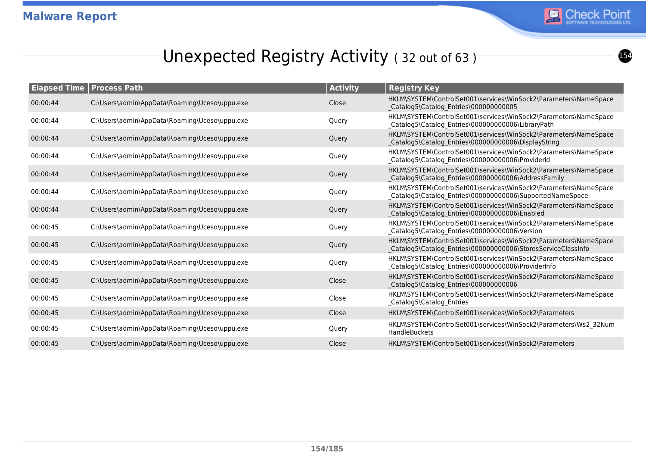

## Unexpected Registry Activity (32 out of 63)

| <b>Elapsed Time   Process Path</b> |                                               | <b>Activity</b> | <b>Registry Key</b>                                                                                                              |
|------------------------------------|-----------------------------------------------|-----------------|----------------------------------------------------------------------------------------------------------------------------------|
| 00:00:44                           | C:\Users\admin\AppData\Roaming\Uceso\uppu.exe | Close           | HKLM\SYSTEM\ControlSet001\services\WinSock2\Parameters\NameSpace<br>Catalog5\Catalog_Entries\000000000005                        |
| 00:00:44                           | C:\Users\admin\AppData\Roaming\Uceso\uppu.exe | Query           | HKLM\SYSTEM\ControlSet001\services\WinSock2\Parameters\NameSpace<br>_Catalog5\Catalog_Entries\000000000006\LibraryPath           |
| 00:00:44                           | C:\Users\admin\AppData\Roaming\Uceso\uppu.exe | Query           | HKLM\SYSTEM\ControlSet001\services\WinSock2\Parameters\NameSpace<br>Catalog5\Catalog_Entries\000000000006\DisplayString          |
| 00:00:44                           | C:\Users\admin\AppData\Roaming\Uceso\uppu.exe | Query           | HKLM\SYSTEM\ControlSet001\services\WinSock2\Parameters\NameSpace<br>Catalog5\Catalog_Entries\000000000006\ProviderId             |
| 00:00:44                           | C:\Users\admin\AppData\Roaming\Uceso\uppu.exe | Query           | HKLM\SYSTEM\ControlSet001\services\WinSock2\Parameters\NameSpace<br>Catalog5\Catalog Entries\000000000006\AddressFamily          |
| 00:00:44                           | C:\Users\admin\AppData\Roaming\Uceso\uppu.exe | Query           | HKLM\SYSTEM\ControlSet001\services\WinSock2\Parameters\NameSpace<br>_Catalog5\Catalog_Entries\000000000006\SupportedNameSpace    |
| 00:00:44                           | C:\Users\admin\AppData\Roaming\Uceso\uppu.exe | Query           | HKLM\SYSTEM\ControlSet001\services\WinSock2\Parameters\NameSpace<br>Catalog5\Catalog_Entries\000000000006\Enabled                |
| 00:00:45                           | C:\Users\admin\AppData\Roaming\Uceso\uppu.exe | Query           | HKLM\SYSTEM\ControlSet001\services\WinSock2\Parameters\NameSpace<br>_Catalog5\Catalog_Entries\000000000006\Version               |
| 00:00:45                           | C:\Users\admin\AppData\Roaming\Uceso\uppu.exe | Query           | HKLM\SYSTEM\ControlSet001\services\WinSock2\Parameters\NameSpace<br>Catalog5\Catalog_Entries\000000000006\StoresServiceClassInfo |
| 00:00:45                           | C:\Users\admin\AppData\Roaming\Uceso\uppu.exe | Query           | HKLM\SYSTEM\ControlSet001\services\WinSock2\Parameters\NameSpace<br>_Catalog5\Catalog_Entries\000000000006\ProviderInfo          |
| 00:00:45                           | C:\Users\admin\AppData\Roaming\Uceso\uppu.exe | Close           | HKLM\SYSTEM\ControlSet001\services\WinSock2\Parameters\NameSpace<br>Catalog5\Catalog_Entries\000000000006                        |
| 00:00:45                           | C:\Users\admin\AppData\Roaming\Uceso\uppu.exe | Close           | HKLM\SYSTEM\ControlSet001\services\WinSock2\Parameters\NameSpace<br>_Catalog5\Catalog_Entries                                    |
| 00:00:45                           | C:\Users\admin\AppData\Roaming\Uceso\uppu.exe | Close           | HKLM\SYSTEM\ControlSet001\services\WinSock2\Parameters                                                                           |
| 00:00:45                           | C:\Users\admin\AppData\Roaming\Uceso\uppu.exe | Query           | HKLM\SYSTEM\ControlSet001\services\WinSock2\Parameters\Ws2_32Num<br><b>HandleBuckets</b>                                         |
| 00:00:45                           | C:\Users\admin\AppData\Roaming\Uceso\uppu.exe | Close           | HKLM\SYSTEM\ControlSet001\services\WinSock2\Parameters                                                                           |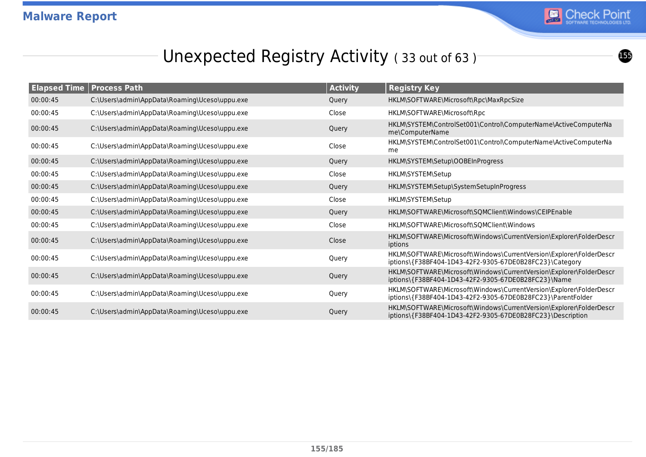

 $\bm{\mathbf{6}}$ 

# Unexpected Registry Activity (33 out of 63)

| <b>Elapsed Time</b> | <b>Process Path</b>                           | <b>Activity</b> | <b>Registry Key</b>                                                                                                                |
|---------------------|-----------------------------------------------|-----------------|------------------------------------------------------------------------------------------------------------------------------------|
| 00:00:45            | C:\Users\admin\AppData\Roaming\Uceso\uppu.exe | Query           | HKLM\SOFTWARE\Microsoft\Rpc\MaxRpcSize                                                                                             |
| 00:00:45            | C:\Users\admin\AppData\Roaming\Uceso\uppu.exe | Close           | HKLM\SOFTWARE\Microsoft\Rpc                                                                                                        |
| 00:00:45            | C:\Users\admin\AppData\Roaming\Uceso\uppu.exe | Query           | HKLM\SYSTEM\ControlSet001\Control\ComputerName\ActiveComputerNa<br>me\ComputerName                                                 |
| 00:00:45            | C:\Users\admin\AppData\Roaming\Uceso\uppu.exe | Close           | HKLM\SYSTEM\ControlSet001\Control\ComputerName\ActiveComputerNa<br>me                                                              |
| 00:00:45            | C:\Users\admin\AppData\Roaming\Uceso\uppu.exe | Query           | HKLM\SYSTEM\Setup\OOBEInProgress                                                                                                   |
| 00:00:45            | C:\Users\admin\AppData\Roaming\Uceso\uppu.exe | Close           | HKLM\SYSTEM\Setup                                                                                                                  |
| 00:00:45            | C:\Users\admin\AppData\Roaming\Uceso\uppu.exe | Query           | HKLM\SYSTEM\Setup\SystemSetupInProgress                                                                                            |
| 00:00:45            | C:\Users\admin\AppData\Roaming\Uceso\uppu.exe | Close           | HKLM\SYSTEM\Setup                                                                                                                  |
| 00:00:45            | C:\Users\admin\AppData\Roaming\Uceso\uppu.exe | Query           | HKLM\SOFTWARE\Microsoft\SQMClient\Windows\CEIPEnable                                                                               |
| 00:00:45            | C:\Users\admin\AppData\Roaming\Uceso\uppu.exe | Close           | HKLM\SOFTWARE\Microsoft\SQMClient\Windows                                                                                          |
| 00:00:45            | C:\Users\admin\AppData\Roaming\Uceso\uppu.exe | Close           | HKLM\SOFTWARE\Microsoft\Windows\CurrentVersion\Explorer\FolderDescr<br>iptions                                                     |
| 00:00:45            | C:\Users\admin\AppData\Roaming\Uceso\uppu.exe | Query           | HKLM\SOFTWARE\Microsoft\Windows\CurrentVersion\Explorer\FolderDescr<br>iptions\{F38BF404-1D43-42F2-9305-67DE0B28FC23}\Category     |
| 00:00:45            | C:\Users\admin\AppData\Roaming\Uceso\uppu.exe | Query           | HKLM\SOFTWARE\Microsoft\Windows\CurrentVersion\Explorer\FolderDescr<br>iptions\{F38BF404-1D43-42F2-9305-67DE0B28FC23}\Name         |
| 00:00:45            | C:\Users\admin\AppData\Roaming\Uceso\uppu.exe | Query           | HKLM\SOFTWARE\Microsoft\Windows\CurrentVersion\Explorer\FolderDescr<br>iptions\{F38BF404-1D43-42F2-9305-67DE0B28FC23}\ParentFolder |
| 00:00:45            | C:\Users\admin\AppData\Roaming\Uceso\uppu.exe | Query           | HKLM\SOFTWARE\Microsoft\Windows\CurrentVersion\Explorer\FolderDescr<br>iptions\{F38BF404-1D43-42F2-9305-67DE0B28FC23}\Description  |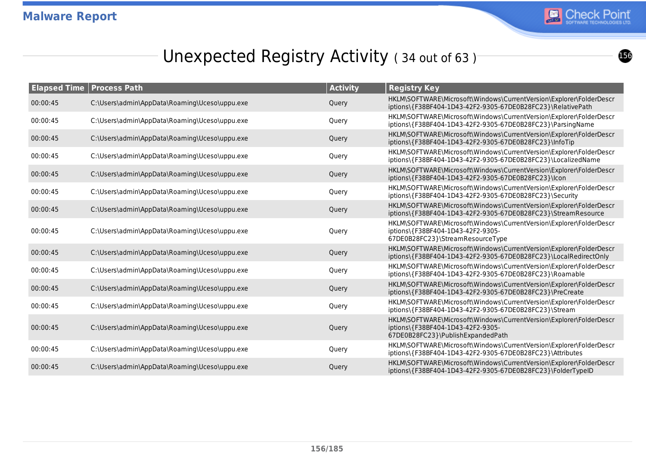

# Unexpected Registry Activity (34 out of 63)

|          | <b>Elapsed Time   Process Path</b>            | <b>Activity</b> | <b>Registry Key</b>                                                                                                                           |
|----------|-----------------------------------------------|-----------------|-----------------------------------------------------------------------------------------------------------------------------------------------|
| 00:00:45 | C:\Users\admin\AppData\Roaming\Uceso\uppu.exe | Query           | HKLM\SOFTWARE\Microsoft\Windows\CurrentVersion\Explorer\FolderDescr<br>iptions\{F38BF404-1D43-42F2-9305-67DE0B28FC23}\RelativePath            |
| 00:00:45 | C:\Users\admin\AppData\Roaming\Uceso\uppu.exe | Query           | HKLM\SOFTWARE\Microsoft\Windows\CurrentVersion\Explorer\FolderDescr<br>iptions\{F38BF404-1D43-42F2-9305-67DE0B28FC23}\ParsingName             |
| 00:00:45 | C:\Users\admin\AppData\Roaming\Uceso\uppu.exe | Query           | HKLM\SOFTWARE\Microsoft\Windows\CurrentVersion\Explorer\FolderDescr<br>iptions\{F38BF404-1D43-42F2-9305-67DE0B28FC23}\InfoTip                 |
| 00:00:45 | C:\Users\admin\AppData\Roaming\Uceso\uppu.exe | Query           | HKLM\SOFTWARE\Microsoft\Windows\CurrentVersion\Explorer\FolderDescr<br>iptions\{F38BF404-1D43-42F2-9305-67DE0B28FC23}\LocalizedName           |
| 00:00:45 | C:\Users\admin\AppData\Roaming\Uceso\uppu.exe | Query           | HKLM\SOFTWARE\Microsoft\Windows\CurrentVersion\Explorer\FolderDescr<br>iptions\{F38BF404-1D43-42F2-9305-67DE0B28FC23}\lcon                    |
| 00:00:45 | C:\Users\admin\AppData\Roaming\Uceso\uppu.exe | Query           | HKLM\SOFTWARE\Microsoft\Windows\CurrentVersion\Explorer\FolderDescr<br>iptions\{F38BF404-1D43-42F2-9305-67DE0B28FC23}\Security                |
| 00:00:45 | C:\Users\admin\AppData\Roaming\Uceso\uppu.exe | Query           | HKLM\SOFTWARE\Microsoft\Windows\CurrentVersion\Explorer\FolderDescr<br>iptions\{F38BF404-1D43-42F2-9305-67DE0B28FC23}\StreamResource          |
| 00:00:45 | C:\Users\admin\AppData\Roaming\Uceso\uppu.exe | Query           | HKLM\SOFTWARE\Microsoft\Windows\CurrentVersion\Explorer\FolderDescr<br>iptions\{F38BF404-1D43-42F2-9305-<br>67DE0B28FC23}\StreamResourceType  |
| 00:00:45 | C:\Users\admin\AppData\Roaming\Uceso\uppu.exe | Query           | HKLM\SOFTWARE\Microsoft\Windows\CurrentVersion\Explorer\FolderDescr<br>iptions\{F38BF404-1D43-42F2-9305-67DE0B28FC23}\LocalRedirectOnly       |
| 00:00:45 | C:\Users\admin\AppData\Roaming\Uceso\uppu.exe | Query           | HKLM\SOFTWARE\Microsoft\Windows\CurrentVersion\Explorer\FolderDescr<br>iptions\{F38BF404-1D43-42F2-9305-67DE0B28FC23}\Roamable                |
| 00:00:45 | C:\Users\admin\AppData\Roaming\Uceso\uppu.exe | Query           | HKLM\SOFTWARE\Microsoft\Windows\CurrentVersion\Explorer\FolderDescr<br>iptions\{F38BF404-1D43-42F2-9305-67DE0B28FC23}\PreCreate               |
| 00:00:45 | C:\Users\admin\AppData\Roaming\Uceso\uppu.exe | Query           | HKLM\SOFTWARE\Microsoft\Windows\CurrentVersion\Explorer\FolderDescr<br>iptions\{F38BF404-1D43-42F2-9305-67DE0B28FC23}\Stream                  |
| 00:00:45 | C:\Users\admin\AppData\Roaming\Uceso\uppu.exe | Query           | HKLM\SOFTWARE\Microsoft\Windows\CurrentVersion\Explorer\FolderDescr<br>iptions\{F38BF404-1D43-42F2-9305-<br>67DE0B28FC23}\PublishExpandedPath |
| 00:00:45 | C:\Users\admin\AppData\Roaming\Uceso\uppu.exe | Query           | HKLM\SOFTWARE\Microsoft\Windows\CurrentVersion\Explorer\FolderDescr<br>iptions\{F38BF404-1D43-42F2-9305-67DE0B28FC23}\Attributes              |
| 00:00:45 | C:\Users\admin\AppData\Roaming\Uceso\uppu.exe | Query           | HKLM\SOFTWARE\Microsoft\Windows\CurrentVersion\Explorer\FolderDescr<br>iptions\{F38BF404-1D43-42F2-9305-67DE0B28FC23}\FolderTypeID            |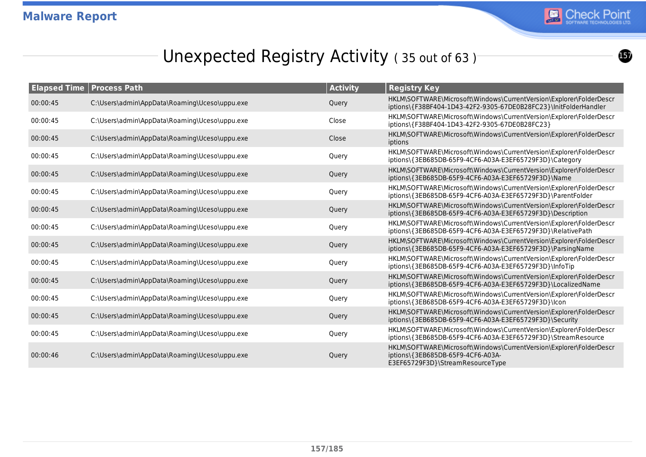

## Unexpected Registry Activity (35 out of 63)

| <b>Elapsed Time</b> | <b>Process Path</b>                           | <b>Activity</b> | <b>Registry Key</b>                                                                                                                          |
|---------------------|-----------------------------------------------|-----------------|----------------------------------------------------------------------------------------------------------------------------------------------|
| 00:00:45            | C:\Users\admin\AppData\Roaming\Uceso\uppu.exe | Query           | HKLM\SOFTWARE\Microsoft\Windows\CurrentVersion\Explorer\FolderDescr<br>iptions\{F38BF404-1D43-42F2-9305-67DE0B28FC23}\InitFolderHandler      |
| 00:00:45            | C:\Users\admin\AppData\Roaming\Uceso\uppu.exe | Close           | HKLM\SOFTWARE\Microsoft\Windows\CurrentVersion\Explorer\FolderDescr<br>iptions\{F38BF404-1D43-42F2-9305-67DE0B28FC23}                        |
| 00:00:45            | C:\Users\admin\AppData\Roaming\Uceso\uppu.exe | Close           | HKLM\SOFTWARE\Microsoft\Windows\CurrentVersion\Explorer\FolderDescr<br>iptions                                                               |
| 00:00:45            | C:\Users\admin\AppData\Roaming\Uceso\uppu.exe | Query           | HKLM\SOFTWARE\Microsoft\Windows\CurrentVersion\Explorer\FolderDescr<br>iptions\{3EB685DB-65F9-4CF6-A03A-E3EF65729F3D}\Category               |
| 00:00:45            | C:\Users\admin\AppData\Roaming\Uceso\uppu.exe | Query           | HKLM\SOFTWARE\Microsoft\Windows\CurrentVersion\Explorer\FolderDescr<br>iptions\{3EB685DB-65F9-4CF6-A03A-E3EF65729F3D}\Name                   |
| 00:00:45            | C:\Users\admin\AppData\Roaming\Uceso\uppu.exe | Query           | HKLM\SOFTWARE\Microsoft\Windows\CurrentVersion\Explorer\FolderDescr<br>iptions\{3EB685DB-65F9-4CF6-A03A-E3EF65729F3D}\ParentFolder           |
| 00:00:45            | C:\Users\admin\AppData\Roaming\Uceso\uppu.exe | Query           | HKLM\SOFTWARE\Microsoft\Windows\CurrentVersion\Explorer\FolderDescr<br>iptions\{3EB685DB-65F9-4CF6-A03A-E3EF65729F3D}\Description            |
| 00:00:45            | C:\Users\admin\AppData\Roaming\Uceso\uppu.exe | Query           | HKLM\SOFTWARE\Microsoft\Windows\CurrentVersion\Explorer\FolderDescr<br>iptions\{3EB685DB-65F9-4CF6-A03A-E3EF65729F3D}\RelativePath           |
| 00:00:45            | C:\Users\admin\AppData\Roaming\Uceso\uppu.exe | Query           | HKLM\SOFTWARE\Microsoft\Windows\CurrentVersion\Explorer\FolderDescr<br>iptions\{3EB685DB-65F9-4CF6-A03A-E3EF65729F3D}\ParsingName            |
| 00:00:45            | C:\Users\admin\AppData\Roaming\Uceso\uppu.exe | Query           | HKLM\SOFTWARE\Microsoft\Windows\CurrentVersion\Explorer\FolderDescr<br>iptions\{3EB685DB-65F9-4CF6-A03A-E3EF65729F3D}\InfoTip                |
| 00:00:45            | C:\Users\admin\AppData\Roaming\Uceso\uppu.exe | Query           | HKLM\SOFTWARE\Microsoft\Windows\CurrentVersion\Explorer\FolderDescr<br>iptions\{3EB685DB-65F9-4CF6-A03A-E3EF65729F3D}\LocalizedName          |
| 00:00:45            | C:\Users\admin\AppData\Roaming\Uceso\uppu.exe | Query           | HKLM\SOFTWARE\Microsoft\Windows\CurrentVersion\Explorer\FolderDescr<br>iptions\{3EB685DB-65F9-4CF6-A03A-E3EF65729F3D}\lcon                   |
| 00:00:45            | C:\Users\admin\AppData\Roaming\Uceso\uppu.exe | Query           | HKLM\SOFTWARE\Microsoft\Windows\CurrentVersion\Explorer\FolderDescr<br>iptions\{3EB685DB-65F9-4CF6-A03A-E3EF65729F3D}\Security               |
| 00:00:45            | C:\Users\admin\AppData\Roaming\Uceso\uppu.exe | Query           | HKLM\SOFTWARE\Microsoft\Windows\CurrentVersion\Explorer\FolderDescr<br>iptions\{3EB685DB-65F9-4CF6-A03A-E3EF65729F3D}\StreamResource         |
| 00:00:46            | C:\Users\admin\AppData\Roaming\Uceso\uppu.exe | Query           | HKLM\SOFTWARE\Microsoft\Windows\CurrentVersion\Explorer\FolderDescr<br>iptions\{3EB685DB-65F9-4CF6-A03A-<br>E3EF65729F3D}\StreamResourceType |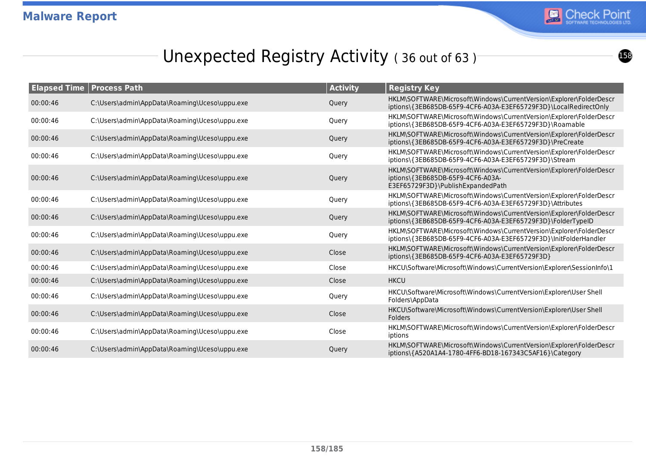

## Unexpected Registry Activity (36 out of 63)

| <b>Elapsed Time</b> | <b>Process Path</b>                           | <b>Activity</b> | <b>Registry Key</b>                                                                                                                           |
|---------------------|-----------------------------------------------|-----------------|-----------------------------------------------------------------------------------------------------------------------------------------------|
| 00:00:46            | C:\Users\admin\AppData\Roaming\Uceso\uppu.exe | Query           | HKLM\SOFTWARE\Microsoft\Windows\CurrentVersion\Explorer\FolderDescr<br>iptions\{3EB685DB-65F9-4CF6-A03A-E3EF65729F3D}\LocalRedirectOnly       |
| 00:00:46            | C:\Users\admin\AppData\Roaming\Uceso\uppu.exe | Query           | HKLM\SOFTWARE\Microsoft\Windows\CurrentVersion\Explorer\FolderDescr<br>iptions\{3EB685DB-65F9-4CF6-A03A-E3EF65729F3D}\Roamable                |
| 00:00:46            | C:\Users\admin\AppData\Roaming\Uceso\uppu.exe | Query           | HKLM\SOFTWARE\Microsoft\Windows\CurrentVersion\Explorer\FolderDescr<br>iptions\{3EB685DB-65F9-4CF6-A03A-E3EF65729F3D}\PreCreate               |
| 00:00:46            | C:\Users\admin\AppData\Roaming\Uceso\uppu.exe | Query           | HKLM\SOFTWARE\Microsoft\Windows\CurrentVersion\Explorer\FolderDescr<br>iptions\{3EB685DB-65F9-4CF6-A03A-E3EF65729F3D}\Stream                  |
| 00:00:46            | C:\Users\admin\AppData\Roaming\Uceso\uppu.exe | Query           | HKLM\SOFTWARE\Microsoft\Windows\CurrentVersion\Explorer\FolderDescr<br>iptions\{3EB685DB-65F9-4CF6-A03A-<br>E3EF65729F3D}\PublishExpandedPath |
| 00:00:46            | C:\Users\admin\AppData\Roaming\Uceso\uppu.exe | Query           | HKLM\SOFTWARE\Microsoft\Windows\CurrentVersion\Explorer\FolderDescr<br>iptions\{3EB685DB-65F9-4CF6-A03A-E3EF65729F3D}\Attributes              |
| 00:00:46            | C:\Users\admin\AppData\Roaming\Uceso\uppu.exe | Query           | HKLM\SOFTWARE\Microsoft\Windows\CurrentVersion\Explorer\FolderDescr<br>iptions\{3EB685DB-65F9-4CF6-A03A-E3EF65729F3D}\FolderTypeID            |
| 00:00:46            | C:\Users\admin\AppData\Roaming\Uceso\uppu.exe | Query           | HKLM\SOFTWARE\Microsoft\Windows\CurrentVersion\Explorer\FolderDescr<br>iptions\{3EB685DB-65F9-4CF6-A03A-E3EF65729F3D}\lnitFolderHandler       |
| 00:00:46            | C:\Users\admin\AppData\Roaming\Uceso\uppu.exe | Close           | HKLM\SOFTWARE\Microsoft\Windows\CurrentVersion\Explorer\FolderDescr<br>iptions\{3EB685DB-65F9-4CF6-A03A-E3EF65729F3D}                         |
| 00:00:46            | C:\Users\admin\AppData\Roaming\Uceso\uppu.exe | Close           | HKCU\Software\Microsoft\Windows\CurrentVersion\Explorer\SessionInfo\1                                                                         |
| 00:00:46            | C:\Users\admin\AppData\Roaming\Uceso\uppu.exe | Close           | <b>HKCU</b>                                                                                                                                   |
| 00:00:46            | C:\Users\admin\AppData\Roaming\Uceso\uppu.exe | Query           | HKCU\Software\Microsoft\Windows\CurrentVersion\Explorer\User Shell<br>Folders\AppData                                                         |
| 00:00:46            | C:\Users\admin\AppData\Roaming\Uceso\uppu.exe | Close           | HKCU\Software\Microsoft\Windows\CurrentVersion\Explorer\User Shell<br><b>Folders</b>                                                          |
| 00:00:46            | C:\Users\admin\AppData\Roaming\Uceso\uppu.exe | Close           | HKLM\SOFTWARE\Microsoft\Windows\CurrentVersion\Explorer\FolderDescr<br>iptions                                                                |
| 00:00:46            | C:\Users\admin\AppData\Roaming\Uceso\uppu.exe | Query           | HKLM\SOFTWARE\Microsoft\Windows\CurrentVersion\Explorer\FolderDescr<br>iptions\{A520A1A4-1780-4FF6-BD18-167343C5AF16}\Category                |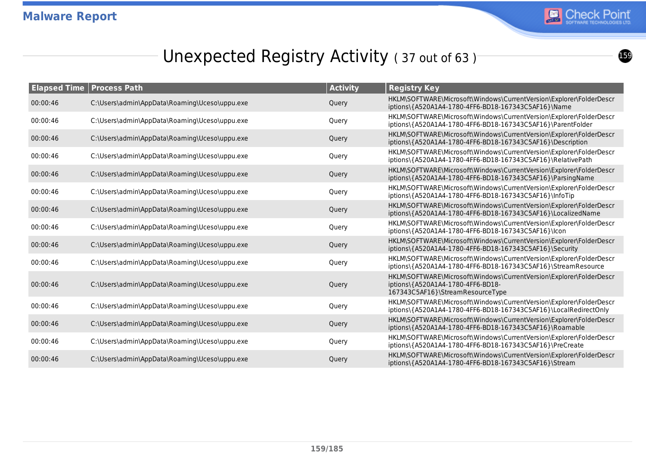

## Unexpected Registry Activity (37 out of 63)

| <b>Elapsed Time   Process Path</b> |                                               | <b>Activity</b> | <b>Registry Key</b>                                                                                                                          |
|------------------------------------|-----------------------------------------------|-----------------|----------------------------------------------------------------------------------------------------------------------------------------------|
| 00:00:46                           | C:\Users\admin\AppData\Roaming\Uceso\uppu.exe | Query           | HKLM\SOFTWARE\Microsoft\Windows\CurrentVersion\Explorer\FolderDescr<br>iptions\{A520A1A4-1780-4FF6-BD18-167343C5AF16}\Name                   |
| 00:00:46                           | C:\Users\admin\AppData\Roaming\Uceso\uppu.exe | Query           | HKLM\SOFTWARE\Microsoft\Windows\CurrentVersion\Explorer\FolderDescr<br>iptions\{A520A1A4-1780-4FF6-BD18-167343C5AF16}\ParentFolder           |
| 00:00:46                           | C:\Users\admin\AppData\Roaming\Uceso\uppu.exe | Query           | HKLM\SOFTWARE\Microsoft\Windows\CurrentVersion\Explorer\FolderDescr<br>iptions\{A520A1A4-1780-4FF6-BD18-167343C5AF16}\Description            |
| 00:00:46                           | C:\Users\admin\AppData\Roaming\Uceso\uppu.exe | Query           | HKLM\SOFTWARE\Microsoft\Windows\CurrentVersion\Explorer\FolderDescr<br>iptions\{A520A1A4-1780-4FF6-BD18-167343C5AF16}\RelativePath           |
| 00:00:46                           | C:\Users\admin\AppData\Roaming\Uceso\uppu.exe | Query           | HKLM\SOFTWARE\Microsoft\Windows\CurrentVersion\Explorer\FolderDescr<br>iptions\{A520A1A4-1780-4FF6-BD18-167343C5AF16}\ParsingName            |
| 00:00:46                           | C:\Users\admin\AppData\Roaming\Uceso\uppu.exe | Query           | HKLM\SOFTWARE\Microsoft\Windows\CurrentVersion\Explorer\FolderDescr<br>iptions\{A520A1A4-1780-4FF6-BD18-167343C5AF16}\InfoTip                |
| 00:00:46                           | C:\Users\admin\AppData\Roaming\Uceso\uppu.exe | Query           | HKLM\SOFTWARE\Microsoft\Windows\CurrentVersion\Explorer\FolderDescr<br>iptions\{A520A1A4-1780-4FF6-BD18-167343C5AF16}\LocalizedName          |
| 00:00:46                           | C:\Users\admin\AppData\Roaming\Uceso\uppu.exe | Query           | HKLM\SOFTWARE\Microsoft\Windows\CurrentVersion\Explorer\FolderDescr<br>iptions\{A520A1A4-1780-4FF6-BD18-167343C5AF16}\lcon                   |
| 00:00:46                           | C:\Users\admin\AppData\Roaming\Uceso\uppu.exe | Query           | HKLM\SOFTWARE\Microsoft\Windows\CurrentVersion\Explorer\FolderDescr<br>iptions\{A520A1A4-1780-4FF6-BD18-167343C5AF16}\Security               |
| 00:00:46                           | C:\Users\admin\AppData\Roaming\Uceso\uppu.exe | Query           | HKLM\SOFTWARE\Microsoft\Windows\CurrentVersion\Explorer\FolderDescr<br>iptions\{A520A1A4-1780-4FF6-BD18-167343C5AF16}\StreamResource         |
| 00:00:46                           | C:\Users\admin\AppData\Roaming\Uceso\uppu.exe | Query           | HKLM\SOFTWARE\Microsoft\Windows\CurrentVersion\Explorer\FolderDescr<br>iptions\{A520A1A4-1780-4FF6-BD18-<br>167343C5AF16}\StreamResourceType |
| 00:00:46                           | C:\Users\admin\AppData\Roaming\Uceso\uppu.exe | Query           | HKLM\SOFTWARE\Microsoft\Windows\CurrentVersion\Explorer\FolderDescr<br>iptions\{A520A1A4-1780-4FF6-BD18-167343C5AF16}\LocalRedirectOnly      |
| 00:00:46                           | C:\Users\admin\AppData\Roaming\Uceso\uppu.exe | Query           | HKLM\SOFTWARE\Microsoft\Windows\CurrentVersion\Explorer\FolderDescr<br>iptions\{A520A1A4-1780-4FF6-BD18-167343C5AF16}\Roamable               |
| 00:00:46                           | C:\Users\admin\AppData\Roaming\Uceso\uppu.exe | Query           | HKLM\SOFTWARE\Microsoft\Windows\CurrentVersion\Explorer\FolderDescr<br>iptions\{A520A1A4-1780-4FF6-BD18-167343C5AF16}\PreCreate              |
| 00:00:46                           | C:\Users\admin\AppData\Roaming\Uceso\uppu.exe | Query           | HKLM\SOFTWARE\Microsoft\Windows\CurrentVersion\Explorer\FolderDescr<br>iptions\{A520A1A4-1780-4FF6-BD18-167343C5AF16}\Stream                 |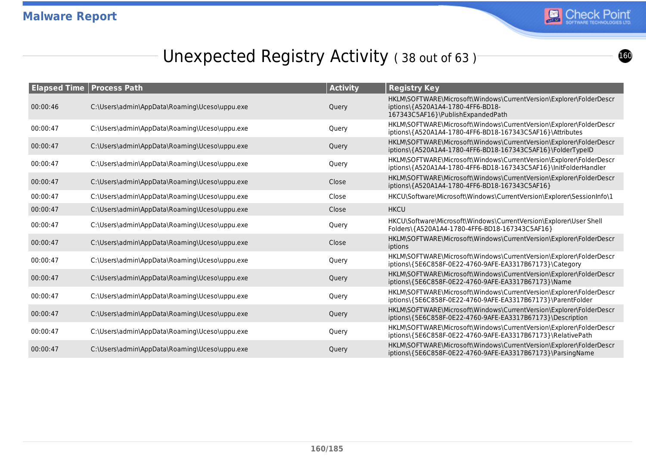

## Unexpected Registry Activity (38 out of 63)

| <b>Elapsed Time</b> | <b>Process Path</b>                           | <b>Activity</b> | <b>Registry Key</b>                                                                                                                           |
|---------------------|-----------------------------------------------|-----------------|-----------------------------------------------------------------------------------------------------------------------------------------------|
| 00:00:46            | C:\Users\admin\AppData\Roaming\Uceso\uppu.exe | Query           | HKLM\SOFTWARE\Microsoft\Windows\CurrentVersion\Explorer\FolderDescr<br>iptions\{A520A1A4-1780-4FF6-BD18-<br>167343C5AF16}\PublishExpandedPath |
| 00:00:47            | C:\Users\admin\AppData\Roaming\Uceso\uppu.exe | Query           | HKLM\SOFTWARE\Microsoft\Windows\CurrentVersion\Explorer\FolderDescr<br>iptions\{A520A1A4-1780-4FF6-BD18-167343C5AF16}\Attributes              |
| 00:00:47            | C:\Users\admin\AppData\Roaming\Uceso\uppu.exe | Query           | HKLM\SOFTWARE\Microsoft\Windows\CurrentVersion\Explorer\FolderDescr<br>iptions\{A520A1A4-1780-4FF6-BD18-167343C5AF16}\FolderTypeID            |
| 00:00:47            | C:\Users\admin\AppData\Roaming\Uceso\uppu.exe | Query           | HKLM\SOFTWARE\Microsoft\Windows\CurrentVersion\Explorer\FolderDescr<br>iptions\{A520A1A4-1780-4FF6-BD18-167343C5AF16}\InitFolderHandler       |
| 00:00:47            | C:\Users\admin\AppData\Roaming\Uceso\uppu.exe | Close           | HKLM\SOFTWARE\Microsoft\Windows\CurrentVersion\Explorer\FolderDescr<br>iptions\{A520A1A4-1780-4FF6-BD18-167343C5AF16}                         |
| 00:00:47            | C:\Users\admin\AppData\Roaming\Uceso\uppu.exe | Close           | HKCU\Software\Microsoft\Windows\CurrentVersion\Explorer\SessionInfo\1                                                                         |
| 00:00:47            | C:\Users\admin\AppData\Roaming\Uceso\uppu.exe | Close           | <b>HKCU</b>                                                                                                                                   |
| 00:00:47            | C:\Users\admin\AppData\Roaming\Uceso\uppu.exe | Query           | HKCU\Software\Microsoft\Windows\CurrentVersion\Explorer\User Shell<br>Folders\{A520A1A4-1780-4FF6-BD18-167343C5AF16}                          |
| 00:00:47            | C:\Users\admin\AppData\Roaming\Uceso\uppu.exe | Close           | HKLM\SOFTWARE\Microsoft\Windows\CurrentVersion\Explorer\FolderDescr<br>iptions                                                                |
| 00:00:47            | C:\Users\admin\AppData\Roaming\Uceso\uppu.exe | Query           | HKLM\SOFTWARE\Microsoft\Windows\CurrentVersion\Explorer\FolderDescr<br>iptions\{5E6C858F-0E22-4760-9AFE-EA3317B67173}\Category                |
| 00:00:47            | C:\Users\admin\AppData\Roaming\Uceso\uppu.exe | Query           | HKLM\SOFTWARE\Microsoft\Windows\CurrentVersion\Explorer\FolderDescr<br>iptions\{5E6C858F-0E22-4760-9AFE-EA3317B67173}\Name                    |
| 00:00:47            | C:\Users\admin\AppData\Roaming\Uceso\uppu.exe | Query           | HKLM\SOFTWARE\Microsoft\Windows\CurrentVersion\Explorer\FolderDescr<br>iptions\{5E6C858F-0E22-4760-9AFE-EA3317B67173}\ParentFolder            |
| 00:00:47            | C:\Users\admin\AppData\Roaming\Uceso\uppu.exe | Query           | HKLM\SOFTWARE\Microsoft\Windows\CurrentVersion\Explorer\FolderDescr<br>iptions\{5E6C858F-0E22-4760-9AFE-EA3317B67173}\Description             |
| 00:00:47            | C:\Users\admin\AppData\Roaming\Uceso\uppu.exe | Query           | HKLM\SOFTWARE\Microsoft\Windows\CurrentVersion\Explorer\FolderDescr<br>iptions\{5E6C858F-0E22-4760-9AFE-EA3317B67173}\RelativePath            |
| 00:00:47            | C:\Users\admin\AppData\Roaming\Uceso\uppu.exe | Query           | HKLM\SOFTWARE\Microsoft\Windows\CurrentVersion\Explorer\FolderDescr<br>iptions\{5E6C858F-0E22-4760-9AFE-EA3317B67173}\ParsingName             |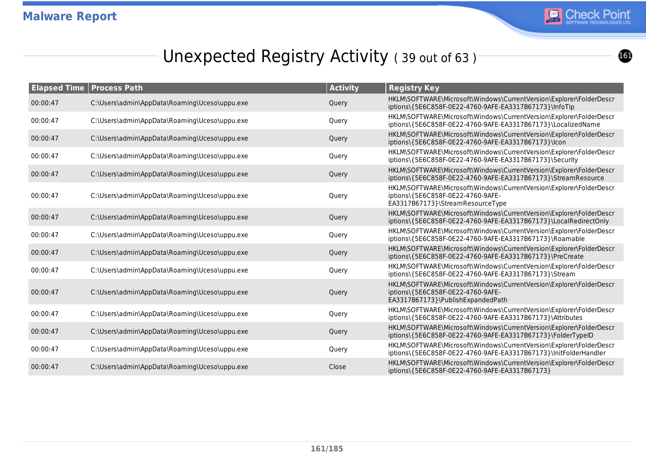

# Unexpected Registry Activity (39 out of 63)

| <b>Elapsed Time</b> | <b>Process Path</b>                           | <b>Activity</b> | <b>Registry Key</b>                                                                                                                           |
|---------------------|-----------------------------------------------|-----------------|-----------------------------------------------------------------------------------------------------------------------------------------------|
| 00:00:47            | C:\Users\admin\AppData\Roaming\Uceso\uppu.exe | Query           | HKLM\SOFTWARE\Microsoft\Windows\CurrentVersion\Explorer\FolderDescr<br>iptions\{5E6C858F-0E22-4760-9AFE-EA3317B67173}\InfoTip                 |
| 00:00:47            | C:\Users\admin\AppData\Roaming\Uceso\uppu.exe | Query           | HKLM\SOFTWARE\Microsoft\Windows\CurrentVersion\Explorer\FolderDescr<br>iptions\{5E6C858F-0E22-4760-9AFE-EA3317B67173}\LocalizedName           |
| 00:00:47            | C:\Users\admin\AppData\Roaming\Uceso\uppu.exe | Query           | HKLM\SOFTWARE\Microsoft\Windows\CurrentVersion\Explorer\FolderDescr<br>iptions\{5E6C858F-0E22-4760-9AFE-EA3317B67173}\lcon                    |
| 00:00:47            | C:\Users\admin\AppData\Roaming\Uceso\uppu.exe | Query           | HKLM\SOFTWARE\Microsoft\Windows\CurrentVersion\Explorer\FolderDescr<br>iptions\{5E6C858F-0E22-4760-9AFE-EA3317B67173}\Security                |
| 00:00:47            | C:\Users\admin\AppData\Roaming\Uceso\uppu.exe | Query           | HKLM\SOFTWARE\Microsoft\Windows\CurrentVersion\Explorer\FolderDescr<br>iptions\{5E6C858F-0E22-4760-9AFE-EA3317B67173}\StreamResource          |
| 00:00:47            | C:\Users\admin\AppData\Roaming\Uceso\uppu.exe | Query           | HKLM\SOFTWARE\Microsoft\Windows\CurrentVersion\Explorer\FolderDescr<br>iptions\{5E6C858F-0E22-4760-9AFE-<br>EA3317B67173}\StreamResourceType  |
| 00:00:47            | C:\Users\admin\AppData\Roaming\Uceso\uppu.exe | Query           | HKLM\SOFTWARE\Microsoft\Windows\CurrentVersion\Explorer\FolderDescr<br>iptions\{5E6C858F-0E22-4760-9AFE-EA3317B67173}\LocalRedirectOnly       |
| 00:00:47            | C:\Users\admin\AppData\Roaming\Uceso\uppu.exe | Query           | HKLM\SOFTWARE\Microsoft\Windows\CurrentVersion\Explorer\FolderDescr<br>iptions\{5E6C858F-0E22-4760-9AFE-EA3317B67173}\Roamable                |
| 00:00:47            | C:\Users\admin\AppData\Roaming\Uceso\uppu.exe | Query           | HKLM\SOFTWARE\Microsoft\Windows\CurrentVersion\Explorer\FolderDescr<br>iptions\{5E6C858F-0E22-4760-9AFE-EA3317B67173}\PreCreate               |
| 00:00:47            | C:\Users\admin\AppData\Roaming\Uceso\uppu.exe | Query           | HKLM\SOFTWARE\Microsoft\Windows\CurrentVersion\Explorer\FolderDescr<br>iptions\{5E6C858F-0E22-4760-9AFE-EA3317B67173}\Stream                  |
| 00:00:47            | C:\Users\admin\AppData\Roaming\Uceso\uppu.exe | Query           | HKLM\SOFTWARE\Microsoft\Windows\CurrentVersion\Explorer\FolderDescr<br>iptions\{5E6C858F-0E22-4760-9AFE-<br>EA3317B67173}\PublishExpandedPath |
| 00:00:47            | C:\Users\admin\AppData\Roaming\Uceso\uppu.exe | Query           | HKLM\SOFTWARE\Microsoft\Windows\CurrentVersion\Explorer\FolderDescr<br>iptions\{5E6C858F-0E22-4760-9AFE-EA3317B67173}\Attributes              |
| 00:00:47            | C:\Users\admin\AppData\Roaming\Uceso\uppu.exe | Query           | HKLM\SOFTWARE\Microsoft\Windows\CurrentVersion\Explorer\FolderDescr<br>iptions\{5E6C858F-0E22-4760-9AFE-EA3317B67173}\FolderTypeID            |
| 00:00:47            | C:\Users\admin\AppData\Roaming\Uceso\uppu.exe | Query           | HKLM\SOFTWARE\Microsoft\Windows\CurrentVersion\Explorer\FolderDescr<br>iptions\{5E6C858F-0E22-4760-9AFE-EA3317B67173}\InitFolderHandler       |
| 00:00:47            | C:\Users\admin\AppData\Roaming\Uceso\uppu.exe | Close           | HKLM\SOFTWARE\Microsoft\Windows\CurrentVersion\Explorer\FolderDescr<br>iptions\{5E6C858F-0E22-4760-9AFE-EA3317B67173}                         |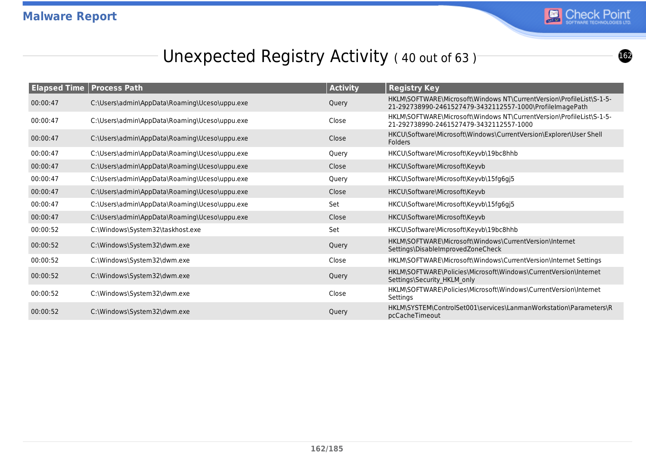

# Unexpected Registry Activity (40 out of 63)

| <b>Elapsed Time Process Path</b> |                                               | <b>Activity</b> | <b>Registry Key</b>                                                                                                              |
|----------------------------------|-----------------------------------------------|-----------------|----------------------------------------------------------------------------------------------------------------------------------|
| 00:00:47                         | C:\Users\admin\AppData\Roaming\Uceso\uppu.exe | Query           | HKLM\SOFTWARE\Microsoft\Windows NT\CurrentVersion\ProfileList\S-1-5-<br>21-292738990-2461527479-3432112557-1000\ProfileImagePath |
| 00:00:47                         | C:\Users\admin\AppData\Roaming\Uceso\uppu.exe | Close           | HKLM\SOFTWARE\Microsoft\Windows NT\CurrentVersion\ProfileList\S-1-5-<br>21-292738990-2461527479-3432112557-1000                  |
| 00:00:47                         | C:\Users\admin\AppData\Roaming\Uceso\uppu.exe | Close           | HKCU\Software\Microsoft\Windows\CurrentVersion\Explorer\User Shell<br><b>Folders</b>                                             |
| 00:00:47                         | C:\Users\admin\AppData\Roaming\Uceso\uppu.exe | Query           | HKCU\Software\Microsoft\Keyvb\19bc8hhb                                                                                           |
| 00:00:47                         | C:\Users\admin\AppData\Roaming\Uceso\uppu.exe | Close           | HKCU\Software\Microsoft\Keyvb                                                                                                    |
| 00:00:47                         | C:\Users\admin\AppData\Roaming\Uceso\uppu.exe | Query           | HKCU\Software\Microsoft\Keyvb\15fg6gj5                                                                                           |
| 00:00:47                         | C:\Users\admin\AppData\Roaming\Uceso\uppu.exe | Close           | HKCU\Software\Microsoft\Keyvb                                                                                                    |
| 00:00:47                         | C:\Users\admin\AppData\Roaming\Uceso\uppu.exe | Set             | HKCU\Software\Microsoft\Keyvb\15fg6gj5                                                                                           |
| 00:00:47                         | C:\Users\admin\AppData\Roaming\Uceso\uppu.exe | Close           | HKCU\Software\Microsoft\Keyvb                                                                                                    |
| 00:00:52                         | C:\Windows\System32\taskhost.exe              | Set             | HKCU\Software\Microsoft\Keyvb\19bc8hhb                                                                                           |
| 00:00:52                         | C:\Windows\System32\dwm.exe                   | Query           | HKLM\SOFTWARE\Microsoft\Windows\CurrentVersion\Internet<br>Settings\DisableImprovedZoneCheck                                     |
| 00:00:52                         | C:\Windows\System32\dwm.exe                   | Close           | HKLM\SOFTWARE\Microsoft\Windows\CurrentVersion\Internet Settings                                                                 |
| 00:00:52                         | C:\Windows\System32\dwm.exe                   | Query           | HKLM\SOFTWARE\Policies\Microsoft\Windows\CurrentVersion\Internet<br>Settings\Security HKLM only                                  |
| 00:00:52                         | C:\Windows\System32\dwm.exe                   | Close           | HKLM\SOFTWARE\Policies\Microsoft\Windows\CurrentVersion\Internet<br>Settings                                                     |
| 00:00:52                         | C:\Windows\System32\dwm.exe                   | Query           | HKLM\SYSTEM\ControlSet001\services\LanmanWorkstation\Parameters\R<br>pcCacheTimeout                                              |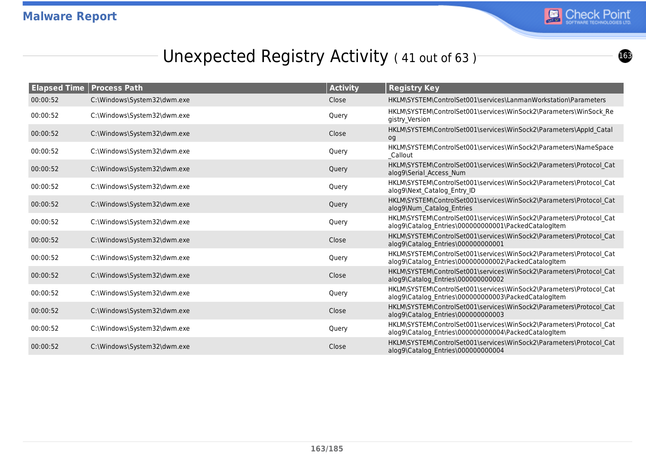

## Unexpected Registry Activity (41 out of 63)

| <b>Elapsed Time</b> | <b>Process Path</b>         | <b>Activity</b> | <b>Registry Key</b>                                                                                                         |
|---------------------|-----------------------------|-----------------|-----------------------------------------------------------------------------------------------------------------------------|
| 00:00:52            | C:\Windows\System32\dwm.exe | Close           | HKLM\SYSTEM\ControlSet001\services\LanmanWorkstation\Parameters                                                             |
| 00:00:52            | C:\Windows\System32\dwm.exe | Query           | HKLM\SYSTEM\ControlSet001\services\WinSock2\Parameters\WinSock Re<br>gistry Version                                         |
| 00:00:52            | C:\Windows\System32\dwm.exe | Close           | HKLM\SYSTEM\ControlSet001\services\WinSock2\Parameters\AppId Catal<br>og                                                    |
| 00:00:52            | C:\Windows\System32\dwm.exe | Query           | HKLM\SYSTEM\ControlSet001\services\WinSock2\Parameters\NameSpace<br><b>Callout</b>                                          |
| 00:00:52            | C:\Windows\System32\dwm.exe | Query           | HKLM\SYSTEM\ControlSet001\services\WinSock2\Parameters\Protocol Cat<br>alog9\Serial Access Num                              |
| 00:00:52            | C:\Windows\System32\dwm.exe | Query           | HKLM\SYSTEM\ControlSet001\services\WinSock2\Parameters\Protocol_Cat<br>alog9\Next Catalog Entry ID                          |
| 00:00:52            | C:\Windows\System32\dwm.exe | Query           | HKLM\SYSTEM\ControlSet001\services\WinSock2\Parameters\Protocol_Cat<br>alog9\Num Catalog Entries                            |
| 00:00:52            | C:\Windows\System32\dwm.exe | Query           | HKLM\SYSTEM\ControlSet001\services\WinSock2\Parameters\Protocol Cat<br>alog9\Catalog Entries\000000000001\PackedCatalogItem |
| 00:00:52            | C:\Windows\System32\dwm.exe | Close           | HKLM\SYSTEM\ControlSet001\services\WinSock2\Parameters\Protocol Cat<br>alog9\Catalog Entries\000000000001                   |
| 00:00:52            | C:\Windows\System32\dwm.exe | Query           | HKLM\SYSTEM\ControlSet001\services\WinSock2\Parameters\Protocol Cat<br>alog9\Catalog Entries\000000000002\PackedCatalogItem |
| 00:00:52            | C:\Windows\System32\dwm.exe | Close           | HKLM\SYSTEM\ControlSet001\services\WinSock2\Parameters\Protocol Cat<br>alog9\Catalog Entries\000000000002                   |
| 00:00:52            | C:\Windows\System32\dwm.exe | Query           | HKLM\SYSTEM\ControlSet001\services\WinSock2\Parameters\Protocol_Cat<br>alog9\Catalog Entries\000000000003\PackedCatalogItem |
| 00:00:52            | C:\Windows\System32\dwm.exe | Close           | HKLM\SYSTEM\ControlSet001\services\WinSock2\Parameters\Protocol Cat<br>alog9\Catalog Entries\000000000003                   |
| 00:00:52            | C:\Windows\System32\dwm.exe | Query           | HKLM\SYSTEM\ControlSet001\services\WinSock2\Parameters\Protocol Cat<br>alog9\Catalog Entries\000000000004\PackedCatalogItem |
| 00:00:52            | C:\Windows\System32\dwm.exe | Close           | HKLM\SYSTEM\ControlSet001\services\WinSock2\Parameters\Protocol Cat<br>alog9\Catalog Entries\000000000004                   |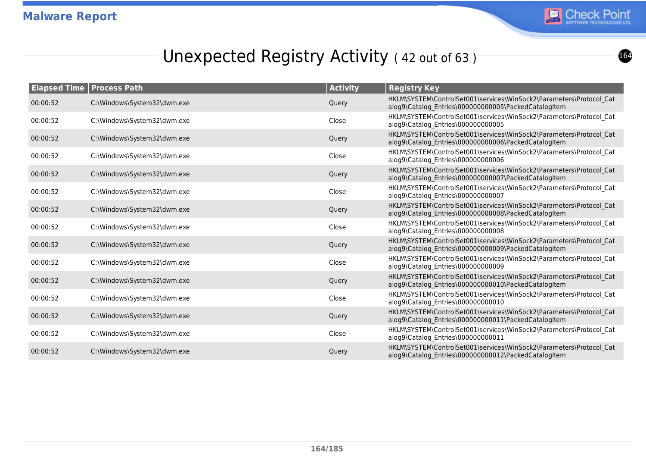

## Unexpected Registry Activity (42 out of 63)

|          | <b>Elapsed Time   Process Path</b> | <b>Activity</b> | <b>Registry Key</b>                                                                                                         |
|----------|------------------------------------|-----------------|-----------------------------------------------------------------------------------------------------------------------------|
| 00:00:52 | C:\Windows\System32\dwm.exe        | Query           | HKLM\SYSTEM\ControlSet001\services\WinSock2\Parameters\Protocol Cat<br>alog9\Catalog_Entries\000000000005\PackedCatalogItem |
| 00:00:52 | C:\Windows\System32\dwm.exe        | Close           | HKLM\SYSTEM\ControlSet001\services\WinSock2\Parameters\Protocol_Cat<br>alog9\Catalog Entries\000000000005                   |
| 00:00:52 | C:\Windows\System32\dwm.exe        | Query           | HKLM\SYSTEM\ControlSet001\services\WinSock2\Parameters\Protocol Cat<br>alog9\Catalog Entries\000000000006\PackedCatalogItem |
| 00:00:52 | C:\Windows\System32\dwm.exe        | Close           | HKLM\SYSTEM\ControlSet001\services\WinSock2\Parameters\Protocol Cat<br>alog9\Catalog Entries\000000000006                   |
| 00:00:52 | C:\Windows\System32\dwm.exe        | Query           | HKLM\SYSTEM\ControlSet001\services\WinSock2\Parameters\Protocol Cat<br>alog9\Catalog Entries\000000000007\PackedCatalogItem |
| 00:00:52 | C:\Windows\System32\dwm.exe        | Close           | HKLM\SYSTEM\ControlSet001\services\WinSock2\Parameters\Protocol Cat<br>alog9\Catalog Entries\000000000007                   |
| 00:00:52 | C:\Windows\System32\dwm.exe        | Query           | HKLM\SYSTEM\ControlSet001\services\WinSock2\Parameters\Protocol Cat<br>alog9\Catalog Entries\000000000008\PackedCatalogItem |
| 00:00:52 | C:\Windows\System32\dwm.exe        | Close           | HKLM\SYSTEM\ControlSet001\services\WinSock2\Parameters\Protocol Cat<br>alog9\Catalog Entries\000000000008                   |
| 00:00:52 | C:\Windows\System32\dwm.exe        | Query           | HKLM\SYSTEM\ControlSet001\services\WinSock2\Parameters\Protocol Cat<br>alog9\Catalog_Entries\000000000009\PackedCatalogItem |
| 00:00:52 | C:\Windows\System32\dwm.exe        | Close           | HKLM\SYSTEM\ControlSet001\services\WinSock2\Parameters\Protocol Cat<br>alog9\Catalog Entries\000000000009                   |
| 00:00:52 | C:\Windows\System32\dwm.exe        | Query           | HKLM\SYSTEM\ControlSet001\services\WinSock2\Parameters\Protocol Cat<br>alog9\Catalog Entries\000000000010\PackedCatalogItem |
| 00:00:52 | C:\Windows\System32\dwm.exe        | Close           | HKLM\SYSTEM\ControlSet001\services\WinSock2\Parameters\Protocol Cat<br>alog9\Catalog_Entries\000000000010                   |
| 00:00:52 | C:\Windows\System32\dwm.exe        | Query           | HKLM\SYSTEM\ControlSet001\services\WinSock2\Parameters\Protocol Cat<br>alog9\Catalog Entries\000000000011\PackedCatalogItem |
| 00:00:52 | C:\Windows\System32\dwm.exe        | Close           | HKLM\SYSTEM\ControlSet001\services\WinSock2\Parameters\Protocol Cat<br>alog9\Catalog Entries\000000000011                   |
| 00:00:52 | C:\Windows\System32\dwm.exe        | Query           | HKLM\SYSTEM\ControlSet001\services\WinSock2\Parameters\Protocol Cat<br>alog9\Catalog Entries\000000000012\PackedCatalogItem |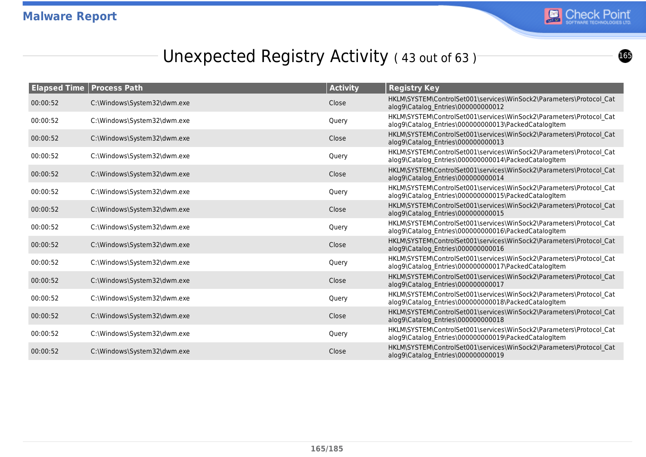

## Unexpected Registry Activity (43 out of 63)

| <b>Elapsed Time   Process Path</b> |                             | <b>Activity</b> | <b>Registry Key</b>                                                                                                         |
|------------------------------------|-----------------------------|-----------------|-----------------------------------------------------------------------------------------------------------------------------|
| 00:00:52                           | C:\Windows\System32\dwm.exe | Close           | HKLM\SYSTEM\ControlSet001\services\WinSock2\Parameters\Protocol Cat<br>alog9\Catalog Entries\000000000012                   |
| 00:00:52                           | C:\Windows\System32\dwm.exe | Query           | HKLM\SYSTEM\ControlSet001\services\WinSock2\Parameters\Protocol Cat<br>alog9\Catalog Entries\000000000013\PackedCatalogItem |
| 00:00:52                           | C:\Windows\System32\dwm.exe | Close           | HKLM\SYSTEM\ControlSet001\services\WinSock2\Parameters\Protocol Cat<br>alog9\Catalog Entries\000000000013                   |
| 00:00:52                           | C:\Windows\System32\dwm.exe | Query           | HKLM\SYSTEM\ControlSet001\services\WinSock2\Parameters\Protocol Cat<br>alog9\Catalog_Entries\000000000014\PackedCatalogItem |
| 00:00:52                           | C:\Windows\System32\dwm.exe | Close           | HKLM\SYSTEM\ControlSet001\services\WinSock2\Parameters\Protocol Cat<br>alog9\Catalog Entries\000000000014                   |
| 00:00:52                           | C:\Windows\System32\dwm.exe | Query           | HKLM\SYSTEM\ControlSet001\services\WinSock2\Parameters\Protocol Cat<br>alog9\Catalog_Entries\000000000015\PackedCatalogItem |
| 00:00:52                           | C:\Windows\System32\dwm.exe | Close           | HKLM\SYSTEM\ControlSet001\services\WinSock2\Parameters\Protocol Cat<br>alog9\Catalog Entries\000000000015                   |
| 00:00:52                           | C:\Windows\System32\dwm.exe | Query           | HKLM\SYSTEM\ControlSet001\services\WinSock2\Parameters\Protocol Cat<br>alog9\Catalog Entries\000000000016\PackedCatalogItem |
| 00:00:52                           | C:\Windows\System32\dwm.exe | Close           | HKLM\SYSTEM\ControlSet001\services\WinSock2\Parameters\Protocol Cat<br>alog9\Catalog_Entries\000000000016                   |
| 00:00:52                           | C:\Windows\System32\dwm.exe | Query           | HKLM\SYSTEM\ControlSet001\services\WinSock2\Parameters\Protocol Cat<br>alog9\Catalog Entries\000000000017\PackedCatalogItem |
| 00:00:52                           | C:\Windows\System32\dwm.exe | Close           | HKLM\SYSTEM\ControlSet001\services\WinSock2\Parameters\Protocol Cat<br>alog9\Catalog_Entries\000000000017                   |
| 00:00:52                           | C:\Windows\System32\dwm.exe | Query           | HKLM\SYSTEM\ControlSet001\services\WinSock2\Parameters\Protocol Cat<br>alog9\Catalog Entries\000000000018\PackedCatalogItem |
| 00:00:52                           | C:\Windows\System32\dwm.exe | Close           | HKLM\SYSTEM\ControlSet001\services\WinSock2\Parameters\Protocol Cat<br>alog9\Catalog Entries\000000000018                   |
| 00:00:52                           | C:\Windows\System32\dwm.exe | Query           | HKLM\SYSTEM\ControlSet001\services\WinSock2\Parameters\Protocol Cat<br>alog9\Catalog Entries\000000000019\PackedCatalogItem |
| 00:00:52                           | C:\Windows\System32\dwm.exe | Close           | HKLM\SYSTEM\ControlSet001\services\WinSock2\Parameters\Protocol Cat<br>alog9\Catalog Entries\000000000019                   |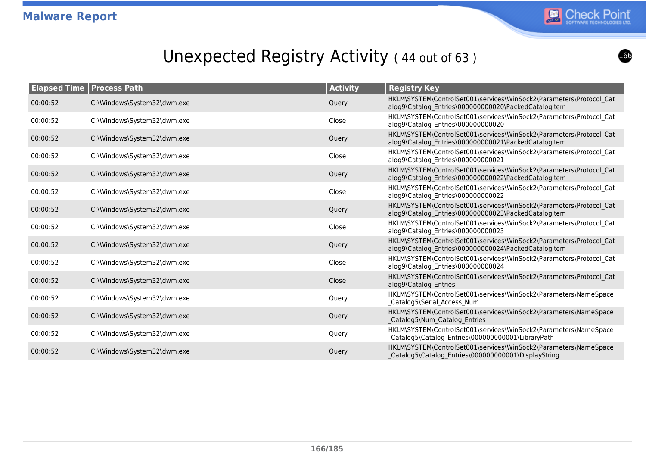

## Unexpected Registry Activity (44 out of 63)

|          | <b>Elapsed Time   Process Path</b> | <b>Activity</b> | <b>Registry Key</b>                                                                                                         |
|----------|------------------------------------|-----------------|-----------------------------------------------------------------------------------------------------------------------------|
| 00:00:52 | C:\Windows\System32\dwm.exe        | Query           | HKLM\SYSTEM\ControlSet001\services\WinSock2\Parameters\Protocol Cat<br>alog9\Catalog_Entries\000000000020\PackedCatalogItem |
| 00:00:52 | C:\Windows\System32\dwm.exe        | Close           | HKLM\SYSTEM\ControlSet001\services\WinSock2\Parameters\Protocol Cat<br>alog9\Catalog Entries\000000000020                   |
| 00:00:52 | C:\Windows\System32\dwm.exe        | Query           | HKLM\SYSTEM\ControlSet001\services\WinSock2\Parameters\Protocol Cat<br>alog9\Catalog Entries\000000000021\PackedCatalogItem |
| 00:00:52 | C:\Windows\System32\dwm.exe        | Close           | HKLM\SYSTEM\ControlSet001\services\WinSock2\Parameters\Protocol Cat<br>alog9\Catalog Entries\000000000021                   |
| 00:00:52 | C:\Windows\System32\dwm.exe        | Query           | HKLM\SYSTEM\ControlSet001\services\WinSock2\Parameters\Protocol Cat<br>alog9\Catalog Entries\000000000022\PackedCatalogItem |
| 00:00:52 | C:\Windows\System32\dwm.exe        | Close           | HKLM\SYSTEM\ControlSet001\services\WinSock2\Parameters\Protocol Cat<br>alog9\Catalog_Entries\000000000022                   |
| 00:00:52 | C:\Windows\System32\dwm.exe        | Query           | HKLM\SYSTEM\ControlSet001\services\WinSock2\Parameters\Protocol Cat<br>alog9\Catalog_Entries\000000000023\PackedCatalogItem |
| 00:00:52 | C:\Windows\System32\dwm.exe        | Close           | HKLM\SYSTEM\ControlSet001\services\WinSock2\Parameters\Protocol_Cat<br>alog9\Catalog Entries\000000000023                   |
| 00:00:52 | C:\Windows\System32\dwm.exe        | Query           | HKLM\SYSTEM\ControlSet001\services\WinSock2\Parameters\Protocol Cat<br>alog9\Catalog Entries\000000000024\PackedCatalogItem |
| 00:00:52 | C:\Windows\System32\dwm.exe        | Close           | HKLM\SYSTEM\ControlSet001\services\WinSock2\Parameters\Protocol Cat<br>alog9\Catalog Entries\000000000024                   |
| 00:00:52 | C:\Windows\System32\dwm.exe        | Close           | HKLM\SYSTEM\ControlSet001\services\WinSock2\Parameters\Protocol Cat<br>alog9\Catalog Entries                                |
| 00:00:52 | C:\Windows\System32\dwm.exe        | Query           | HKLM\SYSTEM\ControlSet001\services\WinSock2\Parameters\NameSpace<br>_Catalog5\Serial_Access_Num                             |
| 00:00:52 | C:\Windows\System32\dwm.exe        | Query           | HKLM\SYSTEM\ControlSet001\services\WinSock2\Parameters\NameSpace<br>Catalog5\Num_Catalog_Entries                            |
| 00:00:52 | C:\Windows\System32\dwm.exe        | Query           | HKLM\SYSTEM\ControlSet001\services\WinSock2\Parameters\NameSpace<br>_Catalog5\Catalog_Entries\000000000001\LibraryPath      |
| 00:00:52 | C:\Windows\System32\dwm.exe        | Query           | HKLM\SYSTEM\ControlSet001\services\WinSock2\Parameters\NameSpace<br>Catalog5\Catalog Entries\000000000001\DisplayString     |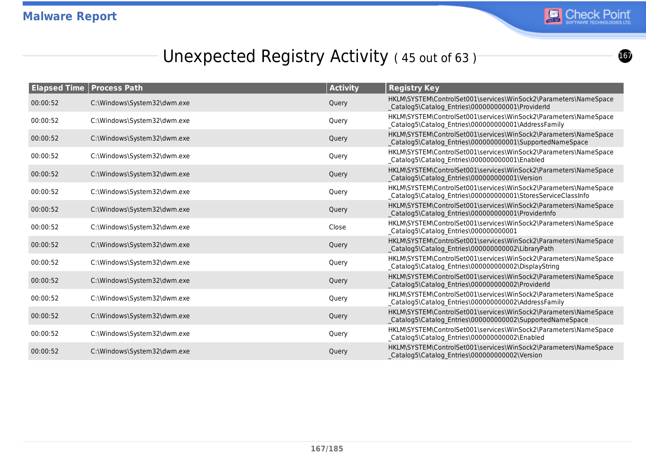

## Unexpected Registry Activity (45 out of 63)

|          | <b>Elapsed Time   Process Path</b> | <b>Activity</b> | <b>Registry Key</b>                                                                                                               |
|----------|------------------------------------|-----------------|-----------------------------------------------------------------------------------------------------------------------------------|
| 00:00:52 | C:\Windows\System32\dwm.exe        | Query           | HKLM\SYSTEM\ControlSet001\services\WinSock2\Parameters\NameSpace<br>Catalog5\Catalog Entries\000000000001\ProviderId              |
| 00:00:52 | C:\Windows\System32\dwm.exe        | Query           | HKLM\SYSTEM\ControlSet001\services\WinSock2\Parameters\NameSpace<br>_Catalog5\Catalog_Entries\000000000001\AddressFamily          |
| 00:00:52 | C:\Windows\System32\dwm.exe        | Query           | HKLM\SYSTEM\ControlSet001\services\WinSock2\Parameters\NameSpace<br>Catalog5\Catalog_Entries\000000000001\SupportedNameSpace      |
| 00:00:52 | C:\Windows\System32\dwm.exe        | Query           | HKLM\SYSTEM\ControlSet001\services\WinSock2\Parameters\NameSpace<br>_Catalog5\Catalog_Entries\000000000001\Enabled                |
| 00:00:52 | C:\Windows\System32\dwm.exe        | Query           | HKLM\SYSTEM\ControlSet001\services\WinSock2\Parameters\NameSpace<br>Catalog5\Catalog_Entries\000000000001\Version                 |
| 00:00:52 | C:\Windows\System32\dwm.exe        | Query           | HKLM\SYSTEM\ControlSet001\services\WinSock2\Parameters\NameSpace<br>_Catalog5\Catalog_Entries\000000000001\StoresServiceClassInfo |
| 00:00:52 | C:\Windows\System32\dwm.exe        | Query           | HKLM\SYSTEM\ControlSet001\services\WinSock2\Parameters\NameSpace<br>Catalog5\Catalog_Entries\000000000001\ProviderInfo            |
| 00:00:52 | C:\Windows\System32\dwm.exe        | Close           | HKLM\SYSTEM\ControlSet001\services\WinSock2\Parameters\NameSpace<br>Catalog5\Catalog_Entries\000000000001                         |
| 00:00:52 | C:\Windows\System32\dwm.exe        | Query           | HKLM\SYSTEM\ControlSet001\services\WinSock2\Parameters\NameSpace<br>Catalog5\Catalog_Entries\000000000002\LibraryPath             |
| 00:00:52 | C:\Windows\System32\dwm.exe        | Query           | HKLM\SYSTEM\ControlSet001\services\WinSock2\Parameters\NameSpace<br>_Catalog5\Catalog_Entries\000000000002\DisplayString          |
| 00:00:52 | C:\Windows\System32\dwm.exe        | Query           | HKLM\SYSTEM\ControlSet001\services\WinSock2\Parameters\NameSpace<br>Catalog5\Catalog Entries\000000000002\ProviderId              |
| 00:00:52 | C:\Windows\System32\dwm.exe        | Query           | HKLM\SYSTEM\ControlSet001\services\WinSock2\Parameters\NameSpace<br>_Catalog5\Catalog_Entries\000000000002\AddressFamily          |
| 00:00:52 | C:\Windows\System32\dwm.exe        | Query           | HKLM\SYSTEM\ControlSet001\services\WinSock2\Parameters\NameSpace<br>Catalog5\Catalog_Entries\000000000002\SupportedNameSpace      |
| 00:00:52 | C:\Windows\System32\dwm.exe        | Query           | HKLM\SYSTEM\ControlSet001\services\WinSock2\Parameters\NameSpace<br>_Catalog5\Catalog_Entries\000000000002\Enabled                |
| 00:00:52 | C:\Windows\System32\dwm.exe        | Query           | HKLM\SYSTEM\ControlSet001\services\WinSock2\Parameters\NameSpace<br>Catalog5\Catalog Entries\000000000002\Version                 |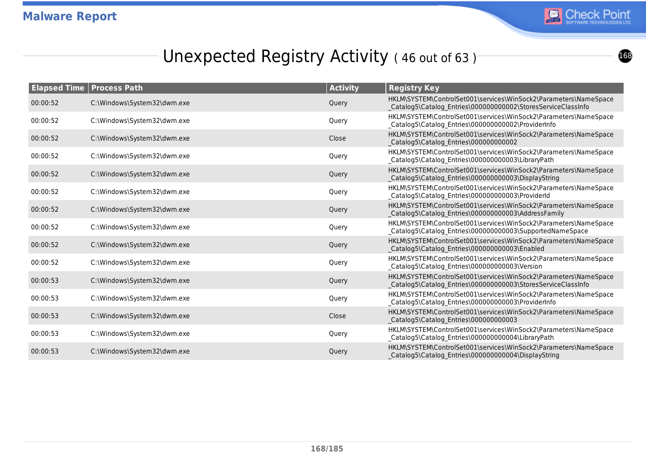

## Unexpected Registry Activity (46 out of 63)

|          | <b>Elapsed Time   Process Path</b> | <b>Activity</b> | <b>Registry Key</b>                                                                                                              |
|----------|------------------------------------|-----------------|----------------------------------------------------------------------------------------------------------------------------------|
| 00:00:52 | C:\Windows\System32\dwm.exe        | Query           | HKLM\SYSTEM\ControlSet001\services\WinSock2\Parameters\NameSpace<br>Catalog5\Catalog_Entries\000000000002\StoresServiceClassInfo |
| 00:00:52 | C:\Windows\System32\dwm.exe        | Query           | HKLM\SYSTEM\ControlSet001\services\WinSock2\Parameters\NameSpace<br>_Catalog5\Catalog_Entries\000000000002\ProviderInfo          |
| 00:00:52 | C:\Windows\System32\dwm.exe        | Close           | HKLM\SYSTEM\ControlSet001\services\WinSock2\Parameters\NameSpace<br>Catalog5\Catalog Entries\000000000002                        |
| 00:00:52 | C:\Windows\System32\dwm.exe        | Query           | HKLM\SYSTEM\ControlSet001\services\WinSock2\Parameters\NameSpace<br>_Catalog5\Catalog_Entries\000000000003\LibraryPath           |
| 00:00:52 | C:\Windows\System32\dwm.exe        | Query           | HKLM\SYSTEM\ControlSet001\services\WinSock2\Parameters\NameSpace<br>Catalog5\Catalog Entries\000000000003\DisplayString          |
| 00:00:52 | C:\Windows\System32\dwm.exe        | Query           | HKLM\SYSTEM\ControlSet001\services\WinSock2\Parameters\NameSpace<br>_Catalog5\Catalog_Entries\000000000003\ProviderId            |
| 00:00:52 | C:\Windows\System32\dwm.exe        | Query           | HKLM\SYSTEM\ControlSet001\services\WinSock2\Parameters\NameSpace<br>Catalog5\Catalog Entries\000000000003\AddressFamily          |
| 00:00:52 | C:\Windows\System32\dwm.exe        | Query           | HKLM\SYSTEM\ControlSet001\services\WinSock2\Parameters\NameSpace<br>Catalog5\Catalog_Entries\000000000003\SupportedNameSpace     |
| 00:00:52 | C:\Windows\System32\dwm.exe        | Query           | HKLM\SYSTEM\ControlSet001\services\WinSock2\Parameters\NameSpace<br>Catalog5\Catalog Entries\000000000003\Enabled                |
| 00:00:52 | C:\Windows\System32\dwm.exe        | Query           | HKLM\SYSTEM\ControlSet001\services\WinSock2\Parameters\NameSpace<br>_Catalog5\Catalog_Entries\000000000003\Version               |
| 00:00:53 | C:\Windows\System32\dwm.exe        | Query           | HKLM\SYSTEM\ControlSet001\services\WinSock2\Parameters\NameSpace<br>Catalog5\Catalog_Entries\000000000003\StoresServiceClassInfo |
| 00:00:53 | C:\Windows\System32\dwm.exe        | Query           | HKLM\SYSTEM\ControlSet001\services\WinSock2\Parameters\NameSpace<br>_Catalog5\Catalog_Entries\000000000003\ProviderInfo          |
| 00:00:53 | C:\Windows\System32\dwm.exe        | Close           | HKLM\SYSTEM\ControlSet001\services\WinSock2\Parameters\NameSpace<br>Catalog5\Catalog Entries\000000000003                        |
| 00:00:53 | C:\Windows\System32\dwm.exe        | Query           | HKLM\SYSTEM\ControlSet001\services\WinSock2\Parameters\NameSpace<br>_Catalog5\Catalog_Entries\000000000004\LibraryPath           |
| 00:00:53 | C:\Windows\System32\dwm.exe        | Query           | HKLM\SYSTEM\ControlSet001\services\WinSock2\Parameters\NameSpace<br>Catalog5\Catalog Entries\000000000004\DisplayString          |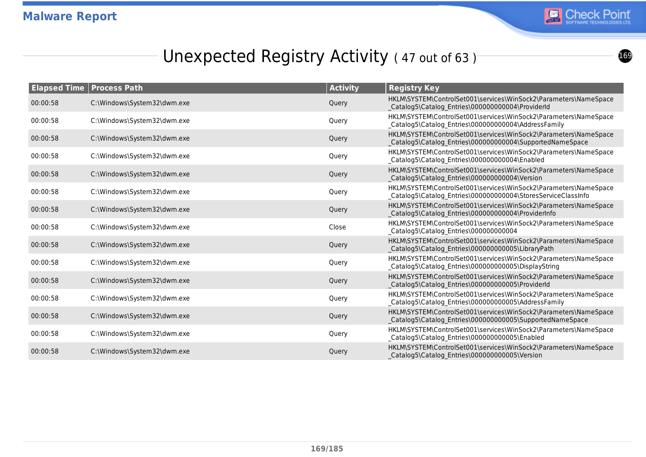

## Unexpected Registry Activity (47 out of 63)

|          | <b>Elapsed Time   Process Path</b> | <b>Activity</b> | <b>Registry Key</b>                                                                                                               |
|----------|------------------------------------|-----------------|-----------------------------------------------------------------------------------------------------------------------------------|
| 00:00:58 | C:\Windows\System32\dwm.exe        | Query           | HKLM\SYSTEM\ControlSet001\services\WinSock2\Parameters\NameSpace<br>Catalog5\Catalog Entries\000000000004\ProviderId              |
| 00:00:58 | C:\Windows\System32\dwm.exe        | Query           | HKLM\SYSTEM\ControlSet001\services\WinSock2\Parameters\NameSpace<br>_Catalog5\Catalog_Entries\000000000004\AddressFamily          |
| 00:00:58 | C:\Windows\System32\dwm.exe        | Query           | HKLM\SYSTEM\ControlSet001\services\WinSock2\Parameters\NameSpace<br>Catalog5\Catalog_Entries\000000000004\SupportedNameSpace      |
| 00:00:58 | C:\Windows\System32\dwm.exe        | Query           | HKLM\SYSTEM\ControlSet001\services\WinSock2\Parameters\NameSpace<br>_Catalog5\Catalog_Entries\000000000004\Enabled                |
| 00:00:58 | C:\Windows\System32\dwm.exe        | Query           | HKLM\SYSTEM\ControlSet001\services\WinSock2\Parameters\NameSpace<br>Catalog5\Catalog_Entries\000000000004\Version                 |
| 00:00:58 | C:\Windows\System32\dwm.exe        | Query           | HKLM\SYSTEM\ControlSet001\services\WinSock2\Parameters\NameSpace<br>_Catalog5\Catalog_Entries\000000000004\StoresServiceClassInfo |
| 00:00:58 | C:\Windows\System32\dwm.exe        | Query           | HKLM\SYSTEM\ControlSet001\services\WinSock2\Parameters\NameSpace<br>Catalog5\Catalog_Entries\000000000004\ProviderInfo            |
| 00:00:58 | C:\Windows\System32\dwm.exe        | Close           | HKLM\SYSTEM\ControlSet001\services\WinSock2\Parameters\NameSpace<br>_Catalog5\Catalog_Entries\000000000004                        |
| 00:00:58 | C:\Windows\System32\dwm.exe        | Query           | HKLM\SYSTEM\ControlSet001\services\WinSock2\Parameters\NameSpace<br>Catalog5\Catalog_Entries\000000000005\LibraryPath             |
| 00:00:58 | C:\Windows\System32\dwm.exe        | Query           | HKLM\SYSTEM\ControlSet001\services\WinSock2\Parameters\NameSpace<br>_Catalog5\Catalog_Entries\000000000005\DisplayString          |
| 00:00:58 | C:\Windows\System32\dwm.exe        | Query           | HKLM\SYSTEM\ControlSet001\services\WinSock2\Parameters\NameSpace<br>Catalog5\Catalog Entries\000000000005\ProviderId              |
| 00:00:58 | C:\Windows\System32\dwm.exe        | Query           | HKLM\SYSTEM\ControlSet001\services\WinSock2\Parameters\NameSpace<br>_Catalog5\Catalog_Entries\000000000005\AddressFamily          |
| 00:00:58 | C:\Windows\System32\dwm.exe        | Query           | HKLM\SYSTEM\ControlSet001\services\WinSock2\Parameters\NameSpace<br>Catalog5\Catalog_Entries\000000000005\SupportedNameSpace      |
| 00:00:58 | C:\Windows\System32\dwm.exe        | Query           | HKLM\SYSTEM\ControlSet001\services\WinSock2\Parameters\NameSpace<br>_Catalog5\Catalog_Entries\000000000005\Enabled                |
| 00:00:58 | C:\Windows\System32\dwm.exe        | Query           | HKLM\SYSTEM\ControlSet001\services\WinSock2\Parameters\NameSpace<br>Catalog5\Catalog Entries\000000000005\Version                 |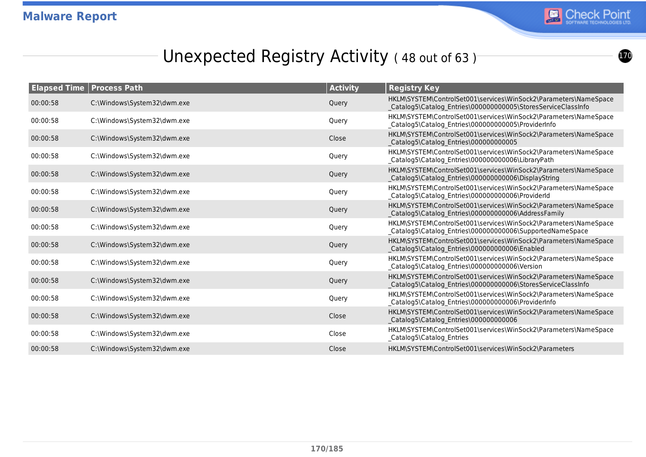

## Unexpected Registry Activity (48 out of 63)

| <b>Elapsed Time   Process Path</b> |                             | <b>Activity</b> | <b>Registry Key</b>                                                                                                              |
|------------------------------------|-----------------------------|-----------------|----------------------------------------------------------------------------------------------------------------------------------|
| 00:00:58                           | C:\Windows\System32\dwm.exe | Query           | HKLM\SYSTEM\ControlSet001\services\WinSock2\Parameters\NameSpace<br>Catalog5\Catalog_Entries\000000000005\StoresServiceClassInfo |
| 00:00:58                           | C:\Windows\System32\dwm.exe | Query           | HKLM\SYSTEM\ControlSet001\services\WinSock2\Parameters\NameSpace<br>_Catalog5\Catalog_Entries\000000000005\ProviderInfo          |
| 00:00:58                           | C:\Windows\System32\dwm.exe | Close           | HKLM\SYSTEM\ControlSet001\services\WinSock2\Parameters\NameSpace<br>Catalog5\Catalog Entries\000000000005                        |
| 00:00:58                           | C:\Windows\System32\dwm.exe | Query           | HKLM\SYSTEM\ControlSet001\services\WinSock2\Parameters\NameSpace<br>_Catalog5\Catalog_Entries\000000000006\LibraryPath           |
| 00:00:58                           | C:\Windows\System32\dwm.exe | Query           | HKLM\SYSTEM\ControlSet001\services\WinSock2\Parameters\NameSpace<br>Catalog5\Catalog Entries\000000000006\DisplayString          |
| 00:00:58                           | C:\Windows\System32\dwm.exe | Query           | HKLM\SYSTEM\ControlSet001\services\WinSock2\Parameters\NameSpace<br>_Catalog5\Catalog_Entries\000000000006\ProviderId            |
| 00:00:58                           | C:\Windows\System32\dwm.exe | Query           | HKLM\SYSTEM\ControlSet001\services\WinSock2\Parameters\NameSpace<br>Catalog5\Catalog Entries\000000000006\AddressFamily          |
| 00:00:58                           | C:\Windows\System32\dwm.exe | Query           | HKLM\SYSTEM\ControlSet001\services\WinSock2\Parameters\NameSpace<br>_Catalog5\Catalog_Entries\000000000006\SupportedNameSpace    |
| 00:00:58                           | C:\Windows\System32\dwm.exe | Query           | HKLM\SYSTEM\ControlSet001\services\WinSock2\Parameters\NameSpace<br>Catalog5\Catalog Entries\000000000006\Enabled                |
| 00:00:58                           | C:\Windows\System32\dwm.exe | Query           | HKLM\SYSTEM\ControlSet001\services\WinSock2\Parameters\NameSpace<br>_Catalog5\Catalog_Entries\000000000006\Version               |
| 00:00:58                           | C:\Windows\System32\dwm.exe | Query           | HKLM\SYSTEM\ControlSet001\services\WinSock2\Parameters\NameSpace<br>Catalog5\Catalog_Entries\000000000006\StoresServiceClassInfo |
| 00:00:58                           | C:\Windows\System32\dwm.exe | Query           | HKLM\SYSTEM\ControlSet001\services\WinSock2\Parameters\NameSpace<br>_Catalog5\Catalog_Entries\000000000006\ProviderInfo          |
| 00:00:58                           | C:\Windows\System32\dwm.exe | Close           | HKLM\SYSTEM\ControlSet001\services\WinSock2\Parameters\NameSpace<br>Catalog5\Catalog_Entries\000000000006                        |
| 00:00:58                           | C:\Windows\System32\dwm.exe | Close           | HKLM\SYSTEM\ControlSet001\services\WinSock2\Parameters\NameSpace<br>_Catalog5\Catalog_Entries                                    |
| 00:00:58                           | C:\Windows\System32\dwm.exe | Close           | HKLM\SYSTEM\ControlSet001\services\WinSock2\Parameters                                                                           |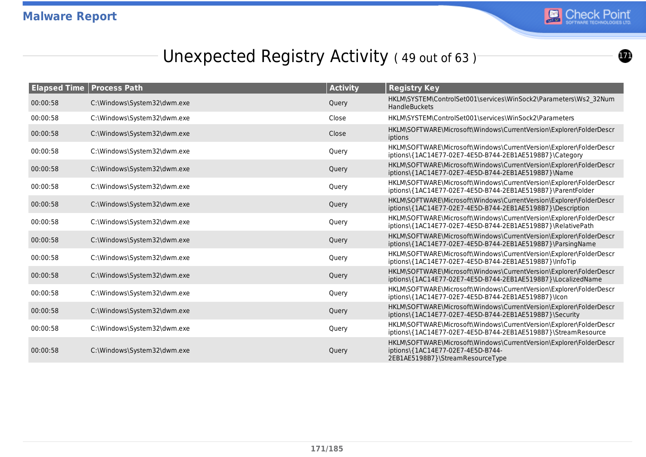

 $\bf{r}$ 

# Unexpected Registry Activity (49 out of 63)

|          | <b>Elapsed Time   Process Path</b> | <b>Activity</b> | <b>Registry Key</b>                                                                                                                          |
|----------|------------------------------------|-----------------|----------------------------------------------------------------------------------------------------------------------------------------------|
| 00:00:58 | C:\Windows\System32\dwm.exe        | Query           | HKLM\SYSTEM\ControlSet001\services\WinSock2\Parameters\Ws2 32Num<br><b>HandleBuckets</b>                                                     |
| 00:00:58 | C:\Windows\System32\dwm.exe        | Close           | HKLM\SYSTEM\ControlSet001\services\WinSock2\Parameters                                                                                       |
| 00:00:58 | C:\Windows\System32\dwm.exe        | Close           | HKLM\SOFTWARE\Microsoft\Windows\CurrentVersion\Explorer\FolderDescr<br>iptions                                                               |
| 00:00:58 | C:\Windows\System32\dwm.exe        | Query           | HKLM\SOFTWARE\Microsoft\Windows\CurrentVersion\Explorer\FolderDescr<br>iptions\{1AC14E77-02E7-4E5D-B744-2EB1AE5198B7}\Category               |
| 00:00:58 | C:\Windows\System32\dwm.exe        | Query           | HKLM\SOFTWARE\Microsoft\Windows\CurrentVersion\Explorer\FolderDescr<br>iptions\{1AC14E77-02E7-4E5D-B744-2EB1AE5198B7}\Name                   |
| 00:00:58 | C:\Windows\System32\dwm.exe        | Query           | HKLM\SOFTWARE\Microsoft\Windows\CurrentVersion\Explorer\FolderDescr<br>iptions\{1AC14E77-02E7-4E5D-B744-2EB1AE5198B7}\ParentFolder           |
| 00:00:58 | C:\Windows\System32\dwm.exe        | Query           | HKLM\SOFTWARE\Microsoft\Windows\CurrentVersion\Explorer\FolderDescr<br>iptions\{1AC14E77-02E7-4E5D-B744-2EB1AE5198B7}\Description            |
| 00:00:58 | C:\Windows\System32\dwm.exe        | Query           | HKLM\SOFTWARE\Microsoft\Windows\CurrentVersion\Explorer\FolderDescr<br>iptions\{1AC14E77-02E7-4E5D-B744-2EB1AE5198B7}\RelativePath           |
| 00:00:58 | C:\Windows\System32\dwm.exe        | Query           | HKLM\SOFTWARE\Microsoft\Windows\CurrentVersion\Explorer\FolderDescr<br>iptions\{1AC14E77-02E7-4E5D-B744-2EB1AE5198B7}\ParsingName            |
| 00:00:58 | C:\Windows\System32\dwm.exe        | Query           | HKLM\SOFTWARE\Microsoft\Windows\CurrentVersion\Explorer\FolderDescr<br>iptions\{1AC14E77-02E7-4E5D-B744-2EB1AE5198B7}\InfoTip                |
| 00:00:58 | C:\Windows\System32\dwm.exe        | Query           | HKLM\SOFTWARE\Microsoft\Windows\CurrentVersion\Explorer\FolderDescr<br>iptions\{1AC14E77-02E7-4E5D-B744-2EB1AE5198B7}\LocalizedName          |
| 00:00:58 | C:\Windows\System32\dwm.exe        | Query           | HKLM\SOFTWARE\Microsoft\Windows\CurrentVersion\Explorer\FolderDescr<br>iptions\{1AC14E77-02E7-4E5D-B744-2EB1AE5198B7}\lcon                   |
| 00:00:58 | C:\Windows\System32\dwm.exe        | Query           | HKLM\SOFTWARE\Microsoft\Windows\CurrentVersion\Explorer\FolderDescr<br>iptions\{1AC14E77-02E7-4E5D-B744-2EB1AE5198B7}\Security               |
| 00:00:58 | C:\Windows\System32\dwm.exe        | Query           | HKLM\SOFTWARE\Microsoft\Windows\CurrentVersion\Explorer\FolderDescr<br>iptions\{1AC14E77-02E7-4E5D-B744-2EB1AE5198B7}\StreamResource         |
| 00:00:58 | C:\Windows\System32\dwm.exe        | Query           | HKLM\SOFTWARE\Microsoft\Windows\CurrentVersion\Explorer\FolderDescr<br>iptions\{1AC14E77-02E7-4E5D-B744-<br>2EB1AE5198B7}\StreamResourceType |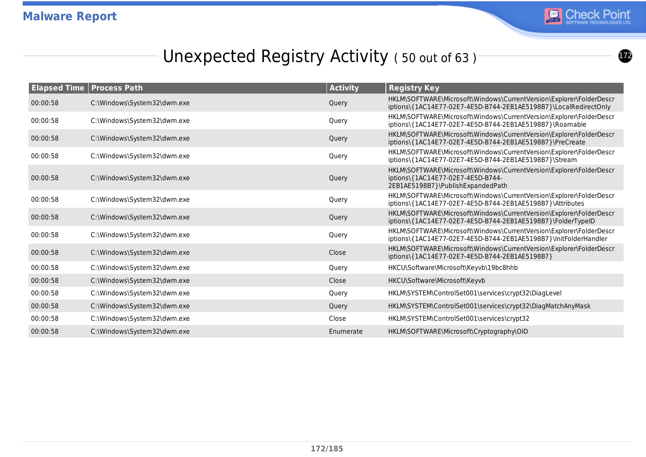

 $\boldsymbol{\Omega}$ 

## Unexpected Registry Activity (50 out of 63)

|          | <b>Elapsed Time   Process Path</b> | <b>Activity</b> | <b>Registry Key</b>                                                                                                                           |
|----------|------------------------------------|-----------------|-----------------------------------------------------------------------------------------------------------------------------------------------|
| 00:00:58 | C:\Windows\System32\dwm.exe        | Query           | HKLM\SOFTWARE\Microsoft\Windows\CurrentVersion\Explorer\FolderDescr<br>iptions\{1AC14E77-02E7-4E5D-B744-2EB1AE5198B7}\LocalRedirectOnly       |
| 00:00:58 | C:\Windows\System32\dwm.exe        | Query           | HKLM\SOFTWARE\Microsoft\Windows\CurrentVersion\Explorer\FolderDescr<br>iptions\{1AC14E77-02E7-4E5D-B744-2EB1AE5198B7}\Roamable                |
| 00:00:58 | C:\Windows\System32\dwm.exe        | Query           | HKLM\SOFTWARE\Microsoft\Windows\CurrentVersion\Explorer\FolderDescr<br>iptions\{1AC14E77-02E7-4E5D-B744-2EB1AE5198B7}\PreCreate               |
| 00:00:58 | C:\Windows\System32\dwm.exe        | Query           | HKLM\SOFTWARE\Microsoft\Windows\CurrentVersion\Explorer\FolderDescr<br>iptions\{1AC14E77-02E7-4E5D-B744-2EB1AE5198B7}\Stream                  |
| 00:00:58 | C:\Windows\System32\dwm.exe        | Query           | HKLM\SOFTWARE\Microsoft\Windows\CurrentVersion\Explorer\FolderDescr<br>iptions\{1AC14E77-02E7-4E5D-B744-<br>2EB1AE5198B7}\PublishExpandedPath |
| 00:00:58 | C:\Windows\System32\dwm.exe        | Query           | HKLM\SOFTWARE\Microsoft\Windows\CurrentVersion\Explorer\FolderDescr<br>iptions\{1AC14E77-02E7-4E5D-B744-2EB1AE5198B7}\Attributes              |
| 00:00:58 | C:\Windows\System32\dwm.exe        | Query           | HKLM\SOFTWARE\Microsoft\Windows\CurrentVersion\Explorer\FolderDescr<br>iptions\{1AC14E77-02E7-4E5D-B744-2EB1AE5198B7}\FolderTypeID            |
| 00:00:58 | C:\Windows\System32\dwm.exe        | Query           | HKLM\SOFTWARE\Microsoft\Windows\CurrentVersion\Explorer\FolderDescr<br>iptions\{1AC14E77-02E7-4E5D-B744-2EB1AE5198B7}\InitFolderHandler       |
| 00:00:58 | C:\Windows\System32\dwm.exe        | Close           | HKLM\SOFTWARE\Microsoft\Windows\CurrentVersion\Explorer\FolderDescr<br>iptions\{1AC14E77-02E7-4E5D-B744-2EB1AE5198B7}                         |
| 00:00:58 | C:\Windows\System32\dwm.exe        | Query           | HKCU\Software\Microsoft\Keyvb\19bc8hhb                                                                                                        |
| 00:00:58 | C:\Windows\System32\dwm.exe        | Close           | HKCU\Software\Microsoft\Keyvb                                                                                                                 |
| 00:00:58 | C:\Windows\System32\dwm.exe        | Query           | HKLM\SYSTEM\ControlSet001\services\crypt32\DiagLevel                                                                                          |
| 00:00:58 | C:\Windows\System32\dwm.exe        | Query           | HKLM\SYSTEM\ControlSet001\services\crypt32\DiagMatchAnyMask                                                                                   |
| 00:00:58 | C:\Windows\System32\dwm.exe        | Close           | HKLM\SYSTEM\ControlSet001\services\crypt32                                                                                                    |
| 00:00:58 | C:\Windows\System32\dwm.exe        | Enumerate       | HKLM\SOFTWARE\Microsoft\Cryptography\OID                                                                                                      |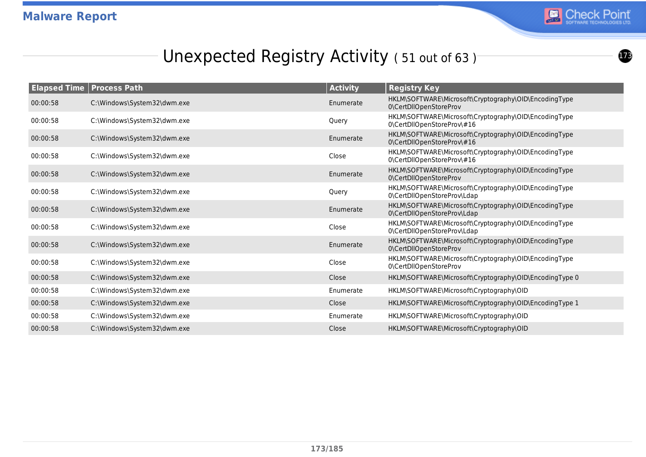

 $\bigcirc$ 

## Unexpected Registry Activity (51 out of 63)

|          | <b>Elapsed Time   Process Path</b> | <b>Activity</b> | <b>Registry Key</b>                                                                  |
|----------|------------------------------------|-----------------|--------------------------------------------------------------------------------------|
| 00:00:58 | C:\Windows\System32\dwm.exe        | Enumerate       | HKLM\SOFTWARE\Microsoft\Cryptography\OID\EncodingType<br>0\CertDllOpenStoreProv      |
| 00:00:58 | C:\Windows\System32\dwm.exe        | Query           | HKLM\SOFTWARE\Microsoft\Cryptography\OID\EncodingType<br>0\CertDllOpenStoreProv\#16  |
| 00:00:58 | C:\Windows\System32\dwm.exe        | Enumerate       | HKLM\SOFTWARE\Microsoft\Cryptography\OID\EncodingType<br>0\CertDllOpenStoreProv\#16  |
| 00:00:58 | C:\Windows\System32\dwm.exe        | Close           | HKLM\SOFTWARE\Microsoft\Cryptography\OID\EncodingType<br>0\CertDllOpenStoreProv\#16  |
| 00:00:58 | C:\Windows\System32\dwm.exe        | Enumerate       | HKLM\SOFTWARE\Microsoft\Cryptography\OID\EncodingType<br>0\CertDllOpenStoreProv      |
| 00:00:58 | C:\Windows\System32\dwm.exe        | Query           | HKLM\SOFTWARE\Microsoft\Cryptography\OID\EncodingType<br>0\CertDllOpenStoreProv\Ldap |
| 00:00:58 | C:\Windows\System32\dwm.exe        | Enumerate       | HKLM\SOFTWARE\Microsoft\Cryptography\OID\EncodingType<br>0\CertDllOpenStoreProv\Ldap |
| 00:00:58 | C:\Windows\System32\dwm.exe        | Close           | HKLM\SOFTWARE\Microsoft\Cryptography\OID\EncodingType<br>0\CertDllOpenStoreProv\Ldap |
| 00:00:58 | C:\Windows\System32\dwm.exe        | Enumerate       | HKLM\SOFTWARE\Microsoft\Cryptography\OID\EncodingType<br>0\CertDllOpenStoreProv      |
| 00:00:58 | C:\Windows\System32\dwm.exe        | Close           | HKLM\SOFTWARE\Microsoft\Cryptography\OID\EncodingType<br>0\CertDllOpenStoreProv      |
| 00:00:58 | C:\Windows\System32\dwm.exe        | Close           | HKLM\SOFTWARE\Microsoft\Cryptography\OID\EncodingType 0                              |
| 00:00:58 | C:\Windows\System32\dwm.exe        | Enumerate       | HKLM\SOFTWARE\Microsoft\Cryptography\OID                                             |
| 00:00:58 | C:\Windows\System32\dwm.exe        | Close           | HKLM\SOFTWARE\Microsoft\Cryptography\OID\EncodingType 1                              |
| 00:00:58 | C:\Windows\System32\dwm.exe        | Enumerate       | HKLM\SOFTWARE\Microsoft\Cryptography\OID                                             |
| 00:00:58 | C:\Windows\System32\dwm.exe        | Close           | HKLM\SOFTWARE\Microsoft\Cryptography\OID                                             |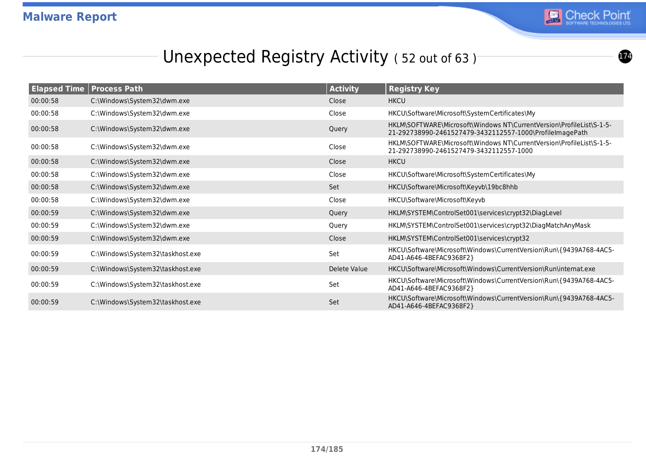

 $\boldsymbol{\varpi}$ 

## Unexpected Registry Activity (52 out of 63)<sup>-</sup>

|          | <b>Elapsed Time   Process Path</b> | <b>Activity</b> | <b>Registry Key</b>                                                                                                              |
|----------|------------------------------------|-----------------|----------------------------------------------------------------------------------------------------------------------------------|
| 00:00:58 | C:\Windows\System32\dwm.exe        | Close           | <b>HKCU</b>                                                                                                                      |
| 00:00:58 | C:\Windows\System32\dwm.exe        | Close           | HKCU\Software\Microsoft\SystemCertificates\My                                                                                    |
| 00:00:58 | C:\Windows\System32\dwm.exe        | Query           | HKLM\SOFTWARE\Microsoft\Windows NT\CurrentVersion\ProfileList\S-1-5-<br>21-292738990-2461527479-3432112557-1000\ProfileImagePath |
| 00:00:58 | C:\Windows\System32\dwm.exe        | Close           | HKLM\SOFTWARE\Microsoft\Windows NT\CurrentVersion\ProfileList\S-1-5-<br>21-292738990-2461527479-3432112557-1000                  |
| 00:00:58 | C:\Windows\System32\dwm.exe        | Close           | <b>HKCU</b>                                                                                                                      |
| 00:00:58 | C:\Windows\System32\dwm.exe        | Close           | HKCU\Software\Microsoft\SystemCertificates\My                                                                                    |
| 00:00:58 | C:\Windows\System32\dwm.exe        | <b>Set</b>      | HKCU\Software\Microsoft\Keyvb\19bc8hhb                                                                                           |
| 00:00:58 | C:\Windows\System32\dwm.exe        | Close           | HKCU\Software\Microsoft\Keyvb                                                                                                    |
| 00:00:59 | C:\Windows\System32\dwm.exe        | Query           | HKLM\SYSTEM\ControlSet001\services\crypt32\DiagLevel                                                                             |
| 00:00:59 | C:\Windows\System32\dwm.exe        | Query           | HKLM\SYSTEM\ControlSet001\services\crypt32\DiagMatchAnyMask                                                                      |
| 00:00:59 | C:\Windows\System32\dwm.exe        | Close           | HKLM\SYSTEM\ControlSet001\services\crypt32                                                                                       |
| 00:00:59 | C:\Windows\System32\taskhost.exe   | Set             | HKCU\Software\Microsoft\Windows\CurrentVersion\Run\{9439A768-4AC5-<br>AD41-A646-4BEFAC9368F2}                                    |
| 00:00:59 | C:\Windows\System32\taskhost.exe   | Delete Value    | HKCU\Software\Microsoft\Windows\CurrentVersion\Run\internat.exe                                                                  |
| 00:00:59 | C:\Windows\System32\taskhost.exe   | Set             | HKCU\Software\Microsoft\Windows\CurrentVersion\Run\{9439A768-4AC5-<br>AD41-A646-4BEFAC9368F2}                                    |
| 00:00:59 | C:\Windows\System32\taskhost.exe   | Set             | HKCU\Software\Microsoft\Windows\CurrentVersion\Run\{9439A768-4AC5-<br>AD41-A646-4BEFAC9368F2}                                    |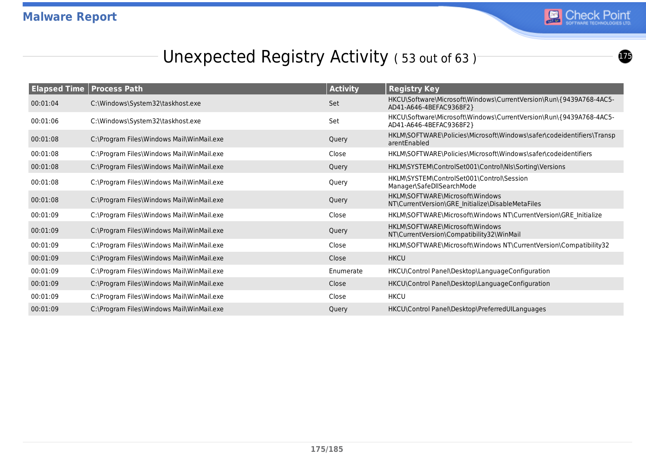

 $\boldsymbol{\bm{\Phi}}$ 

## Unexpected Registry Activity (53 out of 63)<sup>-</sup>

| <b>Elapsed Time</b> | <b>Process Path</b>                       | <b>Activity</b> | <b>Registry Key</b>                                                                           |
|---------------------|-------------------------------------------|-----------------|-----------------------------------------------------------------------------------------------|
| 00:01:04            | C:\Windows\System32\taskhost.exe          | Set             | HKCU\Software\Microsoft\Windows\CurrentVersion\Run\{9439A768-4AC5-<br>AD41-A646-4BEFAC9368F2} |
| 00:01:06            | C:\Windows\System32\taskhost.exe          | Set             | HKCU\Software\Microsoft\Windows\CurrentVersion\Run\{9439A768-4AC5-<br>AD41-A646-4BEFAC9368F2} |
| 00:01:08            | C:\Program Files\Windows Mail\WinMail.exe | Query           | HKLM\SOFTWARE\Policies\Microsoft\Windows\safer\codeidentifiers\Transp<br>arentEnabled         |
| 00:01:08            | C:\Program Files\Windows Mail\WinMail.exe | Close           | HKLM\SOFTWARE\Policies\Microsoft\Windows\safer\codeidentifiers                                |
| 00:01:08            | C:\Program Files\Windows Mail\WinMail.exe | Query           | HKLM\SYSTEM\ControlSet001\Control\Nls\Sorting\Versions                                        |
| 00:01:08            | C:\Program Files\Windows Mail\WinMail.exe | Query           | HKLM\SYSTEM\ControlSet001\Control\Session<br>Manager\SafeDllSearchMode                        |
| 00:01:08            | C:\Program Files\Windows Mail\WinMail.exe | Query           | HKLM\SOFTWARE\Microsoft\Windows<br>NT\CurrentVersion\GRE Initialize\DisableMetaFiles          |
| 00:01:09            | C:\Program Files\Windows Mail\WinMail.exe | Close           | HKLM\SOFTWARE\Microsoft\Windows NT\CurrentVersion\GRE Initialize                              |
| 00:01:09            | C:\Program Files\Windows Mail\WinMail.exe | Query           | HKLM\SOFTWARE\Microsoft\Windows<br>NT\CurrentVersion\Compatibility32\WinMail                  |
| 00:01:09            | C:\Program Files\Windows Mail\WinMail.exe | Close           | HKLM\SOFTWARE\Microsoft\Windows NT\CurrentVersion\Compatibility32                             |
| 00:01:09            | C:\Program Files\Windows Mail\WinMail.exe | Close           | <b>HKCU</b>                                                                                   |
| 00:01:09            | C:\Program Files\Windows Mail\WinMail.exe | Enumerate       | HKCU\Control Panel\Desktop\LanguageConfiguration                                              |
| 00:01:09            | C:\Program Files\Windows Mail\WinMail.exe | Close           | HKCU\Control Panel\Desktop\LanguageConfiguration                                              |
| 00:01:09            | C:\Program Files\Windows Mail\WinMail.exe | Close           | <b>HKCU</b>                                                                                   |
| 00:01:09            | C:\Program Files\Windows Mail\WinMail.exe | Query           | HKCU\Control Panel\Desktop\PreferredUILanguages                                               |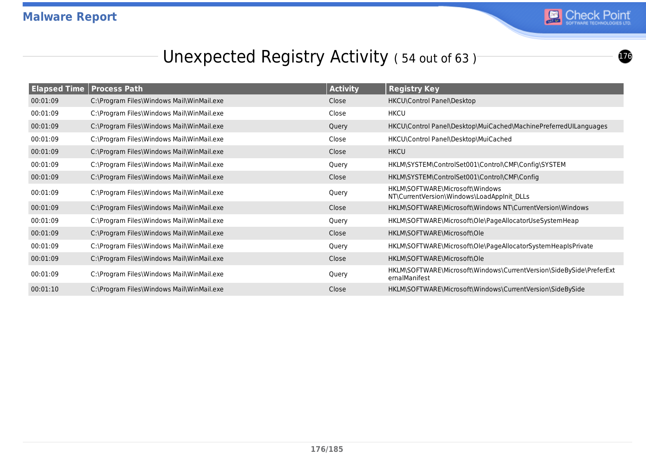

#### Unexpected Registry Activity (54 out of 63)<sup>-</sup>

| <b>Elapsed Time</b> | <b>Process Path</b>                       | <b>Activity</b> | <b>Registry Key</b>                                                                  |
|---------------------|-------------------------------------------|-----------------|--------------------------------------------------------------------------------------|
| 00:01:09            | C:\Program Files\Windows Mail\WinMail.exe | Close           | HKCU\Control Panel\Desktop                                                           |
| 00:01:09            | C:\Program Files\Windows Mail\WinMail.exe | Close           | <b>HKCU</b>                                                                          |
| 00:01:09            | C:\Program Files\Windows Mail\WinMail.exe | Query           | HKCU\Control Panel\Desktop\MuiCached\MachinePreferredUILanguages                     |
| 00:01:09            | C:\Program Files\Windows Mail\WinMail.exe | Close           | HKCU\Control Panel\Desktop\MuiCached                                                 |
| 00:01:09            | C:\Program Files\Windows Mail\WinMail.exe | Close           | <b>HKCU</b>                                                                          |
| 00:01:09            | C:\Program Files\Windows Mail\WinMail.exe | Query           | HKLM\SYSTEM\ControlSet001\Control\CMF\Config\SYSTEM                                  |
| 00:01:09            | C:\Program Files\Windows Mail\WinMail.exe | Close           | HKLM\SYSTEM\ControlSet001\Control\CMF\Config                                         |
| 00:01:09            | C:\Program Files\Windows Mail\WinMail.exe | Query           | HKLM\SOFTWARE\Microsoft\Windows<br>NT\CurrentVersion\Windows\LoadAppInit_DLLs        |
| 00:01:09            | C:\Program Files\Windows Mail\WinMail.exe | Close           | HKLM\SOFTWARE\Microsoft\Windows NT\CurrentVersion\Windows                            |
| 00:01:09            | C:\Program Files\Windows Mail\WinMail.exe | Query           | HKLM\SOFTWARE\Microsoft\Ole\PageAllocatorUseSystemHeap                               |
| 00:01:09            | C:\Program Files\Windows Mail\WinMail.exe | Close           | HKLM\SOFTWARE\Microsoft\Ole                                                          |
| 00:01:09            | C:\Program Files\Windows Mail\WinMail.exe | Query           | HKLM\SOFTWARE\Microsoft\Ole\PageAllocatorSystemHeapIsPrivate                         |
| 00:01:09            | C:\Program Files\Windows Mail\WinMail.exe | Close           | HKLM\SOFTWARE\Microsoft\Ole                                                          |
| 00:01:09            | C:\Program Files\Windows Mail\WinMail.exe | Query           | HKLM\SOFTWARE\Microsoft\Windows\CurrentVersion\SideBySide\PreferExt<br>ernalManifest |
| 00:01:10            | C:\Program Files\Windows Mail\WinMail.exe | Close           | HKLM\SOFTWARE\Microsoft\Windows\CurrentVersion\SideBySide                            |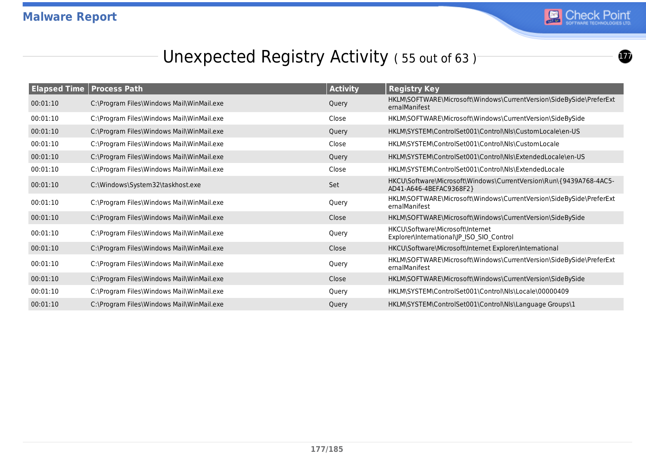

 $\boldsymbol{\Omega}$ 

## Unexpected Registry Activity (55 out of 63)<sup>-</sup>

| <b>Elapsed Time</b> | <b>Process Path</b>                       | <b>Activity</b> | <b>Registry Key</b>                                                                           |
|---------------------|-------------------------------------------|-----------------|-----------------------------------------------------------------------------------------------|
| 00:01:10            | C:\Program Files\Windows Mail\WinMail.exe | Query           | HKLM\SOFTWARE\Microsoft\Windows\CurrentVersion\SideBySide\PreferExt<br>ernalManifest          |
| 00:01:10            | C:\Program Files\Windows Mail\WinMail.exe | Close           | HKLM\SOFTWARE\Microsoft\Windows\CurrentVersion\SideBySide                                     |
| 00:01:10            | C:\Program Files\Windows Mail\WinMail.exe | Query           | HKLM\SYSTEM\ControlSet001\Control\Nls\CustomLocale\en-US                                      |
| 00:01:10            | C:\Program Files\Windows Mail\WinMail.exe | Close           | HKLM\SYSTEM\ControlSet001\Control\Nls\CustomLocale                                            |
| 00:01:10            | C:\Program Files\Windows Mail\WinMail.exe | Query           | HKLM\SYSTEM\ControlSet001\Control\Nls\ExtendedLocale\en-US                                    |
| 00:01:10            | C:\Program Files\Windows Mail\WinMail.exe | Close           | HKLM\SYSTEM\ControlSet001\Control\NIs\ExtendedLocale                                          |
| 00:01:10            | C:\Windows\System32\taskhost.exe          | Set             | HKCU\Software\Microsoft\Windows\CurrentVersion\Run\{9439A768-4AC5-<br>AD41-A646-4BEFAC9368F2} |
| 00:01:10            | C:\Program Files\Windows Mail\WinMail.exe | Query           | HKLM\SOFTWARE\Microsoft\Windows\CurrentVersion\SideBySide\PreferExt<br>ernalManifest          |
| 00:01:10            | C:\Program Files\Windows Mail\WinMail.exe | Close           | HKLM\SOFTWARE\Microsoft\Windows\CurrentVersion\SideBySide                                     |
| 00:01:10            | C:\Program Files\Windows Mail\WinMail.exe | Query           | HKCU\Software\Microsoft\Internet<br>Explorer\International\JP_ISO_SIO_Control                 |
| 00:01:10            | C:\Program Files\Windows Mail\WinMail.exe | Close           | HKCU\Software\Microsoft\Internet Explorer\International                                       |
| 00:01:10            | C:\Program Files\Windows Mail\WinMail.exe | Query           | HKLM\SOFTWARE\Microsoft\Windows\CurrentVersion\SideBySide\PreferExt<br>ernalManifest          |
| 00:01:10            | C:\Program Files\Windows Mail\WinMail.exe | Close           | HKLM\SOFTWARE\Microsoft\Windows\CurrentVersion\SideBySide                                     |
| 00:01:10            | C:\Program Files\Windows Mail\WinMail.exe | Query           | HKLM\SYSTEM\ControlSet001\Control\Nls\Locale\00000409                                         |
| 00:01:10            | C:\Program Files\Windows Mail\WinMail.exe | Query           | HKLM\SYSTEM\ControlSet001\Control\Nls\Language Groups\1                                       |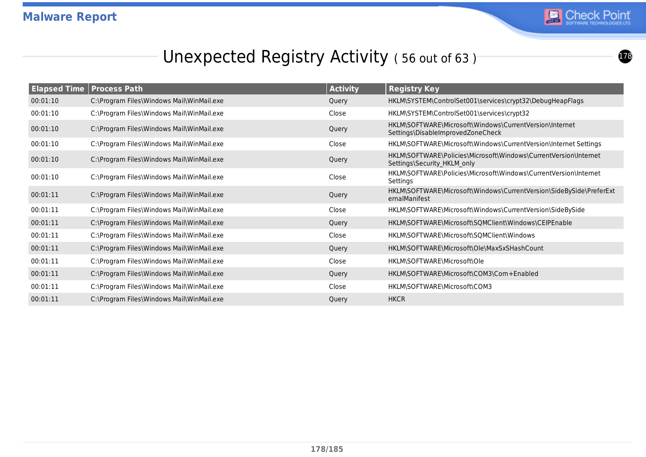

#### Unexpected Registry Activity (56 out of 63)<sup>-</sup>

| <b>Elapsed Time</b> | <b>Process Path</b>                       | <b>Activity</b> | <b>Registry Key</b>                                                                             |
|---------------------|-------------------------------------------|-----------------|-------------------------------------------------------------------------------------------------|
| 00:01:10            | C:\Program Files\Windows Mail\WinMail.exe | Query           | HKLM\SYSTEM\ControlSet001\services\crypt32\DebugHeapFlags                                       |
| 00:01:10            | C:\Program Files\Windows Mail\WinMail.exe | Close           | HKLM\SYSTEM\ControlSet001\services\crypt32                                                      |
| 00:01:10            | C:\Program Files\Windows Mail\WinMail.exe | Query           | HKLM\SOFTWARE\Microsoft\Windows\CurrentVersion\Internet<br>Settings\DisableImprovedZoneCheck    |
| 00:01:10            | C:\Program Files\Windows Mail\WinMail.exe | Close           | HKLM\SOFTWARE\Microsoft\Windows\CurrentVersion\Internet Settings                                |
| 00:01:10            | C:\Program Files\Windows Mail\WinMail.exe | Query           | HKLM\SOFTWARE\Policies\Microsoft\Windows\CurrentVersion\Internet<br>Settings\Security HKLM only |
| 00:01:10            | C:\Program Files\Windows Mail\WinMail.exe | Close           | HKLM\SOFTWARE\Policies\Microsoft\Windows\CurrentVersion\Internet<br>Settings                    |
| 00:01:11            | C:\Program Files\Windows Mail\WinMail.exe | Query           | HKLM\SOFTWARE\Microsoft\Windows\CurrentVersion\SideBySide\PreferExt<br>ernalManifest            |
| 00:01:11            | C:\Program Files\Windows Mail\WinMail.exe | Close           | HKLM\SOFTWARE\Microsoft\Windows\CurrentVersion\SideBySide                                       |
| 00:01:11            | C:\Program Files\Windows Mail\WinMail.exe | Query           | HKLM\SOFTWARE\Microsoft\SQMClient\Windows\CEIPEnable                                            |
| 00:01:11            | C:\Program Files\Windows Mail\WinMail.exe | Close           | HKLM\SOFTWARE\Microsoft\SQMClient\Windows                                                       |
| 00:01:11            | C:\Program Files\Windows Mail\WinMail.exe | Query           | HKLM\SOFTWARE\Microsoft\Ole\MaxSxSHashCount                                                     |
| 00:01:11            | C:\Program Files\Windows Mail\WinMail.exe | Close           | HKLM\SOFTWARE\Microsoft\Ole                                                                     |
| 00:01:11            | C:\Program Files\Windows Mail\WinMail.exe | Query           | HKLM\SOFTWARE\Microsoft\COM3\Com+Enabled                                                        |
| 00:01:11            | C:\Program Files\Windows Mail\WinMail.exe | Close           | HKLM\SOFTWARE\Microsoft\COM3                                                                    |
| 00:01:11            | C:\Program Files\Windows Mail\WinMail.exe | Query           | <b>HKCR</b>                                                                                     |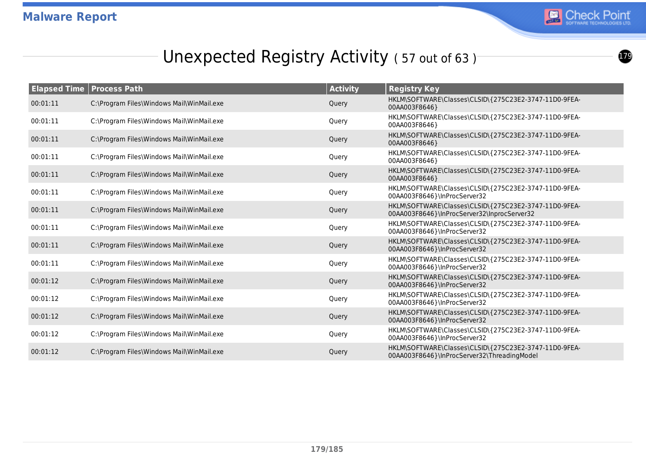

## Unexpected Registry Activity (57 out of 63)<sup>-</sup>

| <b>Elapsed Time   Process Path</b> |                                           | <b>Activity</b> | <b>Registry Key</b>                                                                                  |
|------------------------------------|-------------------------------------------|-----------------|------------------------------------------------------------------------------------------------------|
| 00:01:11                           | C:\Program Files\Windows Mail\WinMail.exe | Query           | HKLM\SOFTWARE\Classes\CLSID\{275C23E2-3747-11D0-9FEA-<br>00AA003F8646}                               |
| 00:01:11                           | C:\Program Files\Windows Mail\WinMail.exe | Query           | HKLM\SOFTWARE\Classes\CLSID\{275C23E2-3747-11D0-9FEA-<br>00AA003F8646}                               |
| 00:01:11                           | C:\Program Files\Windows Mail\WinMail.exe | Query           | HKLM\SOFTWARE\Classes\CLSID\{275C23E2-3747-11D0-9FEA-<br>00AA003F8646}                               |
| 00:01:11                           | C:\Program Files\Windows Mail\WinMail.exe | Query           | HKLM\SOFTWARE\Classes\CLSID\{275C23E2-3747-11D0-9FEA-<br>00AA003F8646}                               |
| 00:01:11                           | C:\Program Files\Windows Mail\WinMail.exe | Query           | HKLM\SOFTWARE\Classes\CLSID\{275C23E2-3747-11D0-9FEA-<br>00AA003F8646}                               |
| 00:01:11                           | C:\Program Files\Windows Mail\WinMail.exe | Query           | HKLM\SOFTWARE\Classes\CLSID\{275C23E2-3747-11D0-9FEA-<br>00AA003F8646}\InProcServer32                |
| 00:01:11                           | C:\Program Files\Windows Mail\WinMail.exe | Query           | HKLM\SOFTWARE\Classes\CLSID\{275C23E2-3747-11D0-9FEA-<br>00AA003F8646}\InProcServer32\InprocServer32 |
| 00:01:11                           | C:\Program Files\Windows Mail\WinMail.exe | Query           | HKLM\SOFTWARE\Classes\CLSID\{275C23E2-3747-11D0-9FEA-<br>00AA003F8646}\InProcServer32                |
| 00:01:11                           | C:\Program Files\Windows Mail\WinMail.exe | Query           | HKLM\SOFTWARE\Classes\CLSID\{275C23E2-3747-11D0-9FEA-<br>00AA003F8646}\InProcServer32                |
| 00:01:11                           | C:\Program Files\Windows Mail\WinMail.exe | Query           | HKLM\SOFTWARE\Classes\CLSID\{275C23E2-3747-11D0-9FEA-<br>00AA003F8646}\InProcServer32                |
| 00:01:12                           | C:\Program Files\Windows Mail\WinMail.exe | Query           | HKLM\SOFTWARE\Classes\CLSID\{275C23E2-3747-11D0-9FEA-<br>00AA003F8646}\InProcServer32                |
| 00:01:12                           | C:\Program Files\Windows Mail\WinMail.exe | Query           | HKLM\SOFTWARE\Classes\CLSID\{275C23E2-3747-11D0-9FEA-<br>00AA003F8646}\InProcServer32                |
| 00:01:12                           | C:\Program Files\Windows Mail\WinMail.exe | Query           | HKLM\SOFTWARE\Classes\CLSID\{275C23E2-3747-11D0-9FEA-<br>00AA003F8646}\InProcServer32                |
| 00:01:12                           | C:\Program Files\Windows Mail\WinMail.exe | Query           | HKLM\SOFTWARE\Classes\CLSID\{275C23E2-3747-11D0-9FEA-<br>00AA003F8646}\InProcServer32                |
| 00:01:12                           | C:\Program Files\Windows Mail\WinMail.exe | Query           | HKLM\SOFTWARE\Classes\CLSID\{275C23E2-3747-11D0-9FEA-<br>00AA003F8646}\InProcServer32\ThreadingModel |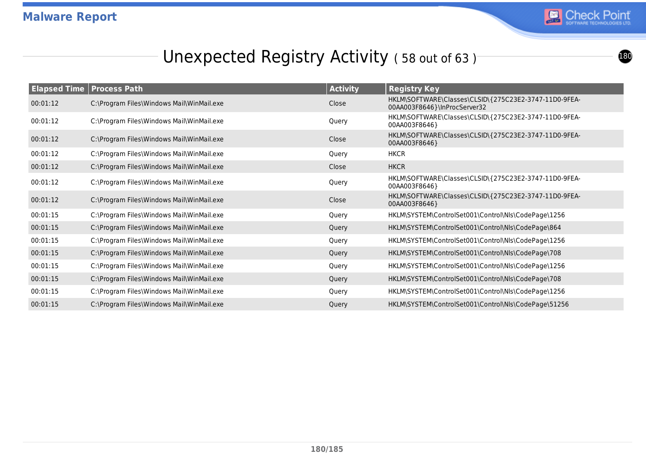

## Unexpected Registry Activity (58 out of 63)<sup>-</sup>

| <b>Elapsed Time Process Path</b> |                                           | <b>Activity</b> | <b>Registry Key</b>                                                                   |
|----------------------------------|-------------------------------------------|-----------------|---------------------------------------------------------------------------------------|
| 00:01:12                         | C:\Program Files\Windows Mail\WinMail.exe | Close           | HKLM\SOFTWARE\Classes\CLSID\{275C23E2-3747-11D0-9FEA-<br>00AA003F8646}\InProcServer32 |
| 00:01:12                         | C:\Program Files\Windows Mail\WinMail.exe | Query           | HKLM\SOFTWARE\Classes\CLSID\{275C23E2-3747-11D0-9FEA-<br>00AA003F8646}                |
| 00:01:12                         | C:\Program Files\Windows Mail\WinMail.exe | Close           | HKLM\SOFTWARE\Classes\CLSID\{275C23E2-3747-11D0-9FEA-<br>00AA003F8646}                |
| 00:01:12                         | C:\Program Files\Windows Mail\WinMail.exe | Query           | <b>HKCR</b>                                                                           |
| 00:01:12                         | C:\Program Files\Windows Mail\WinMail.exe | Close           | <b>HKCR</b>                                                                           |
| 00:01:12                         | C:\Program Files\Windows Mail\WinMail.exe | Query           | HKLM\SOFTWARE\Classes\CLSID\{275C23E2-3747-11D0-9FEA-<br>00AA003F8646}                |
| 00:01:12                         | C:\Program Files\Windows Mail\WinMail.exe | Close           | HKLM\SOFTWARE\Classes\CLSID\{275C23E2-3747-11D0-9FEA-<br>00AA003F8646}                |
| 00:01:15                         | C:\Program Files\Windows Mail\WinMail.exe | Query           | HKLM\SYSTEM\ControlSet001\Control\Nls\CodePage\1256                                   |
| 00:01:15                         | C:\Program Files\Windows Mail\WinMail.exe | Query           | HKLM\SYSTEM\ControlSet001\Control\Nls\CodePage\864                                    |
| 00:01:15                         | C:\Program Files\Windows Mail\WinMail.exe | Query           | HKLM\SYSTEM\ControlSet001\Control\Nls\CodePage\1256                                   |
| 00:01:15                         | C:\Program Files\Windows Mail\WinMail.exe | Query           | HKLM\SYSTEM\ControlSet001\Control\Nls\CodePage\708                                    |
| 00:01:15                         | C:\Program Files\Windows Mail\WinMail.exe | Query           | HKLM\SYSTEM\ControlSet001\Control\Nls\CodePage\1256                                   |
| 00:01:15                         | C:\Program Files\Windows Mail\WinMail.exe | Query           | HKLM\SYSTEM\ControlSet001\Control\Nls\CodePage\708                                    |
| 00:01:15                         | C:\Program Files\Windows Mail\WinMail.exe | Query           | HKLM\SYSTEM\ControlSet001\Control\Nls\CodePage\1256                                   |
| 00:01:15                         | C:\Program Files\Windows Mail\WinMail.exe | Query           | HKLM\SYSTEM\ControlSet001\Control\Nls\CodePage\51256                                  |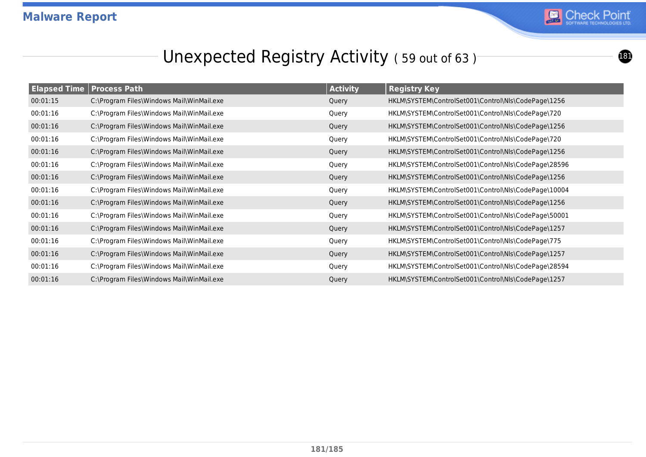

# Unexpected Registry Activity (59 out of 63)<sup>-</sup>

| <b>Elapsed Time Process Path</b> |                                           | <b>Activity</b> | <b>Registry Key</b>                                  |
|----------------------------------|-------------------------------------------|-----------------|------------------------------------------------------|
| 00:01:15                         | C:\Program Files\Windows Mail\WinMail.exe | Query           | HKLM\SYSTEM\ControlSet001\Control\Nls\CodePage\1256  |
| 00:01:16                         | C:\Program Files\Windows Mail\WinMail.exe | Query           | HKLM\SYSTEM\ControlSet001\Control\Nls\CodePage\720   |
| 00:01:16                         | C:\Program Files\Windows Mail\WinMail.exe | Query           | HKLM\SYSTEM\ControlSet001\Control\Nls\CodePage\1256  |
| 00:01:16                         | C:\Program Files\Windows Mail\WinMail.exe | Query           | HKLM\SYSTEM\ControlSet001\Control\Nls\CodePage\720   |
| 00:01:16                         | C:\Program Files\Windows Mail\WinMail.exe | Query           | HKLM\SYSTEM\ControlSet001\Control\Nls\CodePage\1256  |
| 00:01:16                         | C:\Program Files\Windows Mail\WinMail.exe | Query           | HKLM\SYSTEM\ControlSet001\Control\Nls\CodePage\28596 |
| 00:01:16                         | C:\Program Files\Windows Mail\WinMail.exe | Query           | HKLM\SYSTEM\ControlSet001\Control\Nls\CodePage\1256  |
| 00:01:16                         | C:\Program Files\Windows Mail\WinMail.exe | Query           | HKLM\SYSTEM\ControlSet001\Control\Nls\CodePage\10004 |
| 00:01:16                         | C:\Program Files\Windows Mail\WinMail.exe | Query           | HKLM\SYSTEM\ControlSet001\Control\Nls\CodePage\1256  |
| 00:01:16                         | C:\Program Files\Windows Mail\WinMail.exe | Query           | HKLM\SYSTEM\ControlSet001\Control\Nls\CodePage\50001 |
| 00:01:16                         | C:\Program Files\Windows Mail\WinMail.exe | Query           | HKLM\SYSTEM\ControlSet001\Control\Nls\CodePage\1257  |
| 00:01:16                         | C:\Program Files\Windows Mail\WinMail.exe | Query           | HKLM\SYSTEM\ControlSet001\Control\Nls\CodePage\775   |
| 00:01:16                         | C:\Program Files\Windows Mail\WinMail.exe | Query           | HKLM\SYSTEM\ControlSet001\Control\Nls\CodePage\1257  |
| 00:01:16                         | C:\Program Files\Windows Mail\WinMail.exe | Query           | HKLM\SYSTEM\ControlSet001\Control\Nls\CodePage\28594 |
| 00:01:16                         | C:\Program Files\Windows Mail\WinMail.exe | Query           | HKLM\SYSTEM\ControlSet001\Control\Nls\CodePage\1257  |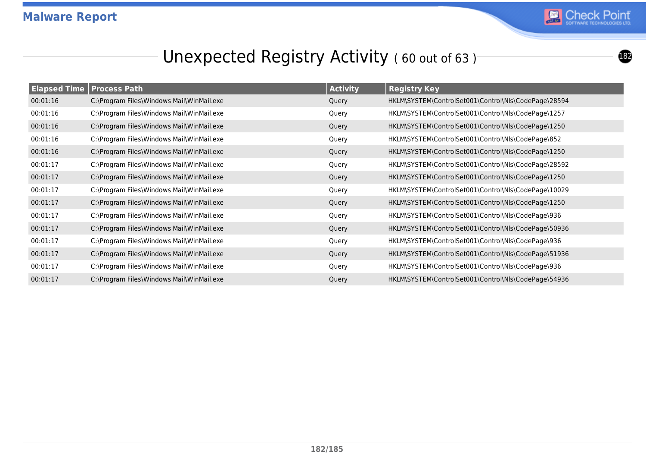

# Unexpected Registry Activity (60 out of 63)<sup>-</sup>

| <b>Elapsed Time Process Path</b> |                                           | <b>Activity</b> | <b>Registry Key</b>                                  |
|----------------------------------|-------------------------------------------|-----------------|------------------------------------------------------|
| 00:01:16                         | C:\Program Files\Windows Mail\WinMail.exe | Query           | HKLM\SYSTEM\ControlSet001\Control\Nls\CodePage\28594 |
| 00:01:16                         | C:\Program Files\Windows Mail\WinMail.exe | Query           | HKLM\SYSTEM\ControlSet001\Control\Nls\CodePage\1257  |
| 00:01:16                         | C:\Program Files\Windows Mail\WinMail.exe | Query           | HKLM\SYSTEM\ControlSet001\Control\Nls\CodePage\1250  |
| 00:01:16                         | C:\Program Files\Windows Mail\WinMail.exe | Query           | HKLM\SYSTEM\ControlSet001\Control\Nls\CodePage\852   |
| 00:01:16                         | C:\Program Files\Windows Mail\WinMail.exe | Query           | HKLM\SYSTEM\ControlSet001\Control\Nls\CodePage\1250  |
| 00:01:17                         | C:\Program Files\Windows Mail\WinMail.exe | Query           | HKLM\SYSTEM\ControlSet001\Control\Nls\CodePage\28592 |
| 00:01:17                         | C:\Program Files\Windows Mail\WinMail.exe | Query           | HKLM\SYSTEM\ControlSet001\Control\Nls\CodePage\1250  |
| 00:01:17                         | C:\Program Files\Windows Mail\WinMail.exe | Query           | HKLM\SYSTEM\ControlSet001\Control\Nls\CodePage\10029 |
| 00:01:17                         | C:\Program Files\Windows Mail\WinMail.exe | Query           | HKLM\SYSTEM\ControlSet001\Control\Nls\CodePage\1250  |
| 00:01:17                         | C:\Program Files\Windows Mail\WinMail.exe | Query           | HKLM\SYSTEM\ControlSet001\Control\Nls\CodePage\936   |
| 00:01:17                         | C:\Program Files\Windows Mail\WinMail.exe | Query           | HKLM\SYSTEM\ControlSet001\Control\Nls\CodePage\50936 |
| 00:01:17                         | C:\Program Files\Windows Mail\WinMail.exe | Query           | HKLM\SYSTEM\ControlSet001\Control\Nls\CodePage\936   |
| 00:01:17                         | C:\Program Files\Windows Mail\WinMail.exe | Query           | HKLM\SYSTEM\ControlSet001\Control\Nls\CodePage\51936 |
| 00:01:17                         | C:\Program Files\Windows Mail\WinMail.exe | Query           | HKLM\SYSTEM\ControlSet001\Control\Nls\CodePage\936   |
| 00:01:17                         | C:\Program Files\Windows Mail\WinMail.exe | Query           | HKLM\SYSTEM\ControlSet001\Control\Nls\CodePage\54936 |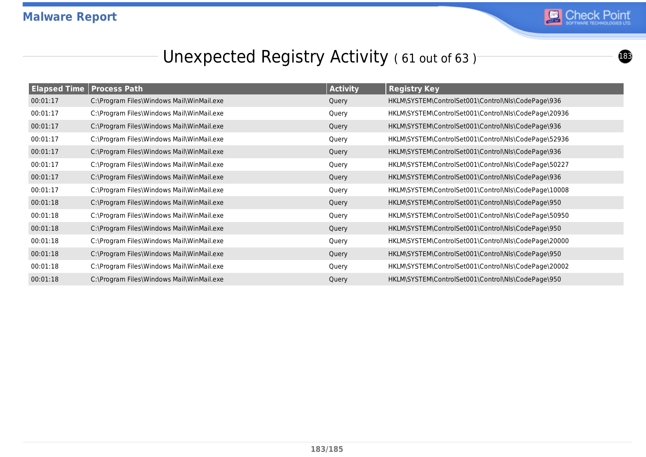

# Unexpected Registry Activity (61 out of 63)<sup>-</sup>

|          | <b>Elapsed Time Process Path</b>          | <b>Activity</b> | <b>Registry Key</b>                                  |
|----------|-------------------------------------------|-----------------|------------------------------------------------------|
| 00:01:17 | C:\Program Files\Windows Mail\WinMail.exe | Query           | HKLM\SYSTEM\ControlSet001\Control\Nls\CodePage\936   |
| 00:01:17 | C:\Program Files\Windows Mail\WinMail.exe | Query           | HKLM\SYSTEM\ControlSet001\Control\Nls\CodePage\20936 |
| 00:01:17 | C:\Program Files\Windows Mail\WinMail.exe | Query           | HKLM\SYSTEM\ControlSet001\Control\Nls\CodePage\936   |
| 00:01:17 | C:\Program Files\Windows Mail\WinMail.exe | Query           | HKLM\SYSTEM\ControlSet001\Control\Nls\CodePage\52936 |
| 00:01:17 | C:\Program Files\Windows Mail\WinMail.exe | Query           | HKLM\SYSTEM\ControlSet001\Control\Nls\CodePage\936   |
| 00:01:17 | C:\Program Files\Windows Mail\WinMail.exe | Query           | HKLM\SYSTEM\ControlSet001\Control\Nls\CodePage\50227 |
| 00:01:17 | C:\Program Files\Windows Mail\WinMail.exe | Query           | HKLM\SYSTEM\ControlSet001\Control\Nls\CodePage\936   |
| 00:01:17 | C:\Program Files\Windows Mail\WinMail.exe | Query           | HKLM\SYSTEM\ControlSet001\Control\Nls\CodePage\10008 |
| 00:01:18 | C:\Program Files\Windows Mail\WinMail.exe | Query           | HKLM\SYSTEM\ControlSet001\Control\Nls\CodePage\950   |
| 00:01:18 | C:\Program Files\Windows Mail\WinMail.exe | Query           | HKLM\SYSTEM\ControlSet001\Control\Nls\CodePage\50950 |
| 00:01:18 | C:\Program Files\Windows Mail\WinMail.exe | Query           | HKLM\SYSTEM\ControlSet001\Control\Nls\CodePage\950   |
| 00:01:18 | C:\Program Files\Windows Mail\WinMail.exe | Query           | HKLM\SYSTEM\ControlSet001\Control\Nls\CodePage\20000 |
| 00:01:18 | C:\Program Files\Windows Mail\WinMail.exe | Query           | HKLM\SYSTEM\ControlSet001\Control\Nls\CodePage\950   |
| 00:01:18 | C:\Program Files\Windows Mail\WinMail.exe | Query           | HKLM\SYSTEM\ControlSet001\Control\Nls\CodePage\20002 |
| 00:01:18 | C:\Program Files\Windows Mail\WinMail.exe | Query           | HKLM\SYSTEM\ControlSet001\Control\Nls\CodePage\950   |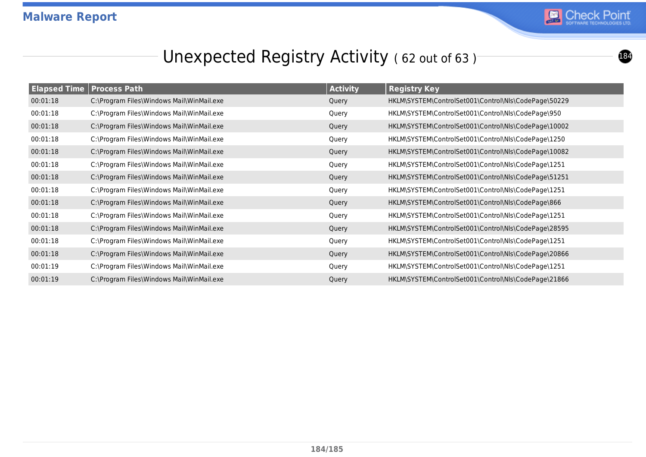

# Unexpected Registry Activity (62 out of 63)<sup>-</sup>

| <b>Elapsed Time   Process Path</b> |                                           | <b>Activity</b> | <b>Registry Key</b>                                  |
|------------------------------------|-------------------------------------------|-----------------|------------------------------------------------------|
| 00:01:18                           | C:\Program Files\Windows Mail\WinMail.exe | Query           | HKLM\SYSTEM\ControlSet001\Control\Nls\CodePage\50229 |
| 00:01:18                           | C:\Program Files\Windows Mail\WinMail.exe | Query           | HKLM\SYSTEM\ControlSet001\Control\Nls\CodePage\950   |
| 00:01:18                           | C:\Program Files\Windows Mail\WinMail.exe | Query           | HKLM\SYSTEM\ControlSet001\Control\Nls\CodePage\10002 |
| 00:01:18                           | C:\Program Files\Windows Mail\WinMail.exe | Query           | HKLM\SYSTEM\ControlSet001\Control\Nls\CodePage\1250  |
| 00:01:18                           | C:\Program Files\Windows Mail\WinMail.exe | Query           | HKLM\SYSTEM\ControlSet001\Control\Nls\CodePage\10082 |
| 00:01:18                           | C:\Program Files\Windows Mail\WinMail.exe | Query           | HKLM\SYSTEM\ControlSet001\Control\Nls\CodePage\1251  |
| 00:01:18                           | C:\Program Files\Windows Mail\WinMail.exe | Query           | HKLM\SYSTEM\ControlSet001\Control\Nls\CodePage\51251 |
| 00:01:18                           | C:\Program Files\Windows Mail\WinMail.exe | Query           | HKLM\SYSTEM\ControlSet001\Control\Nls\CodePage\1251  |
| 00:01:18                           | C:\Program Files\Windows Mail\WinMail.exe | Query           | HKLM\SYSTEM\ControlSet001\Control\Nls\CodePage\866   |
| 00:01:18                           | C:\Program Files\Windows Mail\WinMail.exe | Query           | HKLM\SYSTEM\ControlSet001\Control\Nls\CodePage\1251  |
| 00:01:18                           | C:\Program Files\Windows Mail\WinMail.exe | Query           | HKLM\SYSTEM\ControlSet001\Control\Nls\CodePage\28595 |
| 00:01:18                           | C:\Program Files\Windows Mail\WinMail.exe | Query           | HKLM\SYSTEM\ControlSet001\Control\Nls\CodePage\1251  |
| 00:01:18                           | C:\Program Files\Windows Mail\WinMail.exe | Query           | HKLM\SYSTEM\ControlSet001\Control\Nls\CodePage\20866 |
| 00:01:19                           | C:\Program Files\Windows Mail\WinMail.exe | Query           | HKLM\SYSTEM\ControlSet001\Control\Nls\CodePage\1251  |
| 00:01:19                           | C:\Program Files\Windows Mail\WinMail.exe | Query           | HKLM\SYSTEM\ControlSet001\Control\Nls\CodePage\21866 |